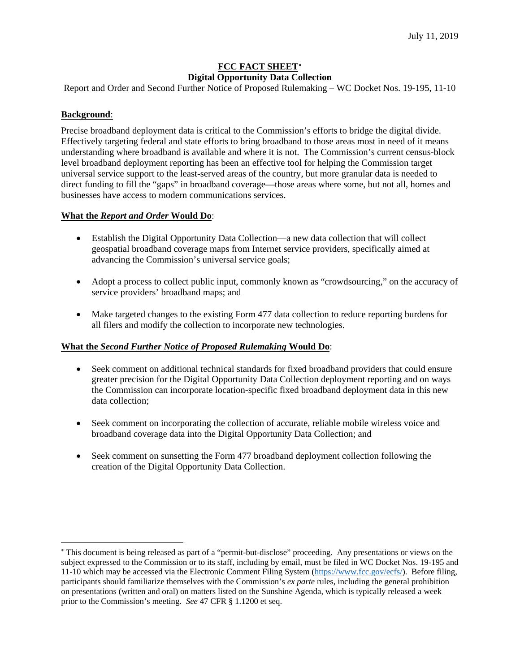# **FCC FACT SHEET**[∗](#page-0-0) **Digital Opportunity Data Collection**

Report and Order and Second Further Notice of Proposed Rulemaking – WC Docket Nos. 19-195, 11-10

### **Background**:

 $\overline{a}$ 

Precise broadband deployment data is critical to the Commission's efforts to bridge the digital divide. Effectively targeting federal and state efforts to bring broadband to those areas most in need of it means understanding where broadband is available and where it is not. The Commission's current census-block level broadband deployment reporting has been an effective tool for helping the Commission target universal service support to the least-served areas of the country, but more granular data is needed to direct funding to fill the "gaps" in broadband coverage—those areas where some, but not all, homes and businesses have access to modern communications services.

#### **What the** *Report and Order* **Would Do**:

- Establish the Digital Opportunity Data Collection—a new data collection that will collect geospatial broadband coverage maps from Internet service providers, specifically aimed at advancing the Commission's universal service goals;
- Adopt a process to collect public input, commonly known as "crowdsourcing," on the accuracy of service providers' broadband maps; and
- Make targeted changes to the existing Form 477 data collection to reduce reporting burdens for all filers and modify the collection to incorporate new technologies.

#### **What the** *Second Further Notice of Proposed Rulemaking* **Would Do**:

- Seek comment on additional technical standards for fixed broadband providers that could ensure greater precision for the Digital Opportunity Data Collection deployment reporting and on ways the Commission can incorporate location-specific fixed broadband deployment data in this new data collection;
- Seek comment on incorporating the collection of accurate, reliable mobile wireless voice and broadband coverage data into the Digital Opportunity Data Collection; and
- Seek comment on sunsetting the Form 477 broadband deployment collection following the creation of the Digital Opportunity Data Collection.

<span id="page-0-0"></span><sup>∗</sup> This document is being released as part of a "permit-but-disclose" proceeding. Any presentations or views on the subject expressed to the Commission or to its staff, including by email, must be filed in WC Docket Nos. 19-195 and 11-10 which may be accessed via the Electronic Comment Filing System [\(https://www.fcc.gov/ecfs/\)](https://www.fcc.gov/ecfs/). Before filing, participants should familiarize themselves with the Commission's *ex parte* rules, including the general prohibition on presentations (written and oral) on matters listed on the Sunshine Agenda, which is typically released a week prior to the Commission's meeting. *See* 47 CFR § 1.1200 et seq.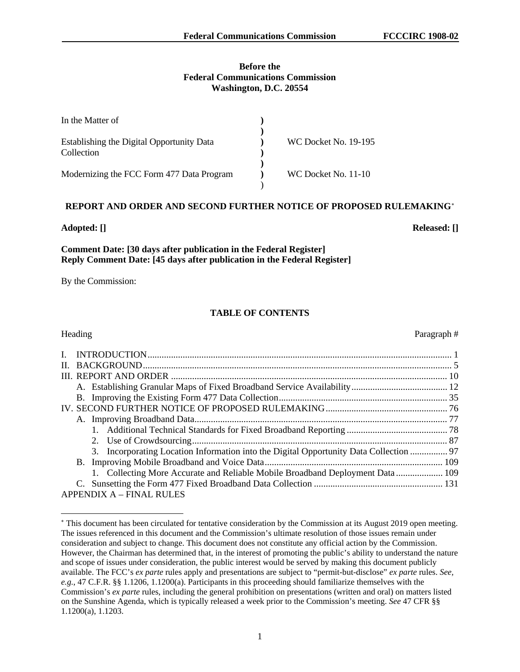#### **Before the Federal Communications Commission Washington, D.C. 20554**

| In the Matter of                                        |                             |
|---------------------------------------------------------|-----------------------------|
| Establishing the Digital Opportunity Data<br>Collection | <b>WC Docket No. 19-195</b> |
| Modernizing the FCC Form 477 Data Program               | WC Docket No. 11-10         |

#### **REPORT AND ORDER AND SECOND FURTHER NOTICE OF PROPOSED RULEMAKING**[∗](#page-1-0)

#### **Adopted: [] Released: []**

 $\overline{a}$ 

### **Comment Date: [30 days after publication in the Federal Register] Reply Comment Date: [45 days after publication in the Federal Register]**

By the Commission:

## **TABLE OF CONTENTS**

# Heading Paragraph  $#$ I. INTRODUCTION.................................................................................................................................. 1 II. BACKGROUND.................................................................................................................................... 5 III. REPORT AND ORDER ...................................................................................................................... 10 A. Establishing Granular Maps of Fixed Broadband Service Availability......................................... 12 B. Improving the Existing Form 477 Data Collection........................................................................ 35 IV. SECOND FURTHER NOTICE OF PROPOSED RULEMAKING.................................................... 76 A. Improving Broadband Data............................................................................................................ 77 1. Additional Technical Standards for Fixed Broadband Reporting ........................................... 78 2. Use of Crowdsourcing............................................................................................................. 87 3. Incorporating Location Information into the Digital Opportunity Data Collection ................ 97 B. Improving Mobile Broadband and Voice Data............................................................................ 109 1. Collecting More Accurate and Reliable Mobile Broadband Deployment Data .................... 109 C. Sunsetting the Form 477 Fixed Broadband Data Collection ....................................................... 131 APPENDIX A – FINAL RULES

<span id="page-1-0"></span><sup>∗</sup> This document has been circulated for tentative consideration by the Commission at its August 2019 open meeting. The issues referenced in this document and the Commission's ultimate resolution of those issues remain under consideration and subject to change. This document does not constitute any official action by the Commission. However, the Chairman has determined that, in the interest of promoting the public's ability to understand the nature and scope of issues under consideration, the public interest would be served by making this document publicly available. The FCC's *ex parte* rules apply and presentations are subject to "permit-but-disclose" *ex parte* rules. *See, e.g.*, 47 C.F.R. §§ 1.1206, 1.1200(a). Participants in this proceeding should familiarize themselves with the Commission's *ex parte* rules, including the general prohibition on presentations (written and oral) on matters listed on the Sunshine Agenda, which is typically released a week prior to the Commission's meeting. *See* 47 CFR §§ 1.1200(a), 1.1203.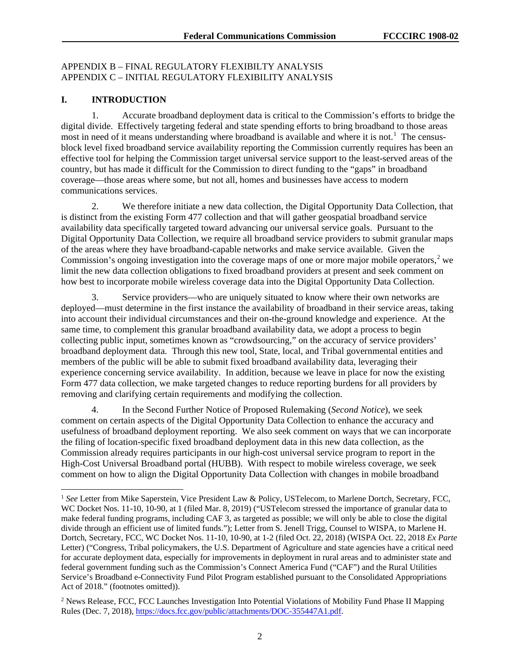### APPENDIX B – FINAL REGULATORY FLEXIBILTY ANALYSIS APPENDIX C – INITIAL REGULATORY FLEXIBILITY ANALYSIS

#### **I. INTRODUCTION**

1. Accurate broadband deployment data is critical to the Commission's efforts to bridge the digital divide. Effectively targeting federal and state spending efforts to bring broadband to those areas most in need of it means understanding where broadband is available and where it is not.<sup>[1](#page-2-0)</sup> The censusblock level fixed broadband service availability reporting the Commission currently requires has been an effective tool for helping the Commission target universal service support to the least-served areas of the country, but has made it difficult for the Commission to direct funding to the "gaps" in broadband coverage—those areas where some, but not all, homes and businesses have access to modern communications services.

2. We therefore initiate a new data collection, the Digital Opportunity Data Collection, that is distinct from the existing Form 477 collection and that will gather geospatial broadband service availability data specifically targeted toward advancing our universal service goals. Pursuant to the Digital Opportunity Data Collection, we require all broadband service providers to submit granular maps of the areas where they have broadband-capable networks and make service available. Given the Commission's ongoing investigation into the coverage maps of one or more major mobile operators,  $2$  we limit the new data collection obligations to fixed broadband providers at present and seek comment on how best to incorporate mobile wireless coverage data into the Digital Opportunity Data Collection.

3. Service providers—who are uniquely situated to know where their own networks are deployed—must determine in the first instance the availability of broadband in their service areas, taking into account their individual circumstances and their on-the-ground knowledge and experience. At the same time, to complement this granular broadband availability data, we adopt a process to begin collecting public input, sometimes known as "crowdsourcing," on the accuracy of service providers' broadband deployment data. Through this new tool, State, local, and Tribal governmental entities and members of the public will be able to submit fixed broadband availability data, leveraging their experience concerning service availability. In addition, because we leave in place for now the existing Form 477 data collection, we make targeted changes to reduce reporting burdens for all providers by removing and clarifying certain requirements and modifying the collection.

4. In the Second Further Notice of Proposed Rulemaking (*Second Notice*), we seek comment on certain aspects of the Digital Opportunity Data Collection to enhance the accuracy and usefulness of broadband deployment reporting. We also seek comment on ways that we can incorporate the filing of location-specific fixed broadband deployment data in this new data collection, as the Commission already requires participants in our high-cost universal service program to report in the High-Cost Universal Broadband portal (HUBB). With respect to mobile wireless coverage, we seek comment on how to align the Digital Opportunity Data Collection with changes in mobile broadband

<span id="page-2-0"></span> <sup>1</sup> *See* Letter from Mike Saperstein, Vice President Law & Policy, USTelecom, to Marlene Dortch, Secretary, FCC, WC Docket Nos. 11-10, 10-90, at 1 (filed Mar. 8, 2019) ("USTelecom stressed the importance of granular data to make federal funding programs, including CAF 3, as targeted as possible; we will only be able to close the digital divide through an efficient use of limited funds."); Letter from S. Jenell Trigg, Counsel to WISPA, to Marlene H. Dortch, Secretary, FCC, WC Docket Nos. 11-10, 10-90, at 1-2 (filed Oct. 22, 2018) (WISPA Oct. 22, 2018 *Ex Parte* Letter) ("Congress, Tribal policymakers, the U.S. Department of Agriculture and state agencies have a critical need for accurate deployment data, especially for improvements in deployment in rural areas and to administer state and federal government funding such as the Commission's Connect America Fund ("CAF") and the Rural Utilities Service's Broadband e-Connectivity Fund Pilot Program established pursuant to the Consolidated Appropriations Act of 2018." (footnotes omitted)).

<span id="page-2-1"></span><sup>&</sup>lt;sup>2</sup> News Release, FCC, FCC Launches Investigation Into Potential Violations of Mobility Fund Phase II Mapping Rules (Dec. 7, 2018), [https://docs.fcc.gov/public/attachments/DOC-355447A1.pdf.](https://docs.fcc.gov/public/attachments/DOC-355447A1.pdf)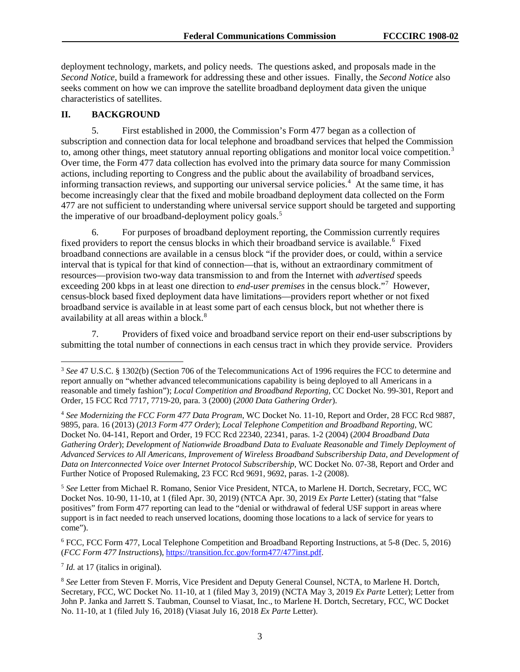deployment technology, markets, and policy needs. The questions asked, and proposals made in the *Second Notice*, build a framework for addressing these and other issues. Finally, the *Second Notice* also seeks comment on how we can improve the satellite broadband deployment data given the unique characteristics of satellites.

#### **II. BACKGROUND**

5. First established in 2000, the Commission's Form 477 began as a collection of subscription and connection data for local telephone and broadband services that helped the Commission to, among other things, meet statutory annual reporting obligations and monitor local voice competition.<sup>[3](#page-3-0)</sup> Over time, the Form 477 data collection has evolved into the primary data source for many Commission actions, including reporting to Congress and the public about the availability of broadband services, informing transaction reviews, and supporting our universal service policies.<sup>[4](#page-3-1)</sup> At the same time, it has become increasingly clear that the fixed and mobile broadband deployment data collected on the Form 477 are not sufficient to understanding where universal service support should be targeted and supporting the imperative of our broadband-deployment policy goals.<sup>[5](#page-3-2)</sup>

6. For purposes of broadband deployment reporting, the Commission currently requires fixed providers to report the census blocks in which their broadband service is available.<sup>[6](#page-3-3)</sup> Fixed broadband connections are available in a census block "if the provider does, or could, within a service interval that is typical for that kind of connection—that is, without an extraordinary commitment of resources—provision two-way data transmission to and from the Internet with *advertised* speeds exceeding 200 kbps in at least one direction to *end-user premises* in the census block."[7](#page-3-4) However, census-block based fixed deployment data have limitations—providers report whether or not fixed broadband service is available in at least some part of each census block, but not whether there is availability at all areas within a block.<sup>[8](#page-3-5)</sup>

7. Providers of fixed voice and broadband service report on their end-user subscriptions by submitting the total number of connections in each census tract in which they provide service. Providers

<span id="page-3-2"></span><sup>5</sup> *See* Letter from Michael R. Romano, Senior Vice President, NTCA, to Marlene H. Dortch, Secretary, FCC, WC Docket Nos. 10-90, 11-10, at 1 (filed Apr. 30, 2019) (NTCA Apr. 30, 2019 *Ex Parte* Letter) (stating that "false positives" from Form 477 reporting can lead to the "denial or withdrawal of federal USF support in areas where support is in fact needed to reach unserved locations, dooming those locations to a lack of service for years to come").

<span id="page-3-3"></span><sup>6</sup> FCC, FCC Form 477, Local Telephone Competition and Broadband Reporting Instructions, at 5-8 (Dec. 5, 2016) (*FCC Form 477 Instructions*)[, https://transition.fcc.gov/form477/477inst.pdf.](https://transition.fcc.gov/form477/477inst.pdf)

<span id="page-3-4"></span><sup>7</sup> *Id.* at 17 (italics in original).

<span id="page-3-0"></span> <sup>3</sup> *See* 47 U.S.C. § 1302(b) (Section 706 of the Telecommunications Act of 1996 requires the FCC to determine and report annually on "whether advanced telecommunications capability is being deployed to all Americans in a reasonable and timely fashion"); *Local Competition and Broadband Reporting*, CC Docket No. 99-301, Report and Order, 15 FCC Rcd 7717, 7719-20, para. 3 (2000) (*2000 Data Gathering Order*).

<span id="page-3-1"></span><sup>4</sup> *See Modernizing the FCC Form 477 Data Program*, WC Docket No. 11-10, Report and Order, 28 FCC Rcd 9887, 9895, para. 16 (2013) (*2013 Form 477 Order*); *Local Telephone Competition and Broadband Reporting*, WC Docket No. 04-141, Report and Order, 19 FCC Rcd 22340, 22341, paras. 1-2 (2004) (*2004 Broadband Data Gathering Order*); *Development of Nationwide Broadband Data to Evaluate Reasonable and Timely Deployment of Advanced Services to All Americans, Improvement of Wireless Broadband Subscribership Data, and Development of Data on Interconnected Voice over Internet Protocol Subscribership*, WC Docket No. 07-38, Report and Order and Further Notice of Proposed Rulemaking, 23 FCC Rcd 9691, 9692, paras. 1-2 (2008).

<span id="page-3-5"></span><sup>8</sup> *See* Letter from Steven F. Morris, Vice President and Deputy General Counsel, NCTA, to Marlene H. Dortch, Secretary, FCC, WC Docket No. 11-10, at 1 (filed May 3, 2019) (NCTA May 3, 2019 *Ex Parte* Letter); Letter from John P. Janka and Jarrett S. Taubman, Counsel to Viasat, Inc., to Marlene H. Dortch, Secretary, FCC, WC Docket No. 11-10, at 1 (filed July 16, 2018) (Viasat July 16, 2018 *Ex Parte* Letter).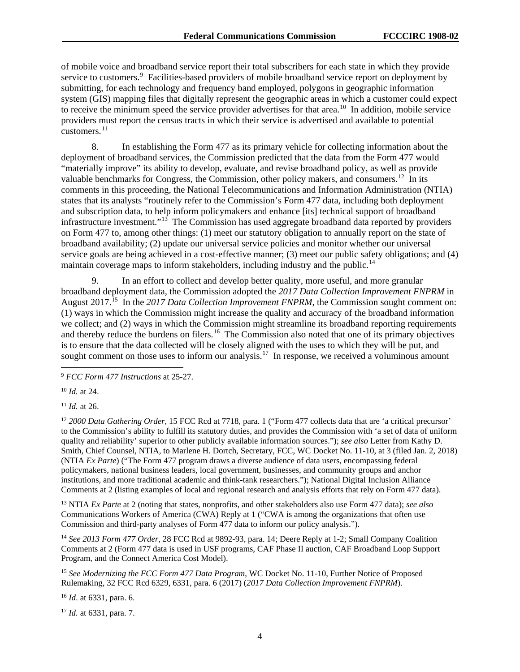of mobile voice and broadband service report their total subscribers for each state in which they provide service to customers.<sup>[9](#page-4-0)</sup> Facilities-based providers of mobile broadband service report on deployment by submitting, for each technology and frequency band employed, polygons in geographic information system (GIS) mapping files that digitally represent the geographic areas in which a customer could expect to receive the minimum speed the service provider advertises for that area.<sup>10</sup> In addition, mobile service providers must report the census tracts in which their service is advertised and available to potential customers. $^{11}$  $^{11}$  $^{11}$ 

8. In establishing the Form 477 as its primary vehicle for collecting information about the deployment of broadband services, the Commission predicted that the data from the Form 477 would "materially improve" its ability to develop, evaluate, and revise broadband policy, as well as provide valuable benchmarks for Congress, the Commission, other policy makers, and consumers.<sup>[12](#page-4-3)</sup> In its comments in this proceeding, the National Telecommunications and Information Administration (NTIA) states that its analysts "routinely refer to the Commission's Form 477 data, including both deployment and subscription data, to help inform policymakers and enhance [its] technical support of broadband infrastructure investment."<sup>[13](#page-4-4)</sup> The Commission has used aggregate broadband data reported by providers on Form 477 to, among other things: (1) meet our statutory obligation to annually report on the state of broadband availability; (2) update our universal service policies and monitor whether our universal service goals are being achieved in a cost-effective manner; (3) meet our public safety obligations; and (4) maintain coverage maps to inform stakeholders, including industry and the public.<sup>[14](#page-4-5)</sup>

9. In an effort to collect and develop better quality, more useful, and more granular broadband deployment data, the Commission adopted the *2017 Data Collection Improvement FNPRM* in August 2017.<sup>15</sup> In the 2017 Data Collection Improvement FNPRM, the Commission sought comment on: (1) ways in which the Commission might increase the quality and accuracy of the broadband information we collect; and (2) ways in which the Commission might streamline its broadband reporting requirements and thereby reduce the burdens on filers.<sup>16</sup> The Commission also noted that one of its primary objectives is to ensure that the data collected will be closely aligned with the uses to which they will be put, and sought comment on those uses to inform our analysis.<sup>[17](#page-4-8)</sup> In response, we received a voluminous amount

<span id="page-4-0"></span>9 *FCC Form 477 Instructions* at 25-27.

<span id="page-4-1"></span><sup>10</sup> *Id.* at 24.

<span id="page-4-2"></span><sup>11</sup> *Id.* at 26.

<span id="page-4-3"></span><sup>12</sup> 2000 Data Gathering Order, 15 FCC Rcd at 7718, para. 1 ("Form 477 collects data that are 'a critical precursor' to the Commission's ability to fulfill its statutory duties, and provides the Commission with 'a set of data of uniform quality and reliability' superior to other publicly available information sources."); *see also* Letter from Kathy D. Smith, Chief Counsel, NTIA, to Marlene H. Dortch, Secretary, FCC, WC Docket No. 11-10, at 3 (filed Jan. 2, 2018) (NTIA *Ex Parte*) ("The Form 477 program draws a diverse audience of data users, encompassing federal policymakers, national business leaders, local government, businesses, and community groups and anchor institutions, and more traditional academic and think-tank researchers."); National Digital Inclusion Alliance Comments at 2 (listing examples of local and regional research and analysis efforts that rely on Form 477 data).

<span id="page-4-4"></span><sup>13</sup> NTIA *Ex Parte* at 2 (noting that states, nonprofits, and other stakeholders also use Form 477 data); *see also*  Communications Workers of America (CWA) Reply at 1 ("CWA is among the organizations that often use Commission and third-party analyses of Form 477 data to inform our policy analysis.").

<span id="page-4-5"></span><sup>14</sup> *See 2013 Form 477 Order*, 28 FCC Rcd at 9892-93, para. 14; Deere Reply at 1-2; Small Company Coalition Comments at 2 (Form 477 data is used in USF programs, CAF Phase II auction, CAF Broadband Loop Support Program, and the Connect America Cost Model).

<span id="page-4-6"></span><sup>15</sup> *See Modernizing the FCC Form 477 Data Program*, WC Docket No. 11-10, Further Notice of Proposed Rulemaking, 32 FCC Rcd 6329, 6331, para. 6 (2017) (*2017 Data Collection Improvement FNPRM*).

<span id="page-4-7"></span><sup>16</sup> *Id*. at 6331, para. 6.

<span id="page-4-8"></span><sup>17</sup> *Id.* at 6331, para. 7.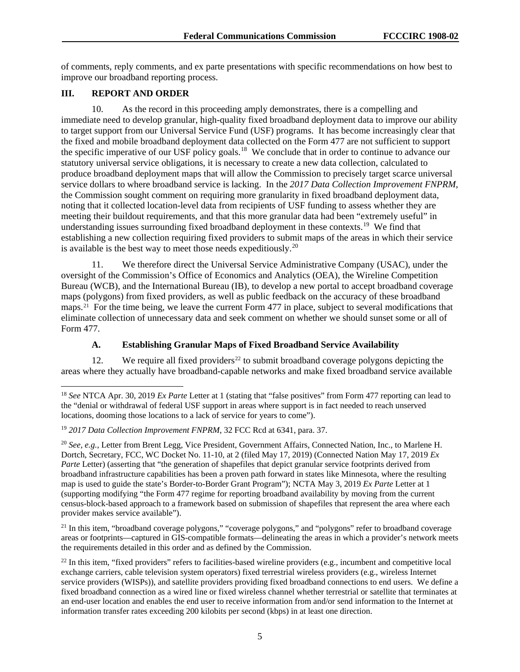of comments, reply comments, and ex parte presentations with specific recommendations on how best to improve our broadband reporting process.

### **III. REPORT AND ORDER**

10. As the record in this proceeding amply demonstrates, there is a compelling and immediate need to develop granular, high-quality fixed broadband deployment data to improve our ability to target support from our Universal Service Fund (USF) programs. It has become increasingly clear that the fixed and mobile broadband deployment data collected on the Form 477 are not sufficient to support the specific imperative of our USF policy goals.<sup>[18](#page-5-0)</sup> We conclude that in order to continue to advance our statutory universal service obligations, it is necessary to create a new data collection, calculated to produce broadband deployment maps that will allow the Commission to precisely target scarce universal service dollars to where broadband service is lacking. In the *2017 Data Collection Improvement FNPRM*, the Commission sought comment on requiring more granularity in fixed broadband deployment data, noting that it collected location-level data from recipients of USF funding to assess whether they are meeting their buildout requirements, and that this more granular data had been "extremely useful" in understanding issues surrounding fixed broadband deployment in these contexts.<sup>19</sup> We find that establishing a new collection requiring fixed providers to submit maps of the areas in which their service is available is the best way to meet those needs expeditiously.<sup>[20](#page-5-2)</sup>

11. We therefore direct the Universal Service Administrative Company (USAC), under the oversight of the Commission's Office of Economics and Analytics (OEA), the Wireline Competition Bureau (WCB), and the International Bureau (IB), to develop a new portal to accept broadband coverage maps (polygons) from fixed providers, as well as public feedback on the accuracy of these broadband maps.<sup>21</sup> For the time being, we leave the current Form 477 in place, subject to several modifications that eliminate collection of unnecessary data and seek comment on whether we should sunset some or all of Form 477.

#### **A. Establishing Granular Maps of Fixed Broadband Service Availability**

12. We require all fixed providers<sup>[22](#page-5-4)</sup> to submit broadband coverage polygons depicting the areas where they actually have broadband-capable networks and make fixed broadband service available

<span id="page-5-3"></span><sup>21</sup> In this item, "broadband coverage polygons," "coverage polygons," and "polygons" refer to broadband coverage areas or footprints—captured in GIS-compatible formats—delineating the areas in which a provider's network meets the requirements detailed in this order and as defined by the Commission.

<span id="page-5-0"></span><sup>&</sup>lt;sup>18</sup> *See* NTCA Apr. 30, 2019 *Ex Parte* Letter at 1 (stating that "false positives" from Form 477 reporting can lead to the "denial or withdrawal of federal USF support in areas where support is in fact needed to reach unserved locations, dooming those locations to a lack of service for years to come").

<span id="page-5-1"></span><sup>19</sup> *2017 Data Collection Improvement FNPRM*, 32 FCC Rcd at 6341, para. 37.

<span id="page-5-2"></span><sup>20</sup> *See, e.g.*, Letter from Brent Legg, Vice President, Government Affairs, Connected Nation, Inc., to Marlene H. Dortch, Secretary, FCC, WC Docket No. 11-10, at 2 (filed May 17, 2019) (Connected Nation May 17, 2019 *Ex Parte* Letter) (asserting that "the generation of shapefiles that depict granular service footprints derived from broadband infrastructure capabilities has been a proven path forward in states like Minnesota, where the resulting map is used to guide the state's Border-to-Border Grant Program"); NCTA May 3, 2019 *Ex Parte* Letter at 1 (supporting modifying "the Form 477 regime for reporting broadband availability by moving from the current census-block-based approach to a framework based on submission of shapefiles that represent the area where each provider makes service available").

<span id="page-5-4"></span> $^{22}$  In this item, "fixed providers" refers to facilities-based wireline providers (e.g., incumbent and competitive local exchange carriers, cable television system operators) fixed terrestrial wireless providers (e.g., wireless Internet service providers (WISPs)), and satellite providers providing fixed broadband connections to end users. We define a fixed broadband connection as a wired line or fixed wireless channel whether terrestrial or satellite that terminates at an end-user location and enables the end user to receive information from and/or send information to the Internet at information transfer rates exceeding 200 kilobits per second (kbps) in at least one direction.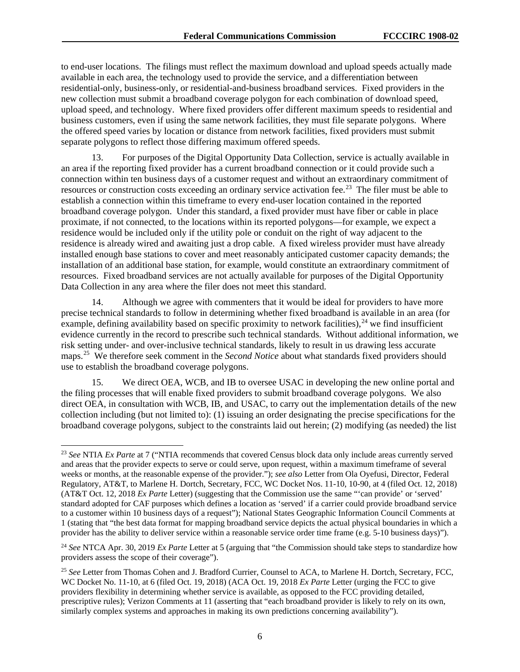to end-user locations. The filings must reflect the maximum download and upload speeds actually made available in each area, the technology used to provide the service, and a differentiation between residential-only, business-only, or residential-and-business broadband services. Fixed providers in the new collection must submit a broadband coverage polygon for each combination of download speed, upload speed, and technology. Where fixed providers offer different maximum speeds to residential and business customers, even if using the same network facilities, they must file separate polygons. Where the offered speed varies by location or distance from network facilities, fixed providers must submit separate polygons to reflect those differing maximum offered speeds.

13. For purposes of the Digital Opportunity Data Collection, service is actually available in an area if the reporting fixed provider has a current broadband connection or it could provide such a connection within ten business days of a customer request and without an extraordinary commitment of resources or construction costs exceeding an ordinary service activation fee.<sup>[23](#page-6-0)</sup> The filer must be able to establish a connection within this timeframe to every end-user location contained in the reported broadband coverage polygon. Under this standard, a fixed provider must have fiber or cable in place proximate, if not connected, to the locations within its reported polygons—for example, we expect a residence would be included only if the utility pole or conduit on the right of way adjacent to the residence is already wired and awaiting just a drop cable. A fixed wireless provider must have already installed enough base stations to cover and meet reasonably anticipated customer capacity demands; the installation of an additional base station, for example, would constitute an extraordinary commitment of resources. Fixed broadband services are not actually available for purposes of the Digital Opportunity Data Collection in any area where the filer does not meet this standard.

14. Although we agree with commenters that it would be ideal for providers to have more precise technical standards to follow in determining whether fixed broadband is available in an area (for example, defining availability based on specific proximity to network facilities),  $^{24}$  $^{24}$  $^{24}$  we find insufficient evidence currently in the record to prescribe such technical standards. Without additional information, we risk setting under- and over-inclusive technical standards, likely to result in us drawing less accurate maps.[25](#page-6-2) We therefore seek comment in the *Second Notice* about what standards fixed providers should use to establish the broadband coverage polygons.

15. We direct OEA, WCB, and IB to oversee USAC in developing the new online portal and the filing processes that will enable fixed providers to submit broadband coverage polygons. We also direct OEA, in consultation with WCB, IB, and USAC, to carry out the implementation details of the new collection including (but not limited to): (1) issuing an order designating the precise specifications for the broadband coverage polygons, subject to the constraints laid out herein; (2) modifying (as needed) the list

<span id="page-6-0"></span> <sup>23</sup> *See* NTIA *Ex Parte* at 7 ("NTIA recommends that covered Census block data only include areas currently served and areas that the provider expects to serve or could serve, upon request, within a maximum timeframe of several weeks or months, at the reasonable expense of the provider."); *see also* Letter from Ola Oyefusi, Director, Federal Regulatory, AT&T, to Marlene H. Dortch, Secretary, FCC, WC Docket Nos. 11-10, 10-90, at 4 (filed Oct. 12, 2018) (AT&T Oct. 12, 2018 *Ex Parte* Letter) (suggesting that the Commission use the same "'can provide' or 'served' standard adopted for CAF purposes which defines a location as 'served' if a carrier could provide broadband service to a customer within 10 business days of a request"); National States Geographic Information Council Comments at 1 (stating that "the best data format for mapping broadband service depicts the actual physical boundaries in which a provider has the ability to deliver service within a reasonable service order time frame (e.g. 5-10 business days)").

<span id="page-6-1"></span><sup>24</sup> *See* NTCA Apr. 30, 2019 *Ex Parte* Letter at 5 (arguing that "the Commission should take steps to standardize how providers assess the scope of their coverage").

<span id="page-6-2"></span><sup>25</sup> *See* Letter from Thomas Cohen and J. Bradford Currier, Counsel to ACA, to Marlene H. Dortch, Secretary, FCC, WC Docket No. 11-10, at 6 (filed Oct. 19, 2018) (ACA Oct. 19, 2018 *Ex Parte* Letter (urging the FCC to give providers flexibility in determining whether service is available, as opposed to the FCC providing detailed, prescriptive rules); Verizon Comments at 11 (asserting that "each broadband provider is likely to rely on its own, similarly complex systems and approaches in making its own predictions concerning availability").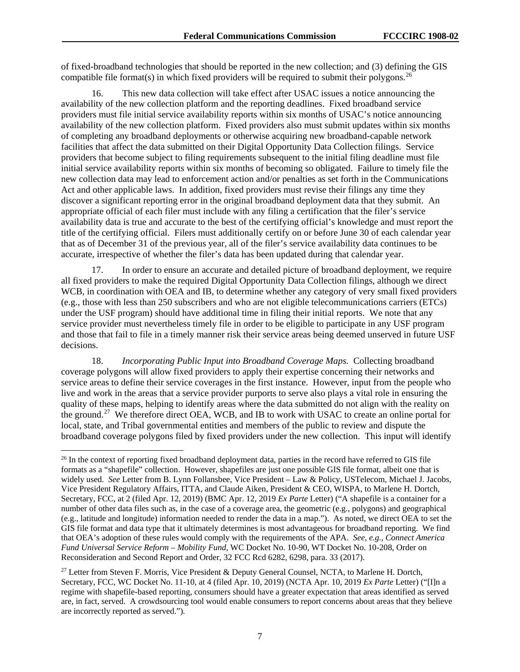of fixed-broadband technologies that should be reported in the new collection; and (3) defining the GIS compatible file format(s) in which fixed providers will be required to submit their polygons.<sup>[26](#page-7-0)</sup>

16. This new data collection will take effect after USAC issues a notice announcing the availability of the new collection platform and the reporting deadlines. Fixed broadband service providers must file initial service availability reports within six months of USAC's notice announcing availability of the new collection platform. Fixed providers also must submit updates within six months of completing any broadband deployments or otherwise acquiring new broadband-capable network facilities that affect the data submitted on their Digital Opportunity Data Collection filings. Service providers that become subject to filing requirements subsequent to the initial filing deadline must file initial service availability reports within six months of becoming so obligated. Failure to timely file the new collection data may lead to enforcement action and/or penalties as set forth in the Communications Act and other applicable laws. In addition, fixed providers must revise their filings any time they discover a significant reporting error in the original broadband deployment data that they submit. An appropriate official of each filer must include with any filing a certification that the filer's service availability data is true and accurate to the best of the certifying official's knowledge and must report the title of the certifying official. Filers must additionally certify on or before June 30 of each calendar year that as of December 31 of the previous year, all of the filer's service availability data continues to be accurate, irrespective of whether the filer's data has been updated during that calendar year.

17. In order to ensure an accurate and detailed picture of broadband deployment, we require all fixed providers to make the required Digital Opportunity Data Collection filings, although we direct WCB, in coordination with OEA and IB, to determine whether any category of very small fixed providers (e.g., those with less than 250 subscribers and who are not eligible telecommunications carriers (ETCs) under the USF program) should have additional time in filing their initial reports. We note that any service provider must nevertheless timely file in order to be eligible to participate in any USF program and those that fail to file in a timely manner risk their service areas being deemed unserved in future USF decisions.

18. *Incorporating Public Input into Broadband Coverage Maps.* Collecting broadband coverage polygons will allow fixed providers to apply their expertise concerning their networks and service areas to define their service coverages in the first instance. However, input from the people who live and work in the areas that a service provider purports to serve also plays a vital role in ensuring the quality of these maps, helping to identify areas where the data submitted do not align with the reality on the ground.<sup>27</sup> We therefore direct OEA, WCB, and IB to work with USAC to create an online portal for local, state, and Tribal governmental entities and members of the public to review and dispute the broadband coverage polygons filed by fixed providers under the new collection. This input will identify

<span id="page-7-0"></span><sup>&</sup>lt;sup>26</sup> In the context of reporting fixed broadband deployment data, parties in the record have referred to GIS file formats as a "shapefile" collection. However, shapefiles are just one possible GIS file format, albeit one that is widely used. *See* Letter from B. Lynn Follansbee, Vice President – Law & Policy, USTelecom, Michael J. Jacobs, Vice President Regulatory Affairs, ITTA, and Claude Aiken, President & CEO, WISPA, to Marlene H. Dortch, Secretary, FCC, at 2 (filed Apr. 12, 2019) (BMC Apr. 12, 2019 *Ex Parte* Letter) ("A shapefile is a container for a number of other data files such as, in the case of a coverage area, the geometric (e.g., polygons) and geographical (e.g., latitude and longitude) information needed to render the data in a map."). As noted, we direct OEA to set the GIS file format and data type that it ultimately determines is most advantageous for broadband reporting. We find that OEA's adoption of these rules would comply with the requirements of the APA. *See, e.g.*, *Connect America Fund Universal Service Reform – Mobility Fund*, WC Docket No. 10-90, WT Docket No. 10-208, Order on Reconsideration and Second Report and Order, 32 FCC Rcd 6282, 6298, para. 33 (2017).

<span id="page-7-1"></span><sup>&</sup>lt;sup>27</sup> Letter from Steven F. Morris, Vice President & Deputy General Counsel, NCTA, to Marlene H. Dortch, Secretary, FCC, WC Docket No. 11-10, at 4 (filed Apr. 10, 2019) (NCTA Apr. 10, 2019 *Ex Parte* Letter) ("[I]n a regime with shapefile-based reporting, consumers should have a greater expectation that areas identified as served are, in fact, served. A crowdsourcing tool would enable consumers to report concerns about areas that they believe are incorrectly reported as served.").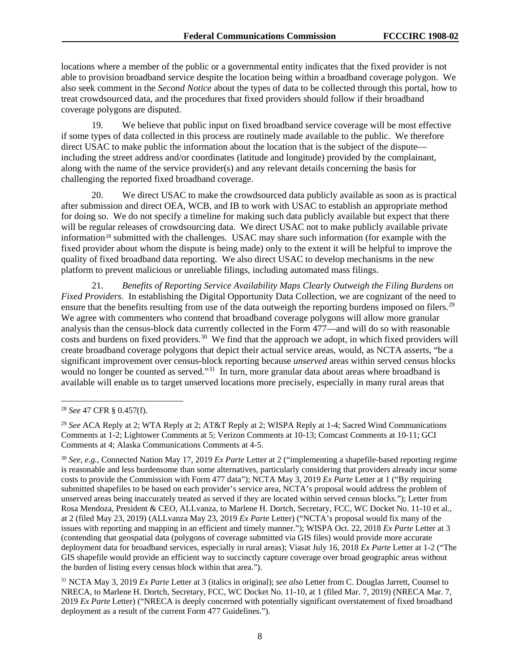locations where a member of the public or a governmental entity indicates that the fixed provider is not able to provision broadband service despite the location being within a broadband coverage polygon. We also seek comment in the *Second Notice* about the types of data to be collected through this portal, how to treat crowdsourced data, and the procedures that fixed providers should follow if their broadband coverage polygons are disputed.

19. We believe that public input on fixed broadband service coverage will be most effective if some types of data collected in this process are routinely made available to the public. We therefore direct USAC to make public the information about the location that is the subject of the dispute including the street address and/or coordinates (latitude and longitude) provided by the complainant, along with the name of the service provider(s) and any relevant details concerning the basis for challenging the reported fixed broadband coverage.

20. We direct USAC to make the crowdsourced data publicly available as soon as is practical after submission and direct OEA, WCB, and IB to work with USAC to establish an appropriate method for doing so. We do not specify a timeline for making such data publicly available but expect that there will be regular releases of crowdsourcing data. We direct USAC not to make publicly available private information<sup>[28](#page-8-0)</sup> submitted with the challenges. USAC may share such information (for example with the fixed provider about whom the dispute is being made) only to the extent it will be helpful to improve the quality of fixed broadband data reporting. We also direct USAC to develop mechanisms in the new platform to prevent malicious or unreliable filings, including automated mass filings.

21. *Benefits of Reporting Service Availability Maps Clearly Outweigh the Filing Burdens on Fixed Providers*.In establishing the Digital Opportunity Data Collection, we are cognizant of the need to ensure that the benefits resulting from use of the data outweigh the reporting burdens imposed on filers.<sup>29</sup> We agree with commenters who contend that broadband coverage polygons will allow more granular analysis than the census-block data currently collected in the Form 477—and will do so with reasonable costs and burdens on fixed providers.<sup>30</sup> We find that the approach we adopt, in which fixed providers will create broadband coverage polygons that depict their actual service areas, would, as NCTA asserts, "be a significant improvement over census-block reporting because *unserved* areas within served census blocks would no longer be counted as served."<sup>[31](#page-8-3)</sup> In turn, more granular data about areas where broadband is available will enable us to target unserved locations more precisely, especially in many rural areas that

<span id="page-8-0"></span> <sup>28</sup> *See* 47 CFR § 0.457(f).

<span id="page-8-1"></span><sup>29</sup> *See* ACA Reply at 2; WTA Reply at 2; AT&T Reply at 2; WISPA Reply at 1-4; Sacred Wind Communications Comments at 1-2; Lightower Comments at 5; Verizon Comments at 10-13; Comcast Comments at 10-11; GCI Comments at 4; Alaska Communications Comments at 4-5.

<span id="page-8-2"></span><sup>30</sup> *See, e.g.*, Connected Nation May 17, 2019 *Ex Parte* Letter at 2 ("implementing a shapefile-based reporting regime is reasonable and less burdensome than some alternatives, particularly considering that providers already incur some costs to provide the Commission with Form 477 data"); NCTA May 3, 2019 *Ex Parte* Letter at 1 ("By requiring submitted shapefiles to be based on each provider's service area, NCTA's proposal would address the problem of unserved areas being inaccurately treated as served if they are located within served census blocks."); Letter from Rosa Mendoza, President & CEO, ALLvanza, to Marlene H. Dortch, Secretary, FCC, WC Docket No. 11-10 et al., at 2 (filed May 23, 2019) (ALLvanza May 23, 2019 *Ex Parte* Letter) ("NCTA's proposal would fix many of the issues with reporting and mapping in an efficient and timely manner."); WISPA Oct. 22, 2018 *Ex Parte* Letter at 3 (contending that geospatial data (polygons of coverage submitted via GIS files) would provide more accurate deployment data for broadband services, especially in rural areas); Viasat July 16, 2018 *Ex Parte* Letter at 1-2 ("The GIS shapefile would provide an efficient way to succinctly capture coverage over broad geographic areas without the burden of listing every census block within that area.").

<span id="page-8-3"></span><sup>31</sup> NCTA May 3, 2019 *Ex Parte* Letter at 3 (italics in original); *see also* Letter from C. Douglas Jarrett, Counsel to NRECA, to Marlene H. Dortch, Secretary, FCC, WC Docket No. 11-10, at 1 (filed Mar. 7, 2019) (NRECA Mar. 7, 2019 *Ex Parte* Letter) ("NRECA is deeply concerned with potentially significant overstatement of fixed broadband deployment as a result of the current Form 477 Guidelines.").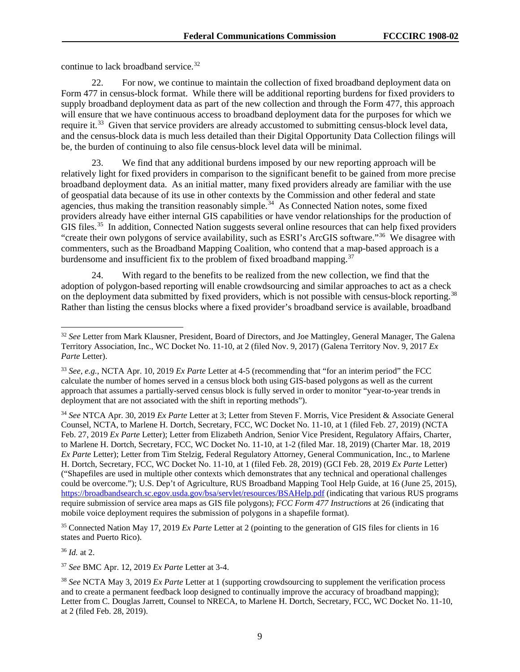continue to lack broadband service.<sup>32</sup>

22. For now, we continue to maintain the collection of fixed broadband deployment data on Form 477 in census-block format. While there will be additional reporting burdens for fixed providers to supply broadband deployment data as part of the new collection and through the Form 477, this approach will ensure that we have continuous access to broadband deployment data for the purposes for which we require it.<sup>[33](#page-9-1)</sup> Given that service providers are already accustomed to submitting census-block level data, and the census-block data is much less detailed than their Digital Opportunity Data Collection filings will be, the burden of continuing to also file census-block level data will be minimal.

23. We find that any additional burdens imposed by our new reporting approach will be relatively light for fixed providers in comparison to the significant benefit to be gained from more precise broadband deployment data. As an initial matter, many fixed providers already are familiar with the use of geospatial data because of its use in other contexts by the Commission and other federal and state agencies, thus making the transition reasonably simple.<sup>34</sup> As Connected Nation notes, some fixed providers already have either internal GIS capabilities or have vendor relationships for the production of GIS files.<sup>35</sup> In addition, Connected Nation suggests several online resources that can help fixed providers "create their own polygons of service availability, such as ESRI's ArcGIS software."<sup>36</sup> We disagree with commenters, such as the Broadband Mapping Coalition, who contend that a map-based approach is a burdensome and insufficient fix to the problem of fixed broadband mapping.<sup>[37](#page-9-5)</sup>

24. With regard to the benefits to be realized from the new collection, we find that the adoption of polygon-based reporting will enable crowdsourcing and similar approaches to act as a check on the deployment data submitted by fixed providers, which is not possible with census-block reporting.<sup>[38](#page-9-6)</sup> Rather than listing the census blocks where a fixed provider's broadband service is available, broadband

<span id="page-9-3"></span><sup>35</sup> Connected Nation May 17, 2019 *Ex Parte* Letter at 2 (pointing to the generation of GIS files for clients in 16 states and Puerto Rico).

<span id="page-9-4"></span><sup>36</sup> *Id.* at 2.

<span id="page-9-5"></span><sup>37</sup> *See* BMC Apr. 12, 2019 *Ex Parte* Letter at 3-4.

<span id="page-9-0"></span><sup>&</sup>lt;sup>32</sup> See Letter from Mark Klausner, President, Board of Directors, and Joe Mattingley, General Manager, The Galena Territory Association, Inc., WC Docket No. 11-10, at 2 (filed Nov. 9, 2017) (Galena Territory Nov. 9, 2017 *Ex Parte* Letter).

<span id="page-9-1"></span><sup>33</sup> *See, e.g.*, NCTA Apr. 10, 2019 *Ex Parte* Letter at 4-5 (recommending that "for an interim period" the FCC calculate the number of homes served in a census block both using GIS-based polygons as well as the current approach that assumes a partially-served census block is fully served in order to monitor "year-to-year trends in deployment that are not associated with the shift in reporting methods").

<span id="page-9-2"></span><sup>34</sup> *See* NTCA Apr. 30, 2019 *Ex Parte* Letter at 3; Letter from Steven F. Morris, Vice President & Associate General Counsel, NCTA, to Marlene H. Dortch, Secretary, FCC, WC Docket No. 11-10, at 1 (filed Feb. 27, 2019) (NCTA Feb. 27, 2019 *Ex Parte* Letter); Letter from Elizabeth Andrion, Senior Vice President, Regulatory Affairs, Charter, to Marlene H. Dortch, Secretary, FCC, WC Docket No. 11-10, at 1-2 (filed Mar. 18, 2019) (Charter Mar. 18, 2019 *Ex Parte* Letter); Letter from Tim Stelzig, Federal Regulatory Attorney, General Communication, Inc., to Marlene H. Dortch, Secretary, FCC, WC Docket No. 11-10, at 1 (filed Feb. 28, 2019) (GCI Feb. 28, 2019 *Ex Parte* Letter) ("Shapefiles are used in multiple other contexts which demonstrates that any technical and operational challenges could be overcome."); U.S. Dep't of Agriculture, RUS Broadband Mapping Tool Help Guide, at 16 (June 25, 2015), <https://broadbandsearch.sc.egov.usda.gov/bsa/servlet/resources/BSAHelp.pdf> (indicating that various RUS programs require submission of service area maps as GIS file polygons); *FCC Form 477 Instructions* at 26 (indicating that mobile voice deployment requires the submission of polygons in a shapefile format).

<span id="page-9-6"></span><sup>38</sup> *See* NCTA May 3, 2019 *Ex Parte* Letter at 1 (supporting crowdsourcing to supplement the verification process and to create a permanent feedback loop designed to continually improve the accuracy of broadband mapping); Letter from C. Douglas Jarrett, Counsel to NRECA, to Marlene H. Dortch, Secretary, FCC, WC Docket No. 11-10, at 2 (filed Feb. 28, 2019).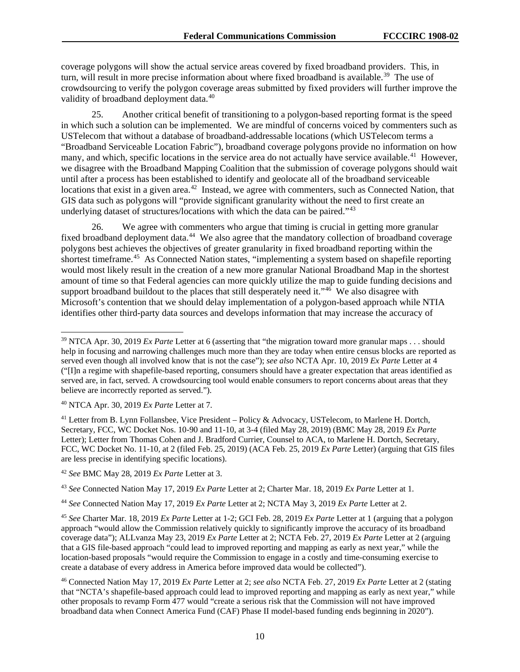coverage polygons will show the actual service areas covered by fixed broadband providers. This, in turn, will result in more precise information about where fixed broadband is available.<sup>[39](#page-10-0)</sup> The use of crowdsourcing to verify the polygon coverage areas submitted by fixed providers will further improve the validity of broadband deployment data.<sup>[40](#page-10-1)</sup>

25. Another critical benefit of transitioning to a polygon-based reporting format is the speed in which such a solution can be implemented. We are mindful of concerns voiced by commenters such as USTelecom that without a database of broadband-addressable locations (which USTelecom terms a "Broadband Serviceable Location Fabric"), broadband coverage polygons provide no information on how many, and which, specific locations in the service area do not actually have service available.<sup>[41](#page-10-2)</sup> However, we disagree with the Broadband Mapping Coalition that the submission of coverage polygons should wait until after a process has been established to identify and geolocate all of the broadband serviceable locations that exist in a given area.<sup>[42](#page-10-3)</sup> Instead, we agree with commenters, such as Connected Nation, that GIS data such as polygons will "provide significant granularity without the need to first create an underlying dataset of structures/locations with which the data can be paired."<sup>[43](#page-10-4)</sup>

26. We agree with commenters who argue that timing is crucial in getting more granular fixed broadband deployment data.<sup>44</sup> We also agree that the mandatory collection of broadband coverage polygons best achieves the objectives of greater granularity in fixed broadband reporting within the shortest timeframe.[45](#page-10-6) As Connected Nation states, "implementing a system based on shapefile reporting would most likely result in the creation of a new more granular National Broadband Map in the shortest amount of time so that Federal agencies can more quickly utilize the map to guide funding decisions and support broadband buildout to the places that still desperately need it." $46$  We also disagree with Microsoft's contention that we should delay implementation of a polygon-based approach while NTIA identifies other third-party data sources and develops information that may increase the accuracy of

<span id="page-10-1"></span><sup>40</sup> NTCA Apr. 30, 2019 *Ex Parte* Letter at 7.

<span id="page-10-2"></span><sup>41</sup> Letter from B. Lynn Follansbee, Vice President – Policy & Advocacy, USTelecom, to Marlene H. Dortch, Secretary, FCC, WC Docket Nos. 10-90 and 11-10, at 3-4 (filed May 28, 2019) (BMC May 28, 2019 *Ex Parte*  Letter); Letter from Thomas Cohen and J. Bradford Currier, Counsel to ACA, to Marlene H. Dortch, Secretary, FCC, WC Docket No. 11-10, at 2 (filed Feb. 25, 2019) (ACA Feb. 25, 2019 *Ex Parte* Letter) (arguing that GIS files are less precise in identifying specific locations).

<span id="page-10-3"></span><sup>42</sup> *See* BMC May 28, 2019 *Ex Parte* Letter at 3.

<span id="page-10-4"></span><sup>43</sup> *See* Connected Nation May 17, 2019 *Ex Parte* Letter at 2; Charter Mar. 18, 2019 *Ex Parte* Letter at 1.

<span id="page-10-5"></span><sup>44</sup> *See* Connected Nation May 17, 2019 *Ex Parte* Letter at 2; NCTA May 3, 2019 *Ex Parte* Letter at 2.

<span id="page-10-6"></span><sup>45</sup> *See* Charter Mar. 18, 2019 *Ex Parte* Letter at 1-2; GCI Feb. 28, 2019 *Ex Parte* Letter at 1 (arguing that a polygon approach "would allow the Commission relatively quickly to significantly improve the accuracy of its broadband coverage data"); ALLvanza May 23, 2019 *Ex Parte* Letter at 2; NCTA Feb. 27, 2019 *Ex Parte* Letter at 2 (arguing that a GIS file-based approach "could lead to improved reporting and mapping as early as next year," while the location-based proposals "would require the Commission to engage in a costly and time-consuming exercise to create a database of every address in America before improved data would be collected").

<span id="page-10-7"></span><sup>46</sup> Connected Nation May 17, 2019 *Ex Parte* Letter at 2; *see also* NCTA Feb. 27, 2019 *Ex Parte* Letter at 2 (stating that "NCTA's shapefile-based approach could lead to improved reporting and mapping as early as next year," while other proposals to revamp Form 477 would "create a serious risk that the Commission will not have improved broadband data when Connect America Fund (CAF) Phase II model-based funding ends beginning in 2020").

<span id="page-10-0"></span><sup>&</sup>lt;sup>39</sup> NTCA Apr. 30, 2019 *Ex Parte* Letter at 6 (asserting that "the migration toward more granular maps . . . should help in focusing and narrowing challenges much more than they are today when entire census blocks are reported as served even though all involved know that is not the case"); *see also* NCTA Apr. 10, 2019 *Ex Parte* Letter at 4 ("[I]n a regime with shapefile-based reporting, consumers should have a greater expectation that areas identified as served are, in fact, served. A crowdsourcing tool would enable consumers to report concerns about areas that they believe are incorrectly reported as served.").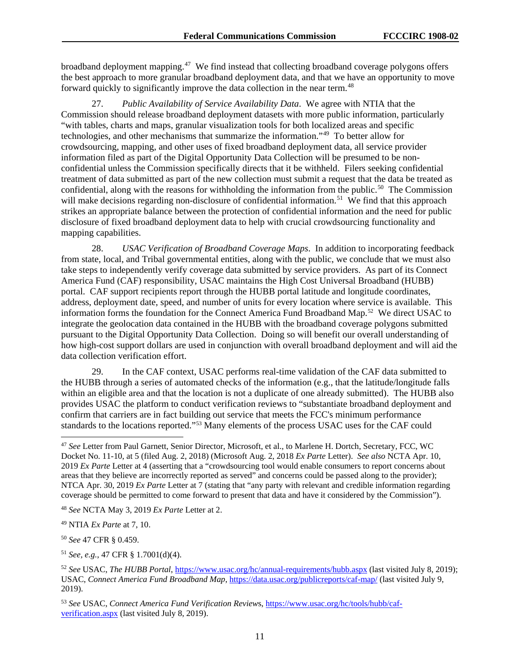broadband deployment mapping.<sup>47</sup> We find instead that collecting broadband coverage polygons offers the best approach to more granular broadband deployment data, and that we have an opportunity to move forward quickly to significantly improve the data collection in the near term.<sup>[48](#page-11-1)</sup>

27. *Public Availability of Service Availability Data*. We agree with NTIA that the Commission should release broadband deployment datasets with more public information, particularly "with tables, charts and maps, granular visualization tools for both localized areas and specific technologies, and other mechanisms that summarize the information."[49](#page-11-2) To better allow for crowdsourcing, mapping, and other uses of fixed broadband deployment data, all service provider information filed as part of the Digital Opportunity Data Collection will be presumed to be nonconfidential unless the Commission specifically directs that it be withheld. Filers seeking confidential treatment of data submitted as part of the new collection must submit a request that the data be treated as confidential, along with the reasons for withholding the information from the public.<sup>50</sup> The Commission will make decisions regarding non-disclosure of confidential information.<sup>[51](#page-11-4)</sup> We find that this approach strikes an appropriate balance between the protection of confidential information and the need for public disclosure of fixed broadband deployment data to help with crucial crowdsourcing functionality and mapping capabilities.

28. *USAC Verification of Broadband Coverage Maps*. In addition to incorporating feedback from state, local, and Tribal governmental entities, along with the public, we conclude that we must also take steps to independently verify coverage data submitted by service providers. As part of its Connect America Fund (CAF) responsibility, USAC maintains the High Cost Universal Broadband (HUBB) portal. CAF support recipients report through the HUBB portal latitude and longitude coordinates, address, deployment date, speed, and number of units for every location where service is available. This information forms the foundation for the Connect America Fund Broadband Map.[52](#page-11-5) We direct USAC to integrate the geolocation data contained in the HUBB with the broadband coverage polygons submitted pursuant to the Digital Opportunity Data Collection. Doing so will benefit our overall understanding of how high-cost support dollars are used in conjunction with overall broadband deployment and will aid the data collection verification effort.

29. In the CAF context, USAC performs real-time validation of the CAF data submitted to the HUBB through a series of automated checks of the information (e.g., that the latitude/longitude falls within an eligible area and that the location is not a duplicate of one already submitted). The HUBB also provides USAC the platform to conduct verification reviews to "substantiate broadband deployment and confirm that carriers are in fact building out service that meets the FCC's minimum performance standards to the locations reported."[53](#page-11-6) Many elements of the process USAC uses for the CAF could

<span id="page-11-3"></span><sup>50</sup> *See* 47 CFR § 0.459.

<span id="page-11-4"></span><sup>51</sup> *See, e.g.*, 47 CFR § 1.7001(d)(4).

<span id="page-11-0"></span> <sup>47</sup> *See* Letter from Paul Garnett, Senior Director, Microsoft, et al., to Marlene H. Dortch, Secretary, FCC, WC Docket No. 11-10, at 5 (filed Aug. 2, 2018) (Microsoft Aug. 2, 2018 *Ex Parte* Letter). *See also* NCTA Apr. 10, 2019 *Ex Parte* Letter at 4 (asserting that a "crowdsourcing tool would enable consumers to report concerns about areas that they believe are incorrectly reported as served" and concerns could be passed along to the provider); NTCA Apr. 30, 2019 *Ex Parte* Letter at 7 (stating that "any party with relevant and credible information regarding coverage should be permitted to come forward to present that data and have it considered by the Commission").

<span id="page-11-1"></span><sup>48</sup> *See* NCTA May 3, 2019 *Ex Parte* Letter at 2.

<span id="page-11-2"></span><sup>49</sup> NTIA *Ex Parte* at 7, 10.

<span id="page-11-5"></span><sup>52</sup> *See* USAC, *The HUBB Portal*,<https://www.usac.org/hc/annual-requirements/hubb.aspx> (last visited July 8, 2019); USAC, *Connect America Fund Broadband Map*,<https://data.usac.org/publicreports/caf-map/> (last visited July 9, 2019).

<span id="page-11-6"></span><sup>53</sup> *See* USAC, *Connect America Fund Verification Review*s, [https://www.usac.org/hc/tools/hubb/caf](https://www.usac.org/hc/tools/hubb/caf-verification.aspx)[verification.aspx](https://www.usac.org/hc/tools/hubb/caf-verification.aspx) (last visited July 8, 2019).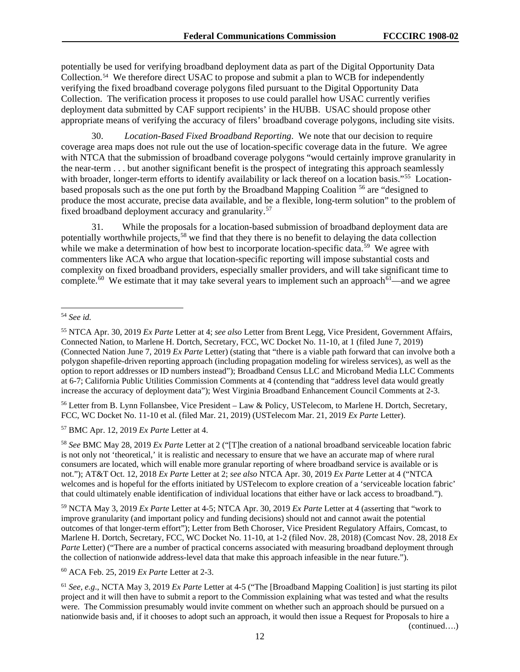potentially be used for verifying broadband deployment data as part of the Digital Opportunity Data Collection. [54](#page-12-0) We therefore direct USAC to propose and submit a plan to WCB for independently verifying the fixed broadband coverage polygons filed pursuant to the Digital Opportunity Data Collection. The verification process it proposes to use could parallel how USAC currently verifies deployment data submitted by CAF support recipients' in the HUBB. USAC should propose other appropriate means of verifying the accuracy of filers' broadband coverage polygons, including site visits.

30. *Location-Based Fixed Broadband Reporting*.We note that our decision to require coverage area maps does not rule out the use of location-specific coverage data in the future. We agree with NTCA that the submission of broadband coverage polygons "would certainly improve granularity in the near-term . . . but another significant benefit is the prospect of integrating this approach seamlessly with broader, longer-term efforts to identify availability or lack thereof on a location basis."<sup>55</sup> Locationbased proposals such as the one put forth by the Broadband Mapping Coalition [56](#page-12-2) are "designed to produce the most accurate, precise data available, and be a flexible, long-term solution" to the problem of fixed broadband deployment accuracy and granularity.<sup>[57](#page-12-3)</sup>

31. While the proposals for a location-based submission of broadband deployment data are potentially worthwhile projects,<sup>[58](#page-12-4)</sup> we find that they there is no benefit to delaying the data collection while we make a determination of how best to incorporate location-specific data.<sup>59</sup> We agree with commenters like ACA who argue that location-specific reporting will impose substantial costs and complexity on fixed broadband providers, especially smaller providers, and will take significant time to complete.<sup>60</sup> We estimate that it may take several years to implement such an approach<sup>[61](#page-12-7)</sup>—and we agree

<span id="page-12-2"></span><sup>56</sup> Letter from B. Lynn Follansbee, Vice President – Law & Policy, USTelecom, to Marlene H. Dortch, Secretary, FCC, WC Docket No. 11-10 et al. (filed Mar. 21, 2019) (USTelecom Mar. 21, 2019 *Ex Parte* Letter).

<span id="page-12-3"></span><sup>57</sup> BMC Apr. 12, 2019 *Ex Parte* Letter at 4.

<span id="page-12-4"></span><sup>58</sup> *See* BMC May 28, 2019 *Ex Parte* Letter at 2 ("[T]he creation of a national broadband serviceable location fabric is not only not 'theoretical,' it is realistic and necessary to ensure that we have an accurate map of where rural consumers are located, which will enable more granular reporting of where broadband service is available or is not."); AT&T Oct. 12, 2018 *Ex Parte* Letter at 2; *see also* NTCA Apr. 30, 2019 *Ex Parte* Letter at 4 ("NTCA welcomes and is hopeful for the efforts initiated by USTelecom to explore creation of a 'serviceable location fabric' that could ultimately enable identification of individual locations that either have or lack access to broadband.").

<span id="page-12-5"></span><sup>59</sup> NCTA May 3, 2019 *Ex Parte* Letter at 4-5; NTCA Apr. 30, 2019 *Ex Parte* Letter at 4 (asserting that "work to improve granularity (and important policy and funding decisions) should not and cannot await the potential outcomes of that longer-term effort"); Letter from Beth Choroser, Vice President Regulatory Affairs, Comcast, to Marlene H. Dortch, Secretary, FCC, WC Docket No. 11-10, at 1-2 (filed Nov. 28, 2018) (Comcast Nov. 28, 2018 *Ex Parte* Letter) ("There are a number of practical concerns associated with measuring broadband deployment through the collection of nationwide address-level data that make this approach infeasible in the near future.").

<span id="page-12-6"></span><sup>60</sup> ACA Feb. 25, 2019 *Ex Parte* Letter at 2-3.

<span id="page-12-7"></span><sup>61</sup> *See, e.g*., NCTA May 3, 2019 *Ex Parte* Letter at 4-5 ("The [Broadband Mapping Coalition] is just starting its pilot project and it will then have to submit a report to the Commission explaining what was tested and what the results were. The Commission presumably would invite comment on whether such an approach should be pursued on a nationwide basis and, if it chooses to adopt such an approach, it would then issue a Request for Proposals to hire a

(continued….)

<span id="page-12-0"></span> <sup>54</sup> *See id.*

<span id="page-12-1"></span><sup>55</sup> NTCA Apr. 30, 2019 *Ex Parte* Letter at 4; *see also* Letter from Brent Legg, Vice President, Government Affairs, Connected Nation, to Marlene H. Dortch, Secretary, FCC, WC Docket No. 11-10, at 1 (filed June 7, 2019) (Connected Nation June 7, 2019 *Ex Parte* Letter) (stating that "there is a viable path forward that can involve both a polygon shapefile-driven reporting approach (including propagation modeling for wireless services), as well as the option to report addresses or ID numbers instead"); Broadband Census LLC and Microband Media LLC Comments at 6-7; California Public Utilities Commission Comments at 4 (contending that "address level data would greatly increase the accuracy of deployment data"); West Virginia Broadband Enhancement Council Comments at 2-3.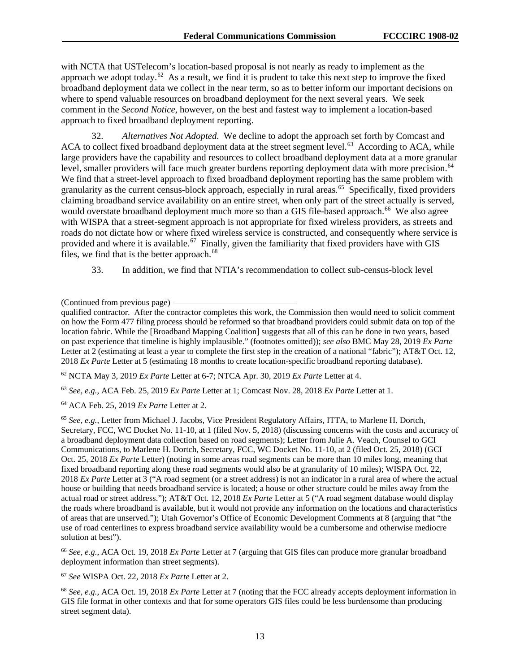with NCTA that USTelecom's location-based proposal is not nearly as ready to implement as the approach we adopt today.<sup>62</sup> As a result, we find it is prudent to take this next step to improve the fixed broadband deployment data we collect in the near term, so as to better inform our important decisions on where to spend valuable resources on broadband deployment for the next several years. We seek comment in the *Second Notice*, however, on the best and fastest way to implement a location-based approach to fixed broadband deployment reporting.

32. *Alternatives Not Adopted*.We decline to adopt the approach set forth by Comcast and ACA to collect fixed broadband deployment data at the street segment level.<sup>[63](#page-13-1)</sup> According to ACA, while large providers have the capability and resources to collect broadband deployment data at a more granular level, smaller providers will face much greater burdens reporting deployment data with more precision.<sup>[64](#page-13-2)</sup> We find that a street-level approach to fixed broadband deployment reporting has the same problem with granularity as the current census-block approach, especially in rural areas.<sup>65</sup> Specifically, fixed providers claiming broadband service availability on an entire street, when only part of the street actually is served, would overstate broadband deployment much more so than a GIS file-based approach.<sup>[66](#page-13-4)</sup> We also agree with WISPA that a street-segment approach is not appropriate for fixed wireless providers, as streets and roads do not dictate how or where fixed wireless service is constructed, and consequently where service is provided and where it is available.<sup>[67](#page-13-5)</sup> Finally, given the familiarity that fixed providers have with GIS files, we find that is the better approach.<sup>[68](#page-13-6)</sup>

33. In addition, we find that NTIA's recommendation to collect sub-census-block level

<span id="page-13-0"></span><sup>62</sup> NCTA May 3, 2019 *Ex Parte* Letter at 6-7; NTCA Apr. 30, 2019 *Ex Parte* Letter at 4.

<span id="page-13-1"></span><sup>63</sup> *See, e.g.*, ACA Feb. 25, 2019 *Ex Parte* Letter at 1; Comcast Nov. 28, 2018 *Ex Parte* Letter at 1.

<span id="page-13-2"></span><sup>64</sup> ACA Feb. 25, 2019 *Ex Parte* Letter at 2.

<span id="page-13-3"></span><sup>65</sup> *See, e.g.*, Letter from Michael J. Jacobs, Vice President Regulatory Affairs, ITTA, to Marlene H. Dortch, Secretary, FCC, WC Docket No. 11-10, at 1 (filed Nov. 5, 2018) (discussing concerns with the costs and accuracy of a broadband deployment data collection based on road segments); Letter from Julie A. Veach, Counsel to GCI Communications, to Marlene H. Dortch, Secretary, FCC, WC Docket No. 11-10, at 2 (filed Oct. 25, 2018) (GCI Oct. 25, 2018 *Ex Parte* Letter) (noting in some areas road segments can be more than 10 miles long, meaning that fixed broadband reporting along these road segments would also be at granularity of 10 miles); WISPA Oct. 22, 2018 *Ex Parte* Letter at 3 ("A road segment (or a street address) is not an indicator in a rural area of where the actual house or building that needs broadband service is located; a house or other structure could be miles away from the actual road or street address."); AT&T Oct. 12, 2018 *Ex Parte* Letter at 5 ("A road segment database would display the roads where broadband is available, but it would not provide any information on the locations and characteristics of areas that are unserved."); Utah Governor's Office of Economic Development Comments at 8 (arguing that "the use of road centerlines to express broadband service availability would be a cumbersome and otherwise mediocre solution at best").

<span id="page-13-4"></span><sup>66</sup> *See, e.g.*, ACA Oct. 19, 2018 *Ex Parte* Letter at 7 (arguing that GIS files can produce more granular broadband deployment information than street segments).

<span id="page-13-5"></span><sup>67</sup> *See* WISPA Oct. 22, 2018 *Ex Parte* Letter at 2.

<span id="page-13-6"></span><sup>68</sup> *See, e.g.*, ACA Oct. 19, 2018 *Ex Parte* Letter at 7 (noting that the FCC already accepts deployment information in GIS file format in other contexts and that for some operators GIS files could be less burdensome than producing street segment data).

<sup>(</sup>Continued from previous page)

qualified contractor. After the contractor completes this work, the Commission then would need to solicit comment on how the Form 477 filing process should be reformed so that broadband providers could submit data on top of the location fabric. While the [Broadband Mapping Coalition] suggests that all of this can be done in two years, based on past experience that timeline is highly implausible." (footnotes omitted)); *see also* BMC May 28, 2019 *Ex Parte* Letter at 2 (estimating at least a year to complete the first step in the creation of a national "fabric"); AT&T Oct. 12, 2018 *Ex Parte* Letter at 5 (estimating 18 months to create location-specific broadband reporting database).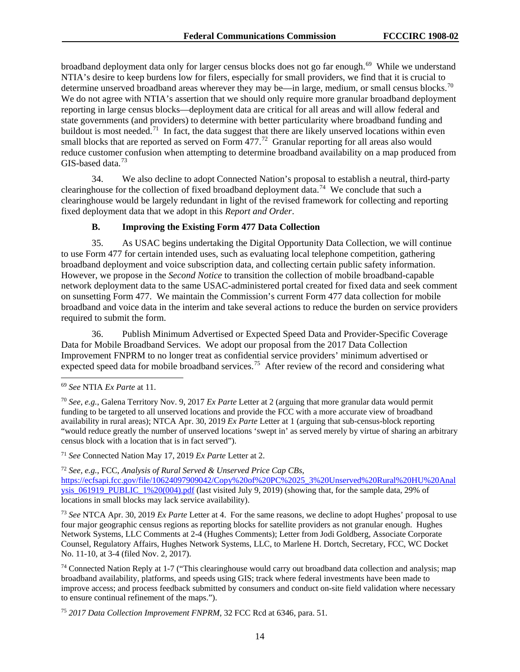broadband deployment data only for larger census blocks does not go far enough.<sup>69</sup> While we understand NTIA's desire to keep burdens low for filers, especially for small providers, we find that it is crucial to determine unserved broadband areas wherever they may be—in large, medium, or small census blocks.<sup>[70](#page-14-1)</sup> We do not agree with NTIA's assertion that we should only require more granular broadband deployment reporting in large census blocks—deployment data are critical for all areas and will allow federal and state governments (and providers) to determine with better particularity where broadband funding and buildout is most needed.<sup>[71](#page-14-2)</sup> In fact, the data suggest that there are likely unserved locations within even small blocks that are reported as served on Form 477.<sup>[72](#page-14-3)</sup> Granular reporting for all areas also would reduce customer confusion when attempting to determine broadband availability on a map produced from GIS-based data.<sup>[73](#page-14-4)</sup>

34. We also decline to adopt Connected Nation's proposal to establish a neutral, third-party clearinghouse for the collection of fixed broadband deployment data.<sup>74</sup> We conclude that such a clearinghouse would be largely redundant in light of the revised framework for collecting and reporting fixed deployment data that we adopt in this *Report and Order*.

#### **B. Improving the Existing Form 477 Data Collection**

35. As USAC begins undertaking the Digital Opportunity Data Collection, we will continue to use Form 477 for certain intended uses, such as evaluating local telephone competition, gathering broadband deployment and voice subscription data, and collecting certain public safety information. However, we propose in the *Second Notice* to transition the collection of mobile broadband-capable network deployment data to the same USAC-administered portal created for fixed data and seek comment on sunsetting Form 477. We maintain the Commission's current Form 477 data collection for mobile broadband and voice data in the interim and take several actions to reduce the burden on service providers required to submit the form.

36. Publish Minimum Advertised or Expected Speed Data and Provider-Specific Coverage Data for Mobile Broadband Services. We adopt our proposal from the 2017 Data Collection Improvement FNPRM to no longer treat as confidential service providers' minimum advertised or expected speed data for mobile broadband services.<sup>75</sup> After review of the record and considering what

<span id="page-14-2"></span><sup>71</sup> *See* Connected Nation May 17, 2019 *Ex Parte* Letter at 2.

<span id="page-14-3"></span><sup>72</sup> *See, e.g.*, FCC, *Analysis of Rural Served & Unserved Price Cap CBs*,

[https://ecfsapi.fcc.gov/file/10624097909042/Copy%20of%20PC%2025\\_3%20Unserved%20Rural%20HU%20Anal](https://ecfsapi.fcc.gov/file/10624097909042/Copy%20of%20PC%2025_3%20Unserved%20Rural%20HU%20Analysis_061919_PUBLIC_1%20(004).pdf) [ysis\\_061919\\_PUBLIC\\_1%20\(004\).pdf](https://ecfsapi.fcc.gov/file/10624097909042/Copy%20of%20PC%2025_3%20Unserved%20Rural%20HU%20Analysis_061919_PUBLIC_1%20(004).pdf) (last visited July 9, 2019) (showing that, for the sample data, 29% of locations in small blocks may lack service availability).

<span id="page-14-4"></span><sup>73</sup> *See* NTCA Apr. 30, 2019 *Ex Parte* Letter at 4. For the same reasons, we decline to adopt Hughes' proposal to use four major geographic census regions as reporting blocks for satellite providers as not granular enough. Hughes Network Systems, LLC Comments at 2-4 (Hughes Comments); Letter from Jodi Goldberg, Associate Corporate Counsel, Regulatory Affairs, Hughes Network Systems, LLC, to Marlene H. Dortch, Secretary, FCC, WC Docket No. 11-10, at 3-4 (filed Nov. 2, 2017).

<span id="page-14-5"></span><sup>74</sup> Connected Nation Reply at 1-7 ("This clearinghouse would carry out broadband data collection and analysis; map broadband availability, platforms, and speeds using GIS; track where federal investments have been made to improve access; and process feedback submitted by consumers and conduct on-site field validation where necessary to ensure continual refinement of the maps.").

<span id="page-14-6"></span><sup>75</sup> *2017 Data Collection Improvement FNPRM*, 32 FCC Rcd at 6346, para. 51.

<span id="page-14-0"></span> <sup>69</sup> *See* NTIA *Ex Parte* at 11.

<span id="page-14-1"></span><sup>70</sup> *See, e.g.*, Galena Territory Nov. 9, 2017 *Ex Parte* Letter at 2 (arguing that more granular data would permit funding to be targeted to all unserved locations and provide the FCC with a more accurate view of broadband availability in rural areas); NTCA Apr. 30, 2019 *Ex Parte* Letter at 1 (arguing that sub-census-block reporting "would reduce greatly the number of unserved locations 'swept in' as served merely by virtue of sharing an arbitrary census block with a location that is in fact served").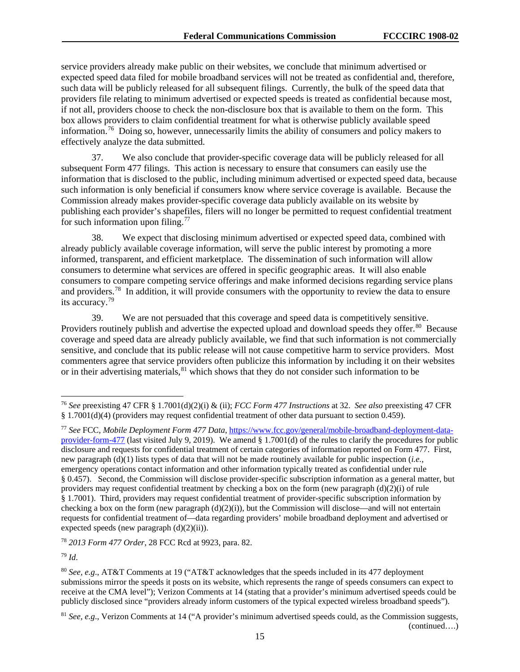service providers already make public on their websites, we conclude that minimum advertised or expected speed data filed for mobile broadband services will not be treated as confidential and, therefore, such data will be publicly released for all subsequent filings. Currently, the bulk of the speed data that providers file relating to minimum advertised or expected speeds is treated as confidential because most, if not all, providers choose to check the non-disclosure box that is available to them on the form. This box allows providers to claim confidential treatment for what is otherwise publicly available speed information.<sup>[76](#page-15-0)</sup> Doing so, however, unnecessarily limits the ability of consumers and policy makers to effectively analyze the data submitted.

37. We also conclude that provider-specific coverage data will be publicly released for all subsequent Form 477 filings. This action is necessary to ensure that consumers can easily use the information that is disclosed to the public, including minimum advertised or expected speed data, because such information is only beneficial if consumers know where service coverage is available. Because the Commission already makes provider-specific coverage data publicly available on its website by publishing each provider's shapefiles, filers will no longer be permitted to request confidential treatment for such information upon filing. $77$ 

38. We expect that disclosing minimum advertised or expected speed data, combined with already publicly available coverage information, will serve the public interest by promoting a more informed, transparent, and efficient marketplace. The dissemination of such information will allow consumers to determine what services are offered in specific geographic areas. It will also enable consumers to compare competing service offerings and make informed decisions regarding service plans and providers.<sup>[78](#page-15-2)</sup> In addition, it will provide consumers with the opportunity to review the data to ensure its accuracy.[79](#page-15-3) 

39. We are not persuaded that this coverage and speed data is competitively sensitive. Providers routinely publish and advertise the expected upload and download speeds they offer.<sup>80</sup> Because coverage and speed data are already publicly available, we find that such information is not commercially sensitive, and conclude that its public release will not cause competitive harm to service providers. Most commenters agree that service providers often publicize this information by including it on their websites or in their advertising materials,  $81$  which shows that they do not consider such information to be

<span id="page-15-2"></span><sup>78</sup> *2013 Form 477 Order*, 28 FCC Rcd at 9923, para. 82.

<span id="page-15-3"></span><sup>79</sup> *Id*.

<span id="page-15-0"></span> <sup>76</sup> *See* preexisting 47 CFR § 1.7001(d)(2)(i) & (ii); *FCC Form 477 Instructions* at 32. *See also* preexisting 47 CFR § 1.7001(d)(4) (providers may request confidential treatment of other data pursuant to section 0.459).

<span id="page-15-1"></span><sup>77</sup> *See* FCC, *Mobile Deployment Form 477 Data*, [https://www.fcc.gov/general/mobile-broadband-deployment-data](https://www.fcc.gov/general/mobile-broadband-deployment-data-provider-form-477)[provider-form-477](https://www.fcc.gov/general/mobile-broadband-deployment-data-provider-form-477) (last visited July 9, 2019). We amend § 1.7001(d) of the rules to clarify the procedures for public disclosure and requests for confidential treatment of certain categories of information reported on Form 477. First, new paragraph (d)(1) lists types of data that will not be made routinely available for public inspection (*i.e.*, emergency operations contact information and other information typically treated as confidential under rule § 0.457). Second, the Commission will disclose provider-specific subscription information as a general matter, but providers may request confidential treatment by checking a box on the form (new paragraph (d)(2)(i) of rule § 1.7001). Third, providers may request confidential treatment of provider-specific subscription information by checking a box on the form (new paragraph  $(d)(2)(i)$ ), but the Commission will disclose—and will not entertain requests for confidential treatment of—data regarding providers' mobile broadband deployment and advertised or expected speeds (new paragraph (d)(2)(ii)).

<span id="page-15-4"></span><sup>80</sup> *See, e.g*., AT&T Comments at 19 ("AT&T acknowledges that the speeds included in its 477 deployment submissions mirror the speeds it posts on its website, which represents the range of speeds consumers can expect to receive at the CMA level"); Verizon Comments at 14 (stating that a provider's minimum advertised speeds could be publicly disclosed since "providers already inform customers of the typical expected wireless broadband speeds").

<span id="page-15-5"></span><sup>&</sup>lt;sup>81</sup> *See, e.g.*, Verizon Comments at 14 ("A provider's minimum advertised speeds could, as the Commission suggests, (continued….)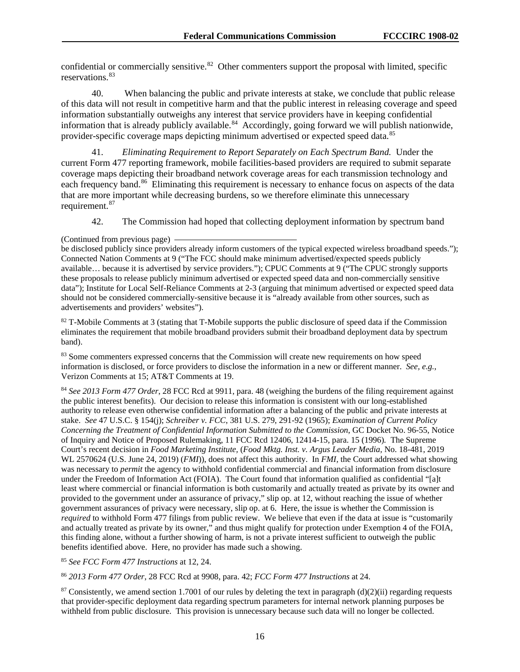confidential or commercially sensitive.<sup>[82](#page-16-0)</sup> Other commenters support the proposal with limited, specific reservations.<sup>[83](#page-16-1)</sup>

40. When balancing the public and private interests at stake, we conclude that public release of this data will not result in competitive harm and that the public interest in releasing coverage and speed information substantially outweighs any interest that service providers have in keeping confidential information that is already publicly available.<sup>84</sup> Accordingly, going forward we will publish nationwide, provider-specific coverage maps depicting minimum advertised or expected speed data.<sup>[85](#page-16-3)</sup>

41. *Eliminating Requirement to Report Separately on Each Spectrum Band.* Under the current Form 477 reporting framework, mobile facilities-based providers are required to submit separate coverage maps depicting their broadband network coverage areas for each transmission technology and each frequency band.<sup>[86](#page-16-4)</sup> Eliminating this requirement is necessary to enhance focus on aspects of the data that are more important while decreasing burdens, so we therefore eliminate this unnecessary requirement.<sup>[87](#page-16-5)</sup>

42. The Commission had hoped that collecting deployment information by spectrum band

<span id="page-16-0"></span><sup>82</sup> T-Mobile Comments at 3 (stating that T-Mobile supports the public disclosure of speed data if the Commission eliminates the requirement that mobile broadband providers submit their broadband deployment data by spectrum band).

<span id="page-16-1"></span>83 Some commenters expressed concerns that the Commission will create new requirements on how speed information is disclosed, or force providers to disclose the information in a new or different manner. *See, e.g.*, Verizon Comments at 15; AT&T Comments at 19.

<span id="page-16-2"></span><sup>84</sup> *See 2013 Form 477 Order*, 28 FCC Rcd at 9911, para. 48 (weighing the burdens of the filing requirement against the public interest benefits). Our decision to release this information is consistent with our long-established authority to release even otherwise confidential information after a balancing of the public and private interests at stake. *See* 47 U.S.C. § 154(j); *Schreiber v. FCC*, 381 U.S. 279, 291-92 (1965); *Examination of Current Policy Concerning the Treatment of Confidential Information Submitted to the Commission*, GC Docket No. 96-55, Notice of Inquiry and Notice of Proposed Rulemaking, 11 FCC Rcd 12406, 12414-15, para. 15 (1996)*.* The Supreme Court's recent decision in *Food Marketing Institute,* (*Food Mktg. Inst. v. Argus Leader Media,* No. 18-481, 2019 WL 2570624 (U.S. June 24, 2019) (*FMI*)), does not affect this authority. In *FMI,* the Court addressed what showing was necessary to *permit* the agency to withhold confidential commercial and financial information from disclosure under the Freedom of Information Act (FOIA). The Court found that information qualified as confidential "[a]t least where commercial or financial information is both customarily and actually treated as private by its owner and provided to the government under an assurance of privacy," slip op. at 12, without reaching the issue of whether government assurances of privacy were necessary, slip op. at 6. Here, the issue is whether the Commission is *required* to withhold Form 477 filings from public review. We believe that even if the data at issue is "customarily and actually treated as private by its owner," and thus might qualify for protection under Exemption 4 of the FOIA, this finding alone, without a further showing of harm, is not a private interest sufficient to outweigh the public benefits identified above. Here, no provider has made such a showing.

<span id="page-16-3"></span><sup>85</sup> *See FCC Form 477 Instructions* at 12, 24.

<span id="page-16-4"></span><sup>86</sup> *2013 Form 477 Order*, 28 FCC Rcd at 9908, para. 42; *FCC Form 477 Instructions* at 24.

<span id="page-16-5"></span><sup>87</sup> Consistently, we amend section 1.7001 of our rules by deleting the text in paragraph (d)(2)(ii) regarding requests that provider-specific deployment data regarding spectrum parameters for internal network planning purposes be withheld from public disclosure. This provision is unnecessary because such data will no longer be collected.

<sup>(</sup>Continued from previous page)

be disclosed publicly since providers already inform customers of the typical expected wireless broadband speeds."); Connected Nation Comments at 9 ("The FCC should make minimum advertised/expected speeds publicly available… because it is advertised by service providers."); CPUC Comments at 9 ("The CPUC strongly supports these proposals to release publicly minimum advertised or expected speed data and non-commercially sensitive data"); Institute for Local Self-Reliance Comments at 2-3 (arguing that minimum advertised or expected speed data should not be considered commercially-sensitive because it is "already available from other sources, such as advertisements and providers' websites").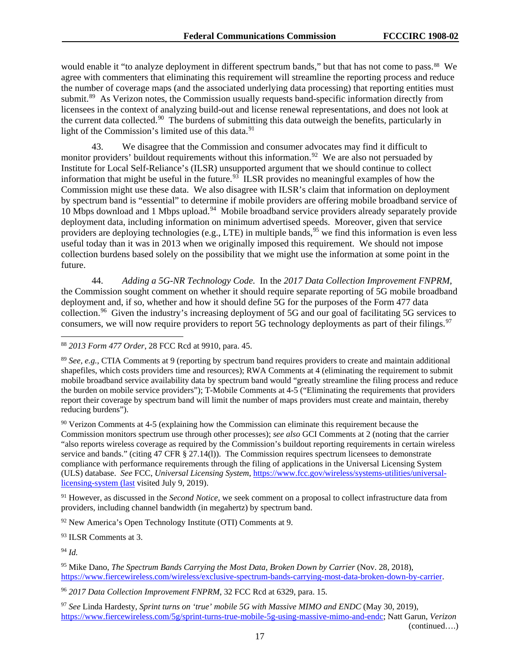would enable it "to analyze deployment in different spectrum bands," but that has not come to pass.<sup>88</sup> We agree with commenters that eliminating this requirement will streamline the reporting process and reduce the number of coverage maps (and the associated underlying data processing) that reporting entities must submit.<sup>[89](#page-17-1)</sup> As Verizon notes, the Commission usually requests band-specific information directly from licensees in the context of analyzing build-out and license renewal representations, and does not look at the current data collected.<sup>[90](#page-17-2)</sup> The burdens of submitting this data outweigh the benefits, particularly in light of the Commission's limited use of this data.<sup>91</sup>

43. We disagree that the Commission and consumer advocates may find it difficult to monitor providers' buildout requirements without this information.<sup>[92](#page-17-4)</sup> We are also not persuaded by Institute for Local Self-Reliance's (ILSR) unsupported argument that we should continue to collect information that might be useful in the future.<sup>[93](#page-17-5)</sup> ILSR provides no meaningful examples of how the Commission might use these data. We also disagree with ILSR's claim that information on deployment by spectrum band is "essential" to determine if mobile providers are offering mobile broadband service of 10 Mbps download and 1 Mbps upload.[94](#page-17-6) Mobile broadband service providers already separately provide deployment data, including information on minimum advertised speeds. Moreover, given that service providers are deploying technologies (e.g., LTE) in multiple bands,<sup>[95](#page-17-7)</sup> we find this information is even less useful today than it was in 2013 when we originally imposed this requirement. We should not impose collection burdens based solely on the possibility that we might use the information at some point in the future.

44. *Adding a 5G-NR Technology Code.* In the *2017 Data Collection Improvement FNPRM*, the Commission sought comment on whether it should require separate reporting of 5G mobile broadband deployment and, if so, whether and how it should define 5G for the purposes of the Form 477 data collection.<sup>96</sup> Given the industry's increasing deployment of 5G and our goal of facilitating 5G services to consumers, we will now require providers to report 5G technology deployments as part of their filings.<sup>[97](#page-17-9)</sup>

<span id="page-17-2"></span><sup>90</sup> Verizon Comments at 4-5 (explaining how the Commission can eliminate this requirement because the Commission monitors spectrum use through other processes); *see also* GCI Comments at 2 (noting that the carrier "also reports wireless coverage as required by the Commission's buildout reporting requirements in certain wireless service and bands." (citing 47 CFR § 27.14(1)). The Commission requires spectrum licensees to demonstrate compliance with performance requirements through the filing of applications in the Universal Licensing System (ULS) database. *See* FCC, *Universal Licensing System*, [https://www.fcc.gov/wireless/systems-utilities/universal](https://www.fcc.gov/wireless/systems-utilities/universal-licensing-system%20(last)[licensing-system \(last](https://www.fcc.gov/wireless/systems-utilities/universal-licensing-system%20(last) visited July 9, 2019).

<span id="page-17-3"></span><sup>91</sup> However, as discussed in the *Second Notice*, we seek comment on a proposal to collect infrastructure data from providers, including channel bandwidth (in megahertz) by spectrum band.

<span id="page-17-4"></span><sup>92</sup> New America's Open Technology Institute (OTI) Comments at 9.

<span id="page-17-5"></span><sup>93</sup> ILSR Comments at 3.

<span id="page-17-6"></span><sup>94</sup> *Id.*

<span id="page-17-0"></span> <sup>88</sup> *2013 Form 477 Order*, 28 FCC Rcd at 9910, para. 45.

<span id="page-17-1"></span><sup>89</sup> *See, e.g.*, CTIA Comments at 9 (reporting by spectrum band requires providers to create and maintain additional shapefiles, which costs providers time and resources); RWA Comments at 4 (eliminating the requirement to submit mobile broadband service availability data by spectrum band would "greatly streamline the filing process and reduce the burden on mobile service providers"); T-Mobile Comments at 4-5 ("Eliminating the requirements that providers report their coverage by spectrum band will limit the number of maps providers must create and maintain, thereby reducing burdens").

<span id="page-17-7"></span><sup>95</sup> Mike Dano, *The Spectrum Bands Carrying the Most Data, Broken Down by Carrier* (Nov. 28, 2018), [https://www.fiercewireless.com/wireless/exclusive-spectrum-bands-carrying-most-data-broken-down-by-carrier.](https://www.fiercewireless.com/wireless/exclusive-spectrum-bands-carrying-most-data-broken-down-by-carrier)

<span id="page-17-8"></span><sup>96</sup> *2017 Data Collection Improvement FNPRM*, 32 FCC Rcd at 6329, para. 15.

<span id="page-17-9"></span><sup>97</sup> *See* Linda Hardesty, *Sprint turns on 'true' mobile 5G with Massive MIMO and ENDC* (May 30, 2019), [https://www.fiercewireless.com/5g/sprint-turns-true-mobile-5g-using-massive-mimo-and-endc;](https://www.fiercewireless.com/5g/sprint-turns-true-mobile-5g-using-massive-mimo-and-endc) Natt Garun, *Verizon*  (continued….)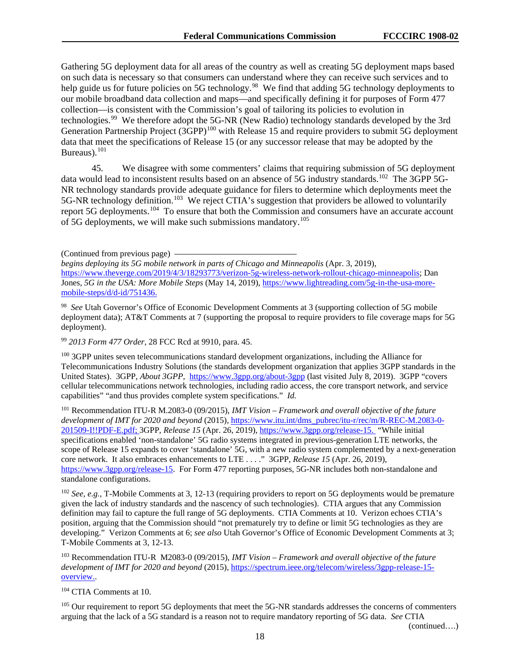Gathering 5G deployment data for all areas of the country as well as creating 5G deployment maps based on such data is necessary so that consumers can understand where they can receive such services and to help guide us for future policies on 5G technology.<sup>[98](#page-18-0)</sup> We find that adding 5G technology deployments to our mobile broadband data collection and maps—and specifically defining it for purposes of Form 477 collection—is consistent with the Commission's goal of tailoring its policies to evolution in technologies.<sup>99</sup> We therefore adopt the 5G-NR (New Radio) technology standards developed by the 3rd Generation Partnership Project (3GPP)<sup>[100](#page-18-2)</sup> with Release 15 and require providers to submit 5G deployment data that meet the specifications of Release 15 (or any successor release that may be adopted by the Bureaus).<sup>101</sup>

45. We disagree with some commenters' claims that requiring submission of 5G deployment data would lead to inconsistent results based on an absence of 5G industry standards.<sup>[102](#page-18-4)</sup> The 3GPP 5G-NR technology standards provide adequate guidance for filers to determine which deployments meet the 5G-NR technology definition.<sup>[103](#page-18-5)</sup> We reject CTIA's suggestion that providers be allowed to voluntarily report 5G deployments.<sup>[104](#page-18-6)</sup> To ensure that both the Commission and consumers have an accurate account of 5G deployments, we will make such submissions mandatory.<sup>[105](#page-18-7)</sup>

(Continued from previous page)

*begins deploying its 5G mobile network in parts of Chicago and Minneapolis* (Apr. 3, 2019), [https://www.theverge.com/2019/4/3/18293773/verizon-5g-wireless-network-rollout-chicago-minneapolis;](https://www.theverge.com/2019/4/3/18293773/verizon-5g-wireless-network-rollout-chicago-minneapolis) Dan Jones, *5G in the USA: More Mobile Steps* (May 14, 2019), [https://www.lightreading.com/5g-in-the-usa-more](https://www.lightreading.com/5g-in-the-usa-more-mobile-steps/d/d-id/751436)[mobile-steps/d/d-id/751436.](https://www.lightreading.com/5g-in-the-usa-more-mobile-steps/d/d-id/751436)

<span id="page-18-0"></span>98 *See* Utah Governor's Office of Economic Development Comments at 3 (supporting collection of 5G mobile deployment data); AT&T Comments at 7 (supporting the proposal to require providers to file coverage maps for 5G deployment).

<span id="page-18-1"></span><sup>99</sup> *2013 Form 477 Order*, 28 FCC Rcd at 9910, para. 45.

<span id="page-18-2"></span><sup>100</sup> 3GPP unites seven telecommunications standard development organizations, including the Alliance for Telecommunications Industry Solutions (the standards development organization that applies 3GPP standards in the United States). 3GPP, *About 3GPP*, <https://www.3gpp.org/about-3gpp> (last visited July 8, 2019). 3GPP "covers cellular telecommunications network technologies, including radio access, the core transport network, and service capabilities" "and thus provides complete system specifications." *Id.*

<span id="page-18-3"></span><sup>101</sup> Recommendation ITU-R M.2083-0 (09/2015), *IMT Vision – Framework and overall objective of the future development of IMT for 2020 and beyond* (2015), [https://www.itu.int/dms\\_pubrec/itu-r/rec/m/R-REC-M.2083-0-](https://www.itu.int/dms_pubrec/itu-r/rec/m/R-REC-M.2083-0-201509-I!!PDF-E.pdf) [201509-I!!PDF-E.pdf;](https://www.itu.int/dms_pubrec/itu-r/rec/m/R-REC-M.2083-0-201509-I!!PDF-E.pdf) 3GPP, *Release 15* (Apr. 26, 2019), [https://www.3gpp.org/release-15.](https://www.3gpp.org/release-15) "While initial specifications enabled 'non-standalone' 5G radio systems integrated in previous-generation LTE networks, the scope of Release 15 expands to cover 'standalone' 5G, with a new radio system complemented by a next-generation core network. It also embraces enhancements to LTE . . . ." 3GPP, *Release 15* (Apr. 26, 2019), [https://www.3gpp.org/release-15.](https://www.3gpp.org/release-15) For Form 477 reporting purposes, 5G-NR includes both non-standalone and standalone configurations.

<span id="page-18-4"></span><sup>102</sup> *See, e.g.*, T-Mobile Comments at 3, 12-13 (requiring providers to report on 5G deployments would be premature given the lack of industry standards and the nascency of such technologies). CTIA argues that any Commission definition may fail to capture the full range of 5G deployments. CTIA Comments at 10. Verizon echoes CTIA's position, arguing that the Commission should "not prematurely try to define or limit 5G technologies as they are developing." Verizon Comments at 6; *see also* Utah Governor's Office of Economic Development Comments at 3; T-Mobile Comments at 3, 12-13.

<span id="page-18-5"></span><sup>103</sup> Recommendation ITU-R M2083-0 (09/2015), *IMT Vision – Framework and overall objective of the future development of IMT for 2020 and beyond* (2015), [https://spectrum.ieee.org/telecom/wireless/3gpp-release-15](https://spectrum.ieee.org/telecom/wireless/3gpp-release-15-overview) [overview.](https://spectrum.ieee.org/telecom/wireless/3gpp-release-15-overview).

<span id="page-18-6"></span><sup>104</sup> CTIA Comments at 10.

<span id="page-18-7"></span><sup>105</sup> Our requirement to report 5G deployments that meet the 5G-NR standards addresses the concerns of commenters arguing that the lack of a 5G standard is a reason not to require mandatory reporting of 5G data. *See* CTIA

(continued….)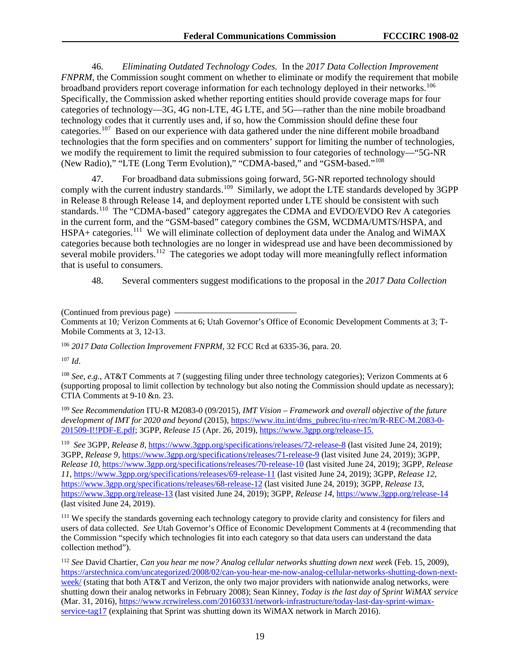46. *Eliminating Outdated Technology Codes.* In the *2017 Data Collection Improvement FNPRM*, the Commission sought comment on whether to eliminate or modify the requirement that mobile broadband providers report coverage information for each technology deployed in their networks.<sup>[106](#page-19-0)</sup> Specifically, the Commission asked whether reporting entities should provide coverage maps for four categories of technology—3G, 4G non-LTE, 4G LTE, and 5G—rather than the nine mobile broadband technology codes that it currently uses and, if so, how the Commission should define these four categories.[107](#page-19-1) Based on our experience with data gathered under the nine different mobile broadband technologies that the form specifies and on commenters' support for limiting the number of technologies, we modify the requirement to limit the required submission to four categories of technology—"5G-NR (New Radio)," "LTE (Long Term Evolution)," "CDMA-based," and "GSM-based."[108](#page-19-2) 

47. For broadband data submissions going forward, 5G-NR reported technology should comply with the current industry standards.<sup>[109](#page-19-3)</sup> Similarly, we adopt the LTE standards developed by 3GPP in Release 8 through Release 14, and deployment reported under LTE should be consistent with such standards.[110](#page-19-4) The "CDMA-based" category aggregates the CDMA and EVDO/EVDO Rev A categories in the current form, and the "GSM-based" category combines the GSM, WCDMA/UMTS/HSPA, and HSPA+ categories.<sup>111</sup> We will eliminate collection of deployment data under the Analog and WiMAX categories because both technologies are no longer in widespread use and have been decommissioned by several mobile providers.<sup>112</sup> The categories we adopt today will more meaningfully reflect information that is useful to consumers.

48. Several commenters suggest modifications to the proposal in the *2017 Data Collection* 

<span id="page-19-0"></span><sup>106</sup> *2017 Data Collection Improvement FNPRM*, 32 FCC Rcd at 6335-36, para. 20.

<span id="page-19-1"></span><sup>107</sup> *Id*.

<span id="page-19-2"></span><sup>108</sup> *See, e.g.*, AT&T Comments at 7 (suggesting filing under three technology categories); Verizon Comments at 6 (supporting proposal to limit collection by technology but also noting the Commission should update as necessary); CTIA Comments at 9-10 &n. 23.

<span id="page-19-3"></span><sup>109</sup> *See Recommendation* ITU-R M2083-0 (09/2015), *IMT Vision – Framework and overall objective of the future development of IMT for 2020 and beyond* (2015), [https://www.itu.int/dms\\_pubrec/itu-r/rec/m/R-REC-M.2083-0-](https://www.itu.int/dms_pubrec/itu-r/rec/m/R-REC-M.2083-0-201509-I!!PDF-E.pdf) [201509-I!!PDF-E.pdf;](https://www.itu.int/dms_pubrec/itu-r/rec/m/R-REC-M.2083-0-201509-I!!PDF-E.pdf) 3GPP, *Release 15* (Apr. 26, 2019), [https://www.3gpp.org/release-15.](https://www.3gpp.org/release-15)

<span id="page-19-4"></span>110 *See* 3GPP, *Release 8*,<https://www.3gpp.org/specifications/releases/72-release-8> (last visited June 24, 2019); 3GPP, *Release 9*,<https://www.3gpp.org/specifications/releases/71-release-9> (last visited June 24, 2019); 3GPP, *Release 10*[, https://www.3gpp.org/specifications/releases/70-release-10](https://www.3gpp.org/specifications/releases/70-release-10) (last visited June 24, 2019); 3GPP, *Release 11*,<https://www.3gpp.org/specifications/releases/69-release-11> (last visited June 24, 2019); 3GPP, *Release 12*, <https://www.3gpp.org/specifications/releases/68-release-12> (last visited June 24, 2019); 3GPP, *Release 13*, <https://www.3gpp.org/release-13> (last visited June 24, 2019); 3GPP, *Release 14*,<https://www.3gpp.org/release-14> (last visited June 24, 2019).

<span id="page-19-5"></span><sup>111</sup> We specify the standards governing each technology category to provide clarity and consistency for filers and users of data collected. *See* Utah Governor's Office of Economic Development Comments at 4 (recommending that the Commission "specify which technologies fit into each category so that data users can understand the data collection method").

<span id="page-19-6"></span><sup>112</sup> *See* David Chartier, *Can you hear me now? Analog cellular networks shutting down next week* (Feb. 15, 2009), [https://arstechnica.com/uncategorized/2008/02/can-you-hear-me-now-analog-cellular-networks-shutting-down-next](https://arstechnica.com/uncategorized/2008/02/can-you-hear-me-now-analog-cellular-networks-shutting-down-next-week/)[week/](https://arstechnica.com/uncategorized/2008/02/can-you-hear-me-now-analog-cellular-networks-shutting-down-next-week/) (stating that both AT&T and Verizon, the only two major providers with nationwide analog networks, were shutting down their analog networks in February 2008); Sean Kinney, *Today is the last day of Sprint WiMAX service* (Mar. 31, 2016), [https://www.rcrwireless.com/20160331/network-infrastructure/today-last-day-sprint-wimax](https://www.rcrwireless.com/20160331/network-infrastructure/today-last-day-sprint-wimax-service-tag17)[service-tag17](https://www.rcrwireless.com/20160331/network-infrastructure/today-last-day-sprint-wimax-service-tag17) (explaining that Sprint was shutting down its WiMAX network in March 2016).

<sup>(</sup>Continued from previous page)

Comments at 10*;* Verizon Comments at 6; Utah Governor's Office of Economic Development Comments at 3; T-Mobile Comments at 3, 12-13.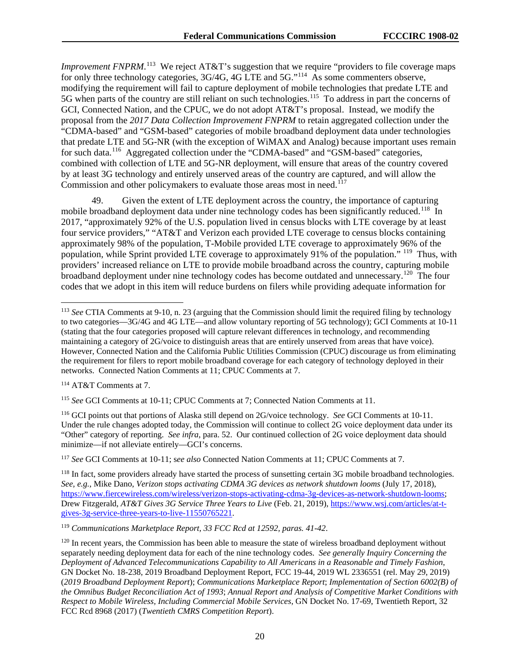*Improvement FNPRM*.<sup>[113](#page-20-0)</sup> We reject AT&T's suggestion that we require "providers to file coverage maps for only three technology categories, 3G/4G, 4G LTE and 5G."<sup>114</sup> As some commenters observe, modifying the requirement will fail to capture deployment of mobile technologies that predate LTE and 5G when parts of the country are still reliant on such technologies.<sup>115</sup> To address in part the concerns of GCI, Connected Nation, and the CPUC, we do not adopt AT&T's proposal. Instead, we modify the proposal from the *2017 Data Collection Improvement FNPRM* to retain aggregated collection under the "CDMA-based" and "GSM-based" categories of mobile broadband deployment data under technologies that predate LTE and 5G-NR (with the exception of WiMAX and Analog) because important uses remain for such data.<sup>116</sup> Aggregated collection under the "CDMA-based" and "GSM-based" categories, combined with collection of LTE and 5G-NR deployment, will ensure that areas of the country covered by at least 3G technology and entirely unserved areas of the country are captured, and will allow the Commission and other policymakers to evaluate those areas most in need.<sup>[117](#page-20-4)</sup>

49. Given the extent of LTE deployment across the country, the importance of capturing mobile broadband deployment data under nine technology codes has been significantly reduced.<sup>[118](#page-20-5)</sup> In 2017, "approximately 92% of the U.S. population lived in census blocks with LTE coverage by at least four service providers," "AT&T and Verizon each provided LTE coverage to census blocks containing approximately 98% of the population, T-Mobile provided LTE coverage to approximately 96% of the population, while Sprint provided LTE coverage to approximately 91% of the population." [119](#page-20-6) Thus, with providers' increased reliance on LTE to provide mobile broadband across the country, capturing mobile broadband deployment under nine technology codes has become outdated and unnecessary.<sup>[120](#page-20-7)</sup> The four codes that we adopt in this item will reduce burdens on filers while providing adequate information for

<span id="page-20-1"></span><sup>114</sup> AT&T Comments at 7.

<span id="page-20-2"></span><sup>115</sup> *See* GCI Comments at 10-11; CPUC Comments at 7; Connected Nation Comments at 11.

<span id="page-20-3"></span><sup>116</sup> GCI points out that portions of Alaska still depend on 2G/voice technology. *See* GCI Comments at 10-11. Under the rule changes adopted today, the Commission will continue to collect 2G voice deployment data under its "Other" category of reporting. *See infra*, para. 52. Our continued collection of 2G voice deployment data should minimize—if not alleviate entirely—GCI's concerns.

<span id="page-20-4"></span><sup>117</sup> *See* GCI Comments at 10-11; s*ee also* Connected Nation Comments at 11; CPUC Comments at 7.

<span id="page-20-6"></span><sup>119</sup> *Communications Marketplace Report, 33 FCC Rcd at 12592, paras. 41-42*.

<span id="page-20-0"></span> <sup>113</sup> *See* CTIA Comments at 9-10, n. 23 (arguing that the Commission should limit the required filing by technology to two categories—3G/4G and 4G LTE—and allow voluntary reporting of 5G technology); GCI Comments at 10-11 (stating that the four categories proposed will capture relevant differences in technology, and recommending maintaining a category of 2G/voice to distinguish areas that are entirely unserved from areas that have voice). However, Connected Nation and the California Public Utilities Commission (CPUC) discourage us from eliminating the requirement for filers to report mobile broadband coverage for each category of technology deployed in their networks. Connected Nation Comments at 11; CPUC Comments at 7.

<span id="page-20-5"></span><sup>&</sup>lt;sup>118</sup> In fact, some providers already have started the process of sunsetting certain 3G mobile broadband technologies. *See, e.g.*, Mike Dano, *Verizon stops activating CDMA 3G devices as network shutdown looms* (July 17, 2018), [https://www.fiercewireless.com/wireless/verizon-stops-activating-cdma-3g-devices-as-network-shutdown-looms;](https://www.fiercewireless.com/wireless/verizon-stops-activating-cdma-3g-devices-as-network-shutdown-looms) Drew Fitzgerald, *AT&T Gives 3G Service Three Years to Live* (Feb. 21, 2019), [https://www.wsj.com/articles/at-t](https://www.wsj.com/articles/at-t-gives-3g-service-three-years-to-live-11550765221)[gives-3g-service-three-years-to-live-11550765221.](https://www.wsj.com/articles/at-t-gives-3g-service-three-years-to-live-11550765221)

<span id="page-20-7"></span><sup>&</sup>lt;sup>120</sup> In recent years, the Commission has been able to measure the state of wireless broadband deployment without separately needing deployment data for each of the nine technology codes. *See generally Inquiry Concerning the Deployment of Advanced Telecommunications Capability to All Americans in a Reasonable and Timely Fashion*, GN Docket No. 18-238, 2019 Broadband Deployment Report, FCC 19-44, 2019 WL 2336551 (rel. May 29, 2019) (*2019 Broadband Deployment Report*); *Communications Marketplace Report*; *Implementation of Section 6002(B) of the Omnibus Budget Reconciliation Act of 1993*; *Annual Report and Analysis of Competitive Market Conditions with Respect to Mobile Wireless, Including Commercial Mobile Services*, GN Docket No. 17-69, Twentieth Report, 32 FCC Rcd 8968 (2017) (*Twentieth CMRS Competition Report*).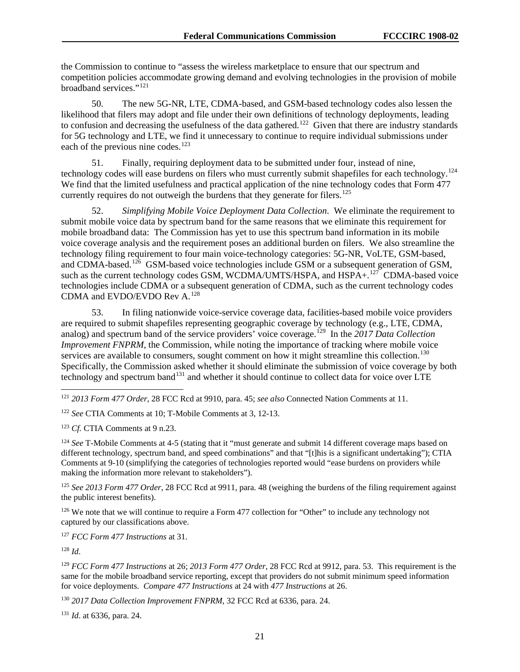the Commission to continue to "assess the wireless marketplace to ensure that our spectrum and competition policies accommodate growing demand and evolving technologies in the provision of mobile broadband services."<sup>[121](#page-21-0)</sup>

50. The new 5G-NR, LTE, CDMA-based, and GSM-based technology codes also lessen the likelihood that filers may adopt and file under their own definitions of technology deployments, leading to confusion and decreasing the usefulness of the data gathered.<sup>122</sup> Given that there are industry standards for 5G technology and LTE, we find it unnecessary to continue to require individual submissions under each of the previous nine codes.<sup>[123](#page-21-2)</sup>

51. Finally, requiring deployment data to be submitted under four, instead of nine, technology codes will ease burdens on filers who must currently submit shapefiles for each technology.<sup>124</sup> We find that the limited usefulness and practical application of the nine technology codes that Form 477 currently requires do not outweigh the burdens that they generate for filers.<sup>[125](#page-21-4)</sup>

52. *Simplifying Mobile Voice Deployment Data Collection*. We eliminate the requirement to submit mobile voice data by spectrum band for the same reasons that we eliminate this requirement for mobile broadband data: The Commission has yet to use this spectrum band information in its mobile voice coverage analysis and the requirement poses an additional burden on filers. We also streamline the technology filing requirement to four main voice-technology categories: 5G-NR, VoLTE, GSM-based, and CDMA-based.<sup>[126](#page-21-5)</sup> GSM-based voice technologies include GSM or a subsequent generation of GSM, such as the current technology codes GSM, WCDMA/UMTS/HSPA, and  $HSPA +$ <sup>[127](#page-21-6)</sup> CDMA-based voice technologies include CDMA or a subsequent generation of CDMA, such as the current technology codes CDMA and EVDO/EVDO Rev A.[128](#page-21-7) 

53. In filing nationwide voice-service coverage data, facilities-based mobile voice providers are required to submit shapefiles representing geographic coverage by technology (e.g., LTE, CDMA, analog) and spectrum band of the service providers' voice coverage.<sup>[129](#page-21-8)</sup> In the 2017 Data Collection *Improvement FNPRM*, the Commission, while noting the importance of tracking where mobile voice services are available to consumers, sought comment on how it might streamline this collection.<sup>130</sup> Specifically, the Commission asked whether it should eliminate the submission of voice coverage by both technology and spectrum band<sup>[131](#page-21-10)</sup> and whether it should continue to collect data for voice over LTE

<span id="page-21-0"></span>121 *2013 Form 477 Order*, 28 FCC Rcd at 9910, para. 45; *see also* Connected Nation Comments at 11.

<span id="page-21-1"></span><sup>122</sup> *See* CTIA Comments at 10; T-Mobile Comments at 3, 12-13.

<span id="page-21-2"></span><sup>123</sup> *Cf.* CTIA Comments at 9 n.23.

<span id="page-21-3"></span><sup>124</sup> *See* T-Mobile Comments at 4-5 (stating that it "must generate and submit 14 different coverage maps based on different technology, spectrum band, and speed combinations" and that "[t]his is a significant undertaking"); CTIA Comments at 9-10 (simplifying the categories of technologies reported would "ease burdens on providers while making the information more relevant to stakeholders").

<span id="page-21-4"></span><sup>125</sup> *See 2013 Form 477 Order*, 28 FCC Rcd at 9911, para. 48 (weighing the burdens of the filing requirement against the public interest benefits).

<span id="page-21-5"></span><sup>126</sup> We note that we will continue to require a Form 477 collection for "Other" to include any technology not captured by our classifications above.

<span id="page-21-6"></span><sup>127</sup> *FCC Form 477 Instructions* at 31.

<span id="page-21-7"></span><sup>128</sup> *Id*.

<span id="page-21-8"></span><sup>129</sup> *FCC Form 477 Instructions* at 26; *2013 Form 477 Order*, 28 FCC Rcd at 9912, para. 53. This requirement is the same for the mobile broadband service reporting, except that providers do not submit minimum speed information for voice deployments. *Compare 477 Instructions* at 24 with *477 Instructions* at 26.

<span id="page-21-9"></span><sup>130</sup> *2017 Data Collection Improvement FNPRM*, 32 FCC Rcd at 6336, para. 24.

<span id="page-21-10"></span><sup>131</sup> *Id*. at 6336, para. 24.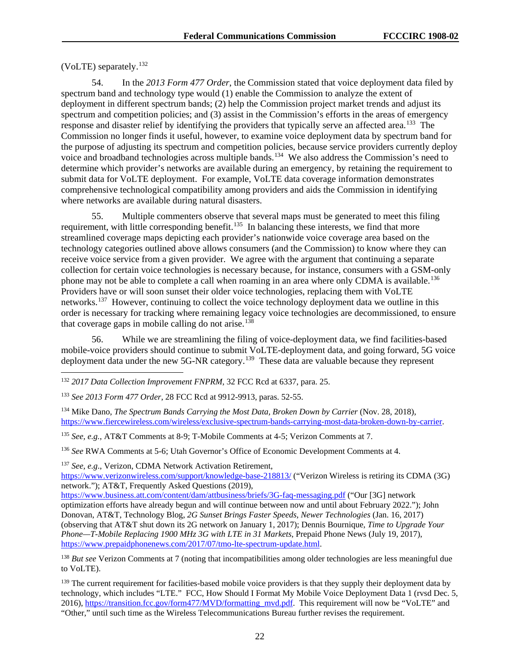(VoLTE) separately.[132](#page-22-0)

54. In the *2013 Form 477 Order*, the Commission stated that voice deployment data filed by spectrum band and technology type would (1) enable the Commission to analyze the extent of deployment in different spectrum bands; (2) help the Commission project market trends and adjust its spectrum and competition policies; and (3) assist in the Commission's efforts in the areas of emergency response and disaster relief by identifying the providers that typically serve an affected area.<sup>[133](#page-22-1)</sup> The Commission no longer finds it useful, however, to examine voice deployment data by spectrum band for the purpose of adjusting its spectrum and competition policies, because service providers currently deploy voice and broadband technologies across multiple bands.<sup>134</sup> We also address the Commission's need to determine which provider's networks are available during an emergency, by retaining the requirement to submit data for VoLTE deployment. For example, VoLTE data coverage information demonstrates comprehensive technological compatibility among providers and aids the Commission in identifying where networks are available during natural disasters.

55. Multiple commenters observe that several maps must be generated to meet this filing requirement, with little corresponding benefit.<sup>135</sup> In balancing these interests, we find that more streamlined coverage maps depicting each provider's nationwide voice coverage area based on the technology categories outlined above allows consumers (and the Commission) to know where they can receive voice service from a given provider. We agree with the argument that continuing a separate collection for certain voice technologies is necessary because, for instance, consumers with a GSM-only phone may not be able to complete a call when roaming in an area where only CDMA is available.<sup>136</sup> Providers have or will soon sunset their older voice technologies, replacing them with VoLTE networks.<sup>[137](#page-22-5)</sup> However, continuing to collect the voice technology deployment data we outline in this order is necessary for tracking where remaining legacy voice technologies are decommissioned, to ensure that coverage gaps in mobile calling do not arise.<sup>[138](#page-22-6)</sup>

56. While we are streamlining the filing of voice-deployment data, we find facilities-based mobile-voice providers should continue to submit VoLTE-deployment data, and going forward, 5G voice deployment data under the new 5G-NR category.<sup>139</sup> These data are valuable because they represent

<span id="page-22-3"></span><sup>135</sup> *See, e.g.*, AT&T Comments at 8-9; T-Mobile Comments at 4-5; Verizon Comments at 7.

<span id="page-22-4"></span><sup>136</sup> *See* RWA Comments at 5-6; Utah Governor's Office of Economic Development Comments at 4.

<span id="page-22-5"></span><sup>137</sup> *See, e.g*., Verizon, CDMA Network Activation Retirement,

<https://www.verizonwireless.com/support/knowledge-base-218813/> ("Verizon Wireless is retiring its CDMA (3G) network."); AT&T, Frequently Asked Questions (2019),

<https://www.business.att.com/content/dam/attbusiness/briefs/3G-faq-messaging.pdf> ("Our [3G] network optimization efforts have already begun and will continue between now and until about February 2022."); John Donovan, AT&T, Technology Blog, *2G Sunset Brings Faster Speeds, Newer Technologies* (Jan. 16, 2017) (observing that AT&T shut down its 2G network on January 1, 2017); Dennis Bournique, *Time to Upgrade Your Phone—T-Mobile Replacing 1900 MHz 3G with LTE in 31 Markets*, Prepaid Phone News (July 19, 2017), [https://www.prepaidphonenews.com/2017/07/tmo-lte-spectrum-update.html.](https://www.prepaidphonenews.com/2017/07/tmo-lte-spectrum-update.html)

<span id="page-22-6"></span><sup>138</sup> *But see* Verizon Comments at 7 (noting that incompatibilities among older technologies are less meaningful due to VoLTE).

<span id="page-22-7"></span><sup>139</sup> The current requirement for facilities-based mobile voice providers is that they supply their deployment data by technology, which includes "LTE." FCC, How Should I Format My Mobile Voice Deployment Data 1 (rvsd Dec. 5, 2016), [https://transition.fcc.gov/form477/MVD/formatting\\_mvd.pdf.](https://transition.fcc.gov/form477/MVD/formatting_mvd.pdf) This requirement will now be "VoLTE" and "Other," until such time as the Wireless Telecommunications Bureau further revises the requirement.

<span id="page-22-0"></span> <sup>132</sup> *<sup>2017</sup> Data Collection Improvement FNPRM*, 32 FCC Rcd at 6337, para. 25.

<span id="page-22-1"></span><sup>133</sup> *See 2013 Form 477 Order*, 28 FCC Rcd at 9912-9913, paras. 52-55.

<span id="page-22-2"></span><sup>&</sup>lt;sup>134</sup> Mike Dano, *The Spectrum Bands Carrying the Most Data, Broken Down by Carrier* (Nov. 28, 2018), [https://www.fiercewireless.com/wireless/exclusive-spectrum-bands-carrying-most-data-broken-down-by-carrier.](https://www.fiercewireless.com/wireless/exclusive-spectrum-bands-carrying-most-data-broken-down-by-carrier)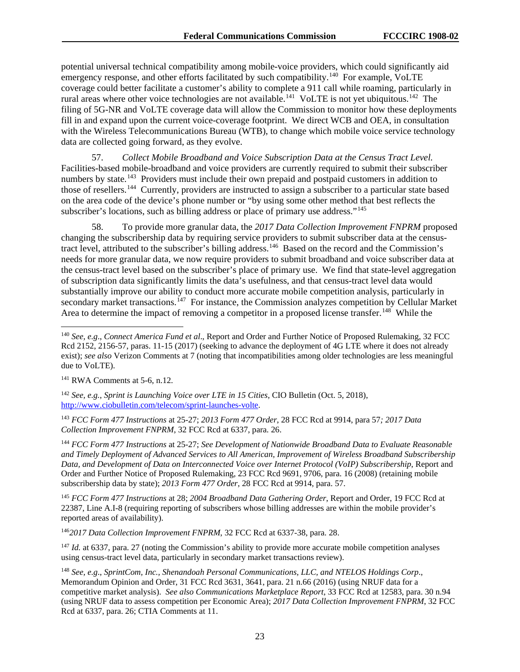potential universal technical compatibility among mobile-voice providers, which could significantly aid emergency response, and other efforts facilitated by such compatibility.<sup>[140](#page-23-0)</sup> For example, VoLTE coverage could better facilitate a customer's ability to complete a 911 call while roaming, particularly in rural areas where other voice technologies are not available.[141](#page-23-1) VoLTE is not yet ubiquitous.[142](#page-23-2) The filing of 5G-NR and VoLTE coverage data will allow the Commission to monitor how these deployments fill in and expand upon the current voice-coverage footprint. We direct WCB and OEA, in consultation with the Wireless Telecommunications Bureau (WTB), to change which mobile voice service technology data are collected going forward, as they evolve.

57. *Collect Mobile Broadband and Voice Subscription Data at the Census Tract Level.* Facilities-based mobile-broadband and voice providers are currently required to submit their subscriber numbers by state.<sup>[143](#page-23-3)</sup> Providers must include their own prepaid and postpaid customers in addition to those of resellers.[144](#page-23-4) Currently, providers are instructed to assign a subscriber to a particular state based on the area code of the device's phone number or "by using some other method that best reflects the subscriber's locations, such as billing address or place of primary use address."<sup>[145](#page-23-5)</sup>

58. To provide more granular data, the *2017 Data Collection Improvement FNPRM* proposed changing the subscribership data by requiring service providers to submit subscriber data at the censustract level, attributed to the subscriber's billing address.<sup>146</sup> Based on the record and the Commission's needs for more granular data, we now require providers to submit broadband and voice subscriber data at the census-tract level based on the subscriber's place of primary use. We find that state-level aggregation of subscription data significantly limits the data's usefulness, and that census-tract level data would substantially improve our ability to conduct more accurate mobile competition analysis, particularly in secondary market transactions.<sup>[147](#page-23-7)</sup> For instance, the Commission analyzes competition by Cellular Market Area to determine the impact of removing a competitor in a proposed license transfer.<sup>148</sup> While the

<span id="page-23-5"></span><sup>145</sup> *FCC Form 477 Instructions* at 28; *2004 Broadband Data Gathering Order*, Report and Order, 19 FCC Rcd at 22387, Line A.I-8 (requiring reporting of subscribers whose billing addresses are within the mobile provider's reported areas of availability).

<span id="page-23-6"></span><sup>146</sup>*2017 Data Collection Improvement FNPRM*, 32 FCC Rcd at 6337-38, para. 28.

<span id="page-23-7"></span><sup>147</sup> *Id.* at 6337, para. 27 (noting the Commission's ability to provide more accurate mobile competition analyses using census-tract level data, particularly in secondary market transactions review).

<span id="page-23-0"></span> <sup>140</sup> *See, e.g*., *Connect America Fund et al*., Report and Order and Further Notice of Proposed Rulemaking, 32 FCC Rcd 2152, 2156-57, paras. 11-15 (2017) (seeking to advance the deployment of 4G LTE where it does not already exist); *see also* Verizon Comments at 7 (noting that incompatibilities among older technologies are less meaningful due to VoLTE).

<span id="page-23-1"></span> $141$  RWA Comments at 5-6, n.12.

<span id="page-23-2"></span><sup>142</sup> *See, e.g.*, *Sprint is Launching Voice over LTE in 15 Cities*, CIO Bulletin (Oct. 5, 2018), [http://www.ciobulletin.com/telecom/sprint-launches-volte.](http://www.ciobulletin.com/telecom/sprint-launches-volte)

<span id="page-23-3"></span><sup>143</sup> *FCC Form 477 Instructions* at 25-27; *2013 Form 477 Order*, 28 FCC Rcd at 9914, para 57*; 2017 Data Collection Improvement FNPRM*, 32 FCC Rcd at 6337, para. 26.

<span id="page-23-4"></span><sup>144</sup> *FCC Form 477 Instructions* at 25-27; *See Development of Nationwide Broadband Data to Evaluate Reasonable and Timely Deployment of Advanced Services to All American, Improvement of Wireless Broadband Subscribership Data, and Development of Data on Interconnected Voice over Internet Protocol (VoIP) Subscribership*, Report and Order and Further Notice of Proposed Rulemaking, 23 FCC Rcd 9691, 9706, para. 16 (2008) (retaining mobile subscribership data by state); *2013 Form 477 Order*, 28 FCC Rcd at 9914, para. 57.

<span id="page-23-8"></span><sup>148</sup> *See, e.g*., *SprintCom, Inc., Shenandoah Personal Communications, LLC, and NTELOS Holdings Corp*., Memorandum Opinion and Order, 31 FCC Rcd 3631, 3641, para. 21 n.66 (2016) (using NRUF data for a competitive market analysis). *See also Communications Marketplace Report*, 33 FCC Rcd at 12583, para. 30 n.94 (using NRUF data to assess competition per Economic Area); *2017 Data Collection Improvement FNPRM*, 32 FCC Rcd at 6337, para. 26; CTIA Comments at 11.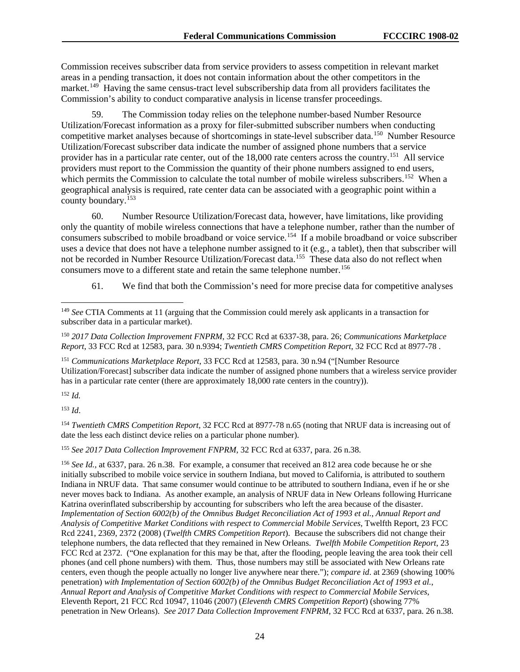Commission receives subscriber data from service providers to assess competition in relevant market areas in a pending transaction, it does not contain information about the other competitors in the market.<sup>[149](#page-24-0)</sup> Having the same census-tract level subscribership data from all providers facilitates the Commission's ability to conduct comparative analysis in license transfer proceedings.

59. The Commission today relies on the telephone number-based Number Resource Utilization/Forecast information as a proxy for filer-submitted subscriber numbers when conducting competitive market analyses because of shortcomings in state-level subscriber data.[150](#page-24-1) Number Resource Utilization/Forecast subscriber data indicate the number of assigned phone numbers that a service provider has in a particular rate center, out of the 18,000 rate centers across the country.<sup>151</sup> All service providers must report to the Commission the quantity of their phone numbers assigned to end users, which permits the Commission to calculate the total number of mobile wireless subscribers.<sup>[152](#page-24-3)</sup> When a geographical analysis is required, rate center data can be associated with a geographic point within a county boundary.<sup>[153](#page-24-4)</sup>

60. Number Resource Utilization/Forecast data, however, have limitations, like providing only the quantity of mobile wireless connections that have a telephone number, rather than the number of consumers subscribed to mobile broadband or voice service.<sup>154</sup> If a mobile broadband or voice subscriber uses a device that does not have a telephone number assigned to it (e.g., a tablet), then that subscriber will not be recorded in Number Resource Utilization/Forecast data.<sup>[155](#page-24-6)</sup> These data also do not reflect when consumers move to a different state and retain the same telephone number.<sup>[156](#page-24-7)</sup>

61. We find that both the Commission's need for more precise data for competitive analyses

<span id="page-24-2"></span><sup>151</sup> *Communications Marketplace Report*, 33 FCC Rcd at 12583, para. 30 n.94 ("[Number Resource Utilization/Forecast] subscriber data indicate the number of assigned phone numbers that a wireless service provider has in a particular rate center (there are approximately 18,000 rate centers in the country)).

<span id="page-24-3"></span><sup>152</sup> *Id.*

<span id="page-24-4"></span><sup>153</sup> *Id*.

<span id="page-24-5"></span><sup>154</sup> *Twentieth CMRS Competition Report*, 32 FCC Rcd at 8977-78 n.65 (noting that NRUF data is increasing out of date the less each distinct device relies on a particular phone number).

<span id="page-24-6"></span><sup>155</sup> *See 2017 Data Collection Improvement FNPRM*, 32 FCC Rcd at 6337, para. 26 n.38.

<span id="page-24-7"></span><sup>156</sup> *See Id.,* at 6337, para. 26 n.38. For example, a consumer that received an 812 area code because he or she initially subscribed to mobile voice service in southern Indiana, but moved to California, is attributed to southern Indiana in NRUF data. That same consumer would continue to be attributed to southern Indiana, even if he or she never moves back to Indiana. As another example, an analysis of NRUF data in New Orleans following Hurricane Katrina overinflated subscribership by accounting for subscribers who left the area because of the disaster. *Implementation of Section 6002(b) of the Omnibus Budget Reconciliation Act of 1993 et al.*, *Annual Report and Analysis of Competitive Market Conditions with respect to Commercial Mobile Services,* Twelfth Report, 23 FCC Rcd 2241, 2369, 2372 (2008) (*Twelfth CMRS Competition Report*). Because the subscribers did not change their telephone numbers, the data reflected that they remained in New Orleans. *Twelfth Mobile Competition Report*, 23 FCC Rcd at 2372. ("One explanation for this may be that, after the flooding, people leaving the area took their cell phones (and cell phone numbers) with them. Thus, those numbers may still be associated with New Orleans rate centers, even though the people actually no longer live anywhere near there."); *compare id*. at 2369 (showing 100% penetration) *with Implementation of Section 6002(b) of the Omnibus Budget Reconciliation Act of 1993 et al.*, *Annual Report and Analysis of Competitive Market Conditions with respect to Commercial Mobile Services*, Eleventh Report, 21 FCC Rcd 10947, 11046 (2007) (*Eleventh CMRS Competition Report*) (showing 77% penetration in New Orleans). *See 2017 Data Collection Improvement FNPRM*, 32 FCC Rcd at 6337, para. 26 n.38.

<span id="page-24-0"></span> <sup>149</sup> *See* CTIA Comments at 11 (arguing that the Commission could merely ask applicants in a transaction for subscriber data in a particular market).

<span id="page-24-1"></span><sup>150</sup> *2017 Data Collection Improvement FNPRM*, 32 FCC Rcd at 6337-38, para. 26; *Communications Marketplace Report*, 33 FCC Rcd at 12583, para. 30 n.9394; *Twentieth CMRS Competition Report*, 32 FCC Rcd at 8977-78 .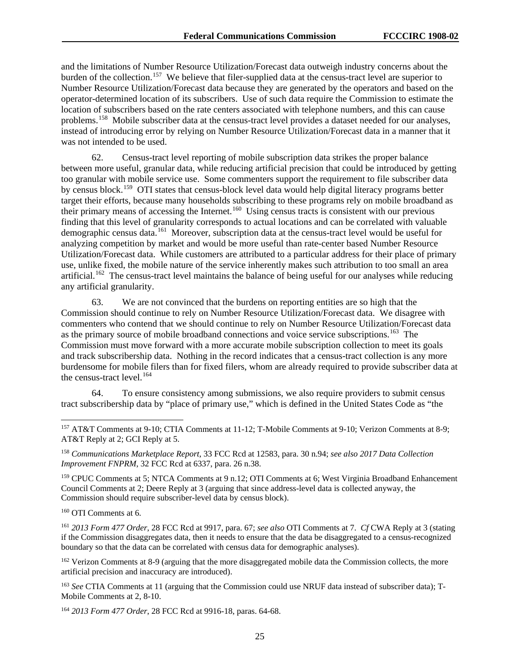and the limitations of Number Resource Utilization/Forecast data outweigh industry concerns about the burden of the collection.<sup>157</sup> We believe that filer-supplied data at the census-tract level are superior to Number Resource Utilization/Forecast data because they are generated by the operators and based on the operator-determined location of its subscribers. Use of such data require the Commission to estimate the location of subscribers based on the rate centers associated with telephone numbers, and this can cause problems.[158](#page-25-1) Mobile subscriber data at the census-tract level provides a dataset needed for our analyses, instead of introducing error by relying on Number Resource Utilization/Forecast data in a manner that it was not intended to be used.

62. Census-tract level reporting of mobile subscription data strikes the proper balance between more useful, granular data, while reducing artificial precision that could be introduced by getting too granular with mobile service use. Some commenters support the requirement to file subscriber data by census block.[159](#page-25-2) OTI states that census-block level data would help digital literacy programs better target their efforts, because many households subscribing to these programs rely on mobile broadband as their primary means of accessing the Internet.[160](#page-25-3) Using census tracts is consistent with our previous finding that this level of granularity corresponds to actual locations and can be correlated with valuable demographic census data.<sup>[161](#page-25-4)</sup> Moreover, subscription data at the census-tract level would be useful for analyzing competition by market and would be more useful than rate-center based Number Resource Utilization/Forecast data. While customers are attributed to a particular address for their place of primary use, unlike fixed, the mobile nature of the service inherently makes such attribution to too small an area artificial.<sup>[162](#page-25-5)</sup> The census-tract level maintains the balance of being useful for our analyses while reducing any artificial granularity.

63. We are not convinced that the burdens on reporting entities are so high that the Commission should continue to rely on Number Resource Utilization/Forecast data. We disagree with commenters who contend that we should continue to rely on Number Resource Utilization/Forecast data as the primary source of mobile broadband connections and voice service subscriptions.<sup>163</sup> The Commission must move forward with a more accurate mobile subscription collection to meet its goals and track subscribership data. Nothing in the record indicates that a census-tract collection is any more burdensome for mobile filers than for fixed filers, whom are already required to provide subscriber data at the census-tract level. $164$ 

64. To ensure consistency among submissions, we also require providers to submit census tract subscribership data by "place of primary use," which is defined in the United States Code as "the

<span id="page-25-0"></span> 157 AT&T Comments at 9-10; CTIA Comments at 11-12; T-Mobile Comments at 9-10; Verizon Comments at 8-9; AT&T Reply at 2; GCI Reply at 5.

<span id="page-25-1"></span><sup>158</sup> *Communications Marketplace Report*, 33 FCC Rcd at 12583, para. 30 n.94; *see also 2017 Data Collection Improvement FNPRM*, 32 FCC Rcd at 6337, para. 26 n.38.

<span id="page-25-2"></span><sup>159</sup> CPUC Comments at 5; NTCA Comments at 9 n.12; OTI Comments at 6; West Virginia Broadband Enhancement Council Comments at 2; Deere Reply at 3 (arguing that since address-level data is collected anyway, the Commission should require subscriber-level data by census block).

<span id="page-25-3"></span><sup>160</sup> OTI Comments at 6.

<span id="page-25-4"></span><sup>161</sup> *2013 Form 477 Order*, 28 FCC Rcd at 9917, para. 67; *see also* OTI Comments at 7. *Cf* CWA Reply at 3 (stating if the Commission disaggregates data, then it needs to ensure that the data be disaggregated to a census-recognized boundary so that the data can be correlated with census data for demographic analyses).

<span id="page-25-5"></span><sup>162</sup> Verizon Comments at 8-9 (arguing that the more disaggregated mobile data the Commission collects, the more artificial precision and inaccuracy are introduced).

<span id="page-25-6"></span><sup>163</sup> *See* CTIA Comments at 11 (arguing that the Commission could use NRUF data instead of subscriber data); T-Mobile Comments at 2, 8-10.

<span id="page-25-7"></span><sup>164</sup> *2013 Form 477 Order*, 28 FCC Rcd at 9916-18, paras. 64-68.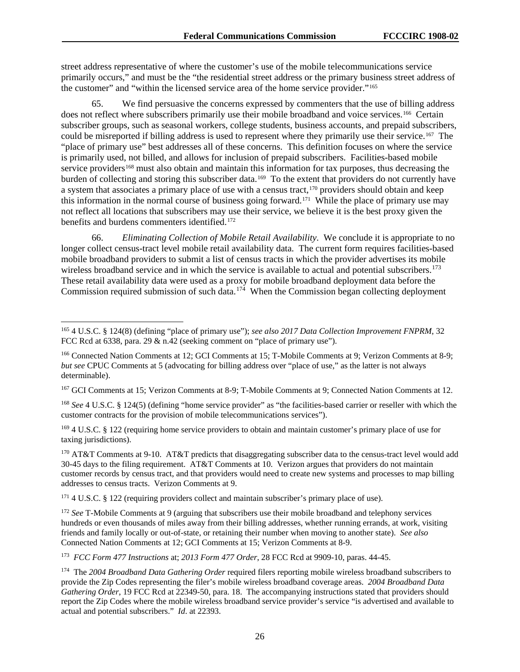street address representative of where the customer's use of the mobile telecommunications service primarily occurs," and must be the "the residential street address or the primary business street address of the customer" and "within the licensed service area of the home service provider."[165](#page-26-0) 

65. We find persuasive the concerns expressed by commenters that the use of billing address does not reflect where subscribers primarily use their mobile broadband and voice services.<sup>[166](#page-26-1)</sup> Certain subscriber groups, such as seasonal workers, college students, business accounts, and prepaid subscribers, could be misreported if billing address is used to represent where they primarily use their service.<sup>[167](#page-26-2)</sup> The "place of primary use" best addresses all of these concerns. This definition focuses on where the service is primarily used, not billed, and allows for inclusion of prepaid subscribers. Facilities-based mobile service providers<sup>[168](#page-26-3)</sup> must also obtain and maintain this information for tax purposes, thus decreasing the burden of collecting and storing this subscriber data.<sup>[169](#page-26-4)</sup> To the extent that providers do not currently have a system that associates a primary place of use with a census tract,<sup>[170](#page-26-5)</sup> providers should obtain and keep this information in the normal course of business going forward.[171](#page-26-6) While the place of primary use may not reflect all locations that subscribers may use their service, we believe it is the best proxy given the benefits and burdens commenters identified.<sup>[172](#page-26-7)</sup>

66. *Eliminating Collection of Mobile Retail Availability*. We conclude it is appropriate to no longer collect census-tract level mobile retail availability data. The current form requires facilities-based mobile broadband providers to submit a list of census tracts in which the provider advertises its mobile wireless broadband service and in which the service is available to actual and potential subscribers.<sup>173</sup> These retail availability data were used as a proxy for mobile broadband deployment data before the Commission required submission of such data.<sup>[174](#page-26-9)</sup> When the Commission began collecting deployment

<span id="page-26-2"></span><sup>167</sup> GCI Comments at 15; Verizon Comments at 8-9; T-Mobile Comments at 9; Connected Nation Comments at 12.

<span id="page-26-3"></span><sup>168</sup> *See* 4 U.S.C. § 124(5) (defining "home service provider" as "the facilities-based carrier or reseller with which the customer contracts for the provision of mobile telecommunications services").

<span id="page-26-4"></span><sup>169</sup> 4 U.S.C. § 122 (requiring home service providers to obtain and maintain customer's primary place of use for taxing jurisdictions).

<span id="page-26-5"></span><sup>170</sup> AT&T Comments at 9-10. AT&T predicts that disaggregating subscriber data to the census-tract level would add 30-45 days to the filing requirement. AT&T Comments at 10. Verizon argues that providers do not maintain customer records by census tract, and that providers would need to create new systems and processes to map billing addresses to census tracts. Verizon Comments at 9.

<span id="page-26-6"></span><sup>171</sup> 4 U.S.C. § 122 (requiring providers collect and maintain subscriber's primary place of use).

<span id="page-26-7"></span><sup>172</sup> *See* T-Mobile Comments at 9 (arguing that subscribers use their mobile broadband and telephony services hundreds or even thousands of miles away from their billing addresses, whether running errands, at work, visiting friends and family locally or out-of-state, or retaining their number when moving to another state). *See also* Connected Nation Comments at 12; GCI Comments at 15; Verizon Comments at 8-9.

<span id="page-26-8"></span>173 *FCC Form 477 Instructions* at; *2013 Form 477 Order*, 28 FCC Rcd at 9909-10, paras. 44-45.

<span id="page-26-0"></span> <sup>165</sup> 4 U.S.C. § 124(8) (defining "place of primary use"); *see also <sup>2017</sup> Data Collection Improvement FNPRM*, 32 FCC Rcd at 6338, para. 29 & n.42 (seeking comment on "place of primary use").

<span id="page-26-1"></span><sup>166</sup> Connected Nation Comments at 12; GCI Comments at 15; T-Mobile Comments at 9; Verizon Comments at 8-9; *but see* CPUC Comments at 5 (advocating for billing address over "place of use," as the latter is not always determinable).

<span id="page-26-9"></span><sup>174</sup> The *2004 Broadband Data Gathering Order* required filers reporting mobile wireless broadband subscribers to provide the Zip Codes representing the filer's mobile wireless broadband coverage areas. *2004 Broadband Data Gathering Order*, 19 FCC Rcd at 22349-50, para. 18. The accompanying instructions stated that providers should report the Zip Codes where the mobile wireless broadband service provider's service "is advertised and available to actual and potential subscribers." *Id*. at 22393.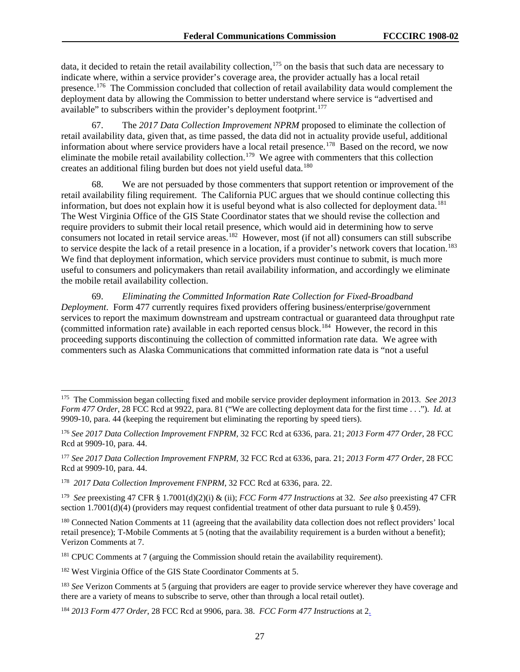data, it decided to retain the retail availability collection,<sup>[175](#page-27-0)</sup> on the basis that such data are necessary to indicate where, within a service provider's coverage area, the provider actually has a local retail presence.<sup>[176](#page-27-1)</sup> The Commission concluded that collection of retail availability data would complement the deployment data by allowing the Commission to better understand where service is "advertised and available" to subscribers within the provider's deployment footprint.<sup>[177](#page-27-2)</sup>

67. The *2017 Data Collection Improvement NPRM* proposed to eliminate the collection of retail availability data, given that, as time passed, the data did not in actuality provide useful, additional information about where service providers have a local retail presence.<sup>178</sup> Based on the record, we now eliminate the mobile retail availability collection.<sup>[179](#page-27-4)</sup> We agree with commenters that this collection creates an additional filing burden but does not yield useful data.<sup>[180](#page-27-5)</sup>

68. We are not persuaded by those commenters that support retention or improvement of the retail availability filing requirement. The California PUC argues that we should continue collecting this information, but does not explain how it is useful beyond what is also collected for deployment data.<sup>[181](#page-27-6)</sup> The West Virginia Office of the GIS State Coordinator states that we should revise the collection and require providers to submit their local retail presence, which would aid in determining how to serve consumers not located in retail service areas.<sup>[182](#page-27-7)</sup> However, most (if not all) consumers can still subscribe to service despite the lack of a retail presence in a location, if a provider's network covers that location.<sup>[183](#page-27-8)</sup> We find that deployment information, which service providers must continue to submit, is much more useful to consumers and policymakers than retail availability information, and accordingly we eliminate the mobile retail availability collection.

69. *Eliminating the Committed Information Rate Collection for Fixed-Broadband Deployment*. Form 477 currently requires fixed providers offering business/enterprise/government services to report the maximum downstream and upstream contractual or guaranteed data throughput rate (committed information rate) available in each reported census block.<sup>184</sup> However, the record in this proceeding supports discontinuing the collection of committed information rate data. We agree with commenters such as Alaska Communications that committed information rate data is "not a useful

<span id="page-27-0"></span> <sup>175</sup> The Commission began collecting fixed and mobile service provider deployment information in 2013. *See 2013 Form 477 Order*, 28 FCC Rcd at 9922, para. 81 ("We are collecting deployment data for the first time . . ."). *Id.* at 9909-10, para. 44 (keeping the requirement but eliminating the reporting by speed tiers).

<span id="page-27-1"></span><sup>176</sup> *See 2017 Data Collection Improvement FNPRM*, 32 FCC Rcd at 6336, para. 21; *2013 Form 477 Order*, 28 FCC Rcd at 9909-10, para. 44.

<span id="page-27-2"></span><sup>177</sup> *See 2017 Data Collection Improvement FNPRM*, 32 FCC Rcd at 6336, para. 21; *2013 Form 477 Order*, 28 FCC Rcd at 9909-10, para. 44.

<span id="page-27-3"></span><sup>178</sup> *2017 Data Collection Improvement FNPRM*, 32 FCC Rcd at 6336, para. 22.

<span id="page-27-4"></span><sup>179</sup> *See* preexisting 47 CFR § 1.7001(d)(2)(i) & (ii); *FCC Form 477 Instructions* at 32. *See also* preexisting 47 CFR section 1.7001(d)(4) (providers may request confidential treatment of other data pursuant to rule § 0.459).

<span id="page-27-5"></span><sup>&</sup>lt;sup>180</sup> Connected Nation Comments at 11 (agreeing that the availability data collection does not reflect providers' local retail presence); T-Mobile Comments at 5 (noting that the availability requirement is a burden without a benefit); Verizon Comments at 7.

<span id="page-27-6"></span><sup>&</sup>lt;sup>181</sup> CPUC Comments at 7 (arguing the Commission should retain the availability requirement).

<span id="page-27-7"></span><sup>&</sup>lt;sup>182</sup> West Virginia Office of the GIS State Coordinator Comments at 5.

<span id="page-27-8"></span><sup>183</sup> *See* Verizon Comments at 5 (arguing that providers are eager to provide service wherever they have coverage and there are a variety of means to subscribe to serve, other than through a local retail outlet).

<span id="page-27-9"></span><sup>184</sup> *2013 Form 477 Order*, 28 FCC Rcd at 9906, para. 38. *FCC Form 477 Instructions* at 2.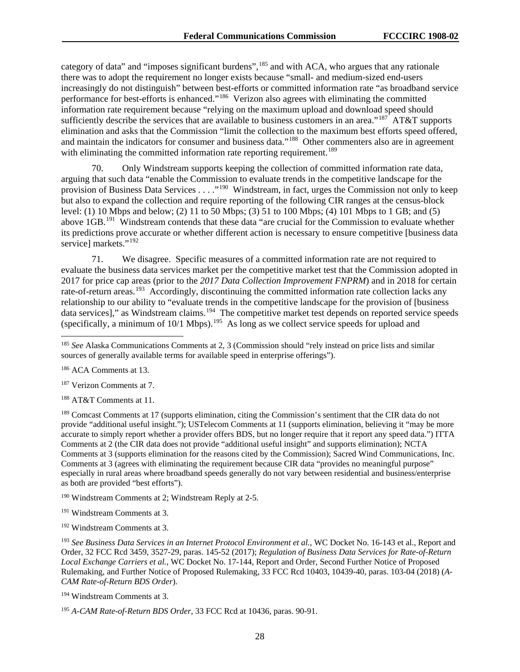category of data" and "imposes significant burdens",<sup>[185](#page-28-0)</sup> and with ACA, who argues that any rationale there was to adopt the requirement no longer exists because "small- and medium-sized end-users increasingly do not distinguish" between best-efforts or committed information rate "as broadband service performance for best-efforts is enhanced."<sup>[186](#page-28-1)</sup> Verizon also agrees with eliminating the committed information rate requirement because "relying on the maximum upload and download speed should sufficiently describe the services that are available to business customers in an area."<sup>187</sup> AT&T supports elimination and asks that the Commission "limit the collection to the maximum best efforts speed offered, and maintain the indicators for consumer and business data."<sup>[188](#page-28-3)</sup> Other commenters also are in agreement with eliminating the committed information rate reporting requirement.<sup>[189](#page-28-4)</sup>

70. Only Windstream supports keeping the collection of committed information rate data, arguing that such data "enable the Commission to evaluate trends in the competitive landscape for the provision of Business Data Services . . . .<sup>"190</sup> Windstream, in fact, urges the Commission not only to keep but also to expand the collection and require reporting of the following CIR ranges at the census-block level: (1) 10 Mbps and below; (2) 11 to 50 Mbps; (3) 51 to 100 Mbps; (4) 101 Mbps to 1 GB; and (5) above 1GB.[191](#page-28-6) Windstream contends that these data "are crucial for the Commission to evaluate whether its predictions prove accurate or whether different action is necessary to ensure competitive [business data service] markets."<sup>[192](#page-28-7)</sup>

71. We disagree. Specific measures of a committed information rate are not required to evaluate the business data services market per the competitive market test that the Commission adopted in 2017 for price cap areas (prior to the *2017 Data Collection Improvement FNPRM*) and in 2018 for certain rate-of-return areas.<sup>[193](#page-28-8)</sup> Accordingly, discontinuing the committed information rate collection lacks any relationship to our ability to "evaluate trends in the competitive landscape for the provision of [business data services]," as Windstream claims.<sup>194</sup> The competitive market test depends on reported service speeds (specifically, a minimum of  $10/1$  Mbps).<sup>195</sup> As long as we collect service speeds for upload and

<span id="page-28-2"></span><sup>187</sup> Verizon Comments at 7.

<span id="page-28-3"></span><sup>188</sup> AT&T Comments at 11.

<span id="page-28-4"></span><sup>189</sup> Comcast Comments at 17 (supports elimination, citing the Commission's sentiment that the CIR data do not provide "additional useful insight."); USTelecom Comments at 11 (supports elimination, believing it "may be more accurate to simply report whether a provider offers BDS, but no longer require that it report any speed data.") ITTA Comments at 2 (the CIR data does not provide "additional useful insight" and supports elimination); NCTA Comments at 3 (supports elimination for the reasons cited by the Commission); Sacred Wind Communications, Inc. Comments at 3 (agrees with eliminating the requirement because CIR data "provides no meaningful purpose" especially in rural areas where broadband speeds generally do not vary between residential and business/enterprise as both are provided "best efforts").

<span id="page-28-5"></span><sup>190</sup> Windstream Comments at 2; Windstream Reply at 2-5.

<span id="page-28-6"></span><sup>191</sup> Windstream Comments at 3.

<span id="page-28-7"></span><sup>192</sup> Windstream Comments at 3.

<span id="page-28-8"></span><sup>193</sup> *See Business Data Services in an Internet Protocol Environment et al.*, WC Docket No. 16-143 et al., Report and Order, 32 FCC Rcd 3459, 3527-29, paras. 145-52 (2017); *Regulation of Business Data Services for Rate-of-Return Local Exchange Carriers et al.*, WC Docket No. 17-144, Report and Order, Second Further Notice of Proposed Rulemaking, and Further Notice of Proposed Rulemaking, 33 FCC Rcd 10403, 10439-40, paras. 103-04 (2018) (*A-CAM Rate-of-Return BDS Order*).

<span id="page-28-0"></span><sup>&</sup>lt;sup>185</sup> See Alaska Communications Comments at 2, 3 (Commission should "rely instead on price lists and similar sources of generally available terms for available speed in enterprise offerings").

<span id="page-28-1"></span><sup>186</sup> ACA Comments at 13.

<span id="page-28-9"></span><sup>194</sup> Windstream Comments at 3.

<span id="page-28-10"></span><sup>195</sup> *A-CAM Rate-of-Return BDS Order*, 33 FCC Rcd at 10436, paras. 90-91.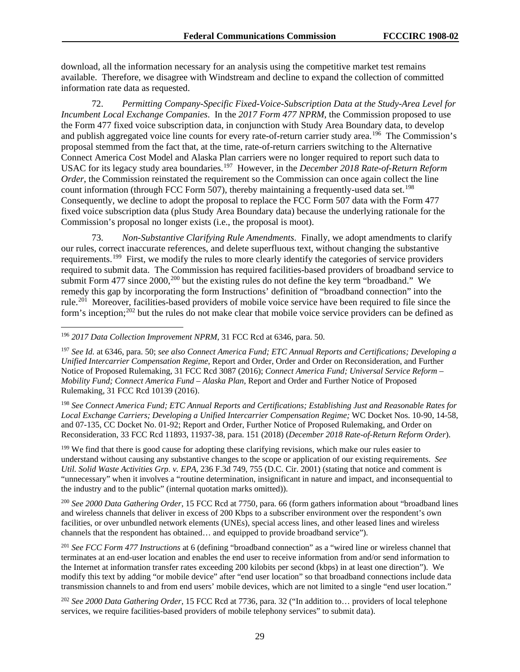download, all the information necessary for an analysis using the competitive market test remains available. Therefore, we disagree with Windstream and decline to expand the collection of committed information rate data as requested.

72. *Permitting Company-Specific Fixed-Voice-Subscription Data at the Study-Area Level for Incumbent Local Exchange Companies*. In the *2017 Form 477 NPRM*, the Commission proposed to use the Form 477 fixed voice subscription data, in conjunction with Study Area Boundary data, to develop and publish aggregated voice line counts for every rate-of-return carrier study area.<sup>[196](#page-29-0)</sup> The Commission's proposal stemmed from the fact that, at the time, rate-of-return carriers switching to the Alternative Connect America Cost Model and Alaska Plan carriers were no longer required to report such data to USAC for its legacy study area boundaries.[197](#page-29-1) However, in the *December 2018 Rate-of-Return Reform Order*, the Commission reinstated the requirement so the Commission can once again collect the line count information (through FCC Form 507), thereby maintaining a frequently-used data set.<sup>198</sup> Consequently, we decline to adopt the proposal to replace the FCC Form 507 data with the Form 477 fixed voice subscription data (plus Study Area Boundary data) because the underlying rationale for the Commission's proposal no longer exists (i.e., the proposal is moot).

73. *Non-Substantive Clarifying Rule Amendments*. Finally, we adopt amendments to clarify our rules, correct inaccurate references, and delete superfluous text, without changing the substantive requirements.<sup>[199](#page-29-3)</sup> First, we modify the rules to more clearly identify the categories of service providers required to submit data. The Commission has required facilities-based providers of broadband service to submit Form 477 since  $2000$  $2000$ ,<sup>200</sup> but the existing rules do not define the key term "broadband." We remedy this gap by incorporating the form Instructions' definition of "broadband connection" into the rule.<sup>201</sup> Moreover, facilities-based providers of mobile voice service have been required to file since the form's inception;<sup>[202](#page-29-6)</sup> but the rules do not make clear that mobile voice service providers can be defined as

<span id="page-29-2"></span><sup>198</sup> *See Connect America Fund; ETC Annual Reports and Certifications; Establishing Just and Reasonable Rates for Local Exchange Carriers; Developing a Unified Intercarrier Compensation Regime;* WC Docket Nos. 10-90, 14-58, and 07-135, CC Docket No. 01-92; Report and Order, Further Notice of Proposed Rulemaking, and Order on Reconsideration, 33 FCC Rcd 11893, 11937-38, para. 151 (2018) (*December 2018 Rate-of-Return Reform Order*).

<span id="page-29-3"></span><sup>199</sup> We find that there is good cause for adopting these clarifying revisions, which make our rules easier to understand without causing any substantive changes to the scope or application of our existing requirements. *See Util. Solid Waste Activities Grp. v. EPA*, 236 F.3d 749, 755 (D.C. Cir. 2001) (stating that notice and comment is "unnecessary" when it involves a "routine determination, insignificant in nature and impact, and inconsequential to the industry and to the public" (internal quotation marks omitted)).

<span id="page-29-4"></span><sup>200</sup> *See 2000 Data Gathering Order*, 15 FCC Rcd at 7750, para. 66 (form gathers information about "broadband lines and wireless channels that deliver in excess of 200 Kbps to a subscriber environment over the respondent's own facilities, or over unbundled network elements (UNEs), special access lines, and other leased lines and wireless channels that the respondent has obtained… and equipped to provide broadband service").

<span id="page-29-5"></span><sup>201</sup> *See FCC Form 477 Instructions* at 6 (defining "broadband connection" as a "wired line or wireless channel that terminates at an end-user location and enables the end user to receive information from and/or send information to the Internet at information transfer rates exceeding 200 kilobits per second (kbps) in at least one direction"). We modify this text by adding "or mobile device" after "end user location" so that broadband connections include data transmission channels to and from end users' mobile devices, which are not limited to a single "end user location."

<span id="page-29-6"></span><sup>202</sup> *See 2000 Data Gathering Order*, 15 FCC Rcd at 7736, para. 32 ("In addition to… providers of local telephone services, we require facilities-based providers of mobile telephony services" to submit data).

<span id="page-29-0"></span> <sup>196</sup> *<sup>2017</sup> Data Collection Improvement NPRM*, 31 FCC Rcd at 6346, para. 50.

<span id="page-29-1"></span><sup>197</sup> *See Id.* at 6346, para. 50; *see also Connect America Fund; ETC Annual Reports and Certifications; Developing a Unified Intercarrier Compensation Regime*, Report and Order, Order and Order on Reconsideration, and Further Notice of Proposed Rulemaking, 31 FCC Rcd 3087 (2016); *Connect America Fund; Universal Service Reform – Mobility Fund; Connect America Fund – Alaska Plan*, Report and Order and Further Notice of Proposed Rulemaking, 31 FCC Rcd 10139 (2016).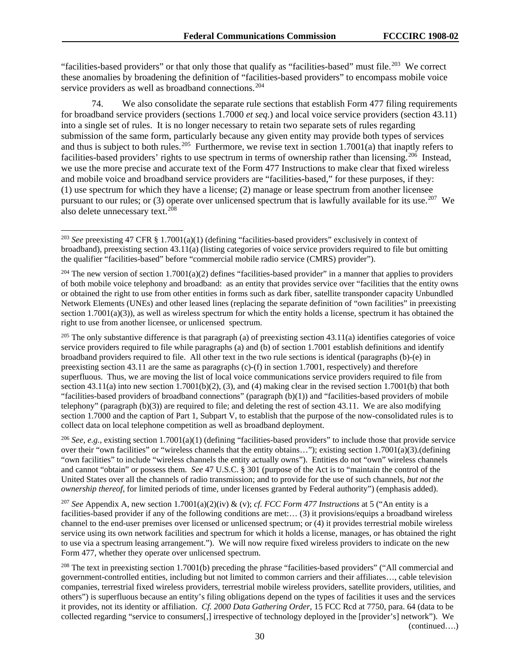"facilities-based providers" or that only those that qualify as "facilities-based" must file.<sup>203</sup> We correct these anomalies by broadening the definition of "facilities-based providers" to encompass mobile voice service providers as well as broadband connections.<sup>[204](#page-30-1)</sup>

74. We also consolidate the separate rule sections that establish Form 477 filing requirements for broadband service providers (sections 1.7000 *et seq.*) and local voice service providers (section 43.11) into a single set of rules. It is no longer necessary to retain two separate sets of rules regarding submission of the same form, particularly because any given entity may provide both types of services and thus is subject to both rules.<sup>205</sup> Furthermore, we revise text in section 1.7001(a) that inaptly refers to facilities-based providers' rights to use spectrum in terms of ownership rather than licensing.<sup>206</sup> Instead, we use the more precise and accurate text of the Form 477 Instructions to make clear that fixed wireless and mobile voice and broadband service providers are "facilities-based," for these purposes, if they: (1) use spectrum for which they have a license; (2) manage or lease spectrum from another licensee pursuant to our rules; or (3) operate over unlicensed spectrum that is lawfully available for its use.<sup>207</sup> We also delete unnecessary text.  $^{208}$  $^{208}$  $^{208}$ 

<span id="page-30-2"></span><sup>205</sup> The only substantive difference is that paragraph (a) of preexisting section  $43.11(a)$  identifies categories of voice service providers required to file while paragraphs (a) and (b) of section 1.7001 establish definitions and identify broadband providers required to file. All other text in the two rule sections is identical (paragraphs (b)-(e) in preexisting section 43.11 are the same as paragraphs (c)-(f) in section 1.7001, respectively) and therefore superfluous. Thus, we are moving the list of local voice communications service providers required to file from section  $43.11(a)$  into new section  $1.7001(b)(2)$ ,  $(3)$ , and  $(4)$  making clear in the revised section  $1.7001(b)$  that both "facilities-based providers of broadband connections" (paragraph (b)(1)) and "facilities-based providers of mobile telephony" (paragraph  $(b)(3)$ ) are required to file; and deleting the rest of section 43.11. We are also modifying section 1.7000 and the caption of Part 1, Subpart V, to establish that the purpose of the now-consolidated rules is to collect data on local telephone competition as well as broadband deployment.

<span id="page-30-3"></span><sup>206</sup> *See, e.g., existing section* 1.7001(a)(1) (defining "facilities-based providers" to include those that provide service over their "own facilities" or "wireless channels that the entity obtains…"); existing section 1.7001(a)(3).(defining "own facilities" to include "wireless channels the entity actually owns"). Entities do not "own" wireless channels and cannot "obtain" or possess them. *See* 47 U.S.C. § 301 (purpose of the Act is to "maintain the control of the United States over all the channels of radio transmission; and to provide for the use of such channels, *but not the ownership thereof*, for limited periods of time, under licenses granted by Federal authority") (emphasis added).

<span id="page-30-4"></span><sup>207</sup> *See* Appendix A, new section 1.7001(a)(2)(iv) & (v); *cf. FCC Form 477 Instructions* at 5 ("An entity is a facilities-based provider if any of the following conditions are met:... (3) it provisions/equips a broadband wireless channel to the end-user premises over licensed or unlicensed spectrum; or (4) it provides terrestrial mobile wireless service using its own network facilities and spectrum for which it holds a license, manages, or has obtained the right to use via a spectrum leasing arrangement."). We will now require fixed wireless providers to indicate on the new Form 477, whether they operate over unlicensed spectrum.

<span id="page-30-5"></span><sup>208</sup> The text in preexisting section 1.7001(b) preceding the phrase "facilities-based providers" ("All commercial and government-controlled entities, including but not limited to common carriers and their affiliates…, cable television companies, terrestrial fixed wireless providers, terrestrial mobile wireless providers, satellite providers, utilities, and others") is superfluous because an entity's filing obligations depend on the types of facilities it uses and the services it provides, not its identity or affiliation. *Cf. 2000 Data Gathering Order*, 15 FCC Rcd at 7750, para. 64 (data to be collected regarding "service to consumers[,] irrespective of technology deployed in the [provider's] network"). We (continued….)

<span id="page-30-0"></span> <sup>203</sup> *See* preexisting 47 CFR § 1.7001(a)(1) (defining "facilities-based providers" exclusively in context of broadband), preexisting section 43.11(a) (listing categories of voice service providers required to file but omitting the qualifier "facilities-based" before "commercial mobile radio service (CMRS) provider").

<span id="page-30-1"></span><sup>&</sup>lt;sup>204</sup> The new version of section  $1.7001(a)(2)$  defines "facilities-based provider" in a manner that applies to providers of both mobile voice telephony and broadband: as an entity that provides service over "facilities that the entity owns or obtained the right to use from other entities in forms such as dark fiber, satellite transponder capacity Unbundled Network Elements (UNEs) and other leased lines (replacing the separate definition of "own facilities" in preexisting section  $1.7001(a)(3)$ , as well as wireless spectrum for which the entity holds a license, spectrum it has obtained the right to use from another licensee, or unlicensed spectrum.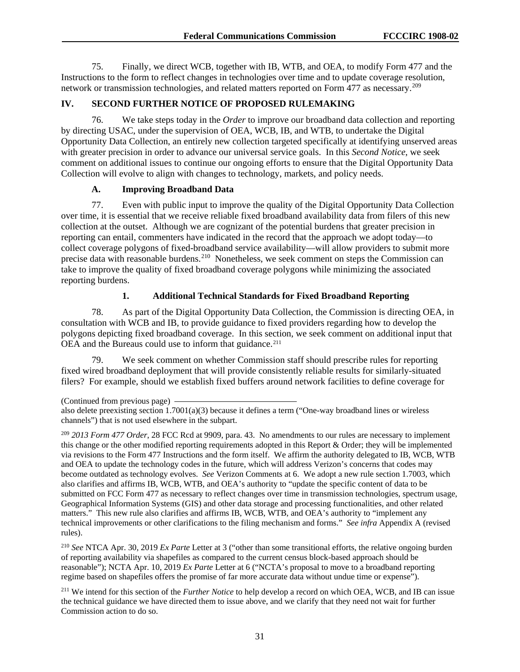75. Finally, we direct WCB, together with IB, WTB, and OEA, to modify Form 477 and the Instructions to the form to reflect changes in technologies over time and to update coverage resolution, network or transmission technologies, and related matters reported on Form 477 as necessary.[209](#page-31-0)

# **IV. SECOND FURTHER NOTICE OF PROPOSED RULEMAKING**

76. We take steps today in the *Order* to improve our broadband data collection and reporting by directing USAC, under the supervision of OEA, WCB, IB, and WTB, to undertake the Digital Opportunity Data Collection, an entirely new collection targeted specifically at identifying unserved areas with greater precision in order to advance our universal service goals. In this *Second Notice*, we seek comment on additional issues to continue our ongoing efforts to ensure that the Digital Opportunity Data Collection will evolve to align with changes to technology, markets, and policy needs.

#### **A. Improving Broadband Data**

77. Even with public input to improve the quality of the Digital Opportunity Data Collection over time, it is essential that we receive reliable fixed broadband availability data from filers of this new collection at the outset. Although we are cognizant of the potential burdens that greater precision in reporting can entail, commenters have indicated in the record that the approach we adopt today—to collect coverage polygons of fixed-broadband service availability—will allow providers to submit more precise data with reasonable burdens.<sup>210</sup> Nonetheless, we seek comment on steps the Commission can take to improve the quality of fixed broadband coverage polygons while minimizing the associated reporting burdens.

#### **1. Additional Technical Standards for Fixed Broadband Reporting**

78. As part of the Digital Opportunity Data Collection, the Commission is directing OEA, in consultation with WCB and IB, to provide guidance to fixed providers regarding how to develop the polygons depicting fixed broadband coverage. In this section, we seek comment on additional input that OEA and the Bureaus could use to inform that guidance.<sup>[211](#page-31-2)</sup>

79. We seek comment on whether Commission staff should prescribe rules for reporting fixed wired broadband deployment that will provide consistently reliable results for similarly-situated filers? For example, should we establish fixed buffers around network facilities to define coverage for

(Continued from previous page)

<span id="page-31-0"></span><sup>209</sup> *2013 Form 477 Order*, 28 FCC Rcd at 9909, para. 43. No amendments to our rules are necessary to implement this change or the other modified reporting requirements adopted in this Report & Order; they will be implemented via revisions to the Form 477 Instructions and the form itself. We affirm the authority delegated to IB, WCB, WTB and OEA to update the technology codes in the future, which will address Verizon's concerns that codes may become outdated as technology evolves. *See* Verizon Comments at 6. We adopt a new rule section 1.7003, which also clarifies and affirms IB, WCB, WTB, and OEA's authority to "update the specific content of data to be submitted on FCC Form 477 as necessary to reflect changes over time in transmission technologies, spectrum usage, Geographical Information Systems (GIS) and other data storage and processing functionalities, and other related matters." This new rule also clarifies and affirms IB, WCB, WTB, and OEA's authority to "implement any technical improvements or other clarifications to the filing mechanism and forms." *See infra* Appendix A (revised rules).

<span id="page-31-1"></span><sup>210</sup> *See* NTCA Apr. 30, 2019 *Ex Parte* Letter at 3 ("other than some transitional efforts, the relative ongoing burden of reporting availability via shapefiles as compared to the current census block-based approach should be reasonable"); NCTA Apr. 10, 2019 *Ex Parte* Letter at 6 ("NCTA's proposal to move to a broadband reporting regime based on shapefiles offers the promise of far more accurate data without undue time or expense").

<span id="page-31-2"></span><sup>211</sup> We intend for this section of the *Further Notice* to help develop a record on which OEA, WCB, and IB can issue the technical guidance we have directed them to issue above, and we clarify that they need not wait for further Commission action to do so.

also delete preexisting section 1.7001(a)(3) because it defines a term ("One-way broadband lines or wireless channels") that is not used elsewhere in the subpart.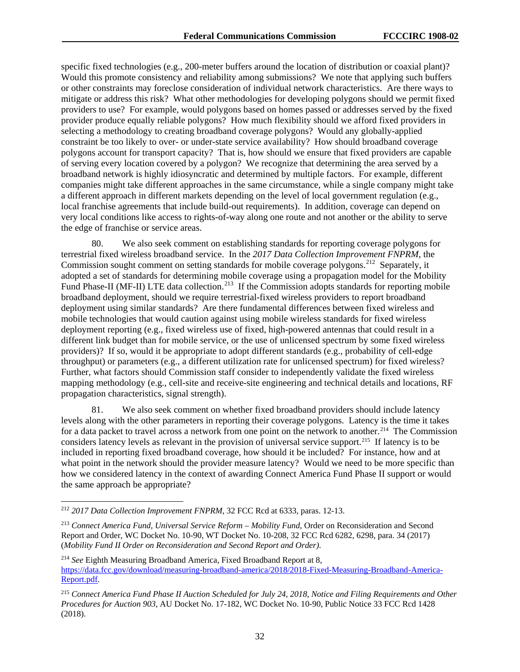specific fixed technologies (e.g., 200-meter buffers around the location of distribution or coaxial plant)? Would this promote consistency and reliability among submissions? We note that applying such buffers or other constraints may foreclose consideration of individual network characteristics. Are there ways to mitigate or address this risk? What other methodologies for developing polygons should we permit fixed providers to use? For example, would polygons based on homes passed or addresses served by the fixed provider produce equally reliable polygons? How much flexibility should we afford fixed providers in selecting a methodology to creating broadband coverage polygons? Would any globally-applied constraint be too likely to over- or under-state service availability? How should broadband coverage polygons account for transport capacity? That is, how should we ensure that fixed providers are capable of serving every location covered by a polygon? We recognize that determining the area served by a broadband network is highly idiosyncratic and determined by multiple factors. For example, different companies might take different approaches in the same circumstance, while a single company might take a different approach in different markets depending on the level of local government regulation (e.g., local franchise agreements that include build-out requirements). In addition, coverage can depend on very local conditions like access to rights-of-way along one route and not another or the ability to serve the edge of franchise or service areas.

80. We also seek comment on establishing standards for reporting coverage polygons for terrestrial fixed wireless broadband service. In the *2017 Data Collection Improvement FNPRM*, the Commission sought comment on setting standards for mobile coverage polygons.<sup>[212](#page-32-0)</sup> Separately, it adopted a set of standards for determining mobile coverage using a propagation model for the Mobility Fund Phase-II (MF-II) LTE data collection.<sup>[213](#page-32-1)</sup> If the Commission adopts standards for reporting mobile broadband deployment, should we require terrestrial-fixed wireless providers to report broadband deployment using similar standards? Are there fundamental differences between fixed wireless and mobile technologies that would caution against using mobile wireless standards for fixed wireless deployment reporting (e.g., fixed wireless use of fixed, high-powered antennas that could result in a different link budget than for mobile service, or the use of unlicensed spectrum by some fixed wireless providers)? If so, would it be appropriate to adopt different standards (e.g., probability of cell-edge throughput) or parameters (e.g., a different utilization rate for unlicensed spectrum) for fixed wireless? Further, what factors should Commission staff consider to independently validate the fixed wireless mapping methodology (e.g., cell-site and receive-site engineering and technical details and locations, RF propagation characteristics, signal strength).

81. We also seek comment on whether fixed broadband providers should include latency levels along with the other parameters in reporting their coverage polygons. Latency is the time it takes for a data packet to travel across a network from one point on the network to another.<sup>214</sup> The Commission considers latency levels as relevant in the provision of universal service support.[215](#page-32-3) If latency is to be included in reporting fixed broadband coverage, how should it be included? For instance, how and at what point in the network should the provider measure latency? Would we need to be more specific than how we considered latency in the context of awarding Connect America Fund Phase II support or would the same approach be appropriate?

<span id="page-32-0"></span> <sup>212</sup> *2017 Data Collection Improvement FNPRM*, 32 FCC Rcd at 6333, paras. 12-13.

<span id="page-32-1"></span><sup>213</sup> *Connect America Fund, Universal Service Reform – Mobility Fund*, Order on Reconsideration and Second Report and Order, WC Docket No. 10-90, WT Docket No. 10-208, 32 FCC Rcd 6282, 6298, para. 34 (2017) (*Mobility Fund II Order on Reconsideration and Second Report and Order)*.

<span id="page-32-2"></span><sup>214</sup> *See* Eighth Measuring Broadband America, Fixed Broadband Report at 8, [https://data.fcc.gov/download/measuring-broadband-america/2018/2018-Fixed-Measuring-Broadband-America-](https://data.fcc.gov/download/measuring-broadband-america/2018/2018-Fixed-Measuring-Broadband-America-Report.pdf)[Report.pdf.](https://data.fcc.gov/download/measuring-broadband-america/2018/2018-Fixed-Measuring-Broadband-America-Report.pdf)

<span id="page-32-3"></span><sup>215</sup> *Connect America Fund Phase II Auction Scheduled for July 24, 2018, Notice and Filing Requirements and Other Procedures for Auction 903*, AU Docket No. 17-182, WC Docket No. 10-90, Public Notice 33 FCC Rcd 1428 (2018).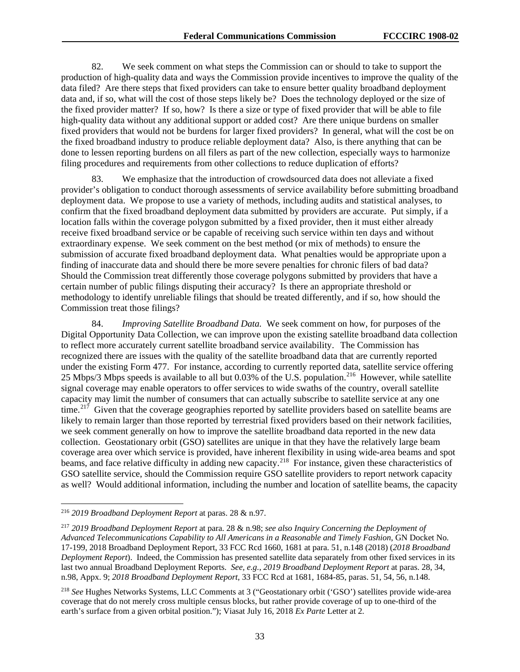82. We seek comment on what steps the Commission can or should to take to support the production of high-quality data and ways the Commission provide incentives to improve the quality of the data filed? Are there steps that fixed providers can take to ensure better quality broadband deployment data and, if so, what will the cost of those steps likely be? Does the technology deployed or the size of the fixed provider matter? If so, how? Is there a size or type of fixed provider that will be able to file high-quality data without any additional support or added cost? Are there unique burdens on smaller fixed providers that would not be burdens for larger fixed providers? In general, what will the cost be on the fixed broadband industry to produce reliable deployment data? Also, is there anything that can be done to lessen reporting burdens on all filers as part of the new collection, especially ways to harmonize filing procedures and requirements from other collections to reduce duplication of efforts?

83. We emphasize that the introduction of crowdsourced data does not alleviate a fixed provider's obligation to conduct thorough assessments of service availability before submitting broadband deployment data. We propose to use a variety of methods, including audits and statistical analyses, to confirm that the fixed broadband deployment data submitted by providers are accurate. Put simply, if a location falls within the coverage polygon submitted by a fixed provider, then it must either already receive fixed broadband service or be capable of receiving such service within ten days and without extraordinary expense. We seek comment on the best method (or mix of methods) to ensure the submission of accurate fixed broadband deployment data. What penalties would be appropriate upon a finding of inaccurate data and should there be more severe penalties for chronic filers of bad data? Should the Commission treat differently those coverage polygons submitted by providers that have a certain number of public filings disputing their accuracy? Is there an appropriate threshold or methodology to identify unreliable filings that should be treated differently, and if so, how should the Commission treat those filings?

84. *Improving Satellite Broadband Data.* We seek comment on how, for purposes of the Digital Opportunity Data Collection, we can improve upon the existing satellite broadband data collection to reflect more accurately current satellite broadband service availability. The Commission has recognized there are issues with the quality of the satellite broadband data that are currently reported under the existing Form 477. For instance, according to currently reported data, satellite service offering 25 Mbps/3 Mbps speeds is available to all but 0.03% of the U.S. population.[216](#page-33-0) However, while satellite signal coverage may enable operators to offer services to wide swaths of the country, overall satellite capacity may limit the number of consumers that can actually subscribe to satellite service at any one time.<sup>[217](#page-33-1)</sup> Given that the coverage geographies reported by satellite providers based on satellite beams are likely to remain larger than those reported by terrestrial fixed providers based on their network facilities, we seek comment generally on how to improve the satellite broadband data reported in the new data collection. Geostationary orbit (GSO) satellites are unique in that they have the relatively large beam coverage area over which service is provided, have inherent flexibility in using wide-area beams and spot beams, and face relative difficulty in adding new capacity.<sup>[218](#page-33-2)</sup> For instance, given these characteristics of GSO satellite service, should the Commission require GSO satellite providers to report network capacity as well? Would additional information, including the number and location of satellite beams, the capacity

<span id="page-33-0"></span> <sup>216</sup> *2019 Broadband Deployment Report* at paras. 28 & n.97.

<span id="page-33-1"></span><sup>217</sup> *2019 Broadband Deployment Report* at para. 28 & n.98; *see also Inquiry Concerning the Deployment of Advanced Telecommunications Capability to All Americans in a Reasonable and Timely Fashion*, GN Docket No. 17-199, 2018 Broadband Deployment Report, 33 FCC Rcd 1660, 1681 at para. 51, n.148 (2018) (*2018 Broadband Deployment Report*). Indeed, the Commission has presented satellite data separately from other fixed services in its last two annual Broadband Deployment Reports. *See, e.g.*, *2019 Broadband Deployment Report* at paras. 28, 34, n.98, Appx. 9; *2018 Broadband Deployment Report*, 33 FCC Rcd at 1681, 1684-85, paras. 51, 54, 56, n.148.

<span id="page-33-2"></span><sup>218</sup> *See* Hughes Networks Systems, LLC Comments at 3 ("Geostationary orbit ('GSO') satellites provide wide-area coverage that do not merely cross multiple census blocks, but rather provide coverage of up to one-third of the earth's surface from a given orbital position."); Viasat July 16, 2018 *Ex Parte* Letter at 2.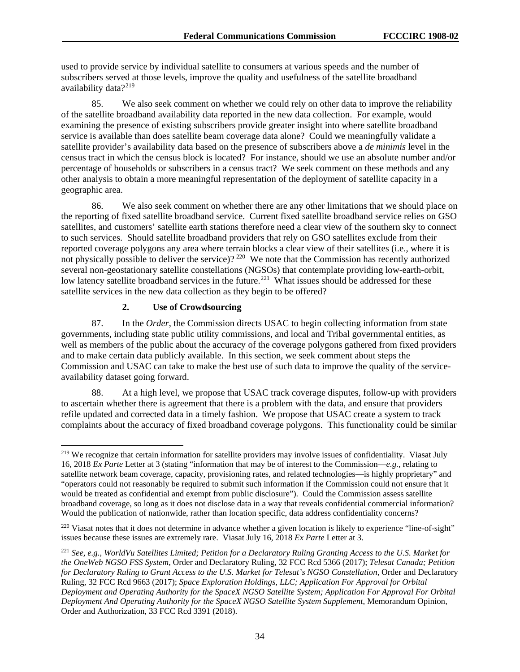used to provide service by individual satellite to consumers at various speeds and the number of subscribers served at those levels, improve the quality and usefulness of the satellite broadband availability data?<sup>219</sup>

85. We also seek comment on whether we could rely on other data to improve the reliability of the satellite broadband availability data reported in the new data collection. For example, would examining the presence of existing subscribers provide greater insight into where satellite broadband service is available than does satellite beam coverage data alone? Could we meaningfully validate a satellite provider's availability data based on the presence of subscribers above a *de minimis* level in the census tract in which the census block is located? For instance, should we use an absolute number and/or percentage of households or subscribers in a census tract? We seek comment on these methods and any other analysis to obtain a more meaningful representation of the deployment of satellite capacity in a geographic area.

86. We also seek comment on whether there are any other limitations that we should place on the reporting of fixed satellite broadband service. Current fixed satellite broadband service relies on GSO satellites, and customers' satellite earth stations therefore need a clear view of the southern sky to connect to such services. Should satellite broadband providers that rely on GSO satellites exclude from their reported coverage polygons any area where terrain blocks a clear view of their satellites (i.e., where it is not physically possible to deliver the service)? [220](#page-34-1) We note that the Commission has recently authorized several non-geostationary satellite constellations (NGSOs) that contemplate providing low-earth-orbit, low latency satellite broadband services in the future.<sup>221</sup> What issues should be addressed for these satellite services in the new data collection as they begin to be offered?

#### **2. Use of Crowdsourcing**

87. In the *Order*, the Commission directs USAC to begin collecting information from state governments, including state public utility commissions, and local and Tribal governmental entities, as well as members of the public about the accuracy of the coverage polygons gathered from fixed providers and to make certain data publicly available. In this section, we seek comment about steps the Commission and USAC can take to make the best use of such data to improve the quality of the serviceavailability dataset going forward.

88. At a high level, we propose that USAC track coverage disputes, follow-up with providers to ascertain whether there is agreement that there is a problem with the data, and ensure that providers refile updated and corrected data in a timely fashion. We propose that USAC create a system to track complaints about the accuracy of fixed broadband coverage polygons. This functionality could be similar

<span id="page-34-0"></span><sup>&</sup>lt;sup>219</sup> We recognize that certain information for satellite providers may involve issues of confidentiality. Viasat July 16, 2018 *Ex Parte* Letter at 3 (stating "information that may be of interest to the Commission—*e.g.,* relating to satellite network beam coverage, capacity, provisioning rates, and related technologies—is highly proprietary" and "operators could not reasonably be required to submit such information if the Commission could not ensure that it would be treated as confidential and exempt from public disclosure"). Could the Commission assess satellite broadband coverage, so long as it does not disclose data in a way that reveals confidential commercial information? Would the publication of nationwide, rather than location specific, data address confidentiality concerns?

<span id="page-34-1"></span><sup>&</sup>lt;sup>220</sup> Viasat notes that it does not determine in advance whether a given location is likely to experience "line-of-sight" issues because these issues are extremely rare. Viasat July 16, 2018 *Ex Parte* Letter at 3.

<span id="page-34-2"></span><sup>221</sup> *See, e.g.*, *WorldVu Satellites Limited; Petition for a Declaratory Ruling Granting Access to the U.S. Market for the OneWeb NGSO FSS System*, Order and Declaratory Ruling, 32 FCC Rcd 5366 (2017); *Telesat Canada; Petition for Declaratory Ruling to Grant Access to the U.S. Market for Telesat's NGSO Constellation*, Order and Declaratory Ruling, 32 FCC Rcd 9663 (2017); *Space Exploration Holdings, LLC; Application For Approval for Orbital Deployment and Operating Authority for the SpaceX NGSO Satellite System; Application For Approval For Orbital Deployment And Operating Authority for the SpaceX NGSO Satellite System Supplement*, Memorandum Opinion, Order and Authorization, 33 FCC Rcd 3391 (2018).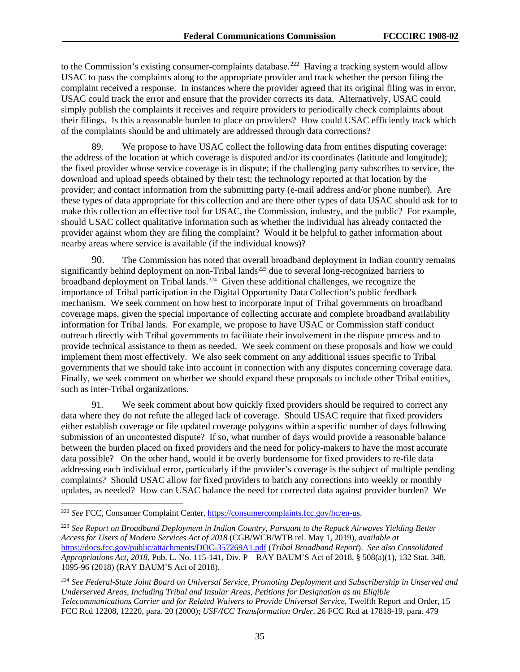to the Commission's existing consumer-complaints database.<sup>[222](#page-35-0)</sup> Having a tracking system would allow USAC to pass the complaints along to the appropriate provider and track whether the person filing the complaint received a response. In instances where the provider agreed that its original filing was in error, USAC could track the error and ensure that the provider corrects its data. Alternatively, USAC could simply publish the complaints it receives and require providers to periodically check complaints about their filings. Is this a reasonable burden to place on providers? How could USAC efficiently track which of the complaints should be and ultimately are addressed through data corrections?

89. We propose to have USAC collect the following data from entities disputing coverage: the address of the location at which coverage is disputed and/or its coordinates (latitude and longitude); the fixed provider whose service coverage is in dispute; if the challenging party subscribes to service, the download and upload speeds obtained by their test; the technology reported at that location by the provider; and contact information from the submitting party (e-mail address and/or phone number). Are these types of data appropriate for this collection and are there other types of data USAC should ask for to make this collection an effective tool for USAC, the Commission, industry, and the public? For example, should USAC collect qualitative information such as whether the individual has already contacted the provider against whom they are filing the complaint? Would it be helpful to gather information about nearby areas where service is available (if the individual knows)?

90. The Commission has noted that overall broadband deployment in Indian country remains significantly behind deployment on non-Tribal lands<sup>[223](#page-35-1)</sup> due to several long-recognized barriers to broadband deployment on Tribal lands.<sup>[224](#page-35-2)</sup> Given these additional challenges, we recognize the importance of Tribal participation in the Digital Opportunity Data Collection's public feedback mechanism. We seek comment on how best to incorporate input of Tribal governments on broadband coverage maps, given the special importance of collecting accurate and complete broadband availability information for Tribal lands. For example, we propose to have USAC or Commission staff conduct outreach directly with Tribal governments to facilitate their involvement in the dispute process and to provide technical assistance to them as needed. We seek comment on these proposals and how we could implement them most effectively. We also seek comment on any additional issues specific to Tribal governments that we should take into account in connection with any disputes concerning coverage data. Finally, we seek comment on whether we should expand these proposals to include other Tribal entities, such as inter-Tribal organizations.

91. We seek comment about how quickly fixed providers should be required to correct any data where they do not refute the alleged lack of coverage. Should USAC require that fixed providers either establish coverage or file updated coverage polygons within a specific number of days following submission of an uncontested dispute? If so, what number of days would provide a reasonable balance between the burden placed on fixed providers and the need for policy-makers to have the most accurate data possible? On the other hand, would it be overly burdensome for fixed providers to re-file data addressing each individual error, particularly if the provider's coverage is the subject of multiple pending complaints? Should USAC allow for fixed providers to batch any corrections into weekly or monthly updates, as needed? How can USAC balance the need for corrected data against provider burden? We

<span id="page-35-0"></span> <sup>222</sup> *See* FCC, Consumer Complaint Center[, https://consumercomplaints.fcc.gov/hc/en-us.](https://consumercomplaints.fcc.gov/hc/en-us)

<span id="page-35-1"></span><sup>223</sup> *See Report on Broadband Deployment in Indian Country, Pursuant to the Repack Airwaves Yielding Better Access for Users of Modern Services Act of 2018* (CGB/WCB/WTB rel. May 1, 2019), *available at*  <https://docs.fcc.gov/public/attachments/DOC-357269A1.pdf> (*Tribal Broadband Report*). *See also Consolidated Appropriations Act, 2018*, Pub. L. No. 115-141, Div. P—RAY BAUM'S Act of 2018, § 508(a)(1), 132 Stat. 348, 1095-96 (2018) (RAY BAUM'S Act of 2018).

<span id="page-35-2"></span><sup>224</sup> *See Federal-State Joint Board on Universal Service, Promoting Deployment and Subscribership in Unserved and Underserved Areas, Including Tribal and Insular Areas, Petitions for Designation as an Eligible Telecommunications Carrier and for Related Waivers to Provide Universal Service*, Twelfth Report and Order, 15 FCC Rcd 12208, 12220, para. 20 (2000); *USF/ICC Transformation Order*, 26 FCC Rcd at 17818-19, para. 479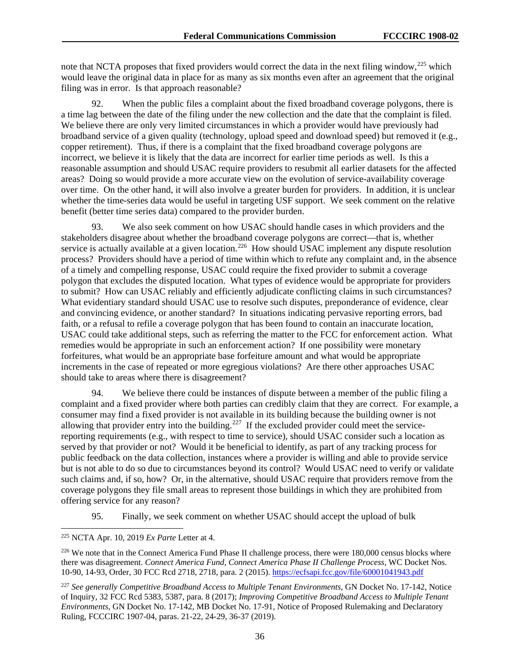note that NCTA proposes that fixed providers would correct the data in the next filing window,<sup>[225](#page-36-0)</sup> which would leave the original data in place for as many as six months even after an agreement that the original filing was in error. Is that approach reasonable?

92. When the public files a complaint about the fixed broadband coverage polygons, there is a time lag between the date of the filing under the new collection and the date that the complaint is filed. We believe there are only very limited circumstances in which a provider would have previously had broadband service of a given quality (technology, upload speed and download speed) but removed it (e.g., copper retirement). Thus, if there is a complaint that the fixed broadband coverage polygons are incorrect, we believe it is likely that the data are incorrect for earlier time periods as well. Is this a reasonable assumption and should USAC require providers to resubmit all earlier datasets for the affected areas? Doing so would provide a more accurate view on the evolution of service-availability coverage over time. On the other hand, it will also involve a greater burden for providers. In addition, it is unclear whether the time-series data would be useful in targeting USF support. We seek comment on the relative benefit (better time series data) compared to the provider burden.

93. We also seek comment on how USAC should handle cases in which providers and the stakeholders disagree about whether the broadband coverage polygons are correct—that is, whether stakeholders disagree about whence the exercise is actually available at a given location.<sup>226</sup> How should USAC implement any dispute resolution process? Providers should have a period of time within which to refute any complaint and, in the absence of a timely and compelling response, USAC could require the fixed provider to submit a coverage polygon that excludes the disputed location. What types of evidence would be appropriate for providers to submit? How can USAC reliably and efficiently adjudicate conflicting claims in such circumstances? What evidentiary standard should USAC use to resolve such disputes, preponderance of evidence, clear and convincing evidence, or another standard? In situations indicating pervasive reporting errors, bad faith, or a refusal to refile a coverage polygon that has been found to contain an inaccurate location, USAC could take additional steps, such as referring the matter to the FCC for enforcement action. What remedies would be appropriate in such an enforcement action? If one possibility were monetary forfeitures, what would be an appropriate base forfeiture amount and what would be appropriate increments in the case of repeated or more egregious violations? Are there other approaches USAC should take to areas where there is disagreement?

94. We believe there could be instances of dispute between a member of the public filing a complaint and a fixed provider where both parties can credibly claim that they are correct. For example, a consumer may find a fixed provider is not available in its building because the building owner is not allowing that provider entry into the building.<sup>[227](#page-36-2)</sup> If the excluded provider could meet the servicereporting requirements (e.g., with respect to time to service), should USAC consider such a location as served by that provider or not? Would it be beneficial to identify, as part of any tracking process for public feedback on the data collection, instances where a provider is willing and able to provide service but is not able to do so due to circumstances beyond its control? Would USAC need to verify or validate such claims and, if so, how? Or, in the alternative, should USAC require that providers remove from the coverage polygons they file small areas to represent those buildings in which they are prohibited from offering service for any reason?

95. Finally, we seek comment on whether USAC should accept the upload of bulk

<span id="page-36-0"></span> <sup>225</sup> NCTA Apr. 10, 2019 *Ex Parte* Letter at 4.

<span id="page-36-1"></span><sup>&</sup>lt;sup>226</sup> We note that in the Connect America Fund Phase II challenge process, there were 180,000 census blocks where there was disagreement. *Connect America Fund, Connect America Phase II Challenge Process*, WC Docket Nos. 10-90, 14-93, Order, 30 FCC Rcd 2718, 2718, para. 2 (2015).<https://ecfsapi.fcc.gov/file/60001041943.pdf>

<span id="page-36-2"></span><sup>227</sup> *See generally Competitive Broadband Access to Multiple Tenant Environments*, GN Docket No. 17-142, Notice of Inquiry, 32 FCC Rcd 5383, 5387, para. 8 (2017); *Improving Competitive Broadband Access to Multiple Tenant Environments*, GN Docket No. 17-142, MB Docket No. 17-91, Notice of Proposed Rulemaking and Declaratory Ruling, FCCCIRC 1907-04, paras. 21-22, 24-29, 36-37 (2019).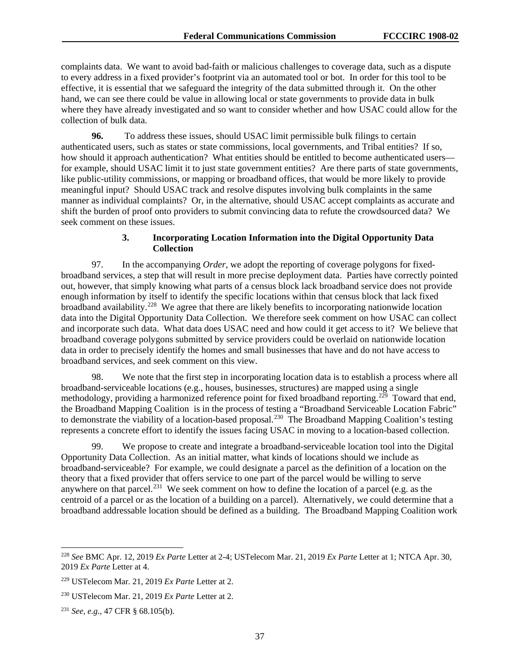complaints data. We want to avoid bad-faith or malicious challenges to coverage data, such as a dispute to every address in a fixed provider's footprint via an automated tool or bot. In order for this tool to be effective, it is essential that we safeguard the integrity of the data submitted through it. On the other hand, we can see there could be value in allowing local or state governments to provide data in bulk where they have already investigated and so want to consider whether and how USAC could allow for the collection of bulk data.

**96.** To address these issues, should USAC limit permissible bulk filings to certain authenticated users, such as states or state commissions, local governments, and Tribal entities? If so, how should it approach authentication? What entities should be entitled to become authenticated users for example, should USAC limit it to just state government entities? Are there parts of state governments, like public-utility commissions, or mapping or broadband offices, that would be more likely to provide meaningful input? Should USAC track and resolve disputes involving bulk complaints in the same manner as individual complaints? Or, in the alternative, should USAC accept complaints as accurate and shift the burden of proof onto providers to submit convincing data to refute the crowdsourced data? We seek comment on these issues.

# **3. Incorporating Location Information into the Digital Opportunity Data Collection**

97. In the accompanying *Order*, we adopt the reporting of coverage polygons for fixedbroadband services, a step that will result in more precise deployment data. Parties have correctly pointed out, however, that simply knowing what parts of a census block lack broadband service does not provide enough information by itself to identify the specific locations within that census block that lack fixed broadband availability.[228](#page-37-0) We agree that there are likely benefits to incorporating nationwide location data into the Digital Opportunity Data Collection. We therefore seek comment on how USAC can collect and incorporate such data. What data does USAC need and how could it get access to it? We believe that broadband coverage polygons submitted by service providers could be overlaid on nationwide location data in order to precisely identify the homes and small businesses that have and do not have access to broadband services, and seek comment on this view.

98. We note that the first step in incorporating location data is to establish a process where all broadband-serviceable locations (e.g., houses, businesses, structures) are mapped using a single methodology, providing a harmonized reference point for fixed broadband reporting.<sup>229</sup> Toward that end, the Broadband Mapping Coalition is in the process of testing a "Broadband Serviceable Location Fabric" to demonstrate the viability of a location-based proposal.<sup>230</sup> The Broadband Mapping Coalition's testing represents a concrete effort to identify the issues facing USAC in moving to a location-based collection.

99. We propose to create and integrate a broadband-serviceable location tool into the Digital Opportunity Data Collection. As an initial matter, what kinds of locations should we include as broadband-serviceable? For example, we could designate a parcel as the definition of a location on the theory that a fixed provider that offers service to one part of the parcel would be willing to serve anywhere on that parcel.<sup>[231](#page-37-3)</sup> We seek comment on how to define the location of a parcel (e.g. as the centroid of a parcel or as the location of a building on a parcel). Alternatively, we could determine that a broadband addressable location should be defined as a building. The Broadband Mapping Coalition work

<span id="page-37-0"></span> <sup>228</sup> *See* BMC Apr. 12, 2019 *Ex Parte* Letter at 2-4; USTelecom Mar. 21, 2019 *Ex Parte* Letter at 1; NTCA Apr. 30, 2019 *Ex Parte* Letter at 4.

<span id="page-37-1"></span><sup>229</sup> USTelecom Mar. 21, 2019 *Ex Parte* Letter at 2.

<span id="page-37-2"></span><sup>230</sup> USTelecom Mar. 21, 2019 *Ex Parte* Letter at 2.

<span id="page-37-3"></span><sup>231</sup> *See, e.g.,* 47 CFR § 68.105(b).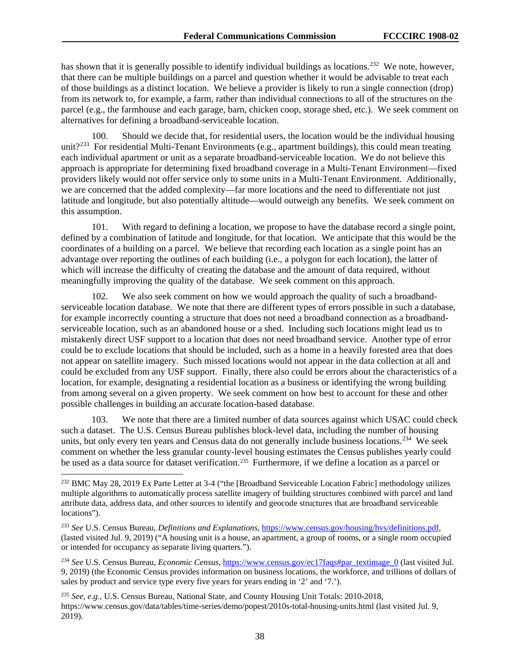has shown that it is generally possible to identify individual buildings as locations.<sup>[232](#page-38-0)</sup> We note, however, that there can be multiple buildings on a parcel and question whether it would be advisable to treat each of those buildings as a distinct location. We believe a provider is likely to run a single connection (drop) from its network to, for example, a farm, rather than individual connections to all of the structures on the parcel (e.g., the farmhouse and each garage, barn, chicken coop, storage shed, etc.). We seek comment on alternatives for defining a broadband-serviceable location.

100. Should we decide that, for residential users, the location would be the individual housing unit?<sup>[233](#page-38-1)</sup> For residential Multi-Tenant Environments (e.g., apartment buildings), this could mean treating each individual apartment or unit as a separate broadband-serviceable location. We do not believe this approach is appropriate for determining fixed broadband coverage in a Multi-Tenant Environment—fixed providers likely would not offer service only to some units in a Multi-Tenant Environment. Additionally, we are concerned that the added complexity—far more locations and the need to differentiate not just latitude and longitude, but also potentially altitude—would outweigh any benefits. We seek comment on this assumption.

101. With regard to defining a location, we propose to have the database record a single point, defined by a combination of latitude and longitude, for that location. We anticipate that this would be the coordinates of a building on a parcel. We believe that recording each location as a single point has an advantage over reporting the outlines of each building (i.e., a polygon for each location), the latter of which will increase the difficulty of creating the database and the amount of data required, without meaningfully improving the quality of the database. We seek comment on this approach.

102. We also seek comment on how we would approach the quality of such a broadbandserviceable location database. We note that there are different types of errors possible in such a database, for example incorrectly counting a structure that does not need a broadband connection as a broadbandserviceable location, such as an abandoned house or a shed. Including such locations might lead us to mistakenly direct USF support to a location that does not need broadband service. Another type of error could be to exclude locations that should be included, such as a home in a heavily forested area that does not appear on satellite imagery. Such missed locations would not appear in the data collection at all and could be excluded from any USF support. Finally, there also could be errors about the characteristics of a location, for example, designating a residential location as a business or identifying the wrong building from among several on a given property. We seek comment on how best to account for these and other possible challenges in building an accurate location-based database.

103. We note that there are a limited number of data sources against which USAC could check such a dataset. The U.S. Census Bureau publishes block-level data, including the number of housing units, but only every ten years and Census data do not generally include business locations.<sup>234</sup> We seek comment on whether the less granular county-level housing estimates the Census publishes yearly could be used as a data source for dataset verification.<sup>235</sup> Furthermore, if we define a location as a parcel or

<span id="page-38-2"></span><sup>234</sup> See U.S. Census Bureau, *Economic Census*[, https://www.census.gov/ec17faqs#par\\_textimage\\_0](https://www.census.gov/ec17faqs%23par_textimage_0) (last visited Jul. 9, 2019) (the Economic Census provides information on business locations, the workforce, and trillions of dollars of sales by product and service type every five years for years ending in '2' and '7.').

<span id="page-38-3"></span><sup>235</sup> *See, e.g.,* U.S. Census Bureau, National State, and County Housing Unit Totals: 2010-2018, <https://www.census.gov/data/tables/time-series/demo/popest/2010s-total-housing-units.html> (last visited Jul. 9, 2019).

<span id="page-38-0"></span><sup>&</sup>lt;sup>232</sup> BMC May 28, 2019 Ex Parte Letter at 3-4 ("the [Broadband Serviceable Location Fabric] methodology utilizes multiple algorithms to automatically process satellite imagery of building structures combined with parcel and land attribute data, address data, and other sources to identify and geocode structures that are broadband serviceable locations").

<span id="page-38-1"></span><sup>233</sup> *See* U.S. Census Bureau, *Definitions and Explanations*, [https://www.census.gov/housing/hvs/definitions.pdf,](https://www.census.gov/housing/hvs/definitions.pdf) (lasted visited Jul. 9, 2019) ("A housing unit is a house, an apartment, a group of rooms, or a single room occupied or intended for occupancy as separate living quarters.").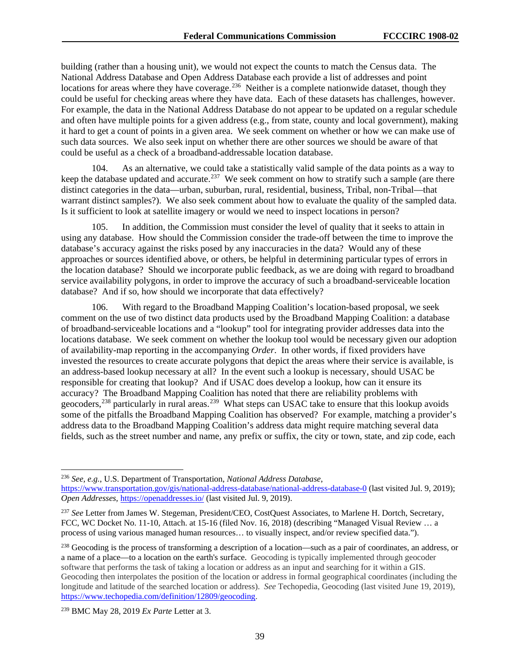building (rather than a housing unit), we would not expect the counts to match the Census data. The National Address Database and Open Address Database each provide a list of addresses and point locations for areas where they have coverage.<sup>236</sup> Neither is a complete nationwide dataset, though they could be useful for checking areas where they have data. Each of these datasets has challenges, however. For example, the data in the National Address Database do not appear to be updated on a regular schedule and often have multiple points for a given address (e.g., from state, county and local government), making it hard to get a count of points in a given area. We seek comment on whether or how we can make use of such data sources. We also seek input on whether there are other sources we should be aware of that could be useful as a check of a broadband-addressable location database.

104. As an alternative, we could take a statistically valid sample of the data points as a way to keep the database updated and accurate.<sup>[237](#page-39-1)</sup> We seek comment on how to stratify such a sample (are there distinct categories in the data—urban, suburban, rural, residential, business, Tribal, non-Tribal—that warrant distinct samples?). We also seek comment about how to evaluate the quality of the sampled data. Is it sufficient to look at satellite imagery or would we need to inspect locations in person?

105. In addition, the Commission must consider the level of quality that it seeks to attain in using any database. How should the Commission consider the trade-off between the time to improve the database's accuracy against the risks posed by any inaccuracies in the data? Would any of these approaches or sources identified above, or others, be helpful in determining particular types of errors in the location database? Should we incorporate public feedback, as we are doing with regard to broadband service availability polygons, in order to improve the accuracy of such a broadband-serviceable location database? And if so, how should we incorporate that data effectively?

106. With regard to the Broadband Mapping Coalition's location-based proposal, we seek comment on the use of two distinct data products used by the Broadband Mapping Coalition: a database of broadband-serviceable locations and a "lookup" tool for integrating provider addresses data into the locations database. We seek comment on whether the lookup tool would be necessary given our adoption of availability-map reporting in the accompanying *Order*. In other words, if fixed providers have invested the resources to create accurate polygons that depict the areas where their service is available, is an address-based lookup necessary at all? In the event such a lookup is necessary, should USAC be responsible for creating that lookup? And if USAC does develop a lookup, how can it ensure its accuracy? The Broadband Mapping Coalition has noted that there are reliability problems with geocoders,<sup>[238](#page-39-2)</sup> particularly in rural areas.<sup>239</sup> What steps can USAC take to ensure that this lookup avoids some of the pitfalls the Broadband Mapping Coalition has observed? For example, matching a provider's address data to the Broadband Mapping Coalition's address data might require matching several data fields, such as the street number and name, any prefix or suffix, the city or town, state, and zip code, each

<span id="page-39-0"></span> <sup>236</sup> *See, e.g.*, U.S. Department of Transportation, *National Address Database*, <https://www.transportation.gov/gis/national-address-database/national-address-database-0> (last visited Jul. 9, 2019); *Open Addresses,* <https://openaddresses.io/> (last visited Jul. 9, 2019).

<span id="page-39-1"></span><sup>237</sup> *See* Letter from James W. Stegeman, President/CEO, CostQuest Associates, to Marlene H. Dortch, Secretary, FCC, WC Docket No. 11-10, Attach. at 15-16 (filed Nov. 16, 2018) (describing "Managed Visual Review … a process of using various managed human resources… to visually inspect, and/or review specified data.").

<span id="page-39-2"></span><sup>&</sup>lt;sup>238</sup> Geocoding is the process of transforming a description of a location—such as a pair of coordinates, an address, or a name of a place—to a location on the earth's surface. Geocoding is typically implemented through geocoder software that performs the task of taking a location or address as an input and searching for it within a GIS. Geocoding then interpolates the position of the location or address in formal geographical coordinates (including the longitude and latitude of the searched location or address). *See* Techopedia, Geocoding (last visited June 19, 2019), [https://www.techopedia.com/definition/12809/geocoding.](https://www.techopedia.com/definition/12809/geocoding)

<span id="page-39-3"></span><sup>239</sup> BMC May 28, 2019 *Ex Parte* Letter at 3.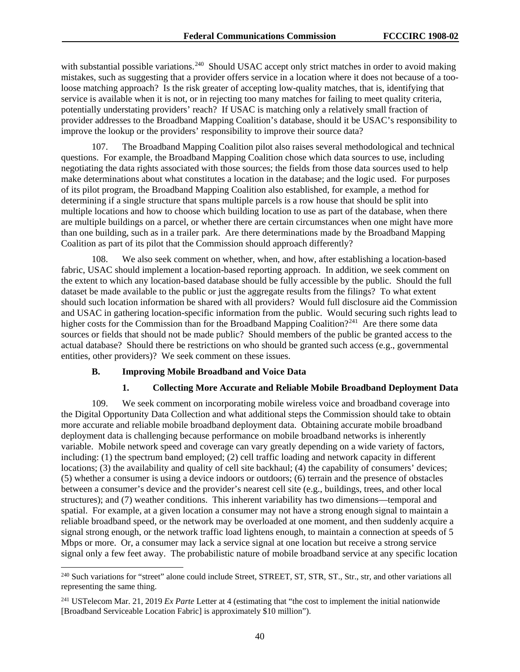with substantial possible variations.<sup>[240](#page-40-0)</sup> Should USAC accept only strict matches in order to avoid making mistakes, such as suggesting that a provider offers service in a location where it does not because of a tooloose matching approach? Is the risk greater of accepting low-quality matches, that is, identifying that service is available when it is not, or in rejecting too many matches for failing to meet quality criteria, potentially understating providers' reach? If USAC is matching only a relatively small fraction of provider addresses to the Broadband Mapping Coalition's database, should it be USAC's responsibility to improve the lookup or the providers' responsibility to improve their source data?

107. The Broadband Mapping Coalition pilot also raises several methodological and technical questions. For example, the Broadband Mapping Coalition chose which data sources to use, including negotiating the data rights associated with those sources; the fields from those data sources used to help make determinations about what constitutes a location in the database; and the logic used. For purposes of its pilot program, the Broadband Mapping Coalition also established, for example, a method for determining if a single structure that spans multiple parcels is a row house that should be split into multiple locations and how to choose which building location to use as part of the database, when there are multiple buildings on a parcel, or whether there are certain circumstances when one might have more than one building, such as in a trailer park. Are there determinations made by the Broadband Mapping Coalition as part of its pilot that the Commission should approach differently?

108. We also seek comment on whether, when, and how, after establishing a location-based fabric, USAC should implement a location-based reporting approach. In addition, we seek comment on the extent to which any location-based database should be fully accessible by the public. Should the full dataset be made available to the public or just the aggregate results from the filings? To what extent should such location information be shared with all providers? Would full disclosure aid the Commission and USAC in gathering location-specific information from the public. Would securing such rights lead to higher costs for the Commission than for the Broadband Mapping Coalition?<sup>241</sup> Are there some data sources or fields that should not be made public? Should members of the public be granted access to the actual database? Should there be restrictions on who should be granted such access (e.g., governmental entities, other providers)? We seek comment on these issues.

#### **B. Improving Mobile Broadband and Voice Data**

# **1. Collecting More Accurate and Reliable Mobile Broadband Deployment Data**

109. We seek comment on incorporating mobile wireless voice and broadband coverage into the Digital Opportunity Data Collection and what additional steps the Commission should take to obtain more accurate and reliable mobile broadband deployment data. Obtaining accurate mobile broadband deployment data is challenging because performance on mobile broadband networks is inherently variable. Mobile network speed and coverage can vary greatly depending on a wide variety of factors, including: (1) the spectrum band employed; (2) cell traffic loading and network capacity in different locations; (3) the availability and quality of cell site backhaul; (4) the capability of consumers' devices; (5) whether a consumer is using a device indoors or outdoors; (6) terrain and the presence of obstacles between a consumer's device and the provider's nearest cell site (e.g., buildings, trees, and other local structures); and (7) weather conditions. This inherent variability has two dimensions—temporal and spatial. For example, at a given location a consumer may not have a strong enough signal to maintain a reliable broadband speed, or the network may be overloaded at one moment, and then suddenly acquire a signal strong enough, or the network traffic load lightens enough, to maintain a connection at speeds of 5 Mbps or more. Or, a consumer may lack a service signal at one location but receive a strong service signal only a few feet away. The probabilistic nature of mobile broadband service at any specific location

<span id="page-40-0"></span><sup>&</sup>lt;sup>240</sup> Such variations for "street" alone could include Street, STREET, ST, STR, ST., Str., str, and other variations all representing the same thing.

<span id="page-40-1"></span><sup>241</sup> USTelecom Mar. 21, 2019 *Ex Parte* Letter at 4 (estimating that "the cost to implement the initial nationwide [Broadband Serviceable Location Fabric] is approximately \$10 million").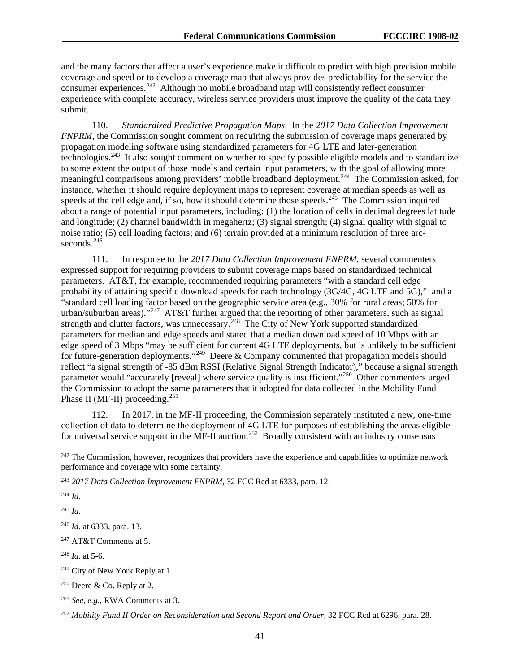and the many factors that affect a user's experience make it difficult to predict with high precision mobile coverage and speed or to develop a coverage map that always provides predictability for the service the consumer experiences.<sup>[242](#page-41-0)</sup> Although no mobile broadband map will consistently reflect consumer experience with complete accuracy, wireless service providers must improve the quality of the data they submit.

110. *Standardized Predictive Propagation Maps*. In the *2017 Data Collection Improvement FNPRM*, the Commission sought comment on requiring the submission of coverage maps generated by propagation modeling software using standardized parameters for 4G LTE and later-generation technologies.[243](#page-41-1) It also sought comment on whether to specify possible eligible models and to standardize to some extent the output of those models and certain input parameters, with the goal of allowing more meaningful comparisons among providers' mobile broadband deployment.[244](#page-41-2) The Commission asked, for instance, whether it should require deployment maps to represent coverage at median speeds as well as speeds at the cell edge and, if so, how it should determine those speeds.<sup>245</sup> The Commission inquired about a range of potential input parameters, including: (1) the location of cells in decimal degrees latitude and longitude; (2) channel bandwidth in megahertz; (3) signal strength; (4) signal quality with signal to noise ratio; (5) cell loading factors; and (6) terrain provided at a minimum resolution of three arc-seconds.<sup>[246](#page-41-4)</sup>

111. In response to the *2017 Data Collection Improvement FNPRM*, several commenters expressed support for requiring providers to submit coverage maps based on standardized technical parameters. AT&T, for example, recommended requiring parameters "with a standard cell edge probability of attaining specific download speeds for each technology (3G/4G, 4G LTE and 5G)," and a "standard cell loading factor based on the geographic service area (e.g., 30% for rural areas; 50% for urban/suburban areas)."<sup>[247](#page-41-5)</sup> AT&T further argued that the reporting of other parameters, such as signal strength and clutter factors, was unnecessary.<sup>248</sup> The City of New York supported standardized parameters for median and edge speeds and stated that a median download speed of 10 Mbps with an edge speed of 3 Mbps "may be sufficient for current 4G LTE deployments, but is unlikely to be sufficient for future-generation deployments."[249](#page-41-7) Deere & Company commented that propagation models should reflect "a signal strength of -85 dBm RSSI (Relative Signal Strength Indicator)," because a signal strength parameter would "accurately [reveal] where service quality is insufficient."<sup>[250](#page-41-8)</sup> Other commenters urged the Commission to adopt the same parameters that it adopted for data collected in the Mobility Fund Phase II (MF-II) proceeding.<sup>[251](#page-41-9)</sup>

112. In 2017, in the MF-II proceeding, the Commission separately instituted a new, one-time collection of data to determine the deployment of 4G LTE for purposes of establishing the areas eligible for universal service support in the MF-II auction.<sup>252</sup> Broadly consistent with an industry consensus

<span id="page-41-2"></span><sup>244</sup> *Id.*

<span id="page-41-3"></span><sup>245</sup> *Id.*

<span id="page-41-4"></span><sup>246</sup> *Id.* at 6333, para. 13.

<span id="page-41-5"></span><sup>247</sup> AT&T Comments at 5.

<span id="page-41-6"></span><sup>248</sup> *Id*. at 5-6.

<span id="page-41-0"></span><sup>&</sup>lt;sup>242</sup> The Commission, however, recognizes that providers have the experience and capabilities to optimize network performance and coverage with some certainty.

<span id="page-41-1"></span><sup>243</sup> *2017 Data Collection Improvement FNPRM*, 32 FCC Rcd at 6333, para. 12.

<span id="page-41-7"></span><sup>&</sup>lt;sup>249</sup> City of New York Reply at 1.

<span id="page-41-8"></span><sup>250</sup> Deere & Co. Reply at 2.

<span id="page-41-9"></span><sup>251</sup> *See, e.g.*, RWA Comments at 3.

<span id="page-41-10"></span><sup>252</sup> *Mobility Fund II Order on Reconsideration and Second Report and Order,* 32 FCC Rcd at 6296, para. 28.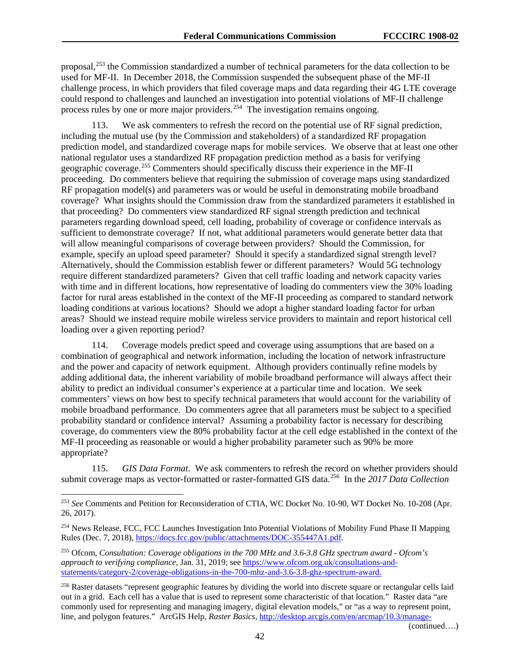proposal,[253](#page-42-0) the Commission standardized a number of technical parameters for the data collection to be used for MF-II. In December 2018, the Commission suspended the subsequent phase of the MF-II challenge process, in which providers that filed coverage maps and data regarding their 4G LTE coverage could respond to challenges and launched an investigation into potential violations of MF-II challenge process rules by one or more major providers.<sup>[254](#page-42-1)</sup> The investigation remains ongoing.

113. We ask commenters to refresh the record on the potential use of RF signal prediction, including the mutual use (by the Commission and stakeholders) of a standardized RF propagation prediction model, and standardized coverage maps for mobile services. We observe that at least one other national regulator uses a standardized RF propagation prediction method as a basis for verifying geographic coverage.[255](#page-42-2) Commenters should specifically discuss their experience in the MF-II proceeding. Do commenters believe that requiring the submission of coverage maps using standardized RF propagation model(s) and parameters was or would be useful in demonstrating mobile broadband coverage? What insights should the Commission draw from the standardized parameters it established in that proceeding? Do commenters view standardized RF signal strength prediction and technical parameters regarding download speed, cell loading, probability of coverage or confidence intervals as sufficient to demonstrate coverage? If not, what additional parameters would generate better data that will allow meaningful comparisons of coverage between providers? Should the Commission, for example, specify an upload speed parameter? Should it specify a standardized signal strength level? Alternatively, should the Commission establish fewer or different parameters? Would 5G technology require different standardized parameters? Given that cell traffic loading and network capacity varies with time and in different locations, how representative of loading do commenters view the 30% loading factor for rural areas established in the context of the MF-II proceeding as compared to standard network loading conditions at various locations? Should we adopt a higher standard loading factor for urban areas? Should we instead require mobile wireless service providers to maintain and report historical cell loading over a given reporting period?

114. Coverage models predict speed and coverage using assumptions that are based on a combination of geographical and network information, including the location of network infrastructure and the power and capacity of network equipment. Although providers continually refine models by adding additional data, the inherent variability of mobile broadband performance will always affect their ability to predict an individual consumer's experience at a particular time and location. We seek commenters' views on how best to specify technical parameters that would account for the variability of mobile broadband performance. Do commenters agree that all parameters must be subject to a specified probability standard or confidence interval? Assuming a probability factor is necessary for describing coverage, do commenters view the 80% probability factor at the cell edge established in the context of the MF-II proceeding as reasonable or would a higher probability parameter such as 90% be more appropriate?

115. *GIS Data Format*. We ask commenters to refresh the record on whether providers should submit coverage maps as vector-formatted or raster-formatted GIS data.[256](#page-42-3) In the *2017 Data Collection* 

(continued….)

<span id="page-42-0"></span> <sup>253</sup> *See* Comments and Petition for Reconsideration of CTIA, WC Docket No. 10-90, WT Docket No. 10-208 (Apr. 26, 2017).

<span id="page-42-1"></span><sup>254</sup> News Release, FCC, FCC Launches Investigation Into Potential Violations of Mobility Fund Phase II Mapping Rules (Dec. 7, 2018), [https://docs.fcc.gov/public/attachments/DOC-355447A1.pdf.](https://docs.fcc.gov/public/attachments/DOC-355447A1.pdf)

<span id="page-42-2"></span><sup>255</sup> Ofcom, *Consultation: Coverage obligations in the 700 MHz and 3.6-3.8 GHz spectrum award - Ofcom's approach to verifying compliance,* Jan. 31, 2019; see [https://www.ofcom.org.uk/consultations-and](https://www.ofcom.org.uk/consultations-and-statements/category-2/coverage-obligations-in-the-700-mhz-and-3.6-3.8-ghz-spectrum-award)[statements/category-2/coverage-obligations-in-the-700-mhz-and-3.6-3.8-ghz-spectrum-award.](https://www.ofcom.org.uk/consultations-and-statements/category-2/coverage-obligations-in-the-700-mhz-and-3.6-3.8-ghz-spectrum-award)

<span id="page-42-3"></span> $^{256}$  Raster datasets "represent geographic features by dividing the world into discrete square or rectangular cells laid out in a grid. Each cell has a value that is used to represent some characteristic of that location." Raster data "are commonly used for representing and managing imagery, digital elevation models," or "as a way to represent point, line, and polygon features." ArcGIS Help, *Raster Basics*[, http://desktop.arcgis.com/en/arcmap/10.3/manage-](http://desktop.arcgis.com/en/arcmap/10.3/manage-data/geodatabases/raster-basics.htm)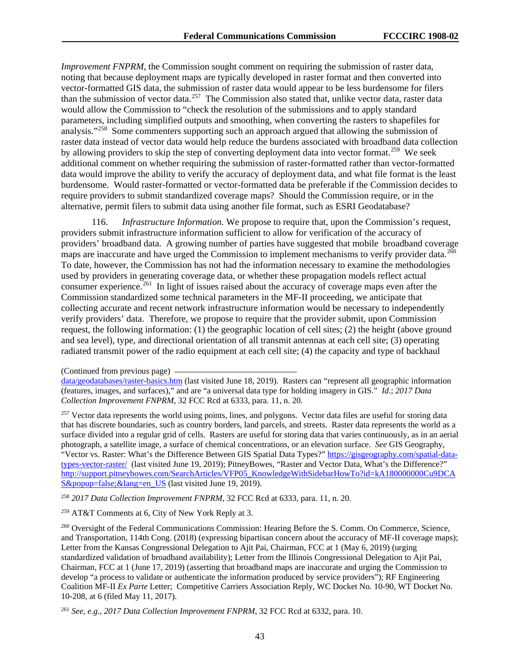*Improvement FNPRM*, the Commission sought comment on requiring the submission of raster data, noting that because deployment maps are typically developed in raster format and then converted into vector-formatted GIS data, the submission of raster data would appear to be less burdensome for filers than the submission of vector data.<sup>257</sup> The Commission also stated that, unlike vector data, raster data would allow the Commission to "check the resolution of the submissions and to apply standard parameters, including simplified outputs and smoothing, when converting the rasters to shapefiles for analysis."<sup>[258](#page-43-1)</sup> Some commenters supporting such an approach argued that allowing the submission of raster data instead of vector data would help reduce the burdens associated with broadband data collection by allowing providers to skip the step of converting deployment data into vector format.<sup>[259](#page-43-2)</sup> We seek additional comment on whether requiring the submission of raster-formatted rather than vector-formatted data would improve the ability to verify the accuracy of deployment data, and what file format is the least burdensome. Would raster-formatted or vector-formatted data be preferable if the Commission decides to require providers to submit standardized coverage maps? Should the Commission require, or in the alternative, permit filers to submit data using another file format, such as ESRI Geodatabase?

116. *Infrastructure Information*. We propose to require that, upon the Commission's request, providers submit infrastructure information sufficient to allow for verification of the accuracy of providers' broadband data. A growing number of parties have suggested that mobile broadband coverage maps are inaccurate and have urged the Commission to implement mechanisms to verify provider data.<sup>[260](#page-43-3)</sup> To date, however, the Commission has not had the information necessary to examine the methodologies used by providers in generating coverage data, or whether these propagation models reflect actual consumer experience.<sup>261</sup> In light of issues raised about the accuracy of coverage maps even after the Commission standardized some technical parameters in the MF-II proceeding, we anticipate that collecting accurate and recent network infrastructure information would be necessary to independently verify providers' data. Therefore, we propose to require that the provider submit, upon Commission request, the following information: (1) the geographic location of cell sites; (2) the height (above ground and sea level), type, and directional orientation of all transmit antennas at each cell site; (3) operating radiated transmit power of the radio equipment at each cell site; (4) the capacity and type of backhaul

<span id="page-43-0"></span><sup>257</sup> Vector data represents the world using points, lines, and polygons. Vector data files are useful for storing data that has discrete boundaries, such as country borders, land parcels, and streets. Raster data represents the world as a surface divided into a regular grid of cells. Rasters are useful for storing data that varies continuously, as in an aerial photograph, a satellite image, a surface of chemical concentrations, or an elevation surface. *See* GIS Geography, "Vector vs. Raster: What's the Difference Between GIS Spatial Data Types?" [https://gisgeography.com/spatial-data](https://gisgeography.com/spatial-data-types-vector-raster/)[types-vector-raster/](https://gisgeography.com/spatial-data-types-vector-raster/) (last visited June 19, 2019); PitneyBowes, "Raster and Vector Data, What's the Difference?" [http://support.pitneybowes.com/SearchArticles/VFP05\\_KnowledgeWithSidebarHowTo?id=kA180000000Cu9DCA](http://support.pitneybowes.com/SearchArticles/VFP05_KnowledgeWithSidebarHowTo?id=kA180000000Cu9DCAS&popup=false;&lang=en_US) S&popup=false; & lang=en US (last visited June 19, 2019).

<span id="page-43-1"></span><sup>258</sup> *2017 Data Collection Improvement FNPRM*, 32 FCC Rcd at 6333, para. 11, n. 20.

<span id="page-43-2"></span><sup>259</sup> AT&T Comments at 6, City of New York Reply at 3.

<span id="page-43-3"></span><sup>260</sup> Oversight of the Federal Communications Commission: Hearing Before the S. Comm. On Commerce, Science, and Transportation, 114th Cong. (2018) (expressing bipartisan concern about the accuracy of MF-II coverage maps); Letter from the Kansas Congressional Delegation to Ajit Pai, Chairman, FCC at 1 (May 6, 2019) (urging standardized validation of broadband availability); Letter from the Illinois Congressional Delegation to Ajit Pai, Chairman, FCC at 1 (June 17, 2019) (asserting that broadband maps are inaccurate and urging the Commission to develop "a process to validate or authenticate the information produced by service providers"); RF Engineering Coalition MF-II *Ex Parte* Letter; Competitive Carriers Association Reply, WC Docket No. 10-90, WT Docket No. 10-208, at 6 (filed May 11, 2017).

<span id="page-43-4"></span><sup>261</sup> *See, e.g.*, *2017 Data Collection Improvement FNPRM*, 32 FCC Rcd at 6332, para. 10.

<sup>(</sup>Continued from previous page)

[data/geodatabases/raster-basics.htm](http://desktop.arcgis.com/en/arcmap/10.3/manage-data/geodatabases/raster-basics.htm) (last visited June 18, 2019). Rasters can "represent all geographic information (features, images, and surfaces)," and are "a universal data type for holding imagery in GIS." *Id*.; *2017 Data Collection Improvement FNPRM*, 32 FCC Rcd at 6333, para. 11, n. 20.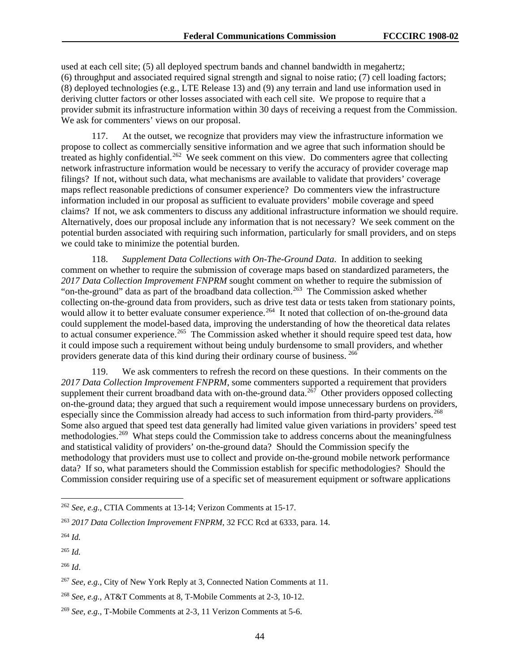used at each cell site; (5) all deployed spectrum bands and channel bandwidth in megahertz; (6) throughput and associated required signal strength and signal to noise ratio; (7) cell loading factors; (8) deployed technologies (e.g., LTE Release 13) and (9) any terrain and land use information used in deriving clutter factors or other losses associated with each cell site. We propose to require that a provider submit its infrastructure information within 30 days of receiving a request from the Commission. We ask for commenters' views on our proposal.

117. At the outset, we recognize that providers may view the infrastructure information we propose to collect as commercially sensitive information and we agree that such information should be treated as highly confidential.<sup>262</sup> We seek comment on this view. Do commenters agree that collecting network infrastructure information would be necessary to verify the accuracy of provider coverage map filings? If not, without such data, what mechanisms are available to validate that providers' coverage maps reflect reasonable predictions of consumer experience? Do commenters view the infrastructure information included in our proposal as sufficient to evaluate providers' mobile coverage and speed claims? If not, we ask commenters to discuss any additional infrastructure information we should require. Alternatively, does our proposal include any information that is not necessary? We seek comment on the potential burden associated with requiring such information, particularly for small providers, and on steps we could take to minimize the potential burden.

118. *Supplement Data Collections with On-The-Ground Data*. In addition to seeking comment on whether to require the submission of coverage maps based on standardized parameters, the *2017 Data Collection Improvement FNPRM* sought comment on whether to require the submission of "on-the-ground" data as part of the broadband data collection.<sup>263</sup> The Commission asked whether collecting on-the-ground data from providers, such as drive test data or tests taken from stationary points, would allow it to better evaluate consumer experience.<sup>264</sup> It noted that collection of on-the-ground data could supplement the model-based data, improving the understanding of how the theoretical data relates to actual consumer experience.<sup>[265](#page-44-3)</sup> The Commission asked whether it should require speed test data, how it could impose such a requirement without being unduly burdensome to small providers, and whether providers generate data of this kind during their ordinary course of business. [266](#page-44-4)

119. We ask commenters to refresh the record on these questions. In their comments on the *2017 Data Collection Improvement FNPRM*, some commenters supported a requirement that providers supplement their current broadband data with on-the-ground data.<sup>267</sup> Other providers opposed collecting on-the-ground data; they argued that such a requirement would impose unnecessary burdens on providers, especially since the Commission already had access to such information from third-party providers.<sup>268</sup> Some also argued that speed test data generally had limited value given variations in providers' speed test methodologies.<sup>269</sup> What steps could the Commission take to address concerns about the meaningfulness and statistical validity of providers' on-the-ground data? Should the Commission specify the methodology that providers must use to collect and provide on-the-ground mobile network performance data? If so, what parameters should the Commission establish for specific methodologies? Should the Commission consider requiring use of a specific set of measurement equipment or software applications

<span id="page-44-0"></span> <sup>262</sup> *See, e.g.*, CTIA Comments at 13-14; Verizon Comments at 15-17.

<span id="page-44-1"></span><sup>263</sup> *2017 Data Collection Improvement FNPRM*, 32 FCC Rcd at 6333, para. 14.

<span id="page-44-2"></span><sup>264</sup> *Id.*

<span id="page-44-3"></span><sup>265</sup> *Id.*

<span id="page-44-4"></span><sup>266</sup> *Id*.

<span id="page-44-5"></span><sup>267</sup> *See, e.g.*, City of New York Reply at 3, Connected Nation Comments at 11.

<span id="page-44-6"></span><sup>268</sup> *See, e.g.*, AT&T Comments at 8, T-Mobile Comments at 2-3, 10-12.

<span id="page-44-7"></span><sup>269</sup> *See, e.g.*, T-Mobile Comments at 2-3, 11 Verizon Comments at 5-6.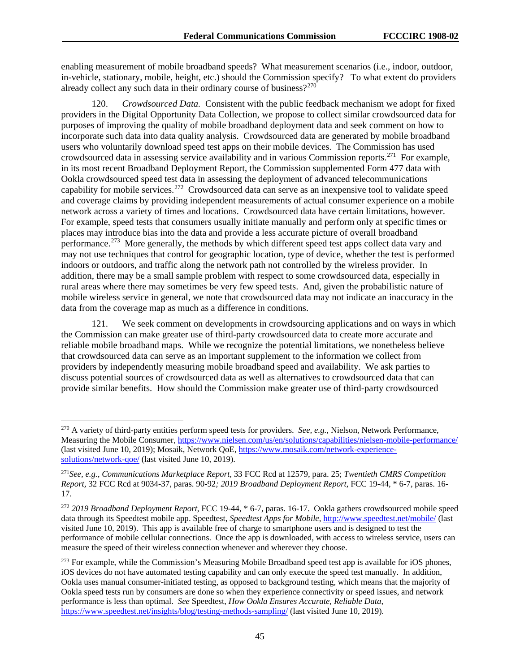enabling measurement of mobile broadband speeds? What measurement scenarios (i.e., indoor, outdoor, in-vehicle, stationary, mobile, height, etc.) should the Commission specify? To what extent do providers already collect any such data in their ordinary course of business?<sup>[270](#page-45-0)</sup>

120. *Crowdsourced Data.* Consistent with the public feedback mechanism we adopt for fixed providers in the Digital Opportunity Data Collection, we propose to collect similar crowdsourced data for purposes of improving the quality of mobile broadband deployment data and seek comment on how to incorporate such data into data quality analysis. Crowdsourced data are generated by mobile broadband users who voluntarily download speed test apps on their mobile devices. The Commission has used crowdsourced data in assessing service availability and in various Commission reports.[271](#page-45-1) For example, in its most recent Broadband Deployment Report, the Commission supplemented Form 477 data with Ookla crowdsourced speed test data in assessing the deployment of advanced telecommunications capability for mobile services.[272](#page-45-2) Crowdsourced data can serve as an inexpensive tool to validate speed and coverage claims by providing independent measurements of actual consumer experience on a mobile network across a variety of times and locations. Crowdsourced data have certain limitations, however. For example, speed tests that consumers usually initiate manually and perform only at specific times or places may introduce bias into the data and provide a less accurate picture of overall broadband performance.<sup>[273](#page-45-3)</sup> More generally, the methods by which different speed test apps collect data vary and may not use techniques that control for geographic location, type of device, whether the test is performed indoors or outdoors, and traffic along the network path not controlled by the wireless provider. In addition, there may be a small sample problem with respect to some crowdsourced data, especially in rural areas where there may sometimes be very few speed tests. And, given the probabilistic nature of mobile wireless service in general, we note that crowdsourced data may not indicate an inaccuracy in the data from the coverage map as much as a difference in conditions.

121. We seek comment on developments in crowdsourcing applications and on ways in which the Commission can make greater use of third-party crowdsourced data to create more accurate and reliable mobile broadband maps. While we recognize the potential limitations, we nonetheless believe that crowdsourced data can serve as an important supplement to the information we collect from providers by independently measuring mobile broadband speed and availability. We ask parties to discuss potential sources of crowdsourced data as well as alternatives to crowdsourced data that can provide similar benefits. How should the Commission make greater use of third-party crowdsourced

<span id="page-45-0"></span> <sup>270</sup> A variety of third-party entities perform speed tests for providers. *See, e.g.,* Nielson, Network Performance, Measuring the Mobile Consumer,<https://www.nielsen.com/us/en/solutions/capabilities/nielsen-mobile-performance/> (last visited June 10, 2019); Mosaik, Network QoE, [https://www.mosaik.com/network-experience](https://www.mosaik.com/network-experience-solutions/network-qoe/)[solutions/network-qoe/](https://www.mosaik.com/network-experience-solutions/network-qoe/) (last visited June 10, 2019).

<span id="page-45-1"></span><sup>271</sup>*See, e.g.*, *Communications Marketplace Report*, 33 FCC Rcd at 12579, para. 25; *Twentieth CMRS Competition Report,* 32 FCC Rcd at 9034-37, paras. 90-92*; 2019 Broadband Deployment Report*, FCC 19-44, \* 6-7, paras. 16- 17.

<span id="page-45-2"></span><sup>272</sup> *2019 Broadband Deployment Report*, FCC 19-44, \* 6-7, paras. 16-17. Ookla gathers crowdsourced mobile speed data through its Speedtest mobile app. Speedtest, *Speedtest Apps for Mobile*,<http://www.speedtest.net/mobile/> (last visited June 10, 2019). This app is available free of charge to smartphone users and is designed to test the performance of mobile cellular connections. Once the app is downloaded, with access to wireless service, users can measure the speed of their wireless connection whenever and wherever they choose.

<span id="page-45-3"></span><sup>&</sup>lt;sup>273</sup> For example, while the Commission's Measuring Mobile Broadband speed test app is available for iOS phones, iOS devices do not have automated testing capability and can only execute the speed test manually. In addition, Ookla uses manual consumer-initiated testing, as opposed to background testing, which means that the majority of Ookla speed tests run by consumers are done so when they experience connectivity or speed issues, and network performance is less than optimal. *See* Speedtest, *How Ookla Ensures Accurate, Reliable Data*, <https://www.speedtest.net/insights/blog/testing-methods-sampling/> (last visited June 10, 2019).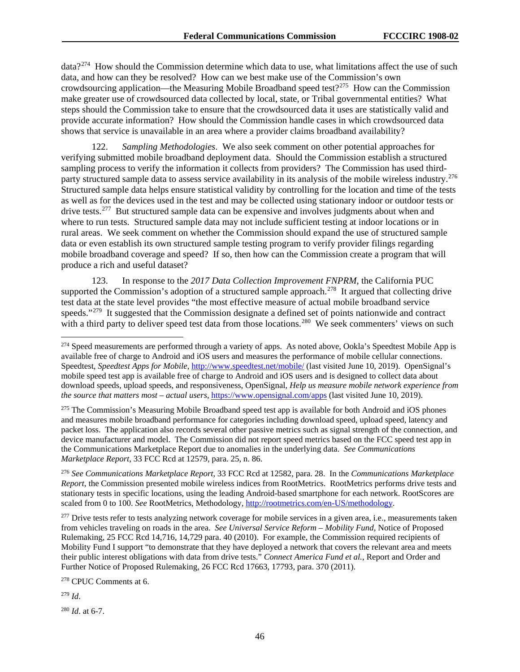data?[274](#page-46-0) How should the Commission determine which data to use, what limitations affect the use of such data, and how can they be resolved? How can we best make use of the Commission's own crowdsourcing application—the Measuring Mobile Broadband speed test?<sup>275</sup> How can the Commission make greater use of crowdsourced data collected by local, state, or Tribal governmental entities? What steps should the Commission take to ensure that the crowdsourced data it uses are statistically valid and provide accurate information? How should the Commission handle cases in which crowdsourced data shows that service is unavailable in an area where a provider claims broadband availability?

122. *Sampling Methodologies*. We also seek comment on other potential approaches for verifying submitted mobile broadband deployment data. Should the Commission establish a structured sampling process to verify the information it collects from providers? The Commission has used thirdparty structured sample data to assess service availability in its analysis of the mobile wireless industry.<sup>276</sup> Structured sample data helps ensure statistical validity by controlling for the location and time of the tests as well as for the devices used in the test and may be collected using stationary indoor or outdoor tests or drive tests.<sup>277</sup> But structured sample data can be expensive and involves judgments about when and where to run tests. Structured sample data may not include sufficient testing at indoor locations or in rural areas. We seek comment on whether the Commission should expand the use of structured sample data or even establish its own structured sample testing program to verify provider filings regarding mobile broadband coverage and speed? If so, then how can the Commission create a program that will produce a rich and useful dataset?

123. In response to the *2017 Data Collection Improvement FNPRM*, the California PUC supported the Commission's adoption of a structured sample approach.<sup>[278](#page-46-4)</sup> It argued that collecting drive test data at the state level provides "the most effective measure of actual mobile broadband service speeds."<sup>[279](#page-46-5)</sup> It suggested that the Commission designate a defined set of points nationwide and contract with a third party to deliver speed test data from those locations.<sup>280</sup> We seek commenters' views on such

<span id="page-46-1"></span><sup>275</sup> The Commission's Measuring Mobile Broadband speed test app is available for both Android and iOS phones and measures mobile broadband performance for categories including download speed, upload speed, latency and packet loss. The application also records several other passive metrics such as signal strength of the connection, and device manufacturer and model. The Commission did not report speed metrics based on the FCC speed test app in the Communications Marketplace Report due to anomalies in the underlying data. *See Communications Marketplace Report*, 33 FCC Rcd at 12579, para. 25, n. 86.

<span id="page-46-2"></span><sup>276</sup> *See Communications Marketplace Report*, 33 FCC Rcd at 12582, para. 28. In the *Communications Marketplace Report*, the Commission presented mobile wireless indices from RootMetrics. RootMetrics performs drive tests and stationary tests in specific locations, using the leading Android-based smartphone for each network. RootScores are scaled from 0 to 100. *See* RootMetrics, Methodology*,* [http://rootmetrics.com/en-US/methodology.](http://rootmetrics.com/en-US/methodology)

<span id="page-46-3"></span><sup>277</sup> Drive tests refer to tests analyzing network coverage for mobile services in a given area, i.e., measurements taken from vehicles traveling on roads in the area. *See Universal Service Reform – Mobility Fund,* Notice of Proposed Rulemaking, 25 FCC Rcd 14,716, 14,729 para. 40 (2010). For example, the Commission required recipients of Mobility Fund I support "to demonstrate that they have deployed a network that covers the relevant area and meets their public interest obligations with data from drive tests." *Connect America Fund et al.*, Report and Order and Further Notice of Proposed Rulemaking, 26 FCC Rcd 17663, 17793, para. 370 (2011).

<span id="page-46-4"></span><sup>278</sup> CPUC Comments at 6.

<span id="page-46-5"></span><sup>279</sup> *Id*.

<span id="page-46-6"></span><sup>280</sup> *Id*. at 6-7.

<span id="page-46-0"></span><sup>&</sup>lt;sup>274</sup> Speed measurements are performed through a variety of apps. As noted above, Ookla's Speedtest Mobile App is available free of charge to Android and iOS users and measures the performance of mobile cellular connections. Speedtest, *Speedtest Apps for Mobile*[, http://www.speedtest.net/mobile/](http://www.speedtest.net/mobile/) (last visited June 10, 2019). OpenSignal's mobile speed test app is available free of charge to Android and iOS users and is designed to collect data about download speeds, upload speeds, and responsiveness, OpenSignal, *Help us measure mobile network experience from the source that matters most – actual users*,<https://www.opensignal.com/apps> (last visited June 10, 2019).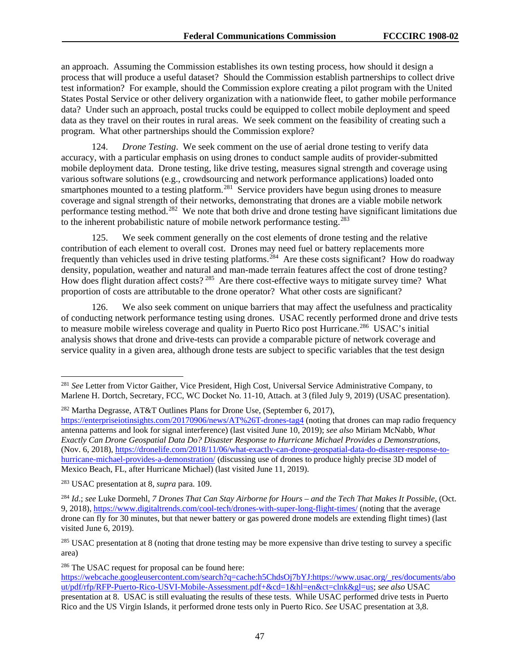an approach. Assuming the Commission establishes its own testing process, how should it design a process that will produce a useful dataset? Should the Commission establish partnerships to collect drive test information? For example, should the Commission explore creating a pilot program with the United States Postal Service or other delivery organization with a nationwide fleet, to gather mobile performance data? Under such an approach, postal trucks could be equipped to collect mobile deployment and speed data as they travel on their routes in rural areas. We seek comment on the feasibility of creating such a program. What other partnerships should the Commission explore?

124. *Drone Testing*. We seek comment on the use of aerial drone testing to verify data accuracy, with a particular emphasis on using drones to conduct sample audits of provider-submitted mobile deployment data. Drone testing, like drive testing, measures signal strength and coverage using various software solutions (e.g., crowdsourcing and network performance applications) loaded onto smartphones mounted to a testing platform.<sup>[281](#page-47-0)</sup> Service providers have begun using drones to measure coverage and signal strength of their networks, demonstrating that drones are a viable mobile network performance testing method.[282](#page-47-1) We note that both drive and drone testing have significant limitations due to the inherent probabilistic nature of mobile network performance testing.<sup>283</sup>

125. We seek comment generally on the cost elements of drone testing and the relative contribution of each element to overall cost. Drones may need fuel or battery replacements more frequently than vehicles used in drive testing platforms.<sup>[284](#page-47-3)</sup> Are these costs significant? How do roadway density, population, weather and natural and man-made terrain features affect the cost of drone testing? How does flight duration affect costs?<sup>285</sup> Are there cost-effective ways to mitigate survey time? What proportion of costs are attributable to the drone operator? What other costs are significant?

126. We also seek comment on unique barriers that may affect the usefulness and practicality of conducting network performance testing using drones. USAC recently performed drone and drive tests to measure mobile wireless coverage and quality in Puerto Rico post Hurricane.<sup>[286](#page-47-5)</sup> USAC's initial analysis shows that drone and drive-tests can provide a comparable picture of network coverage and service quality in a given area, although drone tests are subject to specific variables that the test design

<span id="page-47-1"></span><sup>282</sup> Martha Degrasse, AT&T Outlines Plans for Drone Use, (September 6, 2017), <https://enterpriseiotinsights.com/20170906/news/AT%26T-drones-tag4> (noting that drones can map radio frequency antenna patterns and look for signal interference) (last visited June 10, 2019); *see also* Miriam McNabb, *What Exactly Can Drone Geospatial Data Do? Disaster Response to Hurricane Michael Provides a Demonstrations*, (Nov. 6, 2018), [https://dronelife.com/2018/11/06/what-exactly-can-drone-geospatial-data-do-disaster-response-to](https://dronelife.com/2018/11/06/what-exactly-can-drone-geospatial-data-do-disaster-response-to-hurricane-michael-provides-a-demonstration/)[hurricane-michael-provides-a-demonstration/](https://dronelife.com/2018/11/06/what-exactly-can-drone-geospatial-data-do-disaster-response-to-hurricane-michael-provides-a-demonstration/) (discussing use of drones to produce highly precise 3D model of Mexico Beach, FL, after Hurricane Michael) (last visited June 11, 2019).

<span id="page-47-2"></span><sup>283</sup> USAC presentation at 8, *supra* para. 109.

<span id="page-47-3"></span><sup>284</sup> *Id*.; *see* Luke Dormehl, *7 Drones That Can Stay Airborne for Hours – and the Tech That Makes It Possible*, (Oct. 9, 2018),<https://www.digitaltrends.com/cool-tech/drones-with-super-long-flight-times/> (noting that the average drone can fly for 30 minutes, but that newer battery or gas powered drone models are extending flight times) (last visited June 6, 2019).

<span id="page-47-4"></span><sup>285</sup> USAC presentation at 8 (noting that drone testing may be more expensive than drive testing to survey a specific area)

<span id="page-47-5"></span><sup>286</sup> The USAC request for proposal can be found here:

<span id="page-47-0"></span> <sup>281</sup> *See* Letter from Victor Gaither, Vice President, High Cost, Universal Service Administrative Company, to Marlene H. Dortch, Secretary, FCC, WC Docket No. 11-10, Attach. at 3 (filed July 9, 2019) (USAC presentation).

[https://webcache.googleusercontent.com/search?q=cache:h5ChdsOj7bYJ:https://www.usac.org/\\_res/documents/abo](https://webcache.googleusercontent.com/search?q=cache:h5ChdsOj7bYJ:https://www.usac.org/_res/documents/about/pdf/rfp/RFP-Puerto-Rico-USVI-Mobile-Assessment.pdf+&cd=1&hl=en&ct=clnk&gl=us) [ut/pdf/rfp/RFP-Puerto-Rico-USVI-Mobile-Assessment.pdf+&cd=1&hl=en&ct=clnk&gl=us;](https://webcache.googleusercontent.com/search?q=cache:h5ChdsOj7bYJ:https://www.usac.org/_res/documents/about/pdf/rfp/RFP-Puerto-Rico-USVI-Mobile-Assessment.pdf+&cd=1&hl=en&ct=clnk&gl=us) *see also* USAC presentation at 8. USAC is still evaluating the results of these tests. While USAC performed drive tests in Puerto Rico and the US Virgin Islands, it performed drone tests only in Puerto Rico. *See* USAC presentation at 3,8.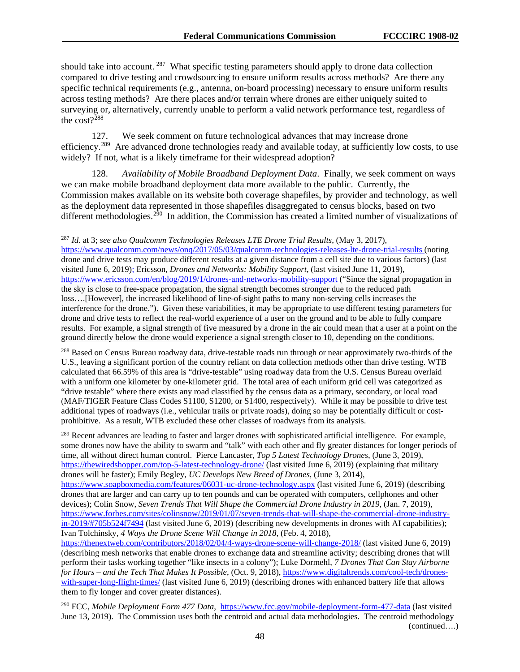should take into account. <sup>[287](#page-48-0)</sup> What specific testing parameters should apply to drone data collection compared to drive testing and crowdsourcing to ensure uniform results across methods? Are there any specific technical requirements (e.g., antenna, on-board processing) necessary to ensure uniform results across testing methods? Are there places and/or terrain where drones are either uniquely suited to surveying or, alternatively, currently unable to perform a valid network performance test, regardless of the  $cost?$ <sup>288</sup>

127. We seek comment on future technological advances that may increase drone efficiency.<sup>289</sup> Are advanced drone technologies ready and available today, at sufficiently low costs, to use widely? If not, what is a likely timeframe for their widespread adoption?

128. *Availability of Mobile Broadband Deployment Data*. Finally, we seek comment on ways we can make mobile broadband deployment data more available to the public. Currently, the Commission makes available on its website both coverage shapefiles, by provider and technology, as well as the deployment data represented in those shapefiles disaggregated to census blocks, based on two different methodologies.<sup>[290](#page-48-3)</sup> In addition, the Commission has created a limited number of visualizations of

<https://www.qualcomm.com/news/onq/2017/05/03/qualcomm-technologies-releases-lte-drone-trial-results> (noting drone and drive tests may produce different results at a given distance from a cell site due to various factors) (last visited June 6, 2019); Ericsson, *Drones and Networks: Mobility Support*, (last visited June 11, 2019), <https://www.ericsson.com/en/blog/2019/1/drones-and-networks-mobility-support> ("Since the signal propagation in the sky is close to free-space propagation, the signal strength becomes stronger due to the reduced path loss….[However], the increased likelihood of line-of-sight paths to many non-serving cells increases the interference for the drone."). Given these variabilities, it may be appropriate to use different testing parameters for drone and drive tests to reflect the real-world experience of a user on the ground and to be able to fully compare results. For example, a signal strength of five measured by a drone in the air could mean that a user at a point on the ground directly below the drone would experience a signal strength closer to 10, depending on the conditions.

<span id="page-48-1"></span><sup>288</sup> Based on Census Bureau roadway data, drive-testable roads run through or near approximately two-thirds of the U.S., leaving a significant portion of the country reliant on data collection methods other than drive testing. WTB calculated that 66.59% of this area is "drive-testable" using roadway data from the U.S. Census Bureau overlaid with a uniform one kilometer by one-kilometer grid. The total area of each uniform grid cell was categorized as "drive testable" where there exists any road classified by the census data as a primary, secondary, or local road (MAF/TIGER Feature Class Codes S1100, S1200, or S1400, respectively). While it may be possible to drive test additional types of roadways (i.e., vehicular trails or private roads), doing so may be potentially difficult or costprohibitive. As a result, WTB excluded these other classes of roadways from its analysis.

<span id="page-48-2"></span><sup>289</sup> Recent advances are leading to faster and larger drones with sophisticated artificial intelligence. For example, some drones now have the ability to swarm and "talk" with each other and fly greater distances for longer periods of time, all without direct human control. Pierce Lancaster, *Top 5 Latest Technology Drones*, (June 3, 2019), <https://thewiredshopper.com/top-5-latest-technology-drone/> (last visited June 6, 2019) (explaining that military drones will be faster); Emily Begley, *UC Develops New Breed of Drones*, (June 3, 2014), <https://www.soapboxmedia.com/features/06031-uc-drone-technology.aspx> (last visited June 6, 2019) (describing drones that are larger and can carry up to ten pounds and can be operated with computers, cellphones and other devices); Colin Snow, *Seven Trends That Will Shape the Commercial Drone Industry in 2019*, (Jan. 7, 2019), [https://www.forbes.com/sites/colinsnow/2019/01/07/seven-trends-that-will-shape-the-commercial-drone-industry](https://www.forbes.com/sites/colinsnow/2019/01/07/seven-trends-that-will-shape-the-commercial-drone-industry-in-2019/#705b524f7494)[in-2019/#705b524f7494](https://www.forbes.com/sites/colinsnow/2019/01/07/seven-trends-that-will-shape-the-commercial-drone-industry-in-2019/#705b524f7494) (last visited June 6, 2019) (describing new developments in drones with AI capabilities); Ivan Tolchinsky, *4 Ways the Drone Scene Will Change in 2018*, (Feb. 4, 2018), <https://thenextweb.com/contributors/2018/02/04/4-ways-drone-scene-will-change-2018/> (last visited June 6, 2019)

(describing mesh networks that enable drones to exchange data and streamline activity; describing drones that will perform their tasks working together "like insects in a colony"); Luke Dormehl, *7 Drones That Can Stay Airborne for Hours – and the Tech That Makes It Possible*, (Oct. 9, 2018), [https://www.digitaltrends.com/cool-tech/drones](https://www.digitaltrends.com/cool-tech/drones-with-super-long-flight-times/)[with-super-long-flight-times/](https://www.digitaltrends.com/cool-tech/drones-with-super-long-flight-times/) (last visited June 6, 2019) (describing drones with enhanced battery life that allows them to fly longer and cover greater distances).

<span id="page-48-3"></span><sup>290</sup> FCC, *Mobile Deployment Form 477 Data*,<https://www.fcc.gov/mobile-deployment-form-477-data> (last visited June 13, 2019). The Commission uses both the centroid and actual data methodologies. The centroid methodology (continued….)

<span id="page-48-0"></span> <sup>287</sup> *Id*. at 3; *see also Qualcomm Technologies Releases LTE Drone Trial Results*, (May 3, 2017),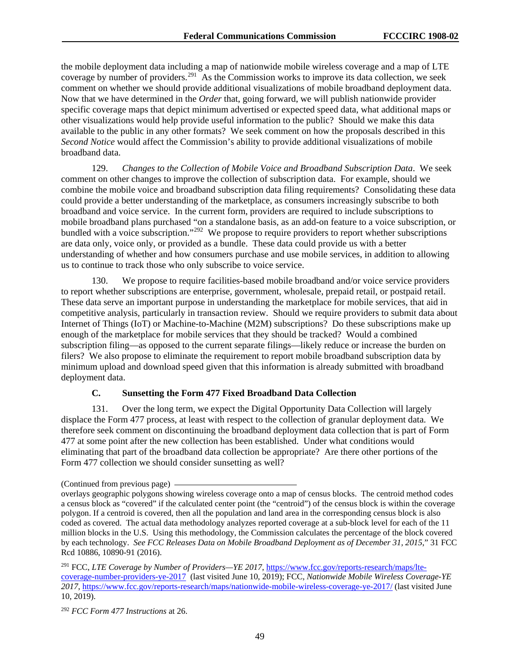the mobile deployment data including a map of nationwide mobile wireless coverage and a map of LTE coverage by number of providers.<sup>291</sup> As the Commission works to improve its data collection, we seek comment on whether we should provide additional visualizations of mobile broadband deployment data. Now that we have determined in the *Order* that, going forward, we will publish nationwide provider specific coverage maps that depict minimum advertised or expected speed data, what additional maps or other visualizations would help provide useful information to the public? Should we make this data available to the public in any other formats? We seek comment on how the proposals described in this *Second Notice* would affect the Commission's ability to provide additional visualizations of mobile broadband data.

129. *Changes to the Collection of Mobile Voice and Broadband Subscription Data*. We seek comment on other changes to improve the collection of subscription data. For example, should we combine the mobile voice and broadband subscription data filing requirements? Consolidating these data could provide a better understanding of the marketplace, as consumers increasingly subscribe to both broadband and voice service. In the current form, providers are required to include subscriptions to mobile broadband plans purchased "on a standalone basis, as an add-on feature to a voice subscription, or bundled with a voice subscription."<sup>[292](#page-49-1)</sup> We propose to require providers to report whether subscriptions are data only, voice only, or provided as a bundle. These data could provide us with a better understanding of whether and how consumers purchase and use mobile services, in addition to allowing us to continue to track those who only subscribe to voice service.

130. We propose to require facilities-based mobile broadband and/or voice service providers to report whether subscriptions are enterprise, government, wholesale, prepaid retail, or postpaid retail. These data serve an important purpose in understanding the marketplace for mobile services, that aid in competitive analysis, particularly in transaction review. Should we require providers to submit data about Internet of Things (IoT) or Machine-to-Machine (M2M) subscriptions? Do these subscriptions make up enough of the marketplace for mobile services that they should be tracked? Would a combined subscription filing—as opposed to the current separate filings—likely reduce or increase the burden on filers? We also propose to eliminate the requirement to report mobile broadband subscription data by minimum upload and download speed given that this information is already submitted with broadband deployment data.

# **C. Sunsetting the Form 477 Fixed Broadband Data Collection**

131. Over the long term, we expect the Digital Opportunity Data Collection will largely displace the Form 477 process, at least with respect to the collection of granular deployment data. We therefore seek comment on discontinuing the broadband deployment data collection that is part of Form 477 at some point after the new collection has been established. Under what conditions would eliminating that part of the broadband data collection be appropriate? Are there other portions of the Form 477 collection we should consider sunsetting as well?

<sup>(</sup>Continued from previous page)

overlays geographic polygons showing wireless coverage onto a map of census blocks. The centroid method codes a census block as "covered" if the calculated center point (the "centroid") of the census block is within the coverage polygon. If a centroid is covered, then all the population and land area in the corresponding census block is also coded as covered. The actual data methodology analyzes reported coverage at a sub-block level for each of the 11 million blocks in the U.S. Using this methodology, the Commission calculates the percentage of the block covered by each technology. *See FCC Releases Data on Mobile Broadband Deployment as of December 31, 2015*," 31 FCC Rcd 10886, 10890-91 (2016).

<span id="page-49-0"></span><sup>291</sup> FCC, *LTE Coverage by Number of Providers—YE 2017*[, https://www.fcc.gov/reports-research/maps/lte](https://www.fcc.gov/reports-research/maps/lte-coverage-number-providers-ye-2017)[coverage-number-providers-ye-2017](https://www.fcc.gov/reports-research/maps/lte-coverage-number-providers-ye-2017) (last visited June 10, 2019); FCC, *Nationwide Mobile Wireless Coverage-YE 2017*,<https://www.fcc.gov/reports-research/maps/nationwide-mobile-wireless-coverage-ye-2017/> (last visited June 10, 2019).

<span id="page-49-1"></span><sup>292</sup> *FCC Form 477 Instructions* at 26.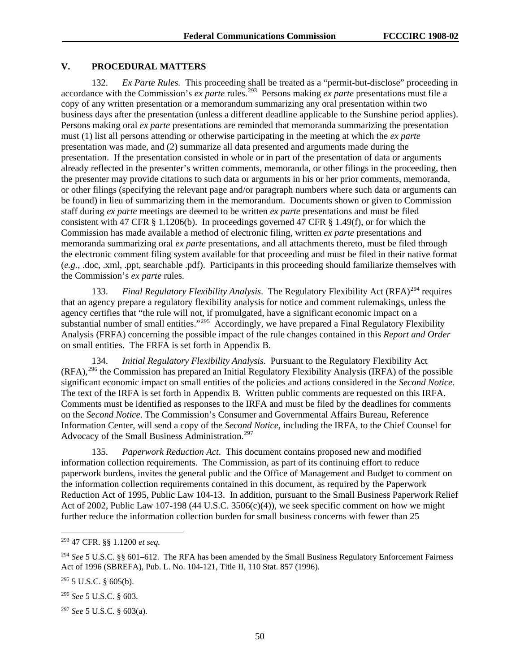## **V. PROCEDURAL MATTERS**

132. *Ex Parte Rules.* This proceeding shall be treated as a "permit-but-disclose" proceeding in accordance with the Commission's *ex parte* rules.<sup>293</sup> Persons making *ex parte* presentations must file a copy of any written presentation or a memorandum summarizing any oral presentation within two business days after the presentation (unless a different deadline applicable to the Sunshine period applies). Persons making oral *ex parte* presentations are reminded that memoranda summarizing the presentation must (1) list all persons attending or otherwise participating in the meeting at which the *ex parte*  presentation was made, and (2) summarize all data presented and arguments made during the presentation. If the presentation consisted in whole or in part of the presentation of data or arguments already reflected in the presenter's written comments, memoranda, or other filings in the proceeding, then the presenter may provide citations to such data or arguments in his or her prior comments, memoranda, or other filings (specifying the relevant page and/or paragraph numbers where such data or arguments can be found) in lieu of summarizing them in the memorandum. Documents shown or given to Commission staff during *ex parte* meetings are deemed to be written *ex parte* presentations and must be filed consistent with 47 CFR § 1.1206(b). In proceedings governed 47 CFR § 1.49(f), or for which the Commission has made available a method of electronic filing, written *ex parte* presentations and memoranda summarizing oral *ex parte* presentations, and all attachments thereto, must be filed through the electronic comment filing system available for that proceeding and must be filed in their native format (*e.g.*, .doc, .xml, .ppt, searchable .pdf). Participants in this proceeding should familiarize themselves with the Commission's *ex parte* rules.

133. *Final Regulatory Flexibility Analysis*. The Regulatory Flexibility Act (RFA)<sup>[294](#page-50-1)</sup> requires that an agency prepare a regulatory flexibility analysis for notice and comment rulemakings, unless the agency certifies that "the rule will not, if promulgated, have a significant economic impact on a substantial number of small entities."<sup>[295](#page-50-2)</sup> Accordingly, we have prepared a Final Regulatory Flexibility Analysis (FRFA) concerning the possible impact of the rule changes contained in this *Report and Order* on small entities. The FRFA is set forth in Appendix B.

134. *Initial Regulatory Flexibility Analysis*.Pursuant to the Regulatory Flexibility Act (RFA),[296](#page-50-3) the Commission has prepared an Initial Regulatory Flexibility Analysis (IRFA) of the possible significant economic impact on small entities of the policies and actions considered in the *Second Notice*. The text of the IRFA is set forth in Appendix B. Written public comments are requested on this IRFA. Comments must be identified as responses to the IRFA and must be filed by the deadlines for comments on the *Second Notice*. The Commission's Consumer and Governmental Affairs Bureau, Reference Information Center, will send a copy of the *Second Notice*, including the IRFA, to the Chief Counsel for Advocacy of the Small Business Administration.<sup>[297](#page-50-4)</sup>

135. *Paperwork Reduction Act*.This document contains proposed new and modified information collection requirements. The Commission, as part of its continuing effort to reduce paperwork burdens, invites the general public and the Office of Management and Budget to comment on the information collection requirements contained in this document, as required by the Paperwork Reduction Act of 1995, Public Law 104-13. In addition, pursuant to the Small Business Paperwork Relief Act of 2002, Public Law 107-198 (44 U.S.C. 3506(c)(4)), we seek specific comment on how we might further reduce the information collection burden for small business concerns with fewer than 25

<span id="page-50-0"></span> <sup>293</sup> 47 CFR. §§ 1.1200 *et seq.*

<span id="page-50-1"></span><sup>294</sup> *See* 5 U.S.C. §§ 601–612. The RFA has been amended by the Small Business Regulatory Enforcement Fairness Act of 1996 (SBREFA), Pub. L. No. 104-121, Title II, 110 Stat. 857 (1996).

<span id="page-50-2"></span> $295$  5 U.S.C. § 605(b).

<span id="page-50-3"></span><sup>296</sup> *See* 5 U.S.C. § 603.

<span id="page-50-4"></span><sup>297</sup> *See* 5 U.S.C. § 603(a).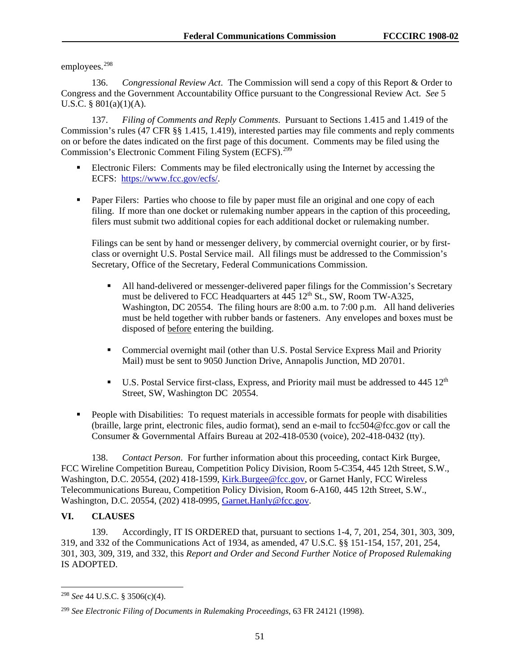employees.<sup>[298](#page-51-0)</sup>

136. *Congressional Review Act*.The Commission will send a copy of this Report & Order to Congress and the Government Accountability Office pursuant to the Congressional Review Act. *See* 5 U.S.C. § 801(a)(1)(A).

137. *Filing of Comments and Reply Comments*.Pursuant to Sections 1.415 and 1.419 of the Commission's rules (47 CFR §§ 1.415, 1.419), interested parties may file comments and reply comments on or before the dates indicated on the first page of this document. Comments may be filed using the Commission's Electronic Comment Filing System (ECFS).<sup>[299](#page-51-1)</sup>

- Electronic Filers: Comments may be filed electronically using the Internet by accessing the ECFS: [https://www.fcc.gov/ecfs/.](https://www.fcc.gov/ecfs/)
- **Paper Filers:** Parties who choose to file by paper must file an original and one copy of each filing. If more than one docket or rulemaking number appears in the caption of this proceeding, filers must submit two additional copies for each additional docket or rulemaking number.

Filings can be sent by hand or messenger delivery, by commercial overnight courier, or by firstclass or overnight U.S. Postal Service mail. All filings must be addressed to the Commission's Secretary, Office of the Secretary, Federal Communications Commission.

- All hand-delivered or messenger-delivered paper filings for the Commission's Secretary must be delivered to FCC Headquarters at 445 12<sup>th</sup> St., SW, Room TW-A325, Washington, DC 20554. The filing hours are 8:00 a.m. to 7:00 p.m. All hand deliveries must be held together with rubber bands or fasteners. Any envelopes and boxes must be disposed of before entering the building.
- Commercial overnight mail (other than U.S. Postal Service Express Mail and Priority Mail) must be sent to 9050 Junction Drive, Annapolis Junction, MD 20701.
- $\blacksquare$  U.S. Postal Service first-class, Express, and Priority mail must be addressed to 445 12<sup>th</sup> Street, SW, Washington DC 20554.
- People with Disabilities: To request materials in accessible formats for people with disabilities (braille, large print, electronic files, audio format), send an e-mail to [fcc504@fcc.gov](mailto:fcc504@fcc.gov) or call the Consumer & Governmental Affairs Bureau at 202-418-0530 (voice), 202-418-0432 (tty).

138. *Contact Person*.For further information about this proceeding, contact Kirk Burgee, FCC Wireline Competition Bureau, Competition Policy Division, Room 5-C354, 445 12th Street, S.W., Washington, D.C. 20554, (202) 418-1599, [Kirk.Burgee@fcc.gov,](mailto:Kirk.Burgee@fcc.gov) or Garnet Hanly, FCC Wireless Telecommunications Bureau, Competition Policy Division, Room 6-A160, 445 12th Street, S.W., Washington, D.C. 20554, (202) 418-0995, [Garnet.Hanly@fcc.gov.](mailto:Garnet.Hanly@fcc.gov)

# **VI. CLAUSES**

139. Accordingly, IT IS ORDERED that, pursuant to sections 1-4, 7, 201, 254, 301, 303, 309, 319, and 332 of the Communications Act of 1934, as amended, 47 U.S.C. §§ 151-154, 157, 201, 254, 301, 303, 309, 319, and 332, this *Report and Order and Second Further Notice of Proposed Rulemaking*  IS ADOPTED.

<span id="page-51-0"></span> <sup>298</sup> *See* <sup>44</sup> U.S.C. § 3506(c)(4).

<span id="page-51-1"></span><sup>299</sup> *See Electronic Filing of Documents in Rulemaking Proceedings*, 63 FR 24121 (1998).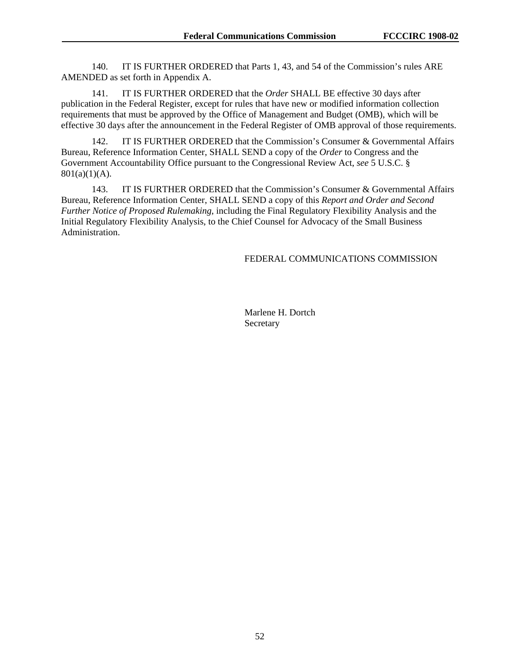140. IT IS FURTHER ORDERED that Parts 1, 43, and 54 of the Commission's rules ARE AMENDED as set forth in Appendix A.

141. IT IS FURTHER ORDERED that the *Order* SHALL BE effective 30 days after publication in the Federal Register, except for rules that have new or modified information collection requirements that must be approved by the Office of Management and Budget (OMB), which will be effective 30 days after the announcement in the Federal Register of OMB approval of those requirements.

142. IT IS FURTHER ORDERED that the Commission's Consumer & Governmental Affairs Bureau, Reference Information Center, SHALL SEND a copy of the *Order* to Congress and the Government Accountability Office pursuant to the Congressional Review Act, *see* 5 U.S.C. §  $801(a)(1)(A)$ .

143. IT IS FURTHER ORDERED that the Commission's Consumer & Governmental Affairs Bureau, Reference Information Center, SHALL SEND a copy of this *Report and Order and Second Further Notice of Proposed Rulemaking*, including the Final Regulatory Flexibility Analysis and the Initial Regulatory Flexibility Analysis, to the Chief Counsel for Advocacy of the Small Business Administration.

# FEDERAL COMMUNICATIONS COMMISSION

Marlene H. Dortch Secretary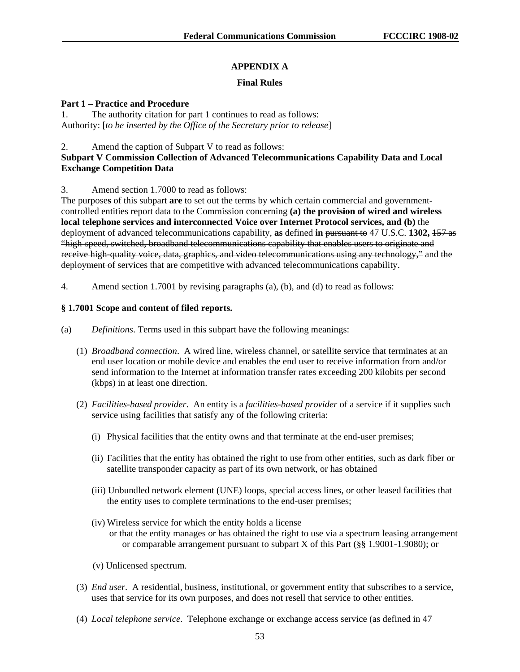# **APPENDIX A**

# **Final Rules**

#### **Part 1 – Practice and Procedure**

1. The authority citation for part 1 continues to read as follows: Authority: [*to be inserted by the Office of the Secretary prior to release*]

#### 2. Amend the caption of Subpart V to read as follows:

# **Subpart V Commission Collection of Advanced Telecommunications Capability Data and Local Exchange Competition Data**

# 3. Amend section 1.7000 to read as follows:

The purpose**s** of this subpart **are** to set out the terms by which certain commercial and governmentcontrolled entities report data to the Commission concerning **(a) the provision of wired and wireless local telephone services and interconnected Voice over Internet Protocol services, and (b)** the deployment of advanced telecommunications capability, **as** defined **in** pursuant to 47 U.S.C. **1302,** 157 as "high-speed, switched, broadband telecommunications capability that enables users to originate and receive high-quality voice, data, graphics, and video telecommunications using any technology," and the deployment of services that are competitive with advanced telecommunications capability.

4. Amend section 1.7001 by revising paragraphs (a), (b), and (d) to read as follows:

# **§ 1.7001 Scope and content of filed reports.**

- (a) *Definitions*. Terms used in this subpart have the following meanings:
	- (1) *Broadband connection*. A wired line, wireless channel, or satellite service that terminates at an end user location or mobile device and enables the end user to receive information from and/or send information to the Internet at information transfer rates exceeding 200 kilobits per second (kbps) in at least one direction.
	- (2) *Facilities-based provider*. An entity is a *facilities-based provider* of a service if it supplies such service using facilities that satisfy any of the following criteria:
		- (i) Physical facilities that the entity owns and that terminate at the end-user premises;
		- (ii) Facilities that the entity has obtained the right to use from other entities, such as dark fiber or satellite transponder capacity as part of its own network, or has obtained
		- (iii) Unbundled network element (UNE) loops, special access lines, or other leased facilities that the entity uses to complete terminations to the end-user premises;
		- (iv) Wireless service for which the entity holds a license or that the entity manages or has obtained the right to use via a spectrum leasing arrangement or comparable arrangement pursuant to subpart X of this Part (§§ 1.9001-1.9080); or
		- (v) Unlicensed spectrum.
	- (3) *End user*. A residential, business, institutional, or government entity that subscribes to a service, uses that service for its own purposes, and does not resell that service to other entities.
	- (4) *Local telephone service*. Telephone exchange or exchange access service (as defined in 47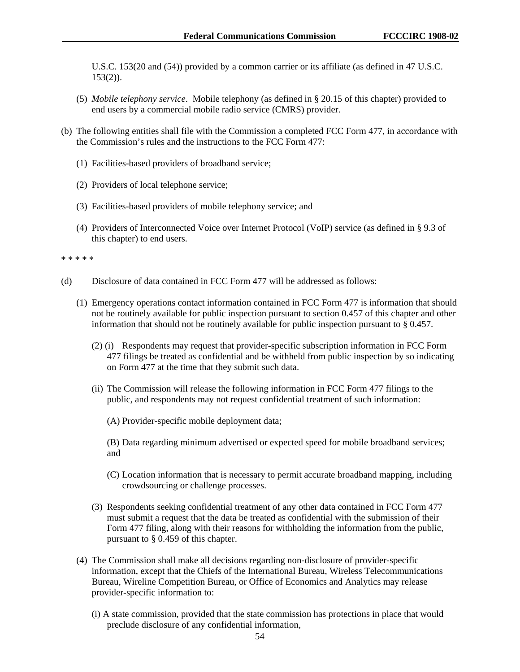U.S.C. 153(20 and (54)) provided by a common carrier or its affiliate (as defined in 47 U.S.C.  $153(2)$ ).

- (5) *Mobile telephony service*. Mobile telephony (as defined in § 20.15 of this chapter) provided to end users by a commercial mobile radio service (CMRS) provider.
- (b) The following entities shall file with the Commission a completed FCC Form 477, in accordance with the Commission's rules and the instructions to the FCC Form 477:
	- (1) Facilities-based providers of broadband service;
	- (2) Providers of local telephone service;
	- (3) Facilities-based providers of mobile telephony service; and
	- (4) Providers of Interconnected Voice over Internet Protocol (VoIP) service (as defined in § 9.3 of this chapter) to end users.

\* \* \* \* \*

- (d) Disclosure of data contained in FCC Form 477 will be addressed as follows:
	- (1) Emergency operations contact information contained in FCC Form 477 is information that should not be routinely available for public inspection pursuant to section 0.457 of this chapter and other information that should not be routinely available for public inspection pursuant to § 0.457.
		- (2) (i) Respondents may request that provider-specific subscription information in FCC Form 477 filings be treated as confidential and be withheld from public inspection by so indicating on Form 477 at the time that they submit such data.
		- (ii) The Commission will release the following information in FCC Form 477 filings to the public, and respondents may not request confidential treatment of such information:
			- (A) Provider-specific mobile deployment data;
			- (B) Data regarding minimum advertised or expected speed for mobile broadband services; and
			- (C) Location information that is necessary to permit accurate broadband mapping, including crowdsourcing or challenge processes.
		- (3) Respondents seeking confidential treatment of any other data contained in FCC Form 477 must submit a request that the data be treated as confidential with the submission of their Form 477 filing, along with their reasons for withholding the information from the public, pursuant to § 0.459 of this chapter.
	- (4) The Commission shall make all decisions regarding non-disclosure of provider-specific information, except that the Chiefs of the International Bureau, Wireless Telecommunications Bureau, Wireline Competition Bureau, or Office of Economics and Analytics may release provider-specific information to:
		- (i) A state commission, provided that the state commission has protections in place that would preclude disclosure of any confidential information,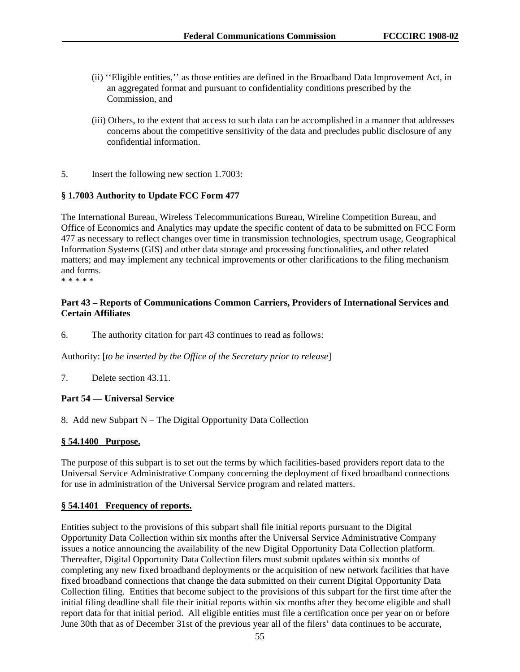- (ii) ''Eligible entities,'' as those entities are defined in the Broadband Data Improvement Act, in an aggregated format and pursuant to confidentiality conditions prescribed by the Commission, and
- (iii) Others, to the extent that access to such data can be accomplished in a manner that addresses concerns about the competitive sensitivity of the data and precludes public disclosure of any confidential information.
- 5. Insert the following new section 1.7003:

# **§ 1.7003 Authority to Update FCC Form 477**

The International Bureau, Wireless Telecommunications Bureau, Wireline Competition Bureau, and Office of Economics and Analytics may update the specific content of data to be submitted on FCC Form 477 as necessary to reflect changes over time in transmission technologies, spectrum usage, Geographical Information Systems (GIS) and other data storage and processing functionalities, and other related matters; and may implement any technical improvements or other clarifications to the filing mechanism and forms.

\* \* \* \* \*

# **Part 43 – Reports of Communications Common Carriers, Providers of International Services and Certain Affiliates**

6. The authority citation for part 43 continues to read as follows:

Authority: [*to be inserted by the Office of the Secretary prior to release*]

7. Delete section 43.11.

# **Part 54 — Universal Service**

8. Add new Subpart N – The Digital Opportunity Data Collection

# **§ 54.1400 Purpose.**

The purpose of this subpart is to set out the terms by which facilities-based providers report data to the Universal Service Administrative Company concerning the deployment of fixed broadband connections for use in administration of the Universal Service program and related matters.

#### **§ 54.1401 Frequency of reports.**

Entities subject to the provisions of this subpart shall file initial reports pursuant to the Digital Opportunity Data Collection within six months after the Universal Service Administrative Company issues a notice announcing the availability of the new Digital Opportunity Data Collection platform. Thereafter, Digital Opportunity Data Collection filers must submit updates within six months of completing any new fixed broadband deployments or the acquisition of new network facilities that have fixed broadband connections that change the data submitted on their current Digital Opportunity Data Collection filing. Entities that become subject to the provisions of this subpart for the first time after the initial filing deadline shall file their initial reports within six months after they become eligible and shall report data for that initial period. All eligible entities must file a certification once per year on or before June 30th that as of December 31st of the previous year all of the filers' data continues to be accurate,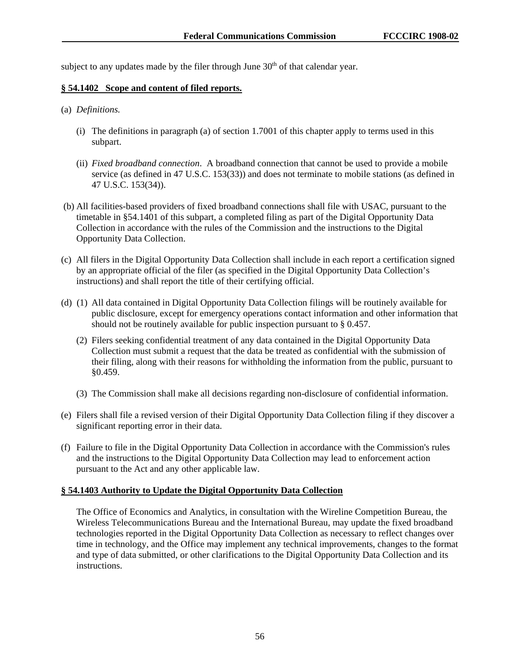subject to any updates made by the filer through June  $30<sup>th</sup>$  of that calendar year.

#### **§ 54.1402 Scope and content of filed reports.**

#### (a) *Definitions.*

- (i) The definitions in paragraph (a) of section 1.7001 of this chapter apply to terms used in this subpart.
- (ii) *Fixed broadband connection*. A broadband connection that cannot be used to provide a mobile service (as defined in 47 U.S.C. 153(33)) and does not terminate to mobile stations (as defined in 47 U.S.C. 153(34)).
- (b) All facilities-based providers of fixed broadband connections shall file with USAC, pursuant to the timetable in §54.1401 of this subpart, a completed filing as part of the Digital Opportunity Data Collection in accordance with the rules of the Commission and the instructions to the Digital Opportunity Data Collection.
- (c) All filers in the Digital Opportunity Data Collection shall include in each report a certification signed by an appropriate official of the filer (as specified in the Digital Opportunity Data Collection's instructions) and shall report the title of their certifying official.
- (d) (1) All data contained in Digital Opportunity Data Collection filings will be routinely available for public disclosure, except for emergency operations contact information and other information that should not be routinely available for public inspection pursuant to § 0.457.
	- (2) Filers seeking confidential treatment of any data contained in the Digital Opportunity Data Collection must submit a request that the data be treated as confidential with the submission of their filing, along with their reasons for withholding the information from the public, pursuant to §0.459.
	- (3) The Commission shall make all decisions regarding non-disclosure of confidential information.
- (e) Filers shall file a revised version of their Digital Opportunity Data Collection filing if they discover a significant reporting error in their data.
- (f) Failure to file in the Digital Opportunity Data Collection in accordance with the Commission's rules and the instructions to the Digital Opportunity Data Collection may lead to enforcement action pursuant to the Act and any other applicable law.

# **§ 54.1403 Authority to Update the Digital Opportunity Data Collection**

The Office of Economics and Analytics, in consultation with the Wireline Competition Bureau, the Wireless Telecommunications Bureau and the International Bureau, may update the fixed broadband technologies reported in the Digital Opportunity Data Collection as necessary to reflect changes over time in technology, and the Office may implement any technical improvements, changes to the format and type of data submitted, or other clarifications to the Digital Opportunity Data Collection and its instructions.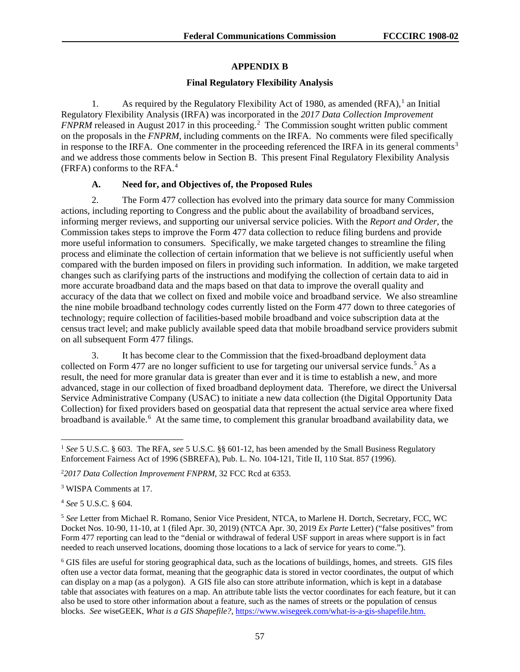# **APPENDIX B**

#### **Final Regulatory Flexibility Analysis**

[1](#page-57-0). As required by the Regulatory Flexibility Act of 1980, as amended  $(RFA)$ ,<sup>1</sup> an Initial Regulatory Flexibility Analysis (IRFA) was incorporated in the *2017 Data Collection Improvement FNPRM* released in August [2](#page-57-1)017 in this proceeding.<sup>2</sup> The Commission sought written public comment on the proposals in the *FNPRM*, including comments on the IRFA. No comments were filed specifically in response to the IRFA. One commenter in the proceeding referenced the IRFA in its general comments<sup>[3](#page-57-2)</sup> and we address those comments below in Section B. This present Final Regulatory Flexibility Analysis (FRFA) conforms to the RFA.[4](#page-57-3)

# **A. Need for, and Objectives of, the Proposed Rules**

2. The Form 477 collection has evolved into the primary data source for many Commission actions, including reporting to Congress and the public about the availability of broadband services, informing merger reviews, and supporting our universal service policies. With the *Report and Order*, the Commission takes steps to improve the Form 477 data collection to reduce filing burdens and provide more useful information to consumers. Specifically, we make targeted changes to streamline the filing process and eliminate the collection of certain information that we believe is not sufficiently useful when compared with the burden imposed on filers in providing such information. In addition, we make targeted changes such as clarifying parts of the instructions and modifying the collection of certain data to aid in more accurate broadband data and the maps based on that data to improve the overall quality and accuracy of the data that we collect on fixed and mobile voice and broadband service. We also streamline the nine mobile broadband technology codes currently listed on the Form 477 down to three categories of technology; require collection of facilities-based mobile broadband and voice subscription data at the census tract level; and make publicly available speed data that mobile broadband service providers submit on all subsequent Form 477 filings.

3. It has become clear to the Commission that the fixed-broadband deployment data collected on Form 477 are no longer sufficient to use for targeting our universal service funds.<sup>[5](#page-57-4)</sup> As a result, the need for more granular data is greater than ever and it is time to establish a new, and more advanced, stage in our collection of fixed broadband deployment data. Therefore, we direct the Universal Service Administrative Company (USAC) to initiate a new data collection (the Digital Opportunity Data Collection) for fixed providers based on geospatial data that represent the actual service area where fixed broadband is available.<sup>[6](#page-57-5)</sup> At the same time, to complement this granular broadband availability data, we

<span id="page-57-2"></span><sup>3</sup> WISPA Comments at 17.

<span id="page-57-3"></span><sup>4</sup> *See* 5 U.S.C. § 604.

<span id="page-57-4"></span><sup>5</sup> *See* Letter from Michael R. Romano, Senior Vice President, NTCA, to Marlene H. Dortch, Secretary, FCC, WC Docket Nos. 10-90, 11-10, at 1 (filed Apr. 30, 2019) (NTCA Apr. 30, 2019 *Ex Parte* Letter) ("false positives" from Form 477 reporting can lead to the "denial or withdrawal of federal USF support in areas where support is in fact needed to reach unserved locations, dooming those locations to a lack of service for years to come.").

<span id="page-57-5"></span><sup>6</sup> GIS files are useful for storing geographical data, such as the locations of buildings, homes, and streets. GIS files often use a vector data format, meaning that the geographic data is stored in vector coordinates, the output of which can display on a map (as a polygon). A GIS file also can store attribute information, which is kept in a database table that associates with features on a map. An attribute table lists the vector coordinates for each feature, but it can also be used to store other information about a feature, such as the names of streets or the population of census blocks. *See* wiseGEEK, *What is a GIS Shapefile?*[, https://www.wisegeek.com/what-is-a-gis-shapefile.htm.](https://www.wisegeek.com/what-is-a-gis-shapefile.htm)

<span id="page-57-0"></span> <sup>1</sup> *See* 5 U.S.C. § 603. The RFA, *see* 5 U.S.C. §§ 601-12, has been amended by the Small Business Regulatory Enforcement Fairness Act of 1996 (SBREFA), Pub. L. No. 104-121, Title II, 110 Stat. 857 (1996).

<span id="page-57-1"></span><sup>2</sup> *2017 Data Collection Improvement FNPRM*, 32 FCC Rcd at 6353.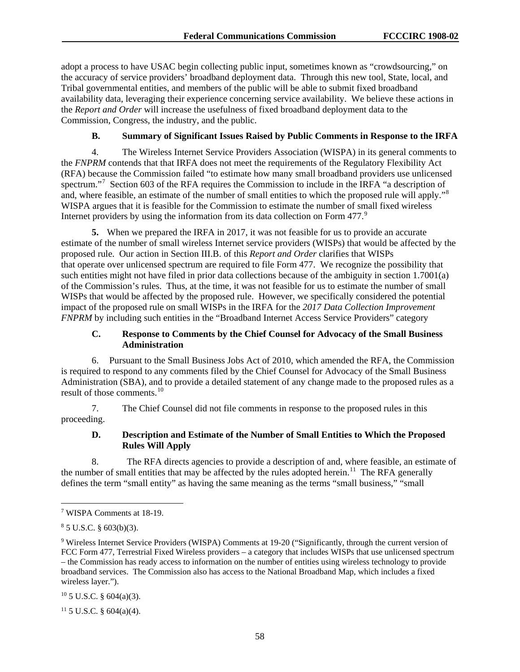adopt a process to have USAC begin collecting public input, sometimes known as "crowdsourcing," on the accuracy of service providers' broadband deployment data. Through this new tool, State, local, and Tribal governmental entities, and members of the public will be able to submit fixed broadband availability data, leveraging their experience concerning service availability. We believe these actions in the *Report and Order* will increase the usefulness of fixed broadband deployment data to the Commission, Congress, the industry, and the public.

#### **B. Summary of Significant Issues Raised by Public Comments in Response to the IRFA**

4. The Wireless Internet Service Providers Association (WISPA) in its general comments to the *FNPRM* contends that that IRFA does not meet the requirements of the Regulatory Flexibility Act (RFA) because the Commission failed "to estimate how many small broadband providers use unlicensed spectrum."<sup>[7](#page-58-0)</sup> Section 603 of the RFA requires the Commission to include in the IRFA "a description of and, where feasible, an estimate of the number of small entities to which the proposed rule will apply."<sup>[8](#page-58-1)</sup> WISPA argues that it is feasible for the Commission to estimate the number of small fixed wireless Internet providers by using the information from its data collection on Form 477.<sup>[9](#page-58-2)</sup>

**5.** When we prepared the IRFA in 2017, it was not feasible for us to provide an accurate estimate of the number of small wireless Internet service providers (WISPs) that would be affected by the proposed rule. Our action in Section III.B. of this *Report and Order* clarifies that WISPs that operate over unlicensed spectrum are required to file Form 477. We recognize the possibility that such entities might not have filed in prior data collections because of the ambiguity in section 1.7001(a) of the Commission's rules. Thus, at the time, it was not feasible for us to estimate the number of small WISPs that would be affected by the proposed rule. However, we specifically considered the potential impact of the proposed rule on small WISPs in the IRFA for the *2017 Data Collection Improvement FNPRM* by including such entities in the "Broadband Internet Access Service Providers" category

#### **C. Response to Comments by the Chief Counsel for Advocacy of the Small Business Administration**

6. Pursuant to the Small Business Jobs Act of 2010, which amended the RFA, the Commission is required to respond to any comments filed by the Chief Counsel for Advocacy of the Small Business Administration (SBA), and to provide a detailed statement of any change made to the proposed rules as a result of those comments.[10](#page-58-3) 

7. The Chief Counsel did not file comments in response to the proposed rules in this proceeding.

# **D. Description and Estimate of the Number of Small Entities to Which the Proposed Rules Will Apply**

8. The RFA directs agencies to provide a description of and, where feasible, an estimate of the number of small entities that may be affected by the rules adopted herein.<sup>[11](#page-58-4)</sup> The RFA generally defines the term "small entity" as having the same meaning as the terms "small business," "small

<span id="page-58-3"></span> $10\,5$  U.S.C. § 604(a)(3).

<span id="page-58-4"></span> $11\,5$  U.S.C. § 604(a)(4).

<span id="page-58-0"></span> <sup>7</sup> WISPA Comments at 18-19.

<span id="page-58-1"></span><sup>8</sup> 5 U.S.C. § 603(b)(3).

<span id="page-58-2"></span><sup>9</sup> Wireless Internet Service Providers (WISPA) Comments at 19-20 ("Significantly, through the current version of FCC Form 477, Terrestrial Fixed Wireless providers – a category that includes WISPs that use unlicensed spectrum – the Commission has ready access to information on the number of entities using wireless technology to provide broadband services. The Commission also has access to the National Broadband Map, which includes a fixed wireless layer.").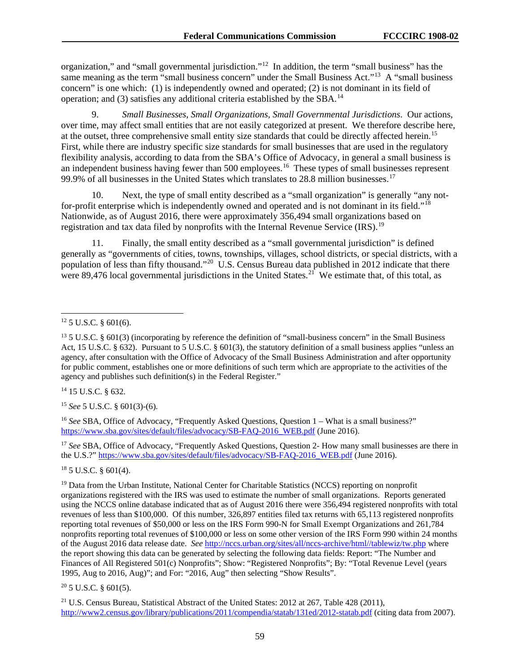organization," and "small governmental jurisdiction."[12](#page-59-0) In addition, the term "small business" has the same meaning as the term "small business concern" under the Small Business Act."<sup>[13](#page-59-1)</sup> A "small business" concern" is one which: (1) is independently owned and operated; (2) is not dominant in its field of operation; and (3) satisfies any additional criteria established by the SBA.[14](#page-59-2)

9. *Small Businesses, Small Organizations, Small Governmental Jurisdictions*. Our actions, over time, may affect small entities that are not easily categorized at present. We therefore describe here, at the outset, three comprehensive small entity size standards that could be directly affected herein.<sup>[15](#page-59-3)</sup> First, while there are industry specific size standards for small businesses that are used in the regulatory flexibility analysis, according to data from the SBA's Office of Advocacy, in general a small business is an independent business having fewer than 500 employees.<sup>[16](#page-59-4)</sup> These types of small businesses represent 99.9% of all businesses in the United States which translates to 28.8 million businesses.<sup>17</sup>

10. Next, the type of small entity described as a "small organization" is generally "any not-for-profit enterprise which is independently owned and operated and is not dominant in its field."<sup>[18](#page-59-6)</sup> Nationwide, as of August 2016, there were approximately 356,494 small organizations based on registration and tax data filed by nonprofits with the Internal Revenue Service (IRS).<sup>[19](#page-59-7)</sup>

11. Finally, the small entity described as a "small governmental jurisdiction" is defined generally as "governments of cities, towns, townships, villages, school districts, or special districts, with a population of less than fifty thousand."[20](#page-59-8) U.S. Census Bureau data published in 2012 indicate that there were 89,476 local governmental jurisdictions in the United States.<sup>[21](#page-59-9)</sup> We estimate that, of this total, as

<span id="page-59-2"></span><sup>14</sup> 15 U.S.C. § 632.

<span id="page-59-3"></span><sup>15</sup> *See* 5 U.S.C. § 601(3)-(6).

<span id="page-59-4"></span><sup>16</sup> *See* SBA, Office of Advocacy, "Frequently Asked Questions, Question 1 – What is a small business?" [https://www.sba.gov/sites/default/files/advocacy/SB-FAQ-2016\\_WEB.pdf](https://www.sba.gov/sites/default/files/advocacy/SB-FAQ-2016_WEB.pdf) (June 2016).

<span id="page-59-5"></span><sup>17</sup> *See* SBA, Office of Advocacy, "Frequently Asked Questions, Question 2- How many small businesses are there in the U.S.?" [https://www.sba.gov/sites/default/files/advocacy/SB-FAQ-2016\\_WEB.pdf](https://www.sba.gov/sites/default/files/advocacy/SB-FAQ-2016_WEB.pdf) (June 2016).

<span id="page-59-6"></span> $18$  5 U.S.C. § 601(4).

<span id="page-59-8"></span> $20$  5 U.S.C. § 601(5).

<span id="page-59-9"></span><sup>21</sup> U.S. Census Bureau, Statistical Abstract of the United States: 2012 at 267, Table 428 (2011), <http://www2.census.gov/library/publications/2011/compendia/statab/131ed/2012-statab.pdf> (citing data from 2007).

<span id="page-59-0"></span> $12$  5 U.S.C. § 601(6).

<span id="page-59-1"></span><sup>&</sup>lt;sup>13</sup> 5 U.S.C. § 601(3) (incorporating by reference the definition of "small-business concern" in the Small Business Act, 15 U.S.C. § 632). Pursuant to 5 U.S.C. § 601(3), the statutory definition of a small business applies "unless an agency, after consultation with the Office of Advocacy of the Small Business Administration and after opportunity for public comment, establishes one or more definitions of such term which are appropriate to the activities of the agency and publishes such definition(s) in the Federal Register."

<span id="page-59-7"></span><sup>&</sup>lt;sup>19</sup> Data from the Urban Institute, National Center for Charitable Statistics (NCCS) reporting on nonprofit organizations registered with the IRS was used to estimate the number of small organizations. Reports generated using the NCCS online database indicated that as of August 2016 there were 356,494 registered nonprofits with total revenues of less than \$100,000. Of this number, 326,897 entities filed tax returns with 65,113 registered nonprofits reporting total revenues of \$50,000 or less on the IRS Form 990-N for Small Exempt Organizations and 261,784 nonprofits reporting total revenues of \$100,000 or less on some other version of the IRS Form 990 within 24 months of the August 2016 data release date. *See* [http://nccs.urban.org/sites/all/nccs-archive/html//tablewiz/tw.php](http://nccs.urban.org/sites/all/nccs-archive/html/tablewiz/tw.php) where the report showing this data can be generated by selecting the following data fields: Report: "The Number and Finances of All Registered 501(c) Nonprofits"; Show: "Registered Nonprofits"; By: "Total Revenue Level (years 1995, Aug to 2016, Aug)"; and For: "2016, Aug" then selecting "Show Results".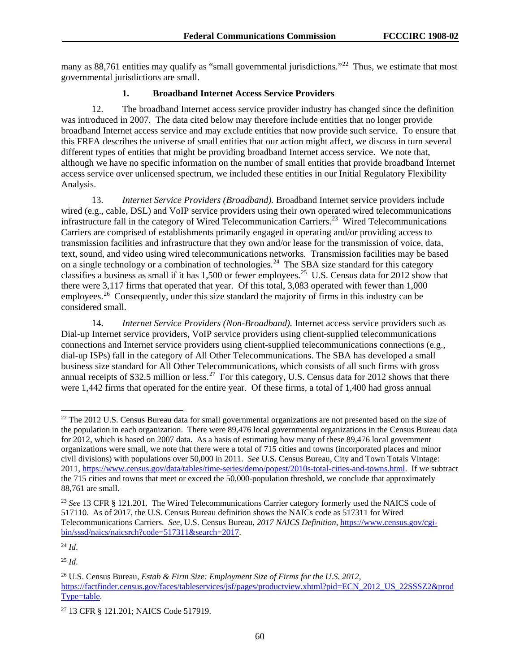many as 88,761 entities may qualify as "small governmental jurisdictions."<sup>[22](#page-60-0)</sup> Thus, we estimate that most governmental jurisdictions are small.

# **1. Broadband Internet Access Service Providers**

12. The broadband Internet access service provider industry has changed since the definition was introduced in 2007. The data cited below may therefore include entities that no longer provide broadband Internet access service and may exclude entities that now provide such service. To ensure that this FRFA describes the universe of small entities that our action might affect, we discuss in turn several different types of entities that might be providing broadband Internet access service. We note that, although we have no specific information on the number of small entities that provide broadband Internet access service over unlicensed spectrum, we included these entities in our Initial Regulatory Flexibility Analysis.

13. *Internet Service Providers (Broadband).* Broadband Internet service providers include wired (e.g., cable, DSL) and VoIP service providers using their own operated wired telecommunications infrastructure fall in the category of Wired Telecommunication Carriers.<sup>[23](#page-60-1)</sup> Wired Telecommunications Carriers are comprised of establishments primarily engaged in operating and/or providing access to transmission facilities and infrastructure that they own and/or lease for the transmission of voice, data, text, sound, and video using wired telecommunications networks. Transmission facilities may be based on a single technology or a combination of technologies.<sup>[24](#page-60-2)</sup> The SBA size standard for this category classifies a business as small if it has 1,500 or fewer employees.<sup>[25](#page-60-3)</sup> U.S. Census data for 2012 show that there were 3,117 firms that operated that year. Of this total, 3,083 operated with fewer than 1,000 employees.<sup>[26](#page-60-4)</sup> Consequently, under this size standard the majority of firms in this industry can be considered small.

14. *Internet Service Providers (Non-Broadband).* Internet access service providers such as Dial-up Internet service providers, VoIP service providers using client-supplied telecommunications connections and Internet service providers using client-supplied telecommunications connections (e.g., dial-up ISPs) fall in the category of All Other Telecommunications. The SBA has developed a small business size standard for All Other Telecommunications, which consists of all such firms with gross annual receipts of \$32.5 million or less.<sup>27</sup> For this category, U.S. Census data for 2012 shows that there were 1,442 firms that operated for the entire year. Of these firms, a total of 1,400 had gross annual

<span id="page-60-0"></span><sup>&</sup>lt;sup>22</sup> The 2012 U.S. Census Bureau data for small governmental organizations are not presented based on the size of the population in each organization. There were 89,476 local governmental organizations in the Census Bureau data for 2012, which is based on 2007 data. As a basis of estimating how many of these 89,476 local government organizations were small, we note that there were a total of 715 cities and towns (incorporated places and minor civil divisions) with populations over 50,000 in 2011. *See* U.S. Census Bureau, City and Town Totals Vintage: 2011, [https://www.census.gov/data/tables/time-series/demo/popest/2010s-total-cities-and-towns.html.](https://www.census.gov/data/tables/time-series/demo/popest/2010s-total-cities-and-towns.html) If we subtract the 715 cities and towns that meet or exceed the 50,000-population threshold, we conclude that approximately 88,761 are small.

<span id="page-60-1"></span><sup>23</sup> *See* 13 CFR § 121.201. The Wired Telecommunications Carrier category formerly used the NAICS code of 517110. As of 2017, the U.S. Census Bureau definition shows the NAICs code as 517311 for Wired Telecommunications Carriers. *See*, U.S. Census Bureau, *2017 NAICS Definition*, [https://www.census.gov/cgi](https://www.census.gov/cgi-bin/sssd/naics/naicsrch?code=517311&search=2017)[bin/sssd/naics/naicsrch?code=517311&search=2017.](https://www.census.gov/cgi-bin/sssd/naics/naicsrch?code=517311&search=2017)

<span id="page-60-2"></span><sup>24</sup> *Id*.

<span id="page-60-3"></span><sup>25</sup> *Id*.

<span id="page-60-4"></span><sup>26</sup> U.S. Census Bureau, *Estab & Firm Size: Employment Size of Firms for the U.S. 2012*, [https://factfinder.census.gov/faces/tableservices/jsf/pages/productview.xhtml?pid=ECN\\_2012\\_US\\_22SSSZ2&prod](https://factfinder.census.gov/faces/tableservices/jsf/pages/productview.xhtml?pid=ECN_2012_US_22SSSZ2&prodType=table) [Type=table.](https://factfinder.census.gov/faces/tableservices/jsf/pages/productview.xhtml?pid=ECN_2012_US_22SSSZ2&prodType=table)

<span id="page-60-5"></span><sup>27</sup> 13 CFR § 121.201; NAICS Code 517919.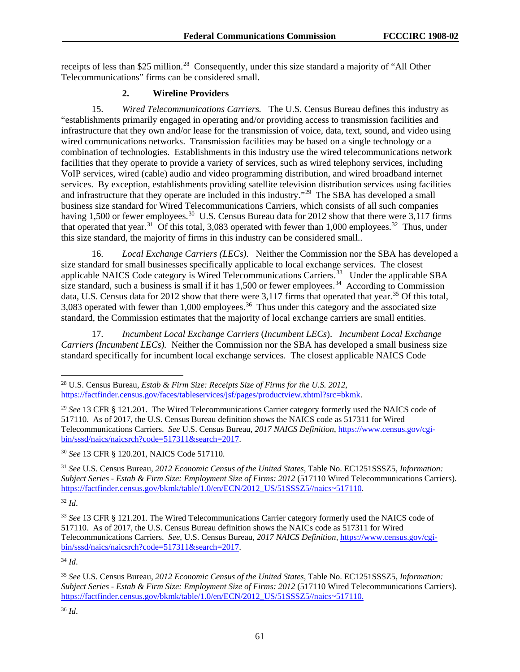receipts of less than \$25 million.<sup>[28](#page-61-0)</sup> Consequently, under this size standard a majority of "All Other Telecommunications" firms can be considered small.

# **2. Wireline Providers**

15. *Wired Telecommunications Carriers.* The U.S. Census Bureau defines this industry as "establishments primarily engaged in operating and/or providing access to transmission facilities and infrastructure that they own and/or lease for the transmission of voice, data, text, sound, and video using wired communications networks. Transmission facilities may be based on a single technology or a combination of technologies. Establishments in this industry use the wired telecommunications network facilities that they operate to provide a variety of services, such as wired telephony services, including VoIP services, wired (cable) audio and video programming distribution, and wired broadband internet services. By exception, establishments providing satellite television distribution services using facilities and infrastructure that they operate are included in this industry."<sup>29</sup> The SBA has developed a small business size standard for Wired Telecommunications Carriers, which consists of all such companies having 1,500 or fewer employees.<sup>[30](#page-61-2)</sup> U.S. Census Bureau data for 2012 show that there were  $3,117$  firms that operated that year.<sup>[31](#page-61-3)</sup> Of this total, 3,083 operated with fewer than 1,000 employees.<sup>32</sup> Thus, under this size standard, the majority of firms in this industry can be considered small..

16. *Local Exchange Carriers (LECs).* Neither the Commission nor the SBA has developed a size standard for small businesses specifically applicable to local exchange services. The closest applicable NAICS Code category is Wired Telecommunications Carriers.<sup>[33](#page-61-5)</sup> Under the applicable SBA size standard, such a business is small if it has 1,500 or fewer employees.<sup>[34](#page-61-6)</sup> According to Commission data, U.S. Census data for 2012 show that there were  $3,117$  firms that operated that year.<sup>[35](#page-61-7)</sup> Of this total, 3,083 operated with fewer than 1,000 employees.<sup>36</sup> Thus under this category and the associated size standard, the Commission estimates that the majority of local exchange carriers are small entities.

17. *Incumbent Local Exchange Carriers* (*Incumbent LECs*). *Incumbent Local Exchange Carriers (Incumbent LECs).* Neither the Commission nor the SBA has developed a small business size standard specifically for incumbent local exchange services. The closest applicable NAICS Code

<span id="page-61-3"></span><sup>31</sup> *See* U.S. Census Bureau, *2012 Economic Census of the United States,* Table No. EC1251SSSZ5, *Information: Subject Series - Estab & Firm Size: Employment Size of Firms: 2012* (517110 Wired Telecommunications Carriers). [https://factfinder.census.gov/bkmk/table/1.0/en/ECN/2012\\_US/51SSSZ5//naics~517110.](https://factfinder.census.gov/bkmk/table/1.0/en/ECN/2012_US/51SSSZ5/naics%7E517110)

<span id="page-61-4"></span><sup>32</sup> *Id*.

<span id="page-61-6"></span><sup>34</sup> *Id*.

<span id="page-61-0"></span> <sup>28</sup> U.S. Census Bureau, *Estab & Firm Size: Receipts Size of Firms for the U.S. 2012*, [https://factfinder.census.gov/faces/tableservices/jsf/pages/productview.xhtml?src=bkmk.](https://factfinder.census.gov/faces/tableservices/jsf/pages/productview.xhtml?src=bkmk)

<span id="page-61-1"></span><sup>29</sup> *See* 13 CFR § 121.201. The Wired Telecommunications Carrier category formerly used the NAICS code of 517110. As of 2017, the U.S. Census Bureau definition shows the NAICS code as 517311 for Wired Telecommunications Carriers. *See* U.S. Census Bureau, *2017 NAICS Definition*, [https://www.census.gov/cgi](https://www.census.gov/cgi-bin/sssd/naics/naicsrch?code=517311&search=2017)[bin/sssd/naics/naicsrch?code=517311&search=2017.](https://www.census.gov/cgi-bin/sssd/naics/naicsrch?code=517311&search=2017)

<span id="page-61-2"></span><sup>30</sup> *See* 13 CFR § 120.201, NAICS Code 517110.

<span id="page-61-5"></span><sup>33</sup> *See* 13 CFR § 121.201. The Wired Telecommunications Carrier category formerly used the NAICS code of 517110. As of 2017, the U.S. Census Bureau definition shows the NAICs code as 517311 for Wired Telecommunications Carriers. *See*, U.S. Census Bureau, *2017 NAICS Definition,* [https://www.census.gov/cgi](https://www.census.gov/cgi-bin/sssd/naics/naicsrch?code=517311&search=2017)[bin/sssd/naics/naicsrch?code=517311&search=2017.](https://www.census.gov/cgi-bin/sssd/naics/naicsrch?code=517311&search=2017)

<span id="page-61-8"></span><span id="page-61-7"></span><sup>35</sup> *See* U.S. Census Bureau, *2012 Economic Census of the United States,* Table No. EC1251SSSZ5, *Information: Subject Series - Estab & Firm Size: Employment Size of Firms: 2012* (517110 Wired Telecommunications Carriers). [https://factfinder.census.gov/bkmk/table/1.0/en/ECN/2012\\_US/51SSSZ5//naics~517110.](https://factfinder.census.gov/bkmk/table/1.0/en/ECN/2012_US/51SSSZ5/naics%7E517110)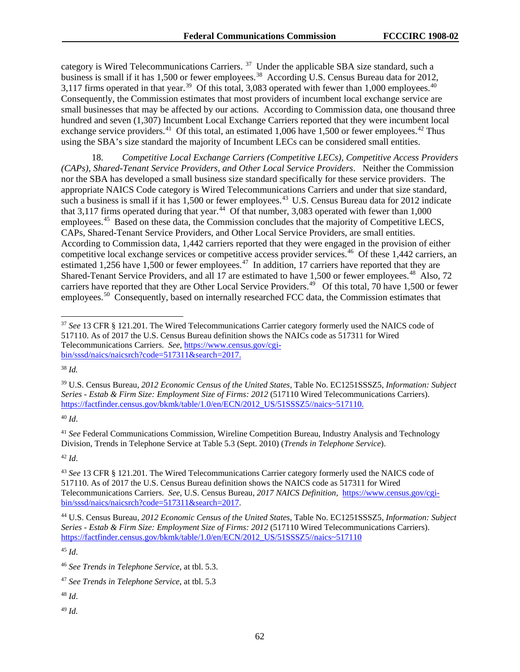category is Wired Telecommunications Carriers.<sup>[37](#page-62-0)</sup> Under the applicable SBA size standard, such a business is small if it has 1,500 or fewer employees.<sup>[38](#page-62-1)</sup> According U.S. Census Bureau data for 2012, 3,117 firms operated in that year.<sup>39</sup> Of this total, 3,083 operated with fewer than 1,000 employees.<sup>[40](#page-62-3)</sup> Consequently, the Commission estimates that most providers of incumbent local exchange service are small businesses that may be affected by our actions*.* According to Commission data, one thousand three hundred and seven (1,307) Incumbent Local Exchange Carriers reported that they were incumbent local exchange service providers.<sup>[41](#page-62-4)</sup> Of this total, an estimated 1,006 have 1,500 or fewer employees.<sup>[42](#page-62-5)</sup> Thus using the SBA's size standard the majority of Incumbent LECs can be considered small entities.

18. *Competitive Local Exchange Carriers (Competitive LECs), Competitive Access Providers (CAPs), Shared-Tenant Service Providers, and Other Local Service Providers*. Neither the Commission nor the SBA has developed a small business size standard specifically for these service providers. The appropriate NAICS Code category is Wired Telecommunications Carriers and under that size standard, such a business is small if it has 1,500 or fewer employees.<sup>[43](#page-62-6)</sup> U.S. Census Bureau data for 2012 indicate that 3,117 firms operated during that year.<sup>[44](#page-62-7)</sup> Of that number, 3,083 operated with fewer than  $1,000$ employees.<sup>[45](#page-62-8)</sup> Based on these data, the Commission concludes that the majority of Competitive LECS, CAPs, Shared-Tenant Service Providers, and Other Local Service Providers, are small entities. According to Commission data, 1,442 carriers reported that they were engaged in the provision of either competitive local exchange services or competitive access provider services.<sup>46</sup> Of these 1,442 carriers, an estimated 1,256 have 1,500 or fewer employees.<sup>[47](#page-62-10)</sup> In addition, 17 carriers have reported that they are Shared-Tenant Service Providers, and all 17 are estimated to have 1,500 or fewer employees.<sup>[48](#page-62-11)</sup> Also, 72 carriers have reported that they are Other Local Service Providers.<sup>49</sup> Of this total, 70 have 1,500 or fewer employees.<sup>[50](#page-62-13)</sup> Consequently, based on internally researched FCC data, the Commission estimates that

<span id="page-62-1"></span><sup>38</sup> *Id.*

<span id="page-62-3"></span><sup>40</sup> *Id*.

<span id="page-62-4"></span><sup>41</sup> *See* Federal Communications Commission, Wireline Competition Bureau, Industry Analysis and Technology Division, Trends in Telephone Service at Table 5.3 (Sept. 2010) (*Trends in Telephone Service*).

<span id="page-62-5"></span><sup>42</sup> *Id*.

<span id="page-62-8"></span><sup>45</sup> *Id*.

<span id="page-62-12"></span><span id="page-62-11"></span><sup>48</sup> *Id*.

<span id="page-62-13"></span><span id="page-62-0"></span> <sup>37</sup> *See* 13 CFR § 121.201. The Wired Telecommunications Carrier category formerly used the NAICS code of 517110. As of 2017 the U.S. Census Bureau definition shows the NAICs code as 517311 for Wired Telecommunications Carriers. *See*, [https://www.census.gov/cgi](https://www.census.gov/cgi-bin/sssd/naics/naicsrch?code=517311&search=2017)[bin/sssd/naics/naicsrch?code=517311&search=2017.](https://www.census.gov/cgi-bin/sssd/naics/naicsrch?code=517311&search=2017)

<span id="page-62-2"></span><sup>39</sup> U.S. Census Bureau*, 2012 Economic Census of the United States,* Table No. EC1251SSSZ5, *Information: Subject Series - Estab & Firm Size: Employment Size of Firms: 2012* (517110 Wired Telecommunications Carriers). [https://factfinder.census.gov/bkmk/table/1.0/en/ECN/2012\\_US/51SSSZ5//naics~517110.](https://factfinder.census.gov/bkmk/table/1.0/en/ECN/2012_US/51SSSZ5/naics%7E517110)

<span id="page-62-6"></span><sup>43</sup> *See* 13 CFR § 121.201. The Wired Telecommunications Carrier category formerly used the NAICS code of 517110. As of 2017 the U.S. Census Bureau definition shows the NAICS code as 517311 for Wired Telecommunications Carriers. *See*, U.S. Census Bureau, *2017 NAICS Definition,* [https://www.census.gov/cgi](https://www.census.gov/cgi-bin/sssd/naics/naicsrch?code=517311&search=2017)[bin/sssd/naics/naicsrch?code=517311&search=2017.](https://www.census.gov/cgi-bin/sssd/naics/naicsrch?code=517311&search=2017)

<span id="page-62-7"></span><sup>44</sup> U.S. Census Bureau*, 2012 Economic Census of the United States,* Table No. EC1251SSSZ5, *Information: Subject Series - Estab & Firm Size: Employment Size of Firms: 2012* (517110 Wired Telecommunications Carriers). [https://factfinder.census.gov/bkmk/table/1.0/en/ECN/2012\\_US/51SSSZ5//naics~517110](https://factfinder.census.gov/bkmk/table/1.0/en/ECN/2012_US/51SSSZ5/naics%7E517110)

<span id="page-62-9"></span><sup>46</sup> *See Trends in Telephone Service*, at tbl. 5.3.

<span id="page-62-10"></span><sup>47</sup> *See Trends in Telephone Service*, at tbl. 5.3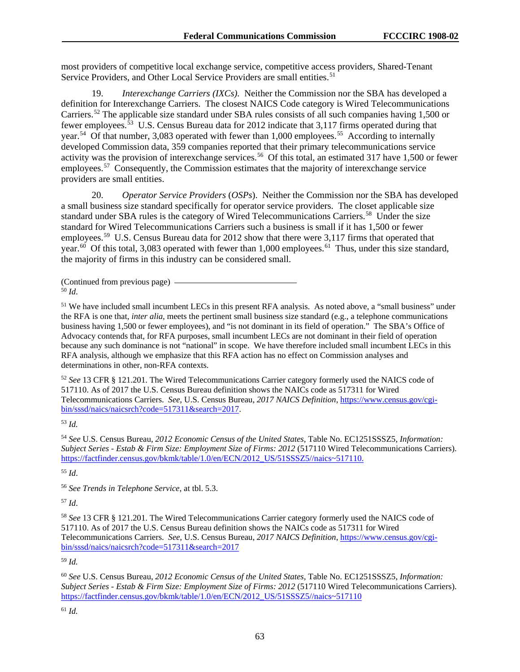most providers of competitive local exchange service, competitive access providers, Shared-Tenant Service Providers, and Other Local Service Providers are small entities.<sup>[51](#page-63-0)</sup>

19. *Interexchange Carriers (IXCs).* Neither the Commission nor the SBA has developed a definition for Interexchange Carriers. The closest NAICS Code category is Wired Telecommunications Carriers.[52](#page-63-1) The applicable size standard under SBA rules consists of all such companies having 1,500 or fewer employees.<sup>[53](#page-63-2)</sup> U.S. Census Bureau data for 2012 indicate that 3,117 firms operated during that year.<sup>[54](#page-63-3)</sup> Of that number, 3,083 operated with fewer than 1,000 employees.<sup>[55](#page-63-4)</sup> According to internally developed Commission data, 359 companies reported that their primary telecommunications service activity was the provision of interexchange services.<sup>[56](#page-63-5)</sup> Of this total, an estimated 317 have 1,500 or fewer employees.<sup>[57](#page-63-6)</sup> Consequently, the Commission estimates that the majority of interexchange service providers are small entities.

20. *Operator Service Providers* (*OSPs*). Neither the Commission nor the SBA has developed a small business size standard specifically for operator service providers. The closet applicable size standard under SBA rules is the category of Wired Telecommunications Carriers.<sup>58</sup> Under the size standard for Wired Telecommunications Carriers such a business is small if it has 1,500 or fewer employees.<sup>[59](#page-63-8)</sup> U.S. Census Bureau data for 2012 show that there were 3,117 firms that operated that year.<sup>[60](#page-63-9)</sup> Of this total, 3,083 operated with fewer than 1,000 employees.<sup>61</sup> Thus, under this size standard, the majority of firms in this industry can be considered small.

(Continued from previous page)  $\frac{1}{50}$  *Id*.

<span id="page-63-0"></span><sup>51</sup> We have included small incumbent LECs in this present RFA analysis. As noted above, a "small business" under the RFA is one that, *inter alia*, meets the pertinent small business size standard (e.g., a telephone communications business having 1,500 or fewer employees), and "is not dominant in its field of operation." The SBA's Office of Advocacy contends that, for RFA purposes, small incumbent LECs are not dominant in their field of operation because any such dominance is not "national" in scope. We have therefore included small incumbent LECs in this RFA analysis, although we emphasize that this RFA action has no effect on Commission analyses and determinations in other, non-RFA contexts.

<span id="page-63-1"></span><sup>52</sup> *See* 13 CFR § 121.201. The Wired Telecommunications Carrier category formerly used the NAICS code of 517110. As of 2017 the U.S. Census Bureau definition shows the NAICs code as 517311 for Wired Telecommunications Carriers. *See*, U.S. Census Bureau, *2017 NAICS Definition*, [https://www.census.gov/cgi](https://www.census.gov/cgi-bin/sssd/naics/naicsrch?code=517311&search=2017)[bin/sssd/naics/naicsrch?code=517311&search=2017.](https://www.census.gov/cgi-bin/sssd/naics/naicsrch?code=517311&search=2017)

<span id="page-63-2"></span><sup>53</sup> *Id.*

<span id="page-63-3"></span><sup>54</sup> *See* U.S. Census Bureau, *2012 Economic Census of the United States,* Table No. EC1251SSSZ5, *Information: Subject Series - Estab & Firm Size: Employment Size of Firms: 2012* (517110 Wired Telecommunications Carriers). [https://factfinder.census.gov/bkmk/table/1.0/en/ECN/2012\\_US/51SSSZ5//naics~517110.](https://factfinder.census.gov/bkmk/table/1.0/en/ECN/2012_US/51SSSZ5/naics%7E517110)

<span id="page-63-4"></span><sup>55</sup> *Id*.

<span id="page-63-5"></span><sup>56</sup> *See Trends in Telephone Service*, at tbl. 5.3.

<span id="page-63-6"></span><sup>57</sup> *Id*.

<span id="page-63-7"></span><sup>58</sup> *See* 13 CFR § 121.201. The Wired Telecommunications Carrier category formerly used the NAICS code of 517110. As of 2017 the U.S. Census Bureau definition shows the NAICs code as 517311 for Wired Telecommunications Carriers. *See*, U.S. Census Bureau, *2017 NAICS Definition*, [https://www.census.gov/cgi](https://www.census.gov/cgi-bin/sssd/naics/naicsrch?code=517311&search=2017)[bin/sssd/naics/naicsrch?code=517311&search=2017](https://www.census.gov/cgi-bin/sssd/naics/naicsrch?code=517311&search=2017)

<span id="page-63-8"></span><sup>59</sup> *Id.*

<span id="page-63-10"></span><span id="page-63-9"></span><sup>60</sup> *See* U.S. Census Bureau, *2012 Economic Census of the United States,* Table No. EC1251SSSZ5, *Information: Subject Series - Estab & Firm Size: Employment Size of Firms: 2012* (517110 Wired Telecommunications Carriers). [https://factfinder.census.gov/bkmk/table/1.0/en/ECN/2012\\_US/51SSSZ5//naics~517110](https://factfinder.census.gov/bkmk/table/1.0/en/ECN/2012_US/51SSSZ5/naics%7E517110)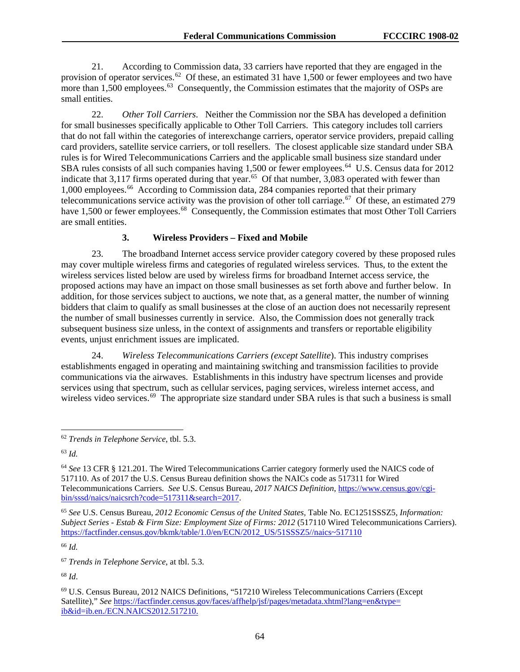21. According to Commission data, 33 carriers have reported that they are engaged in the provision of operator services.<sup>[62](#page-64-0)</sup> Of these, an estimated 31 have 1,500 or fewer employees and two have more than 1,500 employees.<sup>63</sup> Consequently, the Commission estimates that the majority of OSPs are small entities.

22. *Other Toll Carriers*. Neither the Commission nor the SBA has developed a definition for small businesses specifically applicable to Other Toll Carriers. This category includes toll carriers that do not fall within the categories of interexchange carriers, operator service providers, prepaid calling card providers, satellite service carriers, or toll resellers. The closest applicable size standard under SBA rules is for Wired Telecommunications Carriers and the applicable small business size standard under SBA rules consists of all such companies having 1,500 or fewer employees.<sup>[64](#page-64-2)</sup> U.S. Census data for 2012 indicate that 3,117 firms operated during that year.<sup>65</sup> Of that number, 3,083 operated with fewer than 1,000 employees.[66](#page-64-4) According to Commission data, 284 companies reported that their primary telecommunications service activity was the provision of other toll carriage.<sup>67</sup> Of these, an estimated 279 have 1,500 or fewer employees.<sup>[68](#page-64-6)</sup> Consequently, the Commission estimates that most Other Toll Carriers are small entities.

#### **3. Wireless Providers – Fixed and Mobile**

23. The broadband Internet access service provider category covered by these proposed rules may cover multiple wireless firms and categories of regulated wireless services. Thus, to the extent the wireless services listed below are used by wireless firms for broadband Internet access service, the proposed actions may have an impact on those small businesses as set forth above and further below. In addition, for those services subject to auctions, we note that, as a general matter, the number of winning bidders that claim to qualify as small businesses at the close of an auction does not necessarily represent the number of small businesses currently in service. Also, the Commission does not generally track subsequent business size unless, in the context of assignments and transfers or reportable eligibility events, unjust enrichment issues are implicated.

24. *Wireless Telecommunications Carriers (except Satellite*). This industry comprises establishments engaged in operating and maintaining switching and transmission facilities to provide communications via the airwaves. Establishments in this industry have spectrum licenses and provide services using that spectrum, such as cellular services, paging services, wireless internet access, and wireless video services.<sup>69</sup> The appropriate size standard under SBA rules is that such a business is small

<span id="page-64-4"></span><sup>66</sup> *Id.*

<span id="page-64-5"></span><sup>67</sup> *Trends in Telephone Service*, at tbl. 5.3.

<span id="page-64-0"></span> <sup>62</sup> *Trends in Telephone Service*, tbl. 5.3.

<span id="page-64-1"></span><sup>63</sup> *Id.* 

<span id="page-64-2"></span><sup>64</sup> *See* 13 CFR § 121.201. The Wired Telecommunications Carrier category formerly used the NAICS code of 517110. As of 2017 the U.S. Census Bureau definition shows the NAICs code as 517311 for Wired Telecommunications Carriers. *See* U.S. Census Bureau, *2017 NAICS Definition*, [https://www.census.gov/cgi](https://www.census.gov/cgi-bin/sssd/naics/naicsrch?code=517311&search=2017)[bin/sssd/naics/naicsrch?code=517311&search=2017.](https://www.census.gov/cgi-bin/sssd/naics/naicsrch?code=517311&search=2017)

<span id="page-64-3"></span><sup>65</sup> *See* U.S. Census Bureau, *2012 Economic Census of the United States,* Table No. EC1251SSSZ5, *Information: Subject Series - Estab & Firm Size: Employment Size of Firms: 2012* (517110 Wired Telecommunications Carriers). [https://factfinder.census.gov/bkmk/table/1.0/en/ECN/2012\\_US/51SSSZ5//naics~517110](https://factfinder.census.gov/bkmk/table/1.0/en/ECN/2012_US/51SSSZ5/naics%7E517110)

<span id="page-64-6"></span><sup>68</sup> *Id*.

<span id="page-64-7"></span><sup>69</sup> U.S. Census Bureau, 2012 NAICS Definitions, "517210 Wireless Telecommunications Carriers (Except Satellite)," *See* [https://factfinder.census.gov/faces/affhelp/jsf/pages/metadata.xhtml?lang=en&type=](https://factfinder.census.gov/faces/affhelp/jsf/pages/metadata.xhtml?lang=en&type=ib&id=ib.en./ECN.NAICS2012.517210) [ib&id=ib.en./ECN.NAICS2012.517210.](https://factfinder.census.gov/faces/affhelp/jsf/pages/metadata.xhtml?lang=en&type=ib&id=ib.en./ECN.NAICS2012.517210)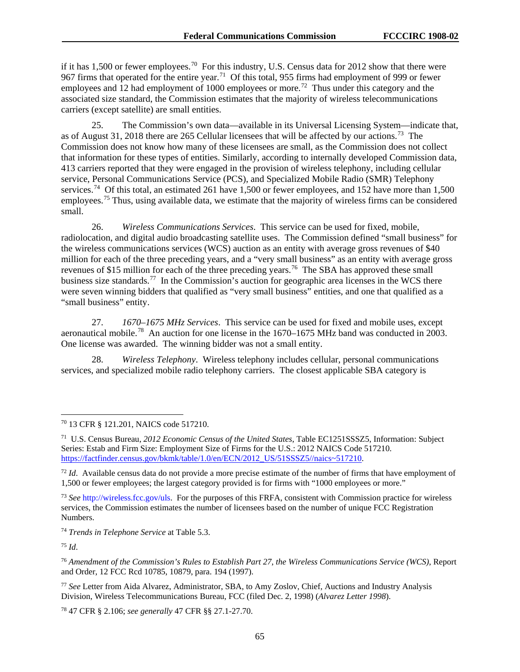if it has 1,500 or fewer employees.<sup>[70](#page-65-0)</sup> For this industry, U.S. Census data for 2012 show that there were 967 firms that operated for the entire year.<sup>71</sup> Of this total, 955 firms had employment of 999 or fewer employees and  $12$  had employment of 1000 employees or more.<sup>72</sup> Thus under this category and the associated size standard, the Commission estimates that the majority of wireless telecommunications carriers (except satellite) are small entities.

25. The Commission's own data—available in its Universal Licensing System—indicate that, as of August 31, 2018 there are 265 Cellular licensees that will be affected by our actions.<sup>[73](#page-65-3)</sup> The Commission does not know how many of these licensees are small, as the Commission does not collect that information for these types of entities. Similarly, according to internally developed Commission data, 413 carriers reported that they were engaged in the provision of wireless telephony, including cellular service, Personal Communications Service (PCS), and Specialized Mobile Radio (SMR) Telephony services.<sup>74</sup> Of this total, an estimated 261 have 1,500 or fewer employees, and 152 have more than 1,500 employees.<sup>[75](#page-65-5)</sup> Thus, using available data, we estimate that the majority of wireless firms can be considered small.

26. *Wireless Communications Services*. This service can be used for fixed, mobile, radiolocation, and digital audio broadcasting satellite uses. The Commission defined "small business" for the wireless communications services (WCS) auction as an entity with average gross revenues of \$40 million for each of the three preceding years, and a "very small business" as an entity with average gross revenues of \$15 million for each of the three preceding years.<sup>76</sup> The SBA has approved these small business size standards.<sup>77</sup> In the Commission's auction for geographic area licenses in the WCS there were seven winning bidders that qualified as "very small business" entities, and one that qualified as a "small business" entity.

27. *1670–1675 MHz Services*. This service can be used for fixed and mobile uses, except aeronautical mobile.<sup>[78](#page-65-8)</sup> An auction for one license in the  $1670-1675$  MHz band was conducted in  $2003$ . One license was awarded. The winning bidder was not a small entity.

28. *Wireless Telephony*. Wireless telephony includes cellular, personal communications services, and specialized mobile radio telephony carriers. The closest applicable SBA category is

<span id="page-65-3"></span><sup>73</sup> *See* http://wireless.fcc.gov/uls. For the purposes of this FRFA, consistent with Commission practice for wireless services, the Commission estimates the number of licensees based on the number of unique FCC Registration Numbers.

<span id="page-65-4"></span><sup>74</sup> *Trends in Telephone Service* at Table 5.3.

<span id="page-65-5"></span><sup>75</sup> *Id*.

<span id="page-65-8"></span><sup>78</sup> 47 CFR § 2.106; *see generally* 47 CFR §§ 27.1-27.70.

<span id="page-65-0"></span> <sup>70</sup> 13 CFR § 121.201, NAICS code 517210.

<span id="page-65-1"></span><sup>71</sup> U.S. Census Bureau, *2012 Economic Census of the United States*, Table EC1251SSSZ5, Information: Subject Series: Estab and Firm Size: Employment Size of Firms for the U.S.: 2012 NAICS Code 517210. [https://factfinder.census.gov/bkmk/table/1.0/en/ECN/2012\\_US/51SSSZ5//naics~517210.](https://factfinder.census.gov/bkmk/table/1.0/en/ECN/2012_US/51SSSZ5/naics%7E517210)

<span id="page-65-2"></span><sup>&</sup>lt;sup>72</sup> *Id*. Available census data do not provide a more precise estimate of the number of firms that have employment of 1,500 or fewer employees; the largest category provided is for firms with "1000 employees or more."

<span id="page-65-6"></span><sup>76</sup> *Amendment of the Commission's Rules to Establish Part 27*, *the Wireless Communications Service (WCS)*, Report and Order, 12 FCC Rcd 10785, 10879, para. 194 (1997).

<span id="page-65-7"></span><sup>77</sup> *See* Letter from Aida Alvarez, Administrator, SBA, to Amy Zoslov, Chief, Auctions and Industry Analysis Division, Wireless Telecommunications Bureau, FCC (filed Dec. 2, 1998) (*Alvarez Letter 1998*).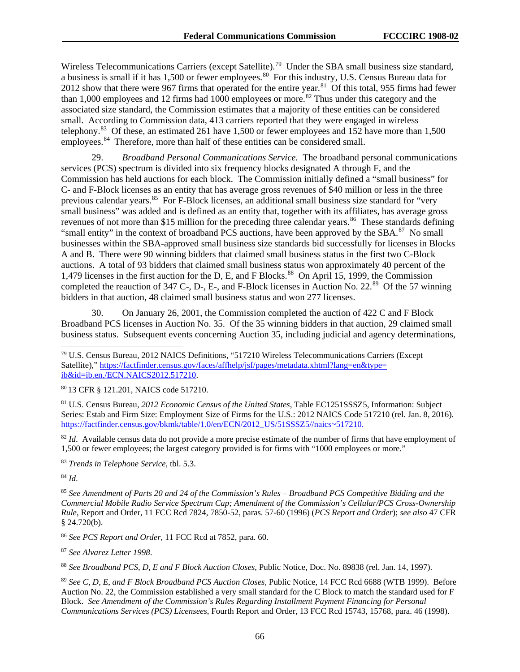Wireless Telecommunications Carriers (except Satellite).<sup>79</sup> Under the SBA small business size standard, a business is small if it has 1,500 or fewer employees.<sup>80</sup> For this industry, U.S. Census Bureau data for 2012 show that there were 967 firms that operated for the entire year.<sup>81</sup> Of this total, 955 firms had fewer than 1,000 employees and 12 firms had 1000 employees or more.<sup>[82](#page-66-3)</sup> Thus under this category and the associated size standard, the Commission estimates that a majority of these entities can be considered small. According to Commission data, 413 carriers reported that they were engaged in wireless telephony.[83](#page-66-4) Of these, an estimated 261 have 1,500 or fewer employees and 152 have more than 1,500 employees.<sup>[84](#page-66-5)</sup> Therefore, more than half of these entities can be considered small.

29. *Broadband Personal Communications Service.* The broadband personal communications services (PCS) spectrum is divided into six frequency blocks designated A through F, and the Commission has held auctions for each block. The Commission initially defined a "small business" for C- and F-Block licenses as an entity that has average gross revenues of \$40 million or less in the three previous calendar years.<sup>[85](#page-66-6)</sup> For F-Block licenses, an additional small business size standard for "very small business" was added and is defined as an entity that, together with its affiliates, has average gross revenues of not more than \$15 million for the preceding three calendar years.<sup>86</sup> These standards defining "small entity" in the context of broadband PCS auctions, have been approved by the SBA.<sup>87</sup> No small businesses within the SBA-approved small business size standards bid successfully for licenses in Blocks A and B. There were 90 winning bidders that claimed small business status in the first two C-Block auctions. A total of 93 bidders that claimed small business status won approximately 40 percent of the 1,479 licenses in the first auction for the D, E, and F Blocks.<sup>[88](#page-66-9)</sup> On April 15, 1999, the Commission completed the reauction of  $347$  C-, D-, E-, and F-Block licenses in Auction No.  $22.^{89}$  Of the 57 winning bidders in that auction, 48 claimed small business status and won 277 licenses.

30. On January 26, 2001, the Commission completed the auction of 422 C and F Block Broadband PCS licenses in Auction No. 35. Of the 35 winning bidders in that auction, 29 claimed small business status. Subsequent events concerning Auction 35, including judicial and agency determinations,

<span id="page-66-1"></span><sup>80</sup> 13 CFR § 121.201, NAICS code 517210.

<span id="page-66-2"></span><sup>81</sup> U.S. Census Bureau, *2012 Economic Census of the United States*, Table EC1251SSSZ5, Information: Subject Series: Estab and Firm Size: Employment Size of Firms for the U.S.: 2012 NAICS Code 517210 (rel. Jan. 8, 2016). [https://factfinder.census.gov/bkmk/table/1.0/en/ECN/2012\\_US/51SSSZ5//naics~517210.](https://factfinder.census.gov/bkmk/table/1.0/en/ECN/2012_US/51SSSZ5/naics%7E517210)

<span id="page-66-3"></span><sup>82</sup> *Id.* Available census data do not provide a more precise estimate of the number of firms that have employment of 1,500 or fewer employees; the largest category provided is for firms with "1000 employees or more."

<span id="page-66-4"></span><sup>83</sup> *Trends in Telephone Service*, tbl. 5.3.

<span id="page-66-5"></span><sup>84</sup> *Id*.

<span id="page-66-6"></span><sup>85</sup> *See Amendment of Parts 20 and 24 of the Commission's Rules – Broadband PCS Competitive Bidding and the Commercial Mobile Radio Service Spectrum Cap; Amendment of the Commission's Cellular/PCS Cross-Ownership Rule*, Report and Order, 11 FCC Rcd 7824, 7850-52, paras. 57-60 (1996) (*PCS Report and Order*); *see also* 47 CFR § 24.720(b).

<span id="page-66-7"></span><sup>86</sup> *See PCS Report and Order*, 11 FCC Rcd at 7852, para. 60.

<span id="page-66-8"></span><sup>87</sup> *See Alvarez Letter 1998*.

<span id="page-66-9"></span><sup>88</sup> *See Broadband PCS*, *D*, *E and F Block Auction Closes*, Public Notice, Doc. No. 89838 (rel. Jan. 14, 1997).

<span id="page-66-10"></span><sup>89</sup> *See C*, *D*, *E*, *and F Block Broadband PCS Auction Closes*, Public Notice, 14 FCC Rcd 6688 (WTB 1999). Before Auction No. 22, the Commission established a very small standard for the C Block to match the standard used for F Block. *See Amendment of the Commission's Rules Regarding Installment Payment Financing for Personal Communications Services (PCS) Licensees*, Fourth Report and Order, 13 FCC Rcd 15743, 15768, para. 46 (1998).

<span id="page-66-0"></span> <sup>79</sup> U.S. Census Bureau, 2012 NAICS Definitions, "517210 Wireless Telecommunications Carriers (Except Satellite)," [https://factfinder.census.gov/faces/affhelp/jsf/pages/metadata.xhtml?lang=en&type=](https://factfinder.census.gov/faces/affhelp/jsf/pages/metadata.xhtml?lang=en&type=ib&id=ib.en./ECN.NAICS2012.517210) [ib&id=ib.en./ECN.NAICS2012.517210.](https://factfinder.census.gov/faces/affhelp/jsf/pages/metadata.xhtml?lang=en&type=ib&id=ib.en./ECN.NAICS2012.517210)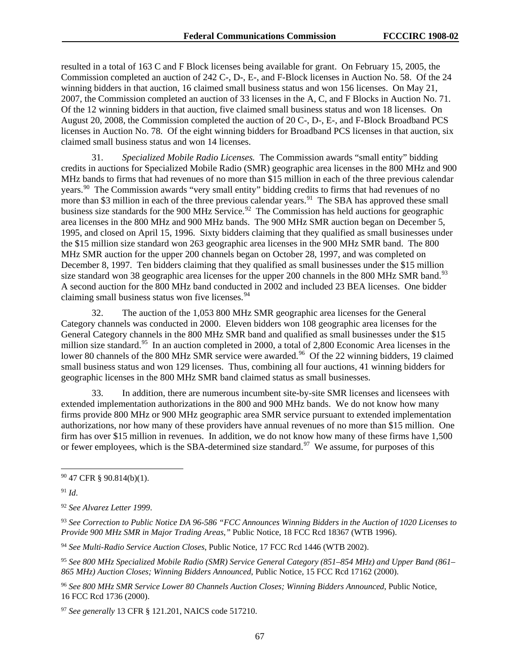resulted in a total of 163 C and F Block licenses being available for grant. On February 15, 2005, the Commission completed an auction of 242 C-, D-, E-, and F-Block licenses in Auction No. 58. Of the 24 winning bidders in that auction, 16 claimed small business status and won 156 licenses. On May 21, 2007, the Commission completed an auction of 33 licenses in the A, C, and F Blocks in Auction No. 71. Of the 12 winning bidders in that auction, five claimed small business status and won 18 licenses. On August 20, 2008, the Commission completed the auction of 20 C-, D-, E-, and F-Block Broadband PCS licenses in Auction No. 78. Of the eight winning bidders for Broadband PCS licenses in that auction, six claimed small business status and won 14 licenses.

31. *Specialized Mobile Radio Licenses.* The Commission awards "small entity" bidding credits in auctions for Specialized Mobile Radio (SMR) geographic area licenses in the 800 MHz and 900 MHz bands to firms that had revenues of no more than \$15 million in each of the three previous calendar years.<sup>90</sup> The Commission awards "very small entity" bidding credits to firms that had revenues of no more than \$3 million in each of the three previous calendar years.<sup>91</sup> The SBA has approved these small business size standards for the 900 MHz Service.<sup>92</sup> The Commission has held auctions for geographic area licenses in the 800 MHz and 900 MHz bands. The 900 MHz SMR auction began on December 5, 1995, and closed on April 15, 1996. Sixty bidders claiming that they qualified as small businesses under the \$15 million size standard won 263 geographic area licenses in the 900 MHz SMR band. The 800 MHz SMR auction for the upper 200 channels began on October 28, 1997, and was completed on December 8, 1997. Ten bidders claiming that they qualified as small businesses under the \$15 million size standard won 38 geographic area licenses for the upper 200 channels in the 800 MHz SMR band.<sup>[93](#page-67-3)</sup> A second auction for the 800 MHz band conducted in 2002 and included 23 BEA licenses. One bidder claiming small business status won five licenses.<sup>[94](#page-67-4)</sup>

32. The auction of the 1,053 800 MHz SMR geographic area licenses for the General Category channels was conducted in 2000. Eleven bidders won 108 geographic area licenses for the General Category channels in the 800 MHz SMR band and qualified as small businesses under the \$15 million size standard.<sup>[95](#page-67-5)</sup> In an auction completed in 2000, a total of 2,800 Economic Area licenses in the lower 80 channels of the 800 MHz SMR service were awarded.<sup>[96](#page-67-6)</sup> Of the 22 winning bidders, 19 claimed small business status and won 129 licenses. Thus, combining all four auctions, 41 winning bidders for geographic licenses in the 800 MHz SMR band claimed status as small businesses.

33. In addition, there are numerous incumbent site-by-site SMR licenses and licensees with extended implementation authorizations in the 800 and 900 MHz bands. We do not know how many firms provide 800 MHz or 900 MHz geographic area SMR service pursuant to extended implementation authorizations, nor how many of these providers have annual revenues of no more than \$15 million. One firm has over \$15 million in revenues. In addition, we do not know how many of these firms have 1,500 or fewer employees, which is the SBA-determined size standard.<sup>97</sup> We assume, for purposes of this

<span id="page-67-1"></span><sup>91</sup> *Id*.

<span id="page-67-4"></span><sup>94</sup> *See Multi-Radio Service Auction Closes*, Public Notice, 17 FCC Rcd 1446 (WTB 2002).

<span id="page-67-0"></span> <sup>90</sup> 47 CFR § 90.814(b)(1).

<span id="page-67-2"></span><sup>92</sup> *See Alvarez Letter 1999*.

<span id="page-67-3"></span><sup>93</sup> *See Correction to Public Notice DA 96-586 "FCC Announces Winning Bidders in the Auction of 1020 Licenses to Provide 900 MHz SMR in Major Trading Areas*,*"* Public Notice, 18 FCC Rcd 18367 (WTB 1996).

<span id="page-67-5"></span><sup>95</sup> *See 800 MHz Specialized Mobile Radio (SMR) Service General Category (851–854 MHz) and Upper Band (861– 865 MHz) Auction Closes; Winning Bidders Announced*, Public Notice, 15 FCC Rcd 17162 (2000).

<span id="page-67-6"></span><sup>96</sup> *See 800 MHz SMR Service Lower 80 Channels Auction Closes; Winning Bidders Announced*, Public Notice, 16 FCC Rcd 1736 (2000).

<span id="page-67-7"></span><sup>97</sup> *See generally* 13 CFR § 121.201, NAICS code 517210.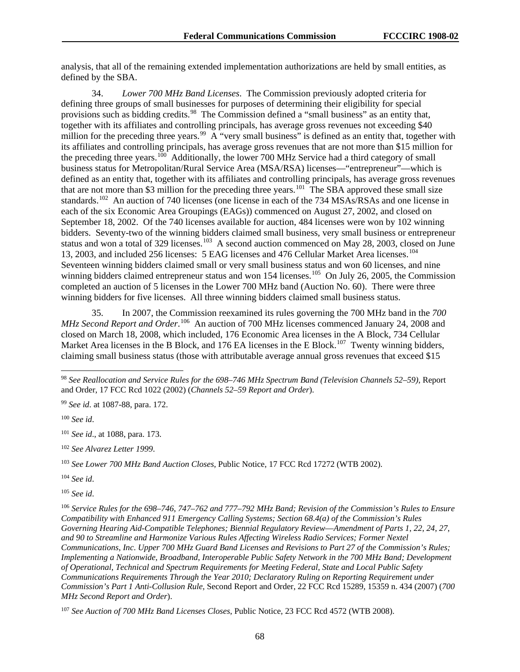analysis, that all of the remaining extended implementation authorizations are held by small entities, as defined by the SBA.

34. *Lower 700 MHz Band Licenses*. The Commission previously adopted criteria for defining three groups of small businesses for purposes of determining their eligibility for special provisions such as bidding credits.<sup>[98](#page-68-0)</sup> The Commission defined a "small business" as an entity that, together with its affiliates and controlling principals, has average gross revenues not exceeding \$40 million for the preceding three years.<sup>99</sup> A "very small business" is defined as an entity that, together with its affiliates and controlling principals, has average gross revenues that are not more than \$15 million for the preceding three years.<sup>[100](#page-68-2)</sup> Additionally, the lower 700 MHz Service had a third category of small business status for Metropolitan/Rural Service Area (MSA/RSA) licenses—"entrepreneur"—which is defined as an entity that, together with its affiliates and controlling principals, has average gross revenues that are not more than \$3 million for the preceding three years.<sup>[101](#page-68-3)</sup> The SBA approved these small size standards.<sup>[102](#page-68-4)</sup> An auction of 740 licenses (one license in each of the 734 MSAs/RSAs and one license in each of the six Economic Area Groupings (EAGs)) commenced on August 27, 2002, and closed on September 18, 2002. Of the 740 licenses available for auction, 484 licenses were won by 102 winning bidders. Seventy-two of the winning bidders claimed small business, very small business or entrepreneur status and won a total of 329 licenses.<sup>103</sup> A second auction commenced on May 28, 2003, closed on June 13, 2003, and included 256 licenses: 5 EAG licenses and 476 Cellular Market Area licenses.[104](#page-68-6) Seventeen winning bidders claimed small or very small business status and won 60 licenses, and nine winning bidders claimed entrepreneur status and won 154 licenses.<sup>105</sup> On July 26, 2005, the Commission completed an auction of 5 licenses in the Lower 700 MHz band (Auction No. 60). There were three winning bidders for five licenses. All three winning bidders claimed small business status.

35. In 2007, the Commission reexamined its rules governing the 700 MHz band in the *700*  MHz Second Report and Order.<sup>[106](#page-68-8)</sup> An auction of 700 MHz licenses commenced January 24, 2008 and closed on March 18, 2008, which included, 176 Economic Area licenses in the A Block, 734 Cellular Market Area licenses in the B Block, and 176 EA licenses in the E Block.<sup>107</sup> Twenty winning bidders, claiming small business status (those with attributable average annual gross revenues that exceed \$15

<span id="page-68-2"></span><sup>100</sup> *See id*.

<span id="page-68-4"></span><sup>102</sup> *See Alvarez Letter 1999*.

<span id="page-68-5"></span><sup>103</sup> *See Lower 700 MHz Band Auction Closes*, Public Notice, 17 FCC Rcd 17272 (WTB 2002).

<span id="page-68-6"></span><sup>104</sup> *See id*.

<span id="page-68-7"></span><sup>105</sup> *See id*.

<span id="page-68-8"></span><sup>106</sup> *Service Rules for the 698*–*746*, *747*–*762 and 777*–*792 MHz Band; Revision of the Commission's Rules to Ensure Compatibility with Enhanced 911 Emergency Calling Systems; Section 68*.*4(a) of the Commission's Rules Governing Hearing Aid-Compatible Telephones; Biennial Regulatory Review*—*Amendment of Parts 1*, *22*, *24*, *27*, *and 90 to Streamline and Harmonize Various Rules Affecting Wireless Radio Services; Former Nextel Communications*, *Inc*. *Upper 700 MHz Guard Band Licenses and Revisions to Part 27 of the Commission's Rules; Implementing a Nationwide*, *Broadband*, *Interoperable Public Safety Network in the 700 MHz Band; Development of Operational*, *Technical and Spectrum Requirements for Meeting Federal*, *State and Local Public Safety Communications Requirements Through the Year 2010; Declaratory Ruling on Reporting Requirement under Commission's Part 1 Anti-Collusion Rule*, Second Report and Order, 22 FCC Rcd 15289, 15359 n. 434 (2007) (*700 MHz Second Report and Order*).

<span id="page-68-0"></span> <sup>98</sup> *See Reallocation and Service Rules for the 698*–*746 MHz Spectrum Band (Television Channels 52*–*59)*, Report and Order, 17 FCC Rcd 1022 (2002) (*Channels 52*–*59 Report and Order*).

<span id="page-68-1"></span><sup>99</sup> *See id*. at 1087-88, para. 172.

<span id="page-68-3"></span><sup>101</sup> *See id*., at 1088, para. 173.

<span id="page-68-9"></span><sup>107</sup> *See Auction of 700 MHz Band Licenses Closes*, Public Notice, 23 FCC Rcd 4572 (WTB 2008).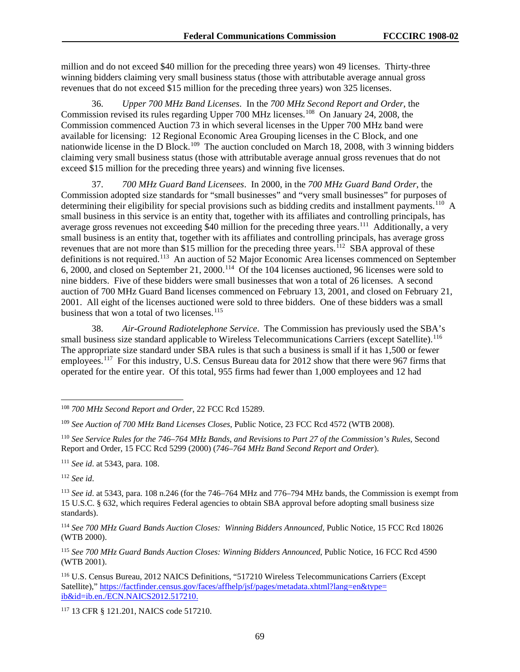million and do not exceed \$40 million for the preceding three years) won 49 licenses. Thirty-three winning bidders claiming very small business status (those with attributable average annual gross revenues that do not exceed \$15 million for the preceding three years) won 325 licenses.

36. *Upper 700 MHz Band Licenses*. In the *700 MHz Second Report and Order*, the Commission revised its rules regarding Upper 700 MHz licenses.<sup>108</sup> On January 24, 2008, the Commission commenced Auction 73 in which several licenses in the Upper 700 MHz band were available for licensing: 12 Regional Economic Area Grouping licenses in the C Block, and one nationwide license in the D Block.<sup>[109](#page-69-1)</sup> The auction concluded on March 18, 2008, with 3 winning bidders claiming very small business status (those with attributable average annual gross revenues that do not exceed \$15 million for the preceding three years) and winning five licenses.

37. *700 MHz Guard Band Licensees*. In 2000, in the *700 MHz Guard Band Order*, the Commission adopted size standards for "small businesses" and "very small businesses" for purposes of determining their eligibility for special provisions such as bidding credits and installment payments.<sup>[110](#page-69-2)</sup> A small business in this service is an entity that, together with its affiliates and controlling principals, has average gross revenues not exceeding \$40 million for the preceding three years.<sup>[111](#page-69-3)</sup> Additionally, a very small business is an entity that, together with its affiliates and controlling principals, has average gross revenues that are not more than \$15 million for the preceding three years.<sup>112</sup> SBA approval of these definitions is not required.<sup>[113](#page-69-5)</sup> An auction of 52 Major Economic Area licenses commenced on September 6, 2000, and closed on September 21, 2000.[114](#page-69-6) Of the 104 licenses auctioned, 96 licenses were sold to nine bidders. Five of these bidders were small businesses that won a total of 26 licenses. A second auction of 700 MHz Guard Band licenses commenced on February 13, 2001, and closed on February 21, 2001. All eight of the licenses auctioned were sold to three bidders. One of these bidders was a small business that won a total of two licenses.<sup>[115](#page-69-7)</sup>

38. *Air-Ground Radiotelephone Service*. The Commission has previously used the SBA's small business size standard applicable to Wireless Telecommunications Carriers (except Satellite).<sup>[116](#page-69-8)</sup> The appropriate size standard under SBA rules is that such a business is small if it has 1,500 or fewer employees.<sup>[117](#page-69-9)</sup> For this industry, U.S. Census Bureau data for 2012 show that there were 967 firms that operated for the entire year. Of this total, 955 firms had fewer than 1,000 employees and 12 had

<span id="page-69-4"></span><sup>112</sup> *See id*.

<span id="page-69-0"></span> <sup>108</sup> *700 MHz Second Report and Order*, 22 FCC Rcd 15289.

<span id="page-69-1"></span><sup>109</sup> *See Auction of 700 MHz Band Licenses Closes*, Public Notice, 23 FCC Rcd 4572 (WTB 2008).

<span id="page-69-2"></span><sup>110</sup> *See Service Rules for the 746–764 MHz Bands*, *and Revisions to Part 27 of the Commission's Rules*, Second Report and Order, 15 FCC Rcd 5299 (2000) (*746–764 MHz Band Second Report and Order*).

<span id="page-69-3"></span><sup>111</sup> *See id*. at 5343, para. 108.

<span id="page-69-5"></span><sup>113</sup> *See id*. at 5343, para. 108 n.246 (for the 746–764 MHz and 776–794 MHz bands, the Commission is exempt from 15 U.S.C. § 632, which requires Federal agencies to obtain SBA approval before adopting small business size standards).

<span id="page-69-6"></span><sup>114</sup> *See 700 MHz Guard Bands Auction Closes: Winning Bidders Announced*, Public Notice, 15 FCC Rcd 18026 (WTB 2000).

<span id="page-69-7"></span><sup>115</sup> *See 700 MHz Guard Bands Auction Closes: Winning Bidders Announced*, Public Notice, 16 FCC Rcd 4590 (WTB 2001).

<span id="page-69-8"></span><sup>116</sup> U.S. Census Bureau, 2012 NAICS Definitions, "517210 Wireless Telecommunications Carriers (Except Satellite)," [https://factfinder.census.gov/faces/affhelp/jsf/pages/metadata.xhtml?lang=en&type=](https://factfinder.census.gov/faces/affhelp/jsf/pages/metadata.xhtml?lang=en&type=ib&id=ib.en./ECN.NAICS2012.517210) [ib&id=ib.en./ECN.NAICS2012.517210.](https://factfinder.census.gov/faces/affhelp/jsf/pages/metadata.xhtml?lang=en&type=ib&id=ib.en./ECN.NAICS2012.517210)

<span id="page-69-9"></span><sup>117</sup> 13 CFR § 121.201, NAICS code 517210.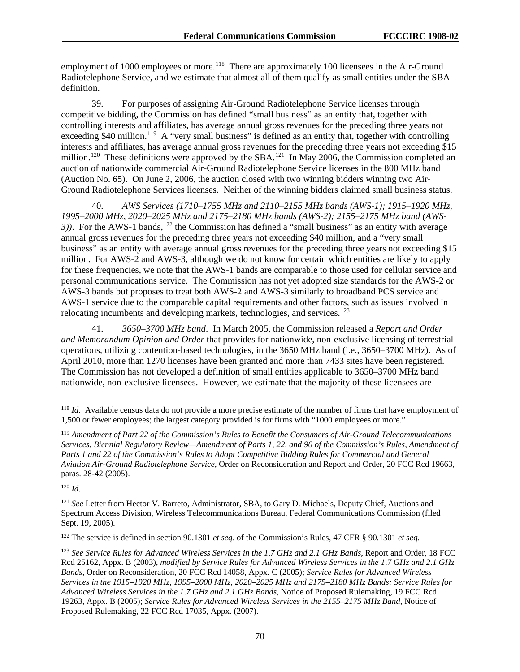employment of 1000 employees or more.<sup>118</sup> There are approximately 100 licensees in the Air-Ground Radiotelephone Service, and we estimate that almost all of them qualify as small entities under the SBA definition.

39. For purposes of assigning Air-Ground Radiotelephone Service licenses through competitive bidding, the Commission has defined "small business" as an entity that, together with controlling interests and affiliates, has average annual gross revenues for the preceding three years not exceeding \$40 million.<sup>[119](#page-70-1)</sup> A "very small business" is defined as an entity that, together with controlling interests and affiliates, has average annual gross revenues for the preceding three years not exceeding \$15 million.<sup>120</sup> These definitions were approved by the SBA.<sup>[121](#page-70-3)</sup> In May 2006, the Commission completed an auction of nationwide commercial Air-Ground Radiotelephone Service licenses in the 800 MHz band (Auction No. 65). On June 2, 2006, the auction closed with two winning bidders winning two Air-Ground Radiotelephone Services licenses. Neither of the winning bidders claimed small business status.

40. *AWS Services (1710–1755 MHz and 2110–2155 MHz bands (AWS-1); 1915–1920 MHz, 1995–2000 MHz, 2020–2025 MHz and 2175–2180 MHz bands (AWS-2); 2155–2175 MHz band (AWS-3*)). For the AWS-1 bands,<sup>[122](#page-70-4)</sup> the Commission has defined a "small business" as an entity with average annual gross revenues for the preceding three years not exceeding \$40 million, and a "very small business" as an entity with average annual gross revenues for the preceding three years not exceeding \$15 million. For AWS-2 and AWS-3, although we do not know for certain which entities are likely to apply for these frequencies, we note that the AWS-1 bands are comparable to those used for cellular service and personal communications service. The Commission has not yet adopted size standards for the AWS-2 or AWS-3 bands but proposes to treat both AWS-2 and AWS-3 similarly to broadband PCS service and AWS-1 service due to the comparable capital requirements and other factors, such as issues involved in relocating incumbents and developing markets, technologies, and services.<sup>[123](#page-70-5)</sup>

41. *3650–3700 MHz band*. In March 2005, the Commission released a *Report and Order and Memorandum Opinion and Order* that provides for nationwide, non-exclusive licensing of terrestrial operations, utilizing contention-based technologies, in the 3650 MHz band (i.e., 3650–3700 MHz). As of April 2010, more than 1270 licenses have been granted and more than 7433 sites have been registered. The Commission has not developed a definition of small entities applicable to 3650–3700 MHz band nationwide, non-exclusive licensees. However, we estimate that the majority of these licensees are

<span id="page-70-0"></span> <sup>118</sup> *Id*. Available census data do not provide a more precise estimate of the number of firms that have employment of 1,500 or fewer employees; the largest category provided is for firms with "1000 employees or more."

<span id="page-70-1"></span><sup>119</sup> *Amendment of Part 22 of the Commission's Rules to Benefit the Consumers of Air-Ground Telecommunications Services*, *Biennial Regulatory Review—Amendment of Parts 1*, *22*, *and 90 of the Commission's Rules*, *Amendment of Parts 1 and 22 of the Commission's Rules to Adopt Competitive Bidding Rules for Commercial and General Aviation Air-Ground Radiotelephone Service*, Order on Reconsideration and Report and Order, 20 FCC Rcd 19663, paras. 28*-*42 (2005).

<span id="page-70-3"></span><span id="page-70-2"></span><sup>121</sup> *See* Letter from Hector V. Barreto, Administrator, SBA, to Gary D. Michaels, Deputy Chief, Auctions and Spectrum Access Division, Wireless Telecommunications Bureau, Federal Communications Commission (filed Sept. 19, 2005).

<span id="page-70-4"></span><sup>122</sup> The service is defined in section 90.1301 *et seq*. of the Commission's Rules, 47 CFR § 90.1301 *et seq*.

<span id="page-70-5"></span><sup>123</sup> *See Service Rules for Advanced Wireless Services in the 1*.*7 GHz and 2*.*1 GHz Bands*, Report and Order, 18 FCC Rcd 25162, Appx. B (2003), *modified by Service Rules for Advanced Wireless Services in the 1*.*7 GHz and 2*.*1 GHz Bands*, Order on Reconsideration, 20 FCC Rcd 14058, Appx. C (2005); *Service Rules for Advanced Wireless Services in the 1915–1920 MHz*, *1995–2000 MHz*, *2020–2025 MHz and 2175–2180 MHz Bands; Service Rules for Advanced Wireless Services in the 1*.*7 GHz and 2*.*1 GHz Bands*, Notice of Proposed Rulemaking, 19 FCC Rcd 19263, Appx. B (2005); *Service Rules for Advanced Wireless Services in the 2155–2175 MHz Band*, Notice of Proposed Rulemaking, 22 FCC Rcd 17035, Appx. (2007).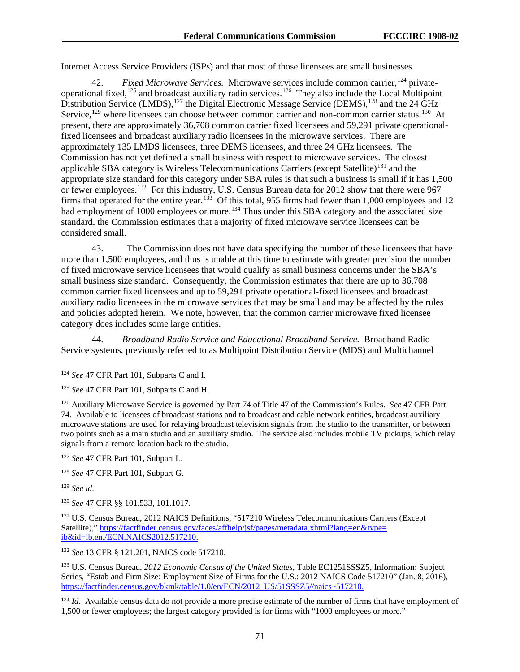Internet Access Service Providers (ISPs) and that most of those licensees are small businesses.

42. *Fixed Microwave Services.* Microwave services include common carrier, <sup>[124](#page-71-0)</sup> private-operational fixed,<sup>[125](#page-71-1)</sup> and broadcast auxiliary radio services.<sup>[126](#page-71-2)</sup> They also include the Local Multipoint Distribution Service (LMDS),<sup>[127](#page-71-3)</sup> the Digital Electronic Message Service (DEMS),<sup>[128](#page-71-4)</sup> and the 24 GHz Service,<sup>[129](#page-71-5)</sup> where licensees can choose between common carrier and non-common carrier status.<sup>[130](#page-71-6)</sup> At present, there are approximately 36,708 common carrier fixed licensees and 59,291 private operationalfixed licensees and broadcast auxiliary radio licensees in the microwave services. There are approximately 135 LMDS licensees, three DEMS licensees, and three 24 GHz licensees. The Commission has not yet defined a small business with respect to microwave services. The closest applicable SBA category is Wireless Telecommunications Carriers (except Satellite)<sup>[131](#page-71-7)</sup> and the appropriate size standard for this category under SBA rules is that such a business is small if it has 1,500 or fewer employees.<sup>132</sup> For this industry, U.S. Census Bureau data for 2012 show that there were 967 firms that operated for the entire year.<sup>[133](#page-71-9)</sup> Of this total, 955 firms had fewer than 1,000 employees and 12 had employment of 1000 employees or more.<sup>[134](#page-71-10)</sup> Thus under this SBA category and the associated size standard, the Commission estimates that a majority of fixed microwave service licensees can be considered small.

43. The Commission does not have data specifying the number of these licensees that have more than 1,500 employees, and thus is unable at this time to estimate with greater precision the number of fixed microwave service licensees that would qualify as small business concerns under the SBA's small business size standard. Consequently, the Commission estimates that there are up to 36,708 common carrier fixed licensees and up to 59,291 private operational-fixed licensees and broadcast auxiliary radio licensees in the microwave services that may be small and may be affected by the rules and policies adopted herein. We note, however, that the common carrier microwave fixed licensee category does includes some large entities.

44. *Broadband Radio Service and Educational Broadband Service.* Broadband Radio Service systems, previously referred to as Multipoint Distribution Service (MDS) and Multichannel

<span id="page-71-2"></span><sup>126</sup> Auxiliary Microwave Service is governed by Part 74 of Title 47 of the Commission's Rules. *See* 47 CFR Part 74. Available to licensees of broadcast stations and to broadcast and cable network entities, broadcast auxiliary microwave stations are used for relaying broadcast television signals from the studio to the transmitter, or between two points such as a main studio and an auxiliary studio. The service also includes mobile TV pickups, which relay signals from a remote location back to the studio.

<span id="page-71-3"></span><sup>127</sup> *See* 47 CFR Part 101, Subpart L.

<span id="page-71-4"></span><sup>128</sup> *See* 47 CFR Part 101, Subpart G.

<span id="page-71-5"></span><sup>129</sup> *See id*.

<span id="page-71-6"></span><sup>130</sup> *See* 47 CFR §§ 101.533, 101.1017.

<span id="page-71-7"></span><sup>131</sup> U.S. Census Bureau, 2012 NAICS Definitions, "517210 Wireless Telecommunications Carriers (Except Satellite)," [https://factfinder.census.gov/faces/affhelp/jsf/pages/metadata.xhtml?lang=en&type=](https://factfinder.census.gov/faces/affhelp/jsf/pages/metadata.xhtml?lang=en&type=ib&id=ib.en./ECN.NAICS2012.517210) [ib&id=ib.en./ECN.NAICS2012.517210.](https://factfinder.census.gov/faces/affhelp/jsf/pages/metadata.xhtml?lang=en&type=ib&id=ib.en./ECN.NAICS2012.517210)

<span id="page-71-8"></span><sup>132</sup> *See* 13 CFR § 121.201, NAICS code 517210.

<span id="page-71-9"></span><sup>133</sup> U.S. Census Bureau, *2012 Economic Census of the United States*, Table EC1251SSSZ5, Information: Subject Series, "Estab and Firm Size: Employment Size of Firms for the U.S.: 2012 NAICS Code 517210" (Jan. 8, 2016), [https://factfinder.census.gov/bkmk/table/1.0/en/ECN/2012\\_US/51SSSZ5//naics~517210.](https://factfinder.census.gov/bkmk/table/1.0/en/ECN/2012_US/51SSSZ5/naics%7E517210)

<span id="page-71-10"></span><sup>134</sup> *Id*. Available census data do not provide a more precise estimate of the number of firms that have employment of 1,500 or fewer employees; the largest category provided is for firms with "1000 employees or more."

<span id="page-71-0"></span> <sup>124</sup> *See* 47 CFR Part 101, Subparts C and I.

<span id="page-71-1"></span><sup>125</sup> *See* 47 CFR Part 101, Subparts C and H.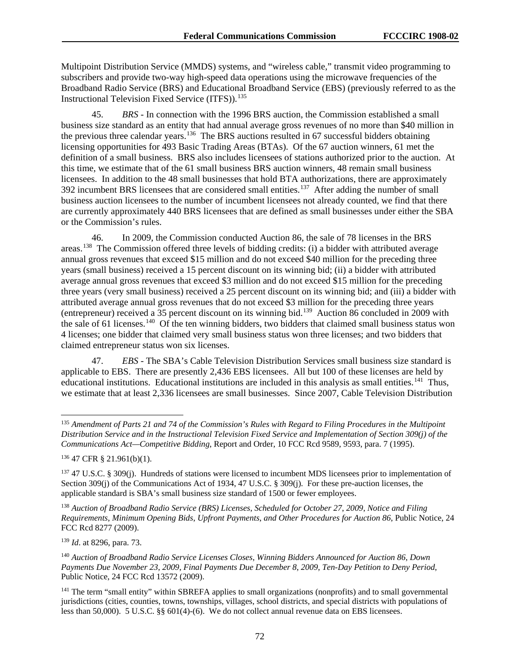Multipoint Distribution Service (MMDS) systems, and "wireless cable," transmit video programming to subscribers and provide two-way high-speed data operations using the microwave frequencies of the Broadband Radio Service (BRS) and Educational Broadband Service (EBS) (previously referred to as the Instructional Television Fixed Service (ITFS)).<sup>135</sup>

45. *BRS -* In connection with the 1996 BRS auction, the Commission established a small business size standard as an entity that had annual average gross revenues of no more than \$40 million in the previous three calendar years.[136](#page-72-1) The BRS auctions resulted in 67 successful bidders obtaining licensing opportunities for 493 Basic Trading Areas (BTAs). Of the 67 auction winners, 61 met the definition of a small business. BRS also includes licensees of stations authorized prior to the auction. At this time, we estimate that of the 61 small business BRS auction winners, 48 remain small business licensees. In addition to the 48 small businesses that hold BTA authorizations, there are approximately 392 incumbent BRS licensees that are considered small entities.<sup>[137](#page-72-2)</sup> After adding the number of small business auction licensees to the number of incumbent licensees not already counted, we find that there are currently approximately 440 BRS licensees that are defined as small businesses under either the SBA or the Commission's rules.

46. In 2009, the Commission conducted Auction 86, the sale of 78 licenses in the BRS areas.[138](#page-72-3) The Commission offered three levels of bidding credits: (i) a bidder with attributed average annual gross revenues that exceed \$15 million and do not exceed \$40 million for the preceding three years (small business) received a 15 percent discount on its winning bid; (ii) a bidder with attributed average annual gross revenues that exceed \$3 million and do not exceed \$15 million for the preceding three years (very small business) received a 25 percent discount on its winning bid; and (iii) a bidder with attributed average annual gross revenues that do not exceed \$3 million for the preceding three years (entrepreneur) received a 35 percent discount on its winning bid.[139](#page-72-4) Auction 86 concluded in 2009 with the sale of 61 licenses.<sup>[140](#page-72-5)</sup> Of the ten winning bidders, two bidders that claimed small business status won 4 licenses; one bidder that claimed very small business status won three licenses; and two bidders that claimed entrepreneur status won six licenses.

47. *EBS* - The SBA's Cable Television Distribution Services small business size standard is applicable to EBS. There are presently 2,436 EBS licensees. All but 100 of these licenses are held by educational institutions. Educational institutions are included in this analysis as small entities.<sup>141</sup> Thus, we estimate that at least 2,336 licensees are small businesses. Since 2007, Cable Television Distribution

<span id="page-72-1"></span><sup>136</sup> 47 CFR § 21.961(b)(1).

<span id="page-72-3"></span><sup>138</sup> *Auction of Broadband Radio Service (BRS) Licenses*, *Scheduled for October 27*, *2009*, *Notice and Filing Requirements*, *Minimum Opening Bids*, *Upfront Payments*, *and Other Procedures for Auction 86*, Public Notice, 24 FCC Rcd 8277 (2009).

<span id="page-72-4"></span><sup>139</sup> *Id*. at 8296, para. 73.

<span id="page-72-5"></span><sup>140</sup> *Auction of Broadband Radio Service Licenses Closes*, *Winning Bidders Announced for Auction 86*, *Down Payments Due November 23*, *2009*, *Final Payments Due December 8*, *2009*, *Ten-Day Petition to Deny Period*, Public Notice, 24 FCC Rcd 13572 (2009).

<span id="page-72-6"></span><sup>141</sup> The term "small entity" within SBREFA applies to small organizations (nonprofits) and to small governmental jurisdictions (cities, counties, towns, townships, villages, school districts, and special districts with populations of less than 50,000). 5 U.S.C. §§ 601(4)-(6). We do not collect annual revenue data on EBS licensees.

<span id="page-72-0"></span> <sup>135</sup> *Amendment of Parts 21 and 74 of the Commission's Rules with Regard to Filing Procedures in the Multipoint Distribution Service and in the Instructional Television Fixed Service and Implementation of Section 309(j) of the Communications Act—Competitive Bidding*, Report and Order, 10 FCC Rcd 9589, 9593, para. 7 (1995).

<span id="page-72-2"></span><sup>137</sup> 47 U.S.C. § 309(j). Hundreds of stations were licensed to incumbent MDS licensees prior to implementation of Section 309(j) of the Communications Act of 1934, 47 U.S.C. § 309(j). For these pre-auction licenses, the applicable standard is SBA's small business size standard of 1500 or fewer employees.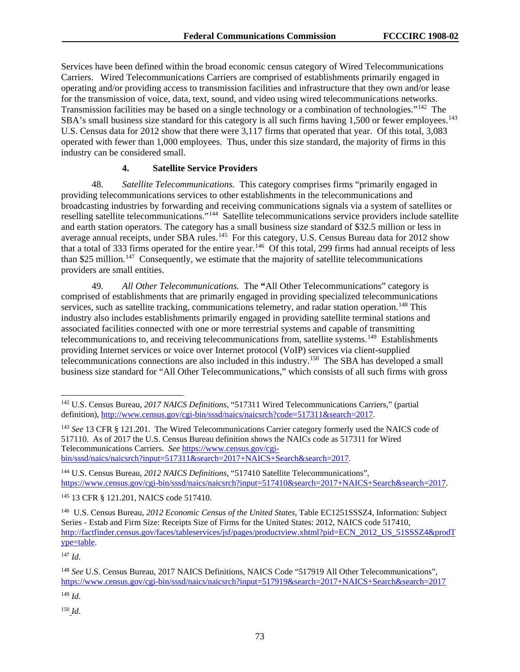Services have been defined within the broad economic census category of Wired Telecommunications Carriers. Wired Telecommunications Carriers are comprised of establishments primarily engaged in operating and/or providing access to transmission facilities and infrastructure that they own and/or lease for the transmission of voice, data, text, sound, and video using wired telecommunications networks. Transmission facilities may be based on a single technology or a combination of technologies."<sup>142</sup> The SBA's small business size standard for this category is all such firms having 1,500 or fewer employees.<sup>143</sup> U.S. Census data for 2012 show that there were 3,117 firms that operated that year. Of this total, 3,083 operated with fewer than 1,000 employees. Thus, under this size standard, the majority of firms in this industry can be considered small.

#### **4. Satellite Service Providers**

48. *Satellite Telecommunications.* This category comprises firms "primarily engaged in providing telecommunications services to other establishments in the telecommunications and broadcasting industries by forwarding and receiving communications signals via a system of satellites or reselling satellite telecommunications."[144](#page-73-2) Satellite telecommunications service providers include satellite and earth station operators. The category has a small business size standard of \$32.5 million or less in average annual receipts, under SBA rules.<sup>145</sup> For this category, U.S. Census Bureau data for 2012 show that a total of 333 firms operated for the entire year.<sup>[146](#page-73-4)</sup> Of this total, 299 firms had annual receipts of less than \$25 million.<sup>147</sup> Consequently, we estimate that the majority of satellite telecommunications providers are small entities.

49. *All Other Telecommunications.* The **"**All Other Telecommunications" category is comprised of establishments that are primarily engaged in providing specialized telecommunications services, such as satellite tracking, communications telemetry, and radar station operation.<sup>[148](#page-73-6)</sup> This industry also includes establishments primarily engaged in providing satellite terminal stations and associated facilities connected with one or more terrestrial systems and capable of transmitting telecommunications to, and receiving telecommunications from, satellite systems.<sup>149</sup> Establishments providing Internet services or voice over Internet protocol (VoIP) services via client-supplied telecommunications connections are also included in this industry.<sup>150</sup> The SBA has developed a small business size standard for "All Other Telecommunications," which consists of all such firms with gross

<span id="page-73-7"></span><sup>149</sup> *Id*.

<span id="page-73-8"></span><sup>150</sup> *Id*.

<span id="page-73-0"></span> <sup>142</sup> U.S. Census Bureau, *2017 NAICS Definitions*, "517311 Wired Telecommunications Carriers," (partial definition), [http://www.census.gov/cgi-bin/sssd/naics/naicsrch?code=517311&search=2017.](http://www.census.gov/cgi-bin/sssd/naics/naicsrch?code=517311&search=20171)

<span id="page-73-1"></span><sup>&</sup>lt;sup>143</sup> See 13 CFR § 121.201. The Wired Telecommunications Carrier category formerly used the NAICS code of 517110. As of 2017 the U.S. Census Bureau definition shows the NAICs code as 517311 for Wired Telecommunications Carriers. *See* [https://www.census.gov/cgi](https://www.census.gov/cgi-bin/sssd/naics/naicsrch?input=517311&search=2017+NAICS+Search&search=2017)[bin/sssd/naics/naicsrch?input=517311&search=2017+NAICS+Search&search=2017.](https://www.census.gov/cgi-bin/sssd/naics/naicsrch?input=517311&search=2017+NAICS+Search&search=2017)

<span id="page-73-2"></span><sup>144</sup> U.S. Census Bureau, *2012 NAICS Definitions*, "517410 Satellite Telecommunications", [https://www.census.gov/cgi-bin/sssd/naics/naicsrch?input=517410&search=2017+NAICS+Search&search=2017.](https://www.census.gov/cgi-bin/sssd/naics/naicsrch?input=517410&search=2017+NAICS+Search&search=2017)

<span id="page-73-3"></span><sup>145</sup> 13 CFR § 121.201, NAICS code 517410.

<span id="page-73-4"></span><sup>146</sup> U.S. Census Bureau, *2012 Economic Census of the United States*, Table EC1251SSSZ4, Information: Subject Series - Estab and Firm Size: Receipts Size of Firms for the United States: 2012, NAICS code 517410, [http://factfinder.census.gov/faces/tableservices/jsf/pages/productview.xhtml?pid=ECN\\_2012\\_US\\_51SSSZ4&prodT](http://factfinder.census.gov/faces/tableservices/jsf/pages/productview.xhtml?pid=ECN_2012_US_51SSSZ4&prodType=table) [ype=table.](http://factfinder.census.gov/faces/tableservices/jsf/pages/productview.xhtml?pid=ECN_2012_US_51SSSZ4&prodType=table)

<span id="page-73-5"></span><sup>147</sup> *Id*.

<span id="page-73-6"></span><sup>148</sup> *See* U.S. Census Bureau, 2017 NAICS Definitions, NAICS Code "517919 All Other Telecommunications", <https://www.census.gov/cgi-bin/sssd/naics/naicsrch?input=517919&search=2017+NAICS+Search&search=2017>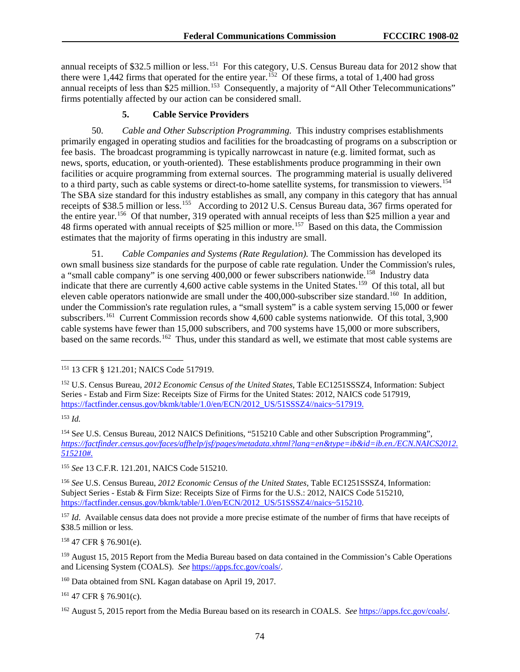annual receipts of \$32.5 million or less.<sup>[151](#page-74-0)</sup> For this category, U.S. Census Bureau data for 2012 show that there were 1,442 firms that operated for the entire year.<sup>152</sup> Of these firms, a total of 1,400 had gross annual receipts of less than \$25 million.<sup>153</sup> Consequently, a majority of "All Other Telecommunications" firms potentially affected by our action can be considered small.

#### **5. Cable Service Providers**

50. *Cable and Other Subscription Programming.*This industry comprises establishments primarily engaged in operating studios and facilities for the broadcasting of programs on a subscription or fee basis. The broadcast programming is typically narrowcast in nature (e.g. limited format, such as news, sports, education, or youth-oriented). These establishments produce programming in their own facilities or acquire programming from external sources. The programming material is usually delivered to a third party, such as cable systems or direct-to-home satellite systems, for transmission to viewers.<sup>154</sup> The SBA size standard for this industry establishes as small, any company in this category that has annual receipts of \$38.5 million or less.<sup>[155](#page-74-4)</sup> According to 2012 U.S. Census Bureau data, 367 firms operated for the entire year.<sup>156</sup> Of that number, 319 operated with annual receipts of less than \$25 million a year and 48 firms operated with annual receipts of \$25 million or more.<sup>157</sup> Based on this data, the Commission estimates that the majority of firms operating in this industry are small.

51. *Cable Companies and Systems (Rate Regulation).* The Commission has developed its own small business size standards for the purpose of cable rate regulation. Under the Commission's rules, a "small cable company" is one serving  $400,000$  or fewer subscribers nationwide.<sup>[158](#page-74-7)</sup> Industry data indicate that there are currently 4,600 active cable systems in the United States.<sup>159</sup> Of this total, all but eleven cable operators nationwide are small under the 400,000-subscriber size standard.<sup>160</sup> In addition, under the Commission's rate regulation rules, a "small system" is a cable system serving 15,000 or fewer subscribers.<sup>[161](#page-74-10)</sup> Current Commission records show 4,600 cable systems nationwide. Of this total, 3,900 cable systems have fewer than 15,000 subscribers, and 700 systems have 15,000 or more subscribers, based on the same records.[162](#page-74-11) Thus, under this standard as well, we estimate that most cable systems are

<span id="page-74-2"></span><sup>153</sup> *Id.*

<span id="page-74-4"></span><sup>155</sup> *See* 13 C.F.R. 121.201, NAICS Code 515210.

<span id="page-74-5"></span><sup>156</sup> *See* U.S. Census Bureau, *2012 Economic Census of the United States*, Table EC1251SSSZ4, Information: Subject Series - Estab & Firm Size: Receipts Size of Firms for the U.S.: 2012, NAICS Code 515210, [https://factfinder.census.gov/bkmk/table/1.0/en/ECN/2012\\_US/51SSSZ4//naics~515210.](https://factfinder.census.gov/bkmk/table/1.0/en/ECN/2012_US/51SSSZ4/naics%7E515210)

<span id="page-74-6"></span><sup>157</sup> *Id*. Available census data does not provide a more precise estimate of the number of firms that have receipts of \$38.5 million or less.

<span id="page-74-7"></span><sup>158</sup> 47 CFR § 76.901(e).

<span id="page-74-9"></span><sup>160</sup> Data obtained from SNL Kagan database on April 19, 2017.

<span id="page-74-10"></span><sup>161</sup> 47 CFR § 76.901(c).

<span id="page-74-0"></span> <sup>151</sup> 13 CFR § 121.201; NAICS Code 517919.

<span id="page-74-1"></span><sup>152</sup> U.S. Census Bureau, *2012 Economic Census of the United States*, Table EC1251SSSZ4, Information: Subject Series - Estab and Firm Size: Receipts Size of Firms for the United States: 2012, NAICS code 517919, [https://factfinder.census.gov/bkmk/table/1.0/en/ECN/2012\\_US/51SSSZ4//naics~517919.](https://factfinder.census.gov/bkmk/table/1.0/en/ECN/2012_US/51SSSZ4/naics%7E517919)

<span id="page-74-3"></span><sup>&</sup>lt;sup>154</sup> See U.S. Census Bureau, 2012 NAICS Definitions, "515210 Cable and other Subscription Programming", *[https://factfinder.census.gov/faces/affhelp/jsf/pages/metadata.xhtml?lang=en&type=ib&id=ib.en./ECN.NAICS2012.](https://factfinder.census.gov/faces/affhelp/jsf/pages/metadata.xhtml?lang=en&type=ib&id=ib.en./ECN.NAICS2012.515210) [515210#.](https://factfinder.census.gov/faces/affhelp/jsf/pages/metadata.xhtml?lang=en&type=ib&id=ib.en./ECN.NAICS2012.515210)*

<span id="page-74-8"></span><sup>159</sup> August 15, 2015 Report from the Media Bureau based on data contained in the Commission's Cable Operations and Licensing System (COALS). *See* [https://apps.fcc.gov/coals/.](https://apps.fcc.gov/coals/)

<span id="page-74-11"></span><sup>162</sup> August 5, 2015 report from the Media Bureau based on its research in COALS. *See* [https://apps.fcc.gov/coals/.](https://apps.fcc.gov/coals/)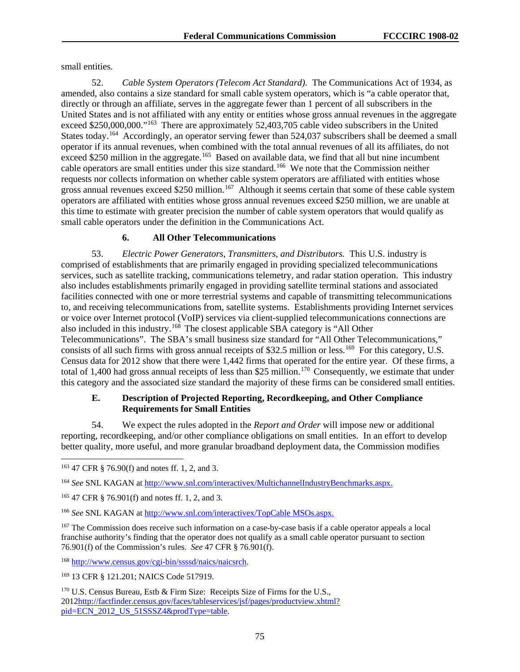small entities.

52. *Cable System Operators (Telecom Act Standard).* The Communications Act of 1934, as amended, also contains a size standard for small cable system operators, which is "a cable operator that, directly or through an affiliate, serves in the aggregate fewer than 1 percent of all subscribers in the United States and is not affiliated with any entity or entities whose gross annual revenues in the aggregate exceed \$250,000,000."<sup>163</sup> There are approximately 52,403,705 cable video subscribers in the United States today.<sup>[164](#page-75-1)</sup> Accordingly, an operator serving fewer than 524,037 subscribers shall be deemed a small operator if its annual revenues, when combined with the total annual revenues of all its affiliates, do not exceed \$250 million in the aggregate.<sup>165</sup> Based on available data, we find that all but nine incumbent cable operators are small entities under this size standard.[166](#page-75-3) We note that the Commission neither requests nor collects information on whether cable system operators are affiliated with entities whose gross annual revenues exceed \$250 million.<sup>167</sup> Although it seems certain that some of these cable system operators are affiliated with entities whose gross annual revenues exceed \$250 million, we are unable at this time to estimate with greater precision the number of cable system operators that would qualify as small cable operators under the definition in the Communications Act.

## **6. All Other Telecommunications**

53. *Electric Power Generators*, *Transmitters*, *and Distributors.* This U.S. industry is comprised of establishments that are primarily engaged in providing specialized telecommunications services, such as satellite tracking, communications telemetry, and radar station operation. This industry also includes establishments primarily engaged in providing satellite terminal stations and associated facilities connected with one or more terrestrial systems and capable of transmitting telecommunications to, and receiving telecommunications from, satellite systems. Establishments providing Internet services or voice over Internet protocol (VoIP) services via client-supplied telecommunications connections are also included in this industry.<sup>[168](#page-75-5)</sup> The closest applicable SBA category is "All Other Telecommunications". The SBA's small business size standard for "All Other Telecommunications," consists of all such firms with gross annual receipts of \$32.5 million or less.<sup>169</sup> For this category, U.S. Census data for 2012 show that there were 1,442 firms that operated for the entire year. Of these firms, a total of 1,400 had gross annual receipts of less than \$25 million.<sup>[170](#page-75-7)</sup> Consequently, we estimate that under this category and the associated size standard the majority of these firms can be considered small entities.

## **E. Description of Projected Reporting, Recordkeeping, and Other Compliance Requirements for Small Entities**

54. We expect the rules adopted in the *Report and Order* will impose new or additional reporting, recordkeeping, and/or other compliance obligations on small entities. In an effort to develop better quality, more useful, and more granular broadband deployment data, the Commission modifies

<span id="page-75-0"></span> <sup>163</sup> 47 CFR § 76.90(f) and notes ff. 1, 2, and 3.

<span id="page-75-1"></span><sup>164</sup> *See* SNL KAGAN at [http://www.snl.com/interactivex/MultichannelIndustryBenchmarks.aspx.](http://www.snl.com/interactivex/MultichannelIndustryBenchmarks.aspx)

<span id="page-75-2"></span><sup>165</sup> 47 CFR § 76.901(f) and notes ff. 1, 2, and 3.

<span id="page-75-3"></span><sup>166</sup> *See* SNL KAGAN at [http://www.snl.com/interactivex/TopCable MSOs.aspx.](http://www.snl.com/interactivex/TopCable%20MSOs.aspx)

<span id="page-75-4"></span><sup>&</sup>lt;sup>167</sup> The Commission does receive such information on a case-by-case basis if a cable operator appeals a local franchise authority's finding that the operator does not qualify as a small cable operator pursuant to section 76.901(f) of the Commission's rules. *See* 47 CFR § 76.901(f).

<span id="page-75-5"></span><sup>168</sup> [http://www.census.gov/cgi-bin/ssssd/naics/naicsrch.](http://www.census.gov/cgi-bin/ssssd/naics/naicsrch)

<span id="page-75-6"></span><sup>169</sup> 13 CFR § 121.201; NAICS Code 517919.

<span id="page-75-7"></span><sup>&</sup>lt;sup>170</sup> U.S. Census Bureau, Estb & Firm Size: Receipts Size of Firms for the U.S., 201[2http://factfinder.census.gov/faces/tableservices/jsf/pages/productview.xhtml?](http://factfinder.census.gov/faces/tableservices/jsf/pages/productview.xhtml?pid=ECN_2012_US_51SSSZ4&prodType=table) [pid=ECN\\_2012\\_US\\_51SSSZ4&prodType=table.](http://factfinder.census.gov/faces/tableservices/jsf/pages/productview.xhtml?pid=ECN_2012_US_51SSSZ4&prodType=table)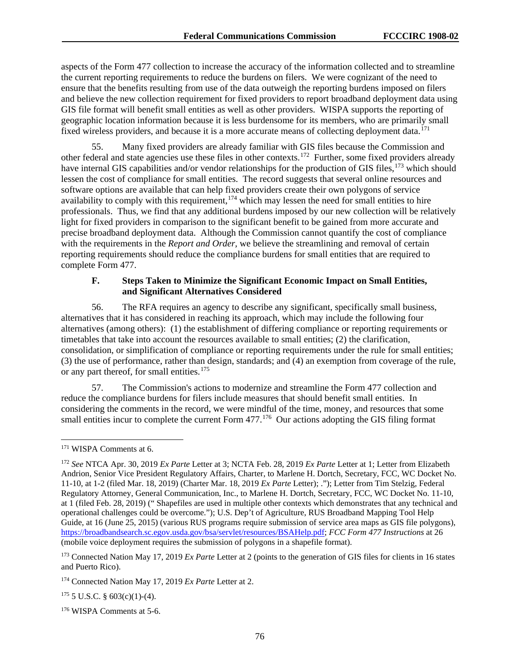aspects of the Form 477 collection to increase the accuracy of the information collected and to streamline the current reporting requirements to reduce the burdens on filers. We were cognizant of the need to ensure that the benefits resulting from use of the data outweigh the reporting burdens imposed on filers and believe the new collection requirement for fixed providers to report broadband deployment data using GIS file format will benefit small entities as well as other providers. WISPA supports the reporting of geographic location information because it is less burdensome for its members, who are primarily small fixed wireless providers, and because it is a more accurate means of collecting deployment data.<sup>[171](#page-76-0)</sup>

55. Many fixed providers are already familiar with GIS files because the Commission and other federal and state agencies use these files in other contexts.[172](#page-76-1) Further, some fixed providers already have internal GIS capabilities and/or vendor relationships for the production of GIS files,<sup>[173](#page-76-2)</sup> which should lessen the cost of compliance for small entities. The record suggests that several online resources and software options are available that can help fixed providers create their own polygons of service availability to comply with this requirement,  $174$  which may lessen the need for small entities to hire professionals. Thus, we find that any additional burdens imposed by our new collection will be relatively light for fixed providers in comparison to the significant benefit to be gained from more accurate and precise broadband deployment data. Although the Commission cannot quantify the cost of compliance with the requirements in the *Report and Order,* we believe the streamlining and removal of certain reporting requirements should reduce the compliance burdens for small entities that are required to complete Form 477.

#### **F. Steps Taken to Minimize the Significant Economic Impact on Small Entities, and Significant Alternatives Considered**

56. The RFA requires an agency to describe any significant, specifically small business, alternatives that it has considered in reaching its approach, which may include the following four alternatives (among others): (1) the establishment of differing compliance or reporting requirements or timetables that take into account the resources available to small entities; (2) the clarification, consolidation, or simplification of compliance or reporting requirements under the rule for small entities; (3) the use of performance, rather than design, standards; and (4) an exemption from coverage of the rule, or any part thereof, for small entities.<sup>[175](#page-76-4)</sup>

57. The Commission's actions to modernize and streamline the Form 477 collection and reduce the compliance burdens for filers include measures that should benefit small entities. In considering the comments in the record, we were mindful of the time, money, and resources that some small entities incur to complete the current Form  $477$ .<sup>176</sup> Our actions adopting the GIS filing format

<span id="page-76-2"></span><sup>173</sup> Connected Nation May 17, 2019 *Ex Parte* Letter at 2 (points to the generation of GIS files for clients in 16 states and Puerto Rico).

<span id="page-76-4"></span> $175$  5 U.S.C. § 603(c)(1)-(4).

<span id="page-76-5"></span><sup>176</sup> WISPA Comments at 5-6.

<span id="page-76-0"></span> <sup>171</sup> WISPA Comments at 6.

<span id="page-76-1"></span><sup>172</sup> *See* NTCA Apr. 30, 2019 *Ex Parte* Letter at 3; NCTA Feb. 28, 2019 *Ex Parte* Letter at 1; Letter from Elizabeth Andrion, Senior Vice President Regulatory Affairs, Charter, to Marlene H. Dortch, Secretary, FCC, WC Docket No. 11-10, at 1-2 (filed Mar. 18, 2019) (Charter Mar. 18, 2019 *Ex Parte* Letter); ."); Letter from Tim Stelzig, Federal Regulatory Attorney, General Communication, Inc., to Marlene H. Dortch, Secretary, FCC, WC Docket No. 11-10, at 1 (filed Feb. 28, 2019) (" Shapefiles are used in multiple other contexts which demonstrates that any technical and operational challenges could be overcome."); U.S. Dep't of Agriculture, RUS Broadband Mapping Tool Help Guide, at 16 (June 25, 2015) (various RUS programs require submission of service area maps as GIS file polygons), [https://broadbandsearch.sc.egov.usda.gov/bsa/servlet/resources/BSAHelp.pdf;](https://broadbandsearch.sc.egov.usda.gov/bsa/servlet/resources/BSAHelp.pdf) *FCC Form 477 Instructions* at 26 (mobile voice deployment requires the submission of polygons in a shapefile format).

<span id="page-76-3"></span><sup>174</sup> Connected Nation May 17, 2019 *Ex Parte* Letter at 2.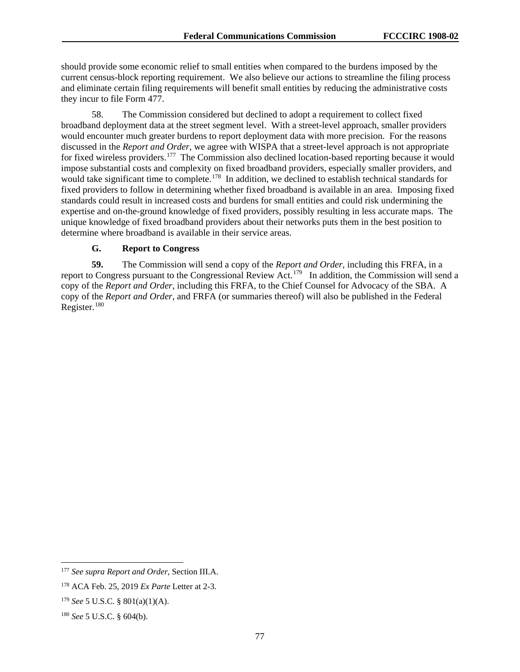should provide some economic relief to small entities when compared to the burdens imposed by the current census-block reporting requirement. We also believe our actions to streamline the filing process and eliminate certain filing requirements will benefit small entities by reducing the administrative costs they incur to file Form 477.

58. The Commission considered but declined to adopt a requirement to collect fixed broadband deployment data at the street segment level. With a street-level approach, smaller providers would encounter much greater burdens to report deployment data with more precision. For the reasons discussed in the *Report and Order*, we agree with WISPA that a street-level approach is not appropriate for fixed wireless providers.<sup>[177](#page-77-0)</sup> The Commission also declined location-based reporting because it would impose substantial costs and complexity on fixed broadband providers, especially smaller providers, and would take significant time to complete.<sup>[178](#page-77-1)</sup> In addition, we declined to establish technical standards for fixed providers to follow in determining whether fixed broadband is available in an area. Imposing fixed standards could result in increased costs and burdens for small entities and could risk undermining the expertise and on-the-ground knowledge of fixed providers, possibly resulting in less accurate maps. The unique knowledge of fixed broadband providers about their networks puts them in the best position to determine where broadband is available in their service areas.

## **G. Report to Congress**

**59.** The Commission will send a copy of the *Report and Order*, including this FRFA, in a report to Congress pursuant to the Congressional Review Act.[179](#page-77-2) In addition, the Commission will send a copy of the *Report and Order*, including this FRFA, to the Chief Counsel for Advocacy of the SBA. A copy of the *Report and Order*, and FRFA (or summaries thereof) will also be published in the Federal Register.<sup>[180](#page-77-3)</sup>

<span id="page-77-0"></span> <sup>177</sup> *See supra Report and Order*, Section III.A.

<span id="page-77-1"></span><sup>178</sup> ACA Feb. 25, 2019 *Ex Parte* Letter at 2-3.

<span id="page-77-2"></span><sup>179</sup> *See* 5 U.S.C. § 801(a)(1)(A).

<span id="page-77-3"></span><sup>180</sup> *See* 5 U.S.C. § 604(b).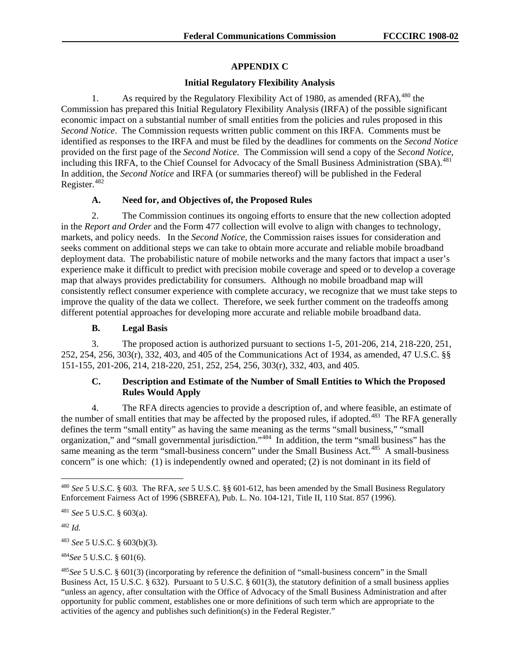# **APPENDIX C**

## **Initial Regulatory Flexibility Analysis**

1. As required by the Regulatory Flexibility Act of 1980, as amended (RFA), <sup>[480](#page-78-0)</sup> the Commission has prepared this Initial Regulatory Flexibility Analysis (IRFA) of the possible significant economic impact on a substantial number of small entities from the policies and rules proposed in this *Second Notice*. The Commission requests written public comment on this IRFA. Comments must be identified as responses to the IRFA and must be filed by the deadlines for comments on the *Second Notice* provided on the first page of the *Second Notice*. The Commission will send a copy of the *Second Notice*, including this IRFA, to the Chief Counsel for Advocacy of the Small Business Administration (SBA).<sup>[481](#page-78-1)</sup> In addition, the *Second Notice* and IRFA (or summaries thereof) will be published in the Federal Register.<sup>[482](#page-78-2)</sup>

# **A. Need for, and Objectives of, the Proposed Rules**

2. The Commission continues its ongoing efforts to ensure that the new collection adopted in the *Report and Order* and the Form 477 collection will evolve to align with changes to technology, markets, and policy needs. In the *Second Notice*, the Commission raises issues for consideration and seeks comment on additional steps we can take to obtain more accurate and reliable mobile broadband deployment data. The probabilistic nature of mobile networks and the many factors that impact a user's experience make it difficult to predict with precision mobile coverage and speed or to develop a coverage map that always provides predictability for consumers. Although no mobile broadband map will consistently reflect consumer experience with complete accuracy, we recognize that we must take steps to improve the quality of the data we collect. Therefore, we seek further comment on the tradeoffs among different potential approaches for developing more accurate and reliable mobile broadband data.

# **B. Legal Basis**

3. The proposed action is authorized pursuant to sections 1-5, 201-206, 214, 218-220, 251, 252, 254, 256, 303(r), 332, 403, and 405 of the Communications Act of 1934, as amended, 47 U.S.C. §§ 151-155, 201-206, 214, 218-220, 251, 252, 254, 256, 303(r), 332, 403, and 405.

# **C. Description and Estimate of the Number of Small Entities to Which the Proposed Rules Would Apply**

4. The RFA directs agencies to provide a description of, and where feasible, an estimate of the number of small entities that may be affected by the proposed rules, if adopted.<sup>483</sup> The RFA generally defines the term "small entity" as having the same meaning as the terms "small business," "small organization," and "small governmental jurisdiction."[484](#page-78-4) In addition, the term "small business" has the same meaning as the term "small-business concern" under the Small Business Act.<sup>485</sup> A small-business concern" is one which: (1) is independently owned and operated; (2) is not dominant in its field of

<span id="page-78-2"></span><sup>482</sup> *Id.*

<span id="page-78-3"></span><sup>483</sup> *See* 5 U.S.C. § 603(b)(3).

<span id="page-78-4"></span><sup>484</sup>*See* 5 U.S.C. § 601(6).

<span id="page-78-0"></span> <sup>480</sup> *See* 5 U.S.C. § 603. The RFA, *see* 5 U.S.C. §§ 601-612, has been amended by the Small Business Regulatory Enforcement Fairness Act of 1996 (SBREFA), Pub. L. No. 104-121, Title II, 110 Stat. 857 (1996).

<span id="page-78-1"></span><sup>481</sup> *See* 5 U.S.C. § 603(a).

<span id="page-78-5"></span><sup>485</sup>*See* 5 U.S.C. § 601(3) (incorporating by reference the definition of "small-business concern" in the Small Business Act, 15 U.S.C. § 632). Pursuant to 5 U.S.C. § 601(3), the statutory definition of a small business applies "unless an agency, after consultation with the Office of Advocacy of the Small Business Administration and after opportunity for public comment, establishes one or more definitions of such term which are appropriate to the activities of the agency and publishes such definition(s) in the Federal Register."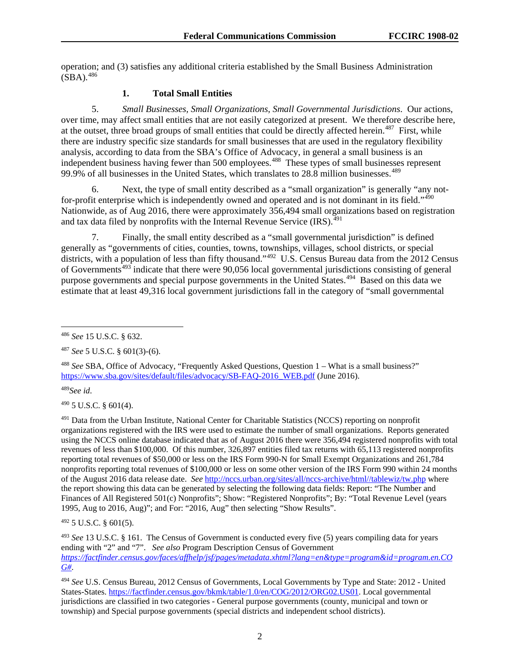operation; and (3) satisfies any additional criteria established by the Small Business Administration  $(SBA).$ <sup>[486](#page-79-0)</sup>

#### **1. Total Small Entities**

5. *Small Businesses, Small Organizations, Small Governmental Jurisdictions*. Our actions, over time, may affect small entities that are not easily categorized at present. We therefore describe here, at the outset, three broad groups of small entities that could be directly affected herein.<sup>[487](#page-79-1)</sup> First, while there are industry specific size standards for small businesses that are used in the regulatory flexibility analysis, according to data from the SBA's Office of Advocacy, in general a small business is an independent business having fewer than 500 employees.<sup>488</sup> These types of small businesses represent 99.9% of all businesses in the United States, which translates to  $28.8$  million businesses.<sup>[489](#page-79-3)</sup>

6. Next, the type of small entity described as a "small organization" is generally "any not-for-profit enterprise which is independently owned and operated and is not dominant in its field."<sup>[490](#page-79-4)</sup> Nationwide, as of Aug 2016, there were approximately 356,494 small organizations based on registration and tax data filed by nonprofits with the Internal Revenue Service  $(IRS)^{491}$  $(IRS)^{491}$  $(IRS)^{491}$ 

7. Finally, the small entity described as a "small governmental jurisdiction" is defined generally as "governments of cities, counties, towns, townships, villages, school districts, or special districts, with a population of less than fifty thousand."<sup>[492](#page-79-6)</sup> U.S. Census Bureau data from the 2012 Census of Governments<sup>[493](#page-79-7)</sup> indicate that there were 90,056 local governmental jurisdictions consisting of general purpose governments and special purpose governments in the United States.<sup>494</sup> Based on this data we estimate that at least 49,316 local government jurisdictions fall in the category of "small governmental

<span id="page-79-3"></span><sup>489</sup>*See id*.

<span id="page-79-4"></span><sup>490</sup> 5 U.S.C. § 601(4).

<span id="page-79-5"></span><sup>491</sup> Data from the Urban Institute, National Center for Charitable Statistics (NCCS) reporting on nonprofit organizations registered with the IRS were used to estimate the number of small organizations. Reports generated using the NCCS online database indicated that as of August 2016 there were 356,494 registered nonprofits with total revenues of less than \$100,000. Of this number, 326,897 entities filed tax returns with 65,113 registered nonprofits reporting total revenues of \$50,000 or less on the IRS Form 990-N for Small Exempt Organizations and 261,784 nonprofits reporting total revenues of \$100,000 or less on some other version of the IRS Form 990 within 24 months of the August 2016 data release date. *See* [http://nccs.urban.org/sites/all/nccs-archive/html//tablewiz/tw.php](http://nccs.urban.org/sites/all/nccs-archive/html/tablewiz/tw.php) where the report showing this data can be generated by selecting the following data fields: Report: "The Number and Finances of All Registered 501(c) Nonprofits"; Show: "Registered Nonprofits"; By: "Total Revenue Level (years 1995, Aug to 2016, Aug)"; and For: "2016, Aug" then selecting "Show Results".

<span id="page-79-6"></span> $492$  5 U.S.C. § 601(5).

<span id="page-79-7"></span><sup>493</sup> *See* 13 U.S.C. § 161. The Census of Government is conducted every five (5) years compiling data for years ending with "2" and "7". *See also* Program Description Census of Government *[https://factfinder.census.gov/faces/affhelp/jsf/pages/metadata.xhtml?lang=en&type=program&id=program.en.CO](https://factfinder.census.gov/faces/affhelp/jsf/pages/metadata.xhtml?lang=en&type=program&id=program.en.COG) [G#](https://factfinder.census.gov/faces/affhelp/jsf/pages/metadata.xhtml?lang=en&type=program&id=program.en.COG)*.

<span id="page-79-8"></span><sup>494</sup> *See* U.S. Census Bureau, 2012 Census of Governments, Local Governments by Type and State: 2012 - United States-States. [https://factfinder.census.gov/bkmk/table/1.0/en/COG/2012/ORG02.US01.](https://factfinder.census.gov/bkmk/table/1.0/en/COG/2012/ORG02.US01) Local governmental jurisdictions are classified in two categories - General purpose governments (county, municipal and town or township) and Special purpose governments (special districts and independent school districts).

<span id="page-79-0"></span> <sup>486</sup> *See* 15 U.S.C. § 632.

<span id="page-79-1"></span><sup>487</sup> *See* 5 U.S.C. § 601(3)-(6).

<span id="page-79-2"></span><sup>488</sup> *See* SBA, Office of Advocacy, "Frequently Asked Questions, Question 1 – What is a small business?" [https://www.sba.gov/sites/default/files/advocacy/SB-FAQ-2016\\_WEB.pdf](https://www.sba.gov/sites/default/files/advocacy/SB-FAQ-2016_WEB.pdf) (June 2016).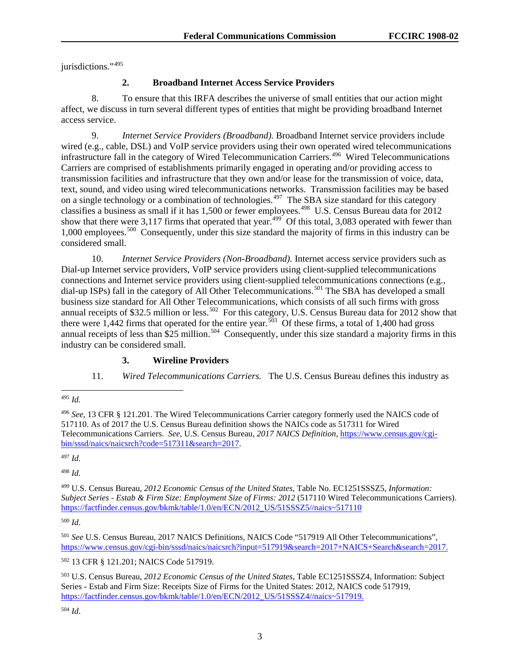jurisdictions."<sup>[495](#page-80-0)</sup>

#### **2. Broadband Internet Access Service Providers**

8. To ensure that this IRFA describes the universe of small entities that our action might affect, we discuss in turn several different types of entities that might be providing broadband Internet access service.

9. *Internet Service Providers (Broadband).* Broadband Internet service providers include wired (e.g., cable, DSL) and VoIP service providers using their own operated wired telecommunications infrastructure fall in the category of Wired Telecommunication Carriers.[496](#page-80-1) Wired Telecommunications Carriers are comprised of establishments primarily engaged in operating and/or providing access to transmission facilities and infrastructure that they own and/or lease for the transmission of voice, data, text, sound, and video using wired telecommunications networks. Transmission facilities may be based on a single technology or a combination of technologies.<sup>497</sup> The SBA size standard for this category classifies a business as small if it has 1,500 or fewer employees.<sup>[498](#page-80-3)</sup> U.S. Census Bureau data for 2012 show that there were 3,117 firms that operated that year.<sup>[499](#page-80-4)</sup> Of this total, 3,083 operated with fewer than 1,000 employees.[500](#page-80-5) Consequently, under this size standard the majority of firms in this industry can be considered small.

10. *Internet Service Providers (Non-Broadband).* Internet access service providers such as Dial-up Internet service providers, VoIP service providers using client-supplied telecommunications connections and Internet service providers using client-supplied telecommunications connections (e.g., dial-up ISPs) fall in the category of All Other Telecommunications.<sup>[501](#page-80-6)</sup> The SBA has developed a small business size standard for All Other Telecommunications, which consists of all such firms with gross annual receipts of \$32.5 million or less.<sup>[502](#page-80-7)</sup> For this category, U.S. Census Bureau data for 2012 show that there were 1,442 firms that operated for the entire year.[503](#page-80-8) Of these firms, a total of 1,400 had gross annual receipts of less than  $$25$  million.<sup>504</sup> Consequently, under this size standard a majority firms in this industry can be considered small.

#### **3. Wireline Providers**

11. *Wired Telecommunications Carriers.* The U.S. Census Bureau defines this industry as

<span id="page-80-1"></span><sup>496</sup> *See*, 13 CFR § 121.201. The Wired Telecommunications Carrier category formerly used the NAICS code of 517110. As of 2017 the U.S. Census Bureau definition shows the NAICs code as 517311 for Wired Telecommunications Carriers. *See*, U.S. Census Bureau, *2017 NAICS Definition*, [https://www.census.gov/cgi](https://www.census.gov/cgi-bin/sssd/naics/naicsrch?code=517311&search=2017)[bin/sssd/naics/naicsrch?code=517311&search=2017.](https://www.census.gov/cgi-bin/sssd/naics/naicsrch?code=517311&search=2017)

<span id="page-80-2"></span><sup>497</sup> *Id.*

<span id="page-80-3"></span><sup>498</sup> *Id.*

<span id="page-80-4"></span><sup>499</sup> U.S. Census Bureau, *2012 Economic Census of the United States,* Table No. EC1251SSSZ5, *Information: Subject Series - Estab & Firm Size: Employment Size of Firms: 2012* (517110 Wired Telecommunications Carriers). [https://factfinder.census.gov/bkmk/table/1.0/en/ECN/2012\\_US/51SSSZ5//naics~517110](https://factfinder.census.gov/bkmk/table/1.0/en/ECN/2012_US/51SSSZ5/naics%7E517110)

<span id="page-80-5"></span><sup>500</sup> *Id*.

<span id="page-80-6"></span><sup>501</sup> *See* U.S. Census Bureau, 2017 NAICS Definitions, NAICS Code "517919 All Other Telecommunications", [https://www.census.gov/cgi-bin/sssd/naics/naicsrch?input=517919&search=2017+NAICS+Search&search=2017.](https://www.census.gov/cgi-bin/sssd/naics/naicsrch?input=517919&search=2017+NAICS+Search&search=2017)

<span id="page-80-7"></span><sup>502</sup> 13 CFR § 121.201; NAICS Code 517919.

<span id="page-80-8"></span><sup>503</sup> U.S. Census Bureau, *2012 Economic Census of the United States*, Table EC1251SSSZ4, Information: Subject Series - Estab and Firm Size: Receipts Size of Firms for the United States: 2012, NAICS code 517919, [https://factfinder.census.gov/bkmk/table/1.0/en/ECN/2012\\_US/51SSSZ4//naics~517919.](https://factfinder.census.gov/bkmk/table/1.0/en/ECN/2012_US/51SSSZ4/naics%7E517919)

<span id="page-80-9"></span><sup>504</sup> *Id*.

<span id="page-80-0"></span> <sup>495</sup> *Id.*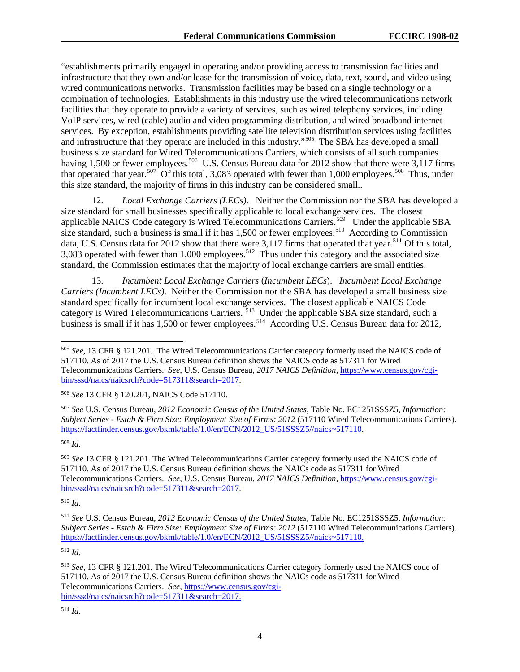"establishments primarily engaged in operating and/or providing access to transmission facilities and infrastructure that they own and/or lease for the transmission of voice, data, text, sound, and video using wired communications networks. Transmission facilities may be based on a single technology or a combination of technologies. Establishments in this industry use the wired telecommunications network facilities that they operate to provide a variety of services, such as wired telephony services, including VoIP services, wired (cable) audio and video programming distribution, and wired broadband internet services. By exception, establishments providing satellite television distribution services using facilities and infrastructure that they operate are included in this industry."[505](#page-81-0) The SBA has developed a small business size standard for Wired Telecommunications Carriers, which consists of all such companies having 1,500 or fewer employees.<sup>506</sup> U.S. Census Bureau data for 2012 show that there were 3,117 firms that operated that year.<sup>507</sup> Of this total, 3,083 operated with fewer than 1,000 employees.<sup>508</sup> Thus, under this size standard, the majority of firms in this industry can be considered small..

12. *Local Exchange Carriers (LECs).* Neither the Commission nor the SBA has developed a size standard for small businesses specifically applicable to local exchange services. The closest applicable NAICS Code category is Wired Telecommunications Carriers.[509](#page-81-4) Under the applicable SBA size standard, such a business is small if it has 1,500 or fewer employees.<sup>510</sup> According to Commission data, U.S. Census data for 2012 show that there were 3,117 firms that operated that year.<sup>[511](#page-81-6)</sup> Of this total, 3,083 operated with fewer than 1,000 employees.<sup>[512](#page-81-7)</sup> Thus under this category and the associated size standard, the Commission estimates that the majority of local exchange carriers are small entities.

13. *Incumbent Local Exchange Carriers* (*Incumbent LECs*). *Incumbent Local Exchange Carriers (Incumbent LECs).* Neither the Commission nor the SBA has developed a small business size standard specifically for incumbent local exchange services. The closest applicable NAICS Code category is Wired Telecommunications Carriers. <sup>[513](#page-81-8)</sup> Under the applicable SBA size standard, such a business is small if it has 1,500 or fewer employees.<sup>514</sup> According U.S. Census Bureau data for 2012,

<span id="page-81-2"></span><sup>507</sup> *See* U.S. Census Bureau, *2012 Economic Census of the United States,* Table No. EC1251SSSZ5, *Information: Subject Series - Estab & Firm Size: Employment Size of Firms: 2012* (517110 Wired Telecommunications Carriers). [https://factfinder.census.gov/bkmk/table/1.0/en/ECN/2012\\_US/51SSSZ5//naics~517110.](https://factfinder.census.gov/bkmk/table/1.0/en/ECN/2012_US/51SSSZ5/naics%7E517110)

<span id="page-81-3"></span><sup>508</sup> *Id*.

<span id="page-81-4"></span><sup>509</sup> *See* 13 CFR § 121.201. The Wired Telecommunications Carrier category formerly used the NAICS code of 517110. As of 2017 the U.S. Census Bureau definition shows the NAICs code as 517311 for Wired Telecommunications Carriers. *See*, U.S. Census Bureau, *2017 NAICS Definition,* [https://www.census.gov/cgi](https://www.census.gov/cgi-bin/sssd/naics/naicsrch?code=517311&search=2017)[bin/sssd/naics/naicsrch?code=517311&search=2017.](https://www.census.gov/cgi-bin/sssd/naics/naicsrch?code=517311&search=2017)

<span id="page-81-5"></span><sup>510</sup> *Id*.

<span id="page-81-6"></span><sup>511</sup> *See* U.S. Census Bureau, *2012 Economic Census of the United States,* Table No. EC1251SSSZ5, *Information: Subject Series - Estab & Firm Size: Employment Size of Firms: 2012* (517110 Wired Telecommunications Carriers). [https://factfinder.census.gov/bkmk/table/1.0/en/ECN/2012\\_US/51SSSZ5//naics~517110.](https://factfinder.census.gov/bkmk/table/1.0/en/ECN/2012_US/51SSSZ5/naics%7E517110)

<span id="page-81-7"></span><sup>512</sup> *Id*.

<span id="page-81-0"></span> <sup>505</sup> *See,* 13 CFR § 121.201. The Wired Telecommunications Carrier category formerly used the NAICS code of 517110. As of 2017 the U.S. Census Bureau definition shows the NAICS code as 517311 for Wired Telecommunications Carriers. *See*, U.S. Census Bureau, *2017 NAICS Definition*, [https://www.census.gov/cgi](https://www.census.gov/cgi-bin/sssd/naics/naicsrch?code=517311&search=2017)[bin/sssd/naics/naicsrch?code=517311&search=2017.](https://www.census.gov/cgi-bin/sssd/naics/naicsrch?code=517311&search=2017)

<span id="page-81-1"></span><sup>506</sup> *See* 13 CFR § 120.201, NAICS Code 517110.

<span id="page-81-9"></span><span id="page-81-8"></span><sup>513</sup> *See,* 13 CFR § 121.201. The Wired Telecommunications Carrier category formerly used the NAICS code of 517110. As of 2017 the U.S. Census Bureau definition shows the NAICs code as 517311 for Wired Telecommunications Carriers. *See*, [https://www.census.gov/cgi](https://www.census.gov/cgi-bin/sssd/naics/naicsrch?code=517311&search=2017)[bin/sssd/naics/naicsrch?code=517311&search=2017.](https://www.census.gov/cgi-bin/sssd/naics/naicsrch?code=517311&search=2017)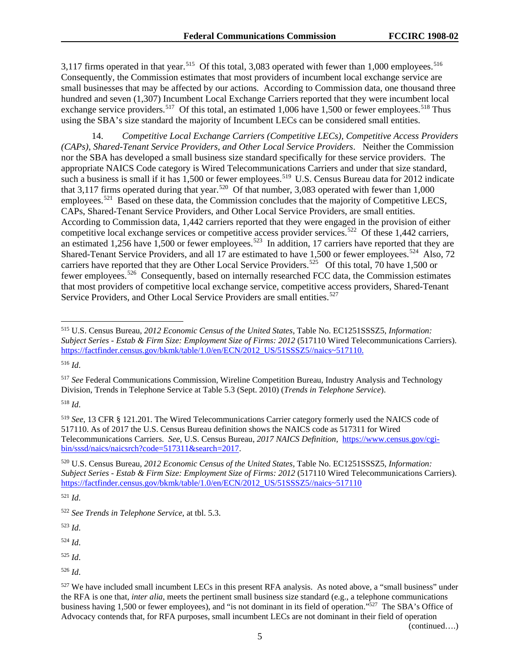3,117 firms operated in that year.<sup>[515](#page-82-0)</sup> Of this total, 3,083 operated with fewer than 1,000 employees.<sup>[516](#page-82-1)</sup> Consequently, the Commission estimates that most providers of incumbent local exchange service are small businesses that may be affected by our actions*.* According to Commission data, one thousand three hundred and seven (1,307) Incumbent Local Exchange Carriers reported that they were incumbent local exchange service providers.<sup>517</sup> Of this total, an estimated 1,006 have 1,500 or fewer employees.<sup>[518](#page-82-3)</sup> Thus using the SBA's size standard the majority of Incumbent LECs can be considered small entities.

14. *Competitive Local Exchange Carriers (Competitive LECs), Competitive Access Providers (CAPs), Shared-Tenant Service Providers, and Other Local Service Providers*. Neither the Commission nor the SBA has developed a small business size standard specifically for these service providers. The appropriate NAICS Code category is Wired Telecommunications Carriers and under that size standard, such a business is small if it has 1,500 or fewer employees.<sup>[519](#page-82-4)</sup> U.S. Census Bureau data for 2012 indicate that 3,117 firms operated during that year.<sup>520</sup> Of that number, 3,083 operated with fewer than  $1,000$ employees.<sup>521</sup> Based on these data, the Commission concludes that the majority of Competitive LECS, CAPs, Shared-Tenant Service Providers, and Other Local Service Providers, are small entities. According to Commission data, 1,442 carriers reported that they were engaged in the provision of either competitive local exchange services or competitive access provider services.<sup>[522](#page-82-7)</sup> Of these 1,442 carriers, an estimated 1,256 have 1,500 or fewer employees.<sup>[523](#page-82-8)</sup> In addition, 17 carriers have reported that they are Shared-Tenant Service Providers, and all 17 are estimated to have 1,500 or fewer employees.<sup>[524](#page-82-9)</sup> Also, 72 carriers have reported that they are Other Local Service Providers.<sup>[525](#page-82-10)</sup> Of this total, 70 have 1,500 or fewer employees.[526](#page-82-11) Consequently, based on internally researched FCC data, the Commission estimates that most providers of competitive local exchange service, competitive access providers, Shared-Tenant Service Providers, and Other Local Service Providers are small entities.<sup>[527](#page-82-12)</sup>

<span id="page-82-1"></span><sup>516</sup> *Id*.

<span id="page-82-2"></span><sup>517</sup> *See* Federal Communications Commission, Wireline Competition Bureau, Industry Analysis and Technology Division, Trends in Telephone Service at Table 5.3 (Sept. 2010) (*Trends in Telephone Service*).

<span id="page-82-3"></span><sup>518</sup> *Id*.

<span id="page-82-4"></span><sup>519</sup> *See,* 13 CFR § 121.201. The Wired Telecommunications Carrier category formerly used the NAICS code of 517110. As of 2017 the U.S. Census Bureau definition shows the NAICS code as 517311 for Wired Telecommunications Carriers. *See*, U.S. Census Bureau, *2017 NAICS Definition,* [https://www.census.gov/cgi](https://www.census.gov/cgi-bin/sssd/naics/naicsrch?code=517311&search=2017)[bin/sssd/naics/naicsrch?code=517311&search=2017.](https://www.census.gov/cgi-bin/sssd/naics/naicsrch?code=517311&search=2017)

<span id="page-82-5"></span><sup>520</sup> U.S. Census Bureau*, 2012 Economic Census of the United States,* Table No. EC1251SSSZ5, *Information: Subject Series - Estab & Firm Size: Employment Size of Firms: 2012* (517110 Wired Telecommunications Carriers). [https://factfinder.census.gov/bkmk/table/1.0/en/ECN/2012\\_US/51SSSZ5//naics~517110](https://factfinder.census.gov/bkmk/table/1.0/en/ECN/2012_US/51SSSZ5/naics%7E517110)

<span id="page-82-6"></span><sup>521</sup> *Id*.

<span id="page-82-8"></span><sup>523</sup> *Id*.

<span id="page-82-9"></span><sup>524</sup> *Id*.

<span id="page-82-10"></span><sup>525</sup> *Id*.

(continued….)

<span id="page-82-0"></span> <sup>515</sup> U.S. Census Bureau*, <sup>2012</sup> Economic Census of the United States,* Table No. EC1251SSSZ5, *Information: Subject Series - Estab & Firm Size: Employment Size of Firms: 2012* (517110 Wired Telecommunications Carriers). [https://factfinder.census.gov/bkmk/table/1.0/en/ECN/2012\\_US/51SSSZ5//naics~517110.](https://factfinder.census.gov/bkmk/table/1.0/en/ECN/2012_US/51SSSZ5/naics%7E517110)

<span id="page-82-7"></span><sup>522</sup> *See Trends in Telephone Service*, at tbl. 5.3.

<span id="page-82-11"></span><sup>526</sup> *Id*.

<span id="page-82-12"></span><sup>527</sup> We have included small incumbent LECs in this present RFA analysis. As noted above, a "small business" under the RFA is one that, *inter alia*, meets the pertinent small business size standard (e.g., a telephone communications business having 1,500 or fewer employees), and "is not dominant in its field of operation."527 The SBA's Office of Advocacy contends that, for RFA purposes, small incumbent LECs are not dominant in their field of operation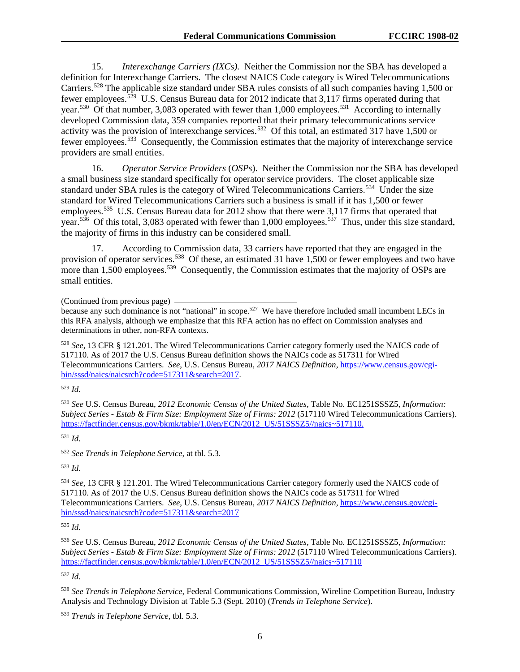15. *Interexchange Carriers (IXCs).* Neither the Commission nor the SBA has developed a definition for Interexchange Carriers. The closest NAICS Code category is Wired Telecommunications Carriers.<sup>[528](#page-83-0)</sup> The applicable size standard under SBA rules consists of all such companies having 1,500 or fewer employees.[529](#page-83-1) U.S. Census Bureau data for 2012 indicate that 3,117 firms operated during that year.<sup>530</sup> Of that number, 3,083 operated with fewer than 1,000 employees.<sup>[531](#page-83-3)</sup> According to internally developed Commission data, 359 companies reported that their primary telecommunications service activity was the provision of interexchange services.<sup>532</sup> Of this total, an estimated 317 have 1,500 or fewer employees.[533](#page-83-5) Consequently, the Commission estimates that the majority of interexchange service providers are small entities.

16. *Operator Service Providers* (*OSPs*). Neither the Commission nor the SBA has developed a small business size standard specifically for operator service providers. The closet applicable size standard under SBA rules is the category of Wired Telecommunications Carriers.<sup>[534](#page-83-6)</sup> Under the size standard for Wired Telecommunications Carriers such a business is small if it has 1,500 or fewer employees.<sup>535</sup> U.S. Census Bureau data for 2012 show that there were 3,117 firms that operated that year.<sup>536</sup> Of this total, 3,083 operated with fewer than 1,000 employees.<sup>537</sup> Thus, under this size standard, the majority of firms in this industry can be considered small.

According to Commission data, 33 carriers have reported that they are engaged in the provision of operator services.<sup>538</sup> Of these, an estimated 31 have 1,500 or fewer employees and two have more than 1,500 employees.<sup>[539](#page-83-11)</sup> Consequently, the Commission estimates that the majority of OSPs are small entities.

(Continued from previous page)

because any such dominance is not "national" in scope.<sup>527</sup> We have therefore included small incumbent LECs in this RFA analysis, although we emphasize that this RFA action has no effect on Commission analyses and determinations in other, non-RFA contexts.

<span id="page-83-0"></span><sup>528</sup> *See,* 13 CFR § 121.201. The Wired Telecommunications Carrier category formerly used the NAICS code of 517110. As of 2017 the U.S. Census Bureau definition shows the NAICs code as 517311 for Wired Telecommunications Carriers. *See*, U.S. Census Bureau, *2017 NAICS Definition*, [https://www.census.gov/cgi](https://www.census.gov/cgi-bin/sssd/naics/naicsrch?code=517311&search=2017)[bin/sssd/naics/naicsrch?code=517311&search=2017.](https://www.census.gov/cgi-bin/sssd/naics/naicsrch?code=517311&search=2017)

<span id="page-83-1"></span><sup>529</sup> *Id.*

<span id="page-83-2"></span><sup>530</sup> *See* U.S. Census Bureau, *2012 Economic Census of the United States,* Table No. EC1251SSSZ5, *Information: Subject Series - Estab & Firm Size: Employment Size of Firms: 2012* (517110 Wired Telecommunications Carriers). [https://factfinder.census.gov/bkmk/table/1.0/en/ECN/2012\\_US/51SSSZ5//naics~517110.](https://factfinder.census.gov/bkmk/table/1.0/en/ECN/2012_US/51SSSZ5/naics%7E517110)

<span id="page-83-3"></span><sup>531</sup> *Id*.

<span id="page-83-4"></span><sup>532</sup> *See Trends in Telephone Service*, at tbl. 5.3.

<span id="page-83-5"></span><sup>533</sup> *Id*.

<span id="page-83-6"></span><sup>534</sup> *See,* 13 CFR § 121.201. The Wired Telecommunications Carrier category formerly used the NAICS code of 517110. As of 2017 the U.S. Census Bureau definition shows the NAICs code as 517311 for Wired Telecommunications Carriers. *See*, U.S. Census Bureau, *2017 NAICS Definition*, [https://www.census.gov/cgi](https://www.census.gov/cgi-bin/sssd/naics/naicsrch?code=517311&search=2017)[bin/sssd/naics/naicsrch?code=517311&search=2017](https://www.census.gov/cgi-bin/sssd/naics/naicsrch?code=517311&search=2017)

<span id="page-83-7"></span><sup>535</sup> *Id.*

<span id="page-83-8"></span><sup>536</sup> *See* U.S. Census Bureau, *2012 Economic Census of the United States,* Table No. EC1251SSSZ5, *Information: Subject Series - Estab & Firm Size: Employment Size of Firms: 2012* (517110 Wired Telecommunications Carriers). [https://factfinder.census.gov/bkmk/table/1.0/en/ECN/2012\\_US/51SSSZ5//naics~517110](https://factfinder.census.gov/bkmk/table/1.0/en/ECN/2012_US/51SSSZ5/naics%7E517110)

<span id="page-83-9"></span><sup>537</sup> *Id.*

<span id="page-83-10"></span><sup>538</sup> *See Trends in Telephone Service*, Federal Communications Commission, Wireline Competition Bureau, Industry Analysis and Technology Division at Table 5.3 (Sept. 2010) (*Trends in Telephone Service*).

<span id="page-83-11"></span><sup>539</sup> *Trends in Telephone Service*, tbl. 5.3.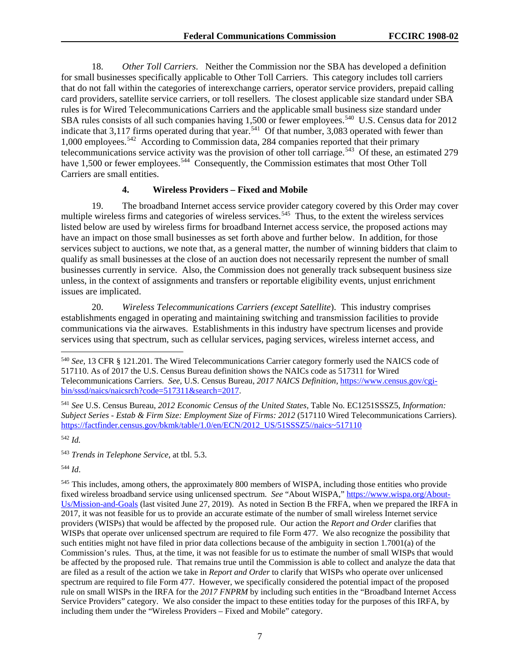18. *Other Toll Carriers*. Neither the Commission nor the SBA has developed a definition for small businesses specifically applicable to Other Toll Carriers. This category includes toll carriers that do not fall within the categories of interexchange carriers, operator service providers, prepaid calling card providers, satellite service carriers, or toll resellers. The closest applicable size standard under SBA rules is for Wired Telecommunications Carriers and the applicable small business size standard under SBA rules consists of all such companies having 1,500 or fewer employees.<sup>[540](#page-84-0)</sup> U.S. Census data for 2012 indicate that  $3,117$  firms operated during that year.<sup>[541](#page-84-1)</sup> Of that number,  $3,083$  operated with fewer than 1,000 employees.[542](#page-84-2) According to Commission data, 284 companies reported that their primary telecommunications service activity was the provision of other toll carriage.<sup>[543](#page-84-3)</sup> Of these, an estimated 279 have 1,500 or fewer employees.<sup>544</sup> Consequently, the Commission estimates that most Other Toll Carriers are small entities.

#### **4. Wireless Providers – Fixed and Mobile**

19. The broadband Internet access service provider category covered by this Order may cover multiple wireless firms and categories of wireless services.<sup>[545](#page-84-5)</sup> Thus, to the extent the wireless services listed below are used by wireless firms for broadband Internet access service, the proposed actions may have an impact on those small businesses as set forth above and further below. In addition, for those services subject to auctions, we note that, as a general matter, the number of winning bidders that claim to qualify as small businesses at the close of an auction does not necessarily represent the number of small businesses currently in service. Also, the Commission does not generally track subsequent business size unless, in the context of assignments and transfers or reportable eligibility events, unjust enrichment issues are implicated.

20. *Wireless Telecommunications Carriers (except Satellite*). This industry comprises establishments engaged in operating and maintaining switching and transmission facilities to provide communications via the airwaves. Establishments in this industry have spectrum licenses and provide services using that spectrum, such as cellular services, paging services, wireless internet access, and

<span id="page-84-3"></span><sup>543</sup> *Trends in Telephone Service*, at tbl. 5.3.

<span id="page-84-4"></span><sup>544</sup> *Id*.

<span id="page-84-5"></span><sup>545</sup> This includes, among others, the approximately 800 members of WISPA, including those entities who provide fixed wireless broadband service using unlicensed spectrum. *See* "About WISPA," [https://www.wispa.org/About-](https://www.wispa.org/About-Us/Mission-and-Goals)[Us/Mission-and-Goals](https://www.wispa.org/About-Us/Mission-and-Goals) (last visited June 27, 2019). As noted in Section B the FRFA, when we prepared the IRFA in 2017, it was not feasible for us to provide an accurate estimate of the number of small wireless Internet service providers (WISPs) that would be affected by the proposed rule. Our action the *Report and Order* clarifies that WISPs that operate over unlicensed spectrum are required to file Form 477. We also recognize the possibility that such entities might not have filed in prior data collections because of the ambiguity in section 1.7001(a) of the Commission's rules. Thus, at the time, it was not feasible for us to estimate the number of small WISPs that would be affected by the proposed rule. That remains true until the Commission is able to collect and analyze the data that are filed as a result of the action we take in *Report and Order* to clarify that WISPs who operate over unlicensed spectrum are required to file Form 477. However, we specifically considered the potential impact of the proposed rule on small WISPs in the IRFA for the *2017 FNPRM* by including such entities in the "Broadband Internet Access Service Providers" category. We also consider the impact to these entities today for the purposes of this IRFA, by including them under the "Wireless Providers – Fixed and Mobile" category.

<span id="page-84-0"></span> <sup>540</sup> *See,* 13 CFR § 121.201. The Wired Telecommunications Carrier category formerly used the NAICS code of 517110. As of 2017 the U.S. Census Bureau definition shows the NAICs code as 517311 for Wired Telecommunications Carriers. *See*, U.S. Census Bureau, *2017 NAICS Definition*, [https://www.census.gov/cgi](https://www.census.gov/cgi-bin/sssd/naics/naicsrch?code=517311&search=2017)[bin/sssd/naics/naicsrch?code=517311&search=2017.](https://www.census.gov/cgi-bin/sssd/naics/naicsrch?code=517311&search=2017)

<span id="page-84-1"></span><sup>541</sup> *See* U.S. Census Bureau, *2012 Economic Census of the United States,* Table No. EC1251SSSZ5, *Information: Subject Series - Estab & Firm Size: Employment Size of Firms: 2012* (517110 Wired Telecommunications Carriers). [https://factfinder.census.gov/bkmk/table/1.0/en/ECN/2012\\_US/51SSSZ5//naics~517110](https://factfinder.census.gov/bkmk/table/1.0/en/ECN/2012_US/51SSSZ5/naics%7E517110)

<span id="page-84-2"></span><sup>542</sup> *Id.*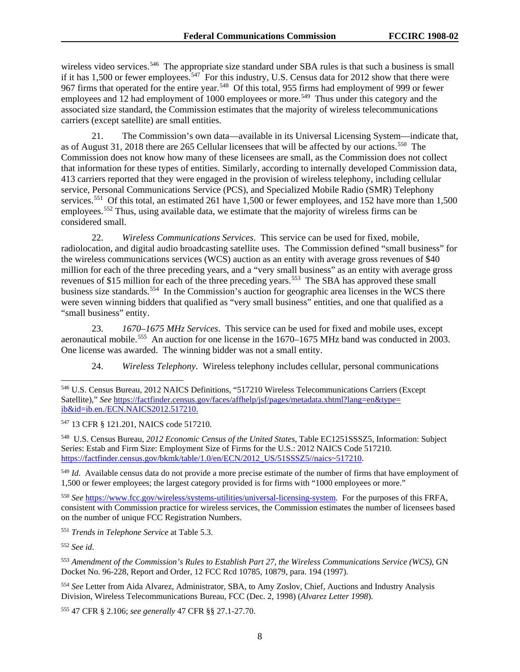wireless video services.<sup>[546](#page-85-0)</sup> The appropriate size standard under SBA rules is that such a business is small if it has 1,500 or fewer employees.<sup>547</sup> For this industry, U.S. Census data for 2012 show that there were 967 firms that operated for the entire year.<sup>[548](#page-85-2)</sup> Of this total, 955 firms had employment of 999 or fewer employees and 12 had employment of 1000 employees or more.<sup>[549](#page-85-3)</sup> Thus under this category and the associated size standard, the Commission estimates that the majority of wireless telecommunications carriers (except satellite) are small entities.

21. The Commission's own data—available in its Universal Licensing System—indicate that, as of August 31, 2018 there are 265 Cellular licensees that will be affected by our actions.<sup>[550](#page-85-4)</sup> The Commission does not know how many of these licensees are small, as the Commission does not collect that information for these types of entities. Similarly, according to internally developed Commission data, 413 carriers reported that they were engaged in the provision of wireless telephony, including cellular service, Personal Communications Service (PCS), and Specialized Mobile Radio (SMR) Telephony services.<sup>[551](#page-85-5)</sup> Of this total, an estimated 261 have 1,500 or fewer employees, and 152 have more than 1,500 employees.<sup>[552](#page-85-6)</sup> Thus, using available data, we estimate that the majority of wireless firms can be considered small.

22. *Wireless Communications Services*. This service can be used for fixed, mobile, radiolocation, and digital audio broadcasting satellite uses. The Commission defined "small business" for the wireless communications services (WCS) auction as an entity with average gross revenues of \$40 million for each of the three preceding years, and a "very small business" as an entity with average gross revenues of \$15 million for each of the three preceding years.<sup>[553](#page-85-7)</sup> The SBA has approved these small business size standards.<sup>[554](#page-85-8)</sup> In the Commission's auction for geographic area licenses in the WCS there were seven winning bidders that qualified as "very small business" entities, and one that qualified as a "small business" entity.

23. *1670–1675 MHz Services*. This service can be used for fixed and mobile uses, except aeronautical mobile.<sup>555</sup> An auction for one license in the 1670–1675 MHz band was conducted in 2003. One license was awarded. The winning bidder was not a small entity.

24. *Wireless Telephony*. Wireless telephony includes cellular, personal communications

<span id="page-85-1"></span><sup>547</sup> 13 CFR § 121.201, NAICS code 517210.

<span id="page-85-2"></span>548 U.S. Census Bureau, *2012 Economic Census of the United States*, Table EC1251SSSZ5, Information: Subject Series: Estab and Firm Size: Employment Size of Firms for the U.S.: 2012 NAICS Code 517210. [https://factfinder.census.gov/bkmk/table/1.0/en/ECN/2012\\_US/51SSSZ5//naics~517210.](https://factfinder.census.gov/bkmk/table/1.0/en/ECN/2012_US/51SSSZ5/naics%7E517210)

<span id="page-85-3"></span><sup>549</sup> *Id*. Available census data do not provide a more precise estimate of the number of firms that have employment of 1,500 or fewer employees; the largest category provided is for firms with "1000 employees or more."

<span id="page-85-4"></span><sup>550</sup> *See* [https://www.fcc.gov/wireless/systems-utilities/universal-licensing-system.](https://www.fcc.gov/wireless/systems-utilities/universal-licensing-system) For the purposes of this FRFA, consistent with Commission practice for wireless services, the Commission estimates the number of licensees based on the number of unique FCC Registration Numbers.

<span id="page-85-5"></span><sup>551</sup> *Trends in Telephone Service* at Table 5.3.

<span id="page-85-6"></span><sup>552</sup> *See id*.

<span id="page-85-7"></span><sup>553</sup> *Amendment of the Commission's Rules to Establish Part 27, the Wireless Communications Service (WCS)*, GN Docket No. 96-228, Report and Order, 12 FCC Rcd 10785, 10879, para. 194 (1997).

<span id="page-85-8"></span><sup>554</sup> *See* Letter from Aida Alvarez, Administrator, SBA, to Amy Zoslov, Chief, Auctions and Industry Analysis Division, Wireless Telecommunications Bureau, FCC (Dec. 2, 1998) (*Alvarez Letter 1998*).

<span id="page-85-9"></span><sup>555</sup> 47 CFR § 2.106; *see generally* 47 CFR §§ 27.1-27.70.

<span id="page-85-0"></span> <sup>546</sup> U.S. Census Bureau, 2012 NAICS Definitions, "517210 Wireless Telecommunications Carriers (Except Satellite)," *See* [https://factfinder.census.gov/faces/affhelp/jsf/pages/metadata.xhtml?lang=en&type=](https://factfinder.census.gov/faces/affhelp/jsf/pages/metadata.xhtml?lang=en&type=ib&id=ib.en./ECN.NAICS2012.517210) [ib&id=ib.en./ECN.NAICS2012.517210.](https://factfinder.census.gov/faces/affhelp/jsf/pages/metadata.xhtml?lang=en&type=ib&id=ib.en./ECN.NAICS2012.517210)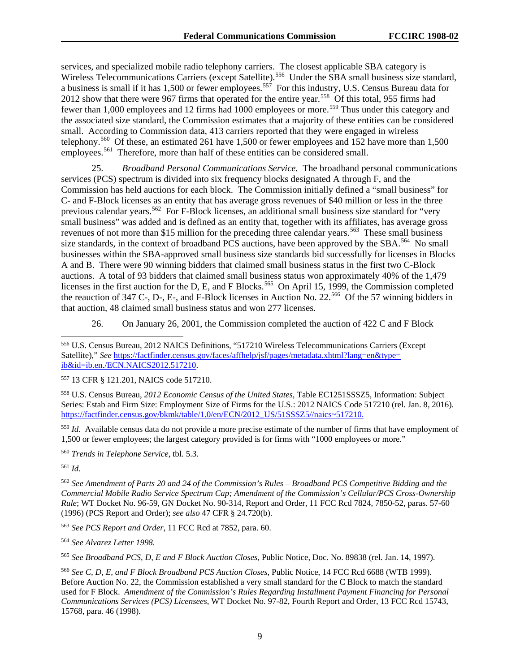services, and specialized mobile radio telephony carriers. The closest applicable SBA category is Wireless Telecommunications Carriers (except Satellite).<sup>[556](#page-86-0)</sup> Under the SBA small business size standard, a business is small if it has 1,500 or fewer employees.<sup>[557](#page-86-1)</sup> For this industry, U.S. Census Bureau data for 2012 show that there were 967 firms that operated for the entire year.<sup>[558](#page-86-2)</sup> Of this total, 955 firms had fewer than 1,000 employees and 12 firms had 1000 employees or more.<sup>[559](#page-86-3)</sup> Thus under this category and the associated size standard, the Commission estimates that a majority of these entities can be considered small. According to Commission data, 413 carriers reported that they were engaged in wireless telephony.[560](#page-86-4) Of these, an estimated 261 have 1,500 or fewer employees and 152 have more than 1,500 employees.<sup>561</sup> Therefore, more than half of these entities can be considered small.

25. *Broadband Personal Communications Service.* The broadband personal communications services (PCS) spectrum is divided into six frequency blocks designated A through F, and the Commission has held auctions for each block. The Commission initially defined a "small business" for C- and F-Block licenses as an entity that has average gross revenues of \$40 million or less in the three previous calendar years.<sup>562</sup> For F-Block licenses, an additional small business size standard for "very small business" was added and is defined as an entity that, together with its affiliates, has average gross revenues of not more than \$15 million for the preceding three calendar years.<sup>[563](#page-86-7)</sup> These small business size standards, in the context of broadband PCS auctions, have been approved by the SBA.<sup>[564](#page-86-8)</sup> No small businesses within the SBA-approved small business size standards bid successfully for licenses in Blocks A and B. There were 90 winning bidders that claimed small business status in the first two C-Block auctions. A total of 93 bidders that claimed small business status won approximately 40% of the 1,479 licenses in the first auction for the D, E, and F Blocks.<sup>[565](#page-86-9)</sup> On April 15, 1999, the Commission completed the reauction of 347 C-, D-, E-, and F-Block licenses in Auction No. 22.<sup>566</sup> Of the 57 winning bidders in that auction, 48 claimed small business status and won 277 licenses.

26. On January 26, 2001, the Commission completed the auction of 422 C and F Block

<span id="page-86-2"></span><sup>558</sup> U.S. Census Bureau, *2012 Economic Census of the United States*, Table EC1251SSSZ5, Information: Subject Series: Estab and Firm Size: Employment Size of Firms for the U.S.: 2012 NAICS Code 517210 (rel. Jan. 8, 2016). [https://factfinder.census.gov/bkmk/table/1.0/en/ECN/2012\\_US/51SSSZ5//naics~517210.](https://factfinder.census.gov/bkmk/table/1.0/en/ECN/2012_US/51SSSZ5/naics%7E517210)

<span id="page-86-3"></span><sup>559</sup> *Id*. Available census data do not provide a more precise estimate of the number of firms that have employment of 1,500 or fewer employees; the largest category provided is for firms with "1000 employees or more."

<span id="page-86-4"></span><sup>560</sup> *Trends in Telephone Service*, tbl. 5.3.

<span id="page-86-5"></span><sup>561</sup> *Id*.

<span id="page-86-6"></span><sup>562</sup> *See Amendment of Parts 20 and 24 of the Commission's Rules – Broadband PCS Competitive Bidding and the Commercial Mobile Radio Service Spectrum Cap; Amendment of the Commission's Cellular/PCS Cross-Ownership Rule*; WT Docket No. 96-59, GN Docket No. 90-314, Report and Order, 11 FCC Rcd 7824, 7850-52, paras. 57-60 (1996) (PCS Report and Order); *see also* 47 CFR § 24.720(b).

<span id="page-86-7"></span><sup>563</sup> *See PCS Report and Order*, 11 FCC Rcd at 7852, para. 60.

<span id="page-86-8"></span><sup>564</sup> *See Alvarez Letter 1998.*

<span id="page-86-9"></span><sup>565</sup> *See Broadband PCS*, *D*, *E and F Block Auction Closes*, Public Notice, Doc. No. 89838 (rel. Jan. 14, 1997).

<span id="page-86-10"></span><sup>566</sup> *See C, D, E, and F Block Broadband PCS Auction Closes*, Public Notice, 14 FCC Rcd 6688 (WTB 1999). Before Auction No. 22, the Commission established a very small standard for the C Block to match the standard used for F Block. *Amendment of the Commission's Rules Regarding Installment Payment Financing for Personal Communications Services (PCS) Licensees*, WT Docket No. 97-82, Fourth Report and Order, 13 FCC Rcd 15743, 15768, para. 46 (1998).

<span id="page-86-0"></span> <sup>556</sup> U.S. Census Bureau, 2012 NAICS Definitions, "517210 Wireless Telecommunications Carriers (Except Satellite)," *See* [https://factfinder.census.gov/faces/affhelp/jsf/pages/metadata.xhtml?lang=en&type=](https://factfinder.census.gov/faces/affhelp/jsf/pages/metadata.xhtml?lang=en&type=ib&id=ib.en./ECN.NAICS2012.517210) [ib&id=ib.en./ECN.NAICS2012.517210.](https://factfinder.census.gov/faces/affhelp/jsf/pages/metadata.xhtml?lang=en&type=ib&id=ib.en./ECN.NAICS2012.517210)

<span id="page-86-1"></span><sup>557</sup> 13 CFR § 121.201, NAICS code 517210.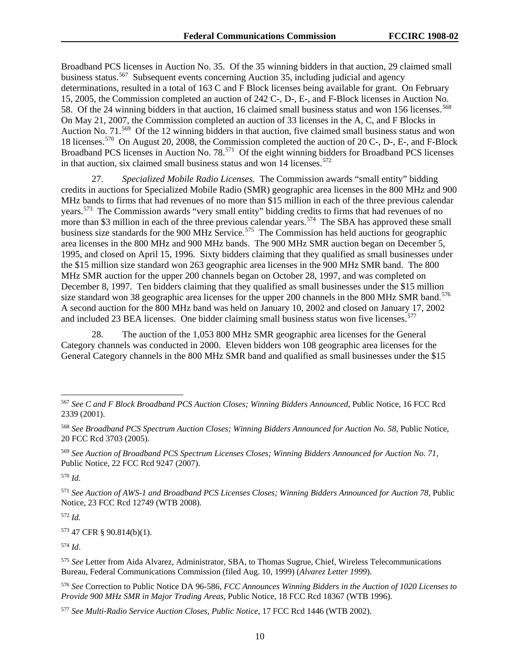Broadband PCS licenses in Auction No. 35. Of the 35 winning bidders in that auction, 29 claimed small business status.<sup>567</sup> Subsequent events concerning Auction 35, including judicial and agency determinations, resulted in a total of 163 C and F Block licenses being available for grant. On February 15, 2005, the Commission completed an auction of 242 C-, D-, E-, and F-Block licenses in Auction No. 58. Of the 24 winning bidders in that auction, 16 claimed small business status and won 156 licenses.<sup>568</sup> On May 21, 2007, the Commission completed an auction of 33 licenses in the A, C, and F Blocks in Auction No. 71.<sup>[569](#page-87-2)</sup> Of the 12 winning bidders in that auction, five claimed small business status and won 18 licenses.[570](#page-87-3) On August 20, 2008, the Commission completed the auction of 20 C-, D-, E-, and F-Block Broadband PCS licenses in Auction No. 78.<sup>[571](#page-87-4)</sup> Of the eight winning bidders for Broadband PCS licenses in that auction, six claimed small business status and won  $14$  licenses.<sup>[572](#page-87-5)</sup>

27. *Specialized Mobile Radio Licenses.* The Commission awards "small entity" bidding credits in auctions for Specialized Mobile Radio (SMR) geographic area licenses in the 800 MHz and 900 MHz bands to firms that had revenues of no more than \$15 million in each of the three previous calendar years.[573](#page-87-6) The Commission awards "very small entity" bidding credits to firms that had revenues of no more than \$3 million in each of the three previous calendar years.<sup>[574](#page-87-7)</sup> The SBA has approved these small business size standards for the 900 MHz Service.<sup>[575](#page-87-8)</sup> The Commission has held auctions for geographic area licenses in the 800 MHz and 900 MHz bands. The 900 MHz SMR auction began on December 5, 1995, and closed on April 15, 1996. Sixty bidders claiming that they qualified as small businesses under the \$15 million size standard won 263 geographic area licenses in the 900 MHz SMR band. The 800 MHz SMR auction for the upper 200 channels began on October 28, 1997, and was completed on December 8, 1997. Ten bidders claiming that they qualified as small businesses under the \$15 million size standard won 38 geographic area licenses for the upper 200 channels in the 800 MHz SMR band.<sup>576</sup> A second auction for the 800 MHz band was held on January 10, 2002 and closed on January 17, 2002 and included 23 BEA licenses. One bidder claiming small business status won five licenses.<sup>[577](#page-87-10)</sup>

28. The auction of the 1,053 800 MHz SMR geographic area licenses for the General Category channels was conducted in 2000. Eleven bidders won 108 geographic area licenses for the General Category channels in the 800 MHz SMR band and qualified as small businesses under the \$15

<span id="page-87-3"></span><sup>570</sup> *Id*.

<span id="page-87-5"></span><sup>572</sup> *Id.*

<span id="page-87-6"></span><sup>573</sup> 47 CFR § 90.814(b)(1).

<span id="page-87-7"></span><sup>574</sup> *Id*.

<span id="page-87-9"></span><sup>576</sup> *See* Correction to Public Notice DA 96-586, *FCC Announces Winning Bidders in the Auction of 1020 Licenses to Provide 900 MHz SMR in Major Trading Areas*, Public Notice, 18 FCC Rcd 18367 (WTB 1996).

<span id="page-87-0"></span> <sup>567</sup> *See C and F Block Broadband PCS Auction Closes; Winning Bidders Announced*, Public Notice, 16 FCC Rcd 2339 (2001).

<span id="page-87-1"></span><sup>568</sup> *See Broadband PCS Spectrum Auction Closes; Winning Bidders Announced for Auction No. 58*, Public Notice, 20 FCC Rcd 3703 (2005).

<span id="page-87-2"></span><sup>569</sup> *See Auction of Broadband PCS Spectrum Licenses Closes; Winning Bidders Announced for Auction No. 71*, Public Notice, 22 FCC Rcd 9247 (2007).

<span id="page-87-4"></span><sup>571</sup> *See Auction of AWS-1 and Broadband PCS Licenses Closes; Winning Bidders Announced for Auction 78*, Public Notice, 23 FCC Rcd 12749 (WTB 2008).

<span id="page-87-8"></span><sup>575</sup> *See* Letter from Aida Alvarez, Administrator, SBA, to Thomas Sugrue, Chief, Wireless Telecommunications Bureau, Federal Communications Commission (filed Aug. 10, 1999) (*Alvarez Letter 1999*).

<span id="page-87-10"></span><sup>577</sup> *See Multi-Radio Service Auction Closes, Public Notice*, 17 FCC Rcd 1446 (WTB 2002).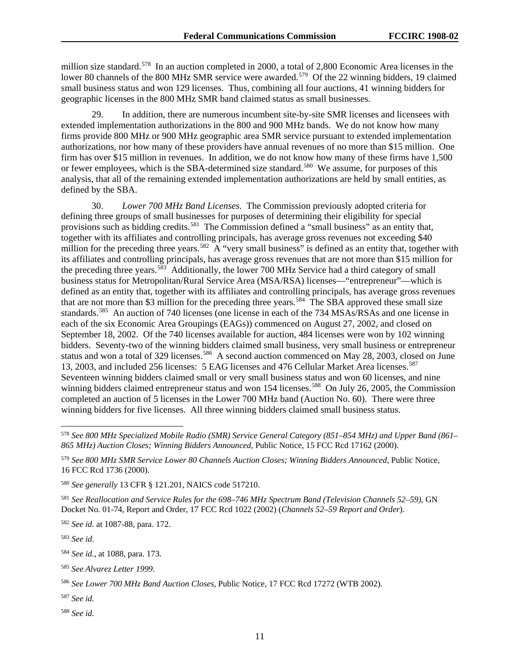million size standard.<sup>578</sup> In an auction completed in 2000, a total of 2,800 Economic Area licenses in the lower 80 channels of the 800 MHz SMR service were awarded.<sup>579</sup> Of the 22 winning bidders, 19 claimed small business status and won 129 licenses. Thus, combining all four auctions, 41 winning bidders for geographic licenses in the 800 MHz SMR band claimed status as small businesses.

29. In addition, there are numerous incumbent site-by-site SMR licenses and licensees with extended implementation authorizations in the 800 and 900 MHz bands. We do not know how many firms provide 800 MHz or 900 MHz geographic area SMR service pursuant to extended implementation authorizations, nor how many of these providers have annual revenues of no more than \$15 million. One firm has over \$15 million in revenues. In addition, we do not know how many of these firms have 1,500 or fewer employees, which is the SBA-determined size standard.<sup>[580](#page-88-2)</sup> We assume, for purposes of this analysis, that all of the remaining extended implementation authorizations are held by small entities, as defined by the SBA.

30. *Lower 700 MHz Band Licenses*. The Commission previously adopted criteria for defining three groups of small businesses for purposes of determining their eligibility for special provisions such as bidding credits.<sup>581</sup> The Commission defined a "small business" as an entity that, together with its affiliates and controlling principals, has average gross revenues not exceeding \$40 million for the preceding three years.<sup>[582](#page-88-4)</sup> A "very small business" is defined as an entity that, together with its affiliates and controlling principals, has average gross revenues that are not more than \$15 million for the preceding three years.<sup>[583](#page-88-5)</sup> Additionally, the lower 700 MHz Service had a third category of small business status for Metropolitan/Rural Service Area (MSA/RSA) licenses—"entrepreneur"—which is defined as an entity that, together with its affiliates and controlling principals, has average gross revenues that are not more than \$3 million for the preceding three years.<sup>[584](#page-88-6)</sup> The SBA approved these small size standards.<sup>[585](#page-88-7)</sup> An auction of 740 licenses (one license in each of the 734 MSAs/RSAs and one license in each of the six Economic Area Groupings (EAGs)) commenced on August 27, 2002, and closed on September 18, 2002. Of the 740 licenses available for auction, 484 licenses were won by 102 winning bidders. Seventy-two of the winning bidders claimed small business, very small business or entrepreneur status and won a total of 329 licenses.<sup>586</sup> A second auction commenced on May 28, 2003, closed on June 13, 2003, and included 256 licenses: 5 EAG licenses and 476 Cellular Market Area licenses.<sup>[587](#page-88-9)</sup> Seventeen winning bidders claimed small or very small business status and won 60 licenses, and nine winning bidders claimed entrepreneur status and won 154 licenses.<sup>588</sup> On July 26, 2005, the Commission completed an auction of 5 licenses in the Lower 700 MHz band (Auction No. 60). There were three winning bidders for five licenses. All three winning bidders claimed small business status.

<span id="page-88-3"></span><sup>581</sup> *See Reallocation and Service Rules for the 698*–*746 MHz Spectrum Band (Television Channels 52*–*59)*, GN Docket No. 01-74, Report and Order, 17 FCC Rcd 1022 (2002) (*Channels 52*–*59 Report and Order*).

<span id="page-88-4"></span><sup>582</sup> *See id.* at 1087-88, para. 172.

<span id="page-88-5"></span><sup>583</sup> *See id*.

<span id="page-88-9"></span><sup>587</sup> *See id.* 

<span id="page-88-10"></span><sup>588</sup> *See id.*

<span id="page-88-0"></span> <sup>578</sup> *See 800 MHz Specialized Mobile Radio (SMR) Service General Category (851–854 MHz) and Upper Band (861– 865 MHz) Auction Closes; Winning Bidders Announced*, Public Notice, 15 FCC Rcd 17162 (2000).

<span id="page-88-1"></span><sup>579</sup> *See 800 MHz SMR Service Lower 80 Channels Auction Closes; Winning Bidders Announced*, Public Notice, 16 FCC Rcd 1736 (2000).

<span id="page-88-2"></span><sup>580</sup> *See generally* 13 CFR § 121.201, NAICS code 517210.

<span id="page-88-6"></span><sup>584</sup> *See id.*, at 1088, para. 173.

<span id="page-88-7"></span><sup>585</sup> *See Alvarez Letter 1999*.

<span id="page-88-8"></span><sup>586</sup> *See Lower 700 MHz Band Auction Closes*, Public Notice, 17 FCC Rcd 17272 (WTB 2002).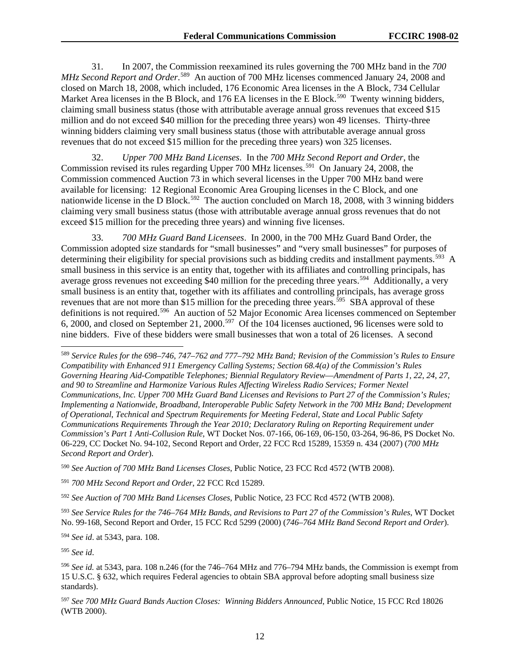31. In 2007, the Commission reexamined its rules governing the 700 MHz band in the *700*  MHz Second Report and Order.<sup>[589](#page-89-0)</sup> An auction of 700 MHz licenses commenced January 24, 2008 and closed on March 18, 2008, which included, 176 Economic Area licenses in the A Block, 734 Cellular Market Area licenses in the B Block, and 176 EA licenses in the E Block.<sup>590</sup> Twenty winning bidders, claiming small business status (those with attributable average annual gross revenues that exceed \$15 million and do not exceed \$40 million for the preceding three years) won 49 licenses. Thirty-three winning bidders claiming very small business status (those with attributable average annual gross revenues that do not exceed \$15 million for the preceding three years) won 325 licenses.

32. *Upper 700 MHz Band Licenses*. In the *700 MHz Second Report and Order*, the Commission revised its rules regarding Upper 700 MHz licenses.<sup>591</sup> On January 24, 2008, the Commission commenced Auction 73 in which several licenses in the Upper 700 MHz band were available for licensing: 12 Regional Economic Area Grouping licenses in the C Block, and one nationwide license in the D Block.<sup>[592](#page-89-3)</sup> The auction concluded on March 18, 2008, with 3 winning bidders claiming very small business status (those with attributable average annual gross revenues that do not exceed \$15 million for the preceding three years) and winning five licenses.

33. *700 MHz Guard Band Licensees*. In 2000, in the 700 MHz Guard Band Order, the Commission adopted size standards for "small businesses" and "very small businesses" for purposes of determining their eligibility for special provisions such as bidding credits and installment payments.<sup>[593](#page-89-4)</sup> A small business in this service is an entity that, together with its affiliates and controlling principals, has average gross revenues not exceeding \$40 million for the preceding three years.<sup>[594](#page-89-5)</sup> Additionally, a very small business is an entity that, together with its affiliates and controlling principals, has average gross revenues that are not more than \$15 million for the preceding three years.<sup>595</sup> SBA approval of these definitions is not required.<sup>[596](#page-89-7)</sup> An auction of 52 Major Economic Area licenses commenced on September 6, 2000, and closed on September 21, 2000.[597](#page-89-8) Of the 104 licenses auctioned, 96 licenses were sold to nine bidders. Five of these bidders were small businesses that won a total of 26 licenses. A second

<span id="page-89-1"></span><sup>590</sup> *See Auction of 700 MHz Band Licenses Closes*, Public Notice, 23 FCC Rcd 4572 (WTB 2008).

<span id="page-89-3"></span><sup>592</sup> *See Auction of 700 MHz Band Licenses Closes*, Public Notice, 23 FCC Rcd 4572 (WTB 2008).

<span id="page-89-4"></span><sup>593</sup> *See Service Rules for the 746–764 MHz Bands, and Revisions to Part 27 of the Commission's Rules*, WT Docket No. 99-168, Second Report and Order, 15 FCC Rcd 5299 (2000) (*746–764 MHz Band Second Report and Order*).

<span id="page-89-5"></span><sup>594</sup> *See id*. at 5343, para. 108.

<span id="page-89-6"></span><sup>595</sup> *See id*.

<span id="page-89-0"></span> <sup>589</sup> *Service Rules for the 698*–*746*, *<sup>747</sup>*–*762 and 777*–*792 MHz Band; Revision of the Commission's Rules to Ensure Compatibility with Enhanced 911 Emergency Calling Systems; Section 68.4(a) of the Commission's Rules Governing Hearing Aid-Compatible Telephones; Biennial Regulatory Review*—*Amendment of Parts 1*, *22*, *24*, *27*, *and 90 to Streamline and Harmonize Various Rules Affecting Wireless Radio Services; Former Nextel Communications*, *Inc. Upper 700 MHz Guard Band Licenses and Revisions to Part 27 of the Commission's Rules; Implementing a Nationwide*, *Broadband*, *Interoperable Public Safety Network in the 700 MHz Band; Development of Operational*, *Technical and Spectrum Requirements for Meeting Federal*, *State and Local Public Safety Communications Requirements Through the Year 2010; Declaratory Ruling on Reporting Requirement under Commission's Part 1 Anti-Collusion Rule*, WT Docket Nos. 07-166, 06-169, 06-150, 03-264, 96-86, PS Docket No. 06-229, CC Docket No. 94-102, Second Report and Order, 22 FCC Rcd 15289, 15359 n. 434 (2007) (*700 MHz Second Report and Order*).

<span id="page-89-2"></span><sup>591</sup> *700 MHz Second Report and Order*, 22 FCC Rcd 15289.

<span id="page-89-7"></span><sup>596</sup> *See id.* at 5343, para. 108 n.246 (for the 746–764 MHz and 776–794 MHz bands, the Commission is exempt from 15 U.S.C. § 632, which requires Federal agencies to obtain SBA approval before adopting small business size standards).

<span id="page-89-8"></span><sup>597</sup> *See 700 MHz Guard Bands Auction Closes: Winning Bidders Announced*, Public Notice, 15 FCC Rcd 18026 (WTB 2000).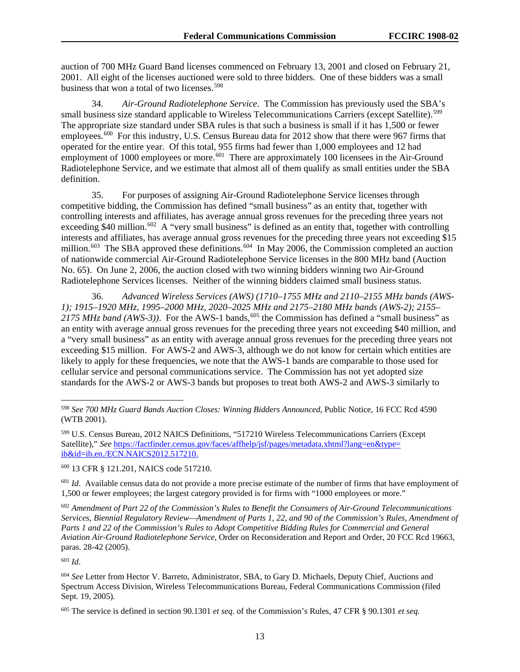auction of 700 MHz Guard Band licenses commenced on February 13, 2001 and closed on February 21, 2001. All eight of the licenses auctioned were sold to three bidders. One of these bidders was a small business that won a total of two licenses.<sup>[598](#page-90-0)</sup>

34. *Air-Ground Radiotelephone Service*. The Commission has previously used the SBA's small business size standard applicable to Wireless Telecommunications Carriers (except Satellite).<sup>[599](#page-90-1)</sup> The appropriate size standard under SBA rules is that such a business is small if it has 1,500 or fewer employees.<sup>[600](#page-90-2)</sup> For this industry, U.S. Census Bureau data for 2012 show that there were 967 firms that operated for the entire year. Of this total, 955 firms had fewer than 1,000 employees and 12 had employment of 1000 employees or more.<sup>601</sup> There are approximately 100 licensees in the Air-Ground Radiotelephone Service, and we estimate that almost all of them qualify as small entities under the SBA definition.

35. For purposes of assigning Air-Ground Radiotelephone Service licenses through competitive bidding, the Commission has defined "small business" as an entity that, together with controlling interests and affiliates, has average annual gross revenues for the preceding three years not exceeding \$40 million.<sup>[602](#page-90-4)</sup> A "very small business" is defined as an entity that, together with controlling interests and affiliates, has average annual gross revenues for the preceding three years not exceeding \$15 million.<sup>603</sup> The SBA approved these definitions.<sup>[604](#page-90-6)</sup> In May 2006, the Commission completed an auction of nationwide commercial Air-Ground Radiotelephone Service licenses in the 800 MHz band (Auction No. 65). On June 2, 2006, the auction closed with two winning bidders winning two Air-Ground Radiotelephone Services licenses. Neither of the winning bidders claimed small business status.

36. *Advanced Wireless Services (AWS) (1710–1755 MHz and 2110–2155 MHz bands (AWS-1); 1915–1920 MHz, 1995–2000 MHz, 2020–2025 MHz and 2175–2180 MHz bands (AWS-2); 2155–*  $2175$  MHz band (AWS-3)). For the AWS-1 bands,<sup>[605](#page-90-7)</sup> the Commission has defined a "small business" as an entity with average annual gross revenues for the preceding three years not exceeding \$40 million, and a "very small business" as an entity with average annual gross revenues for the preceding three years not exceeding \$15 million. For AWS-2 and AWS-3, although we do not know for certain which entities are likely to apply for these frequencies, we note that the AWS-1 bands are comparable to those used for cellular service and personal communications service. The Commission has not yet adopted size standards for the AWS-2 or AWS-3 bands but proposes to treat both AWS-2 and AWS-3 similarly to

<span id="page-90-2"></span><sup>600</sup> 13 CFR § 121.201, NAICS code 517210.

<span id="page-90-3"></span><sup>601</sup> *Id.* Available census data do not provide a more precise estimate of the number of firms that have employment of 1,500 or fewer employees; the largest category provided is for firms with "1000 employees or more."

<span id="page-90-4"></span><sup>602</sup> *Amendment of Part 22 of the Commission's Rules to Benefit the Consumers of Air-Ground Telecommunications Services*, *Biennial Regulatory Review—Amendment of Parts 1*, *22*, *and 90 of the Commission's Rules*, *Amendment of Parts 1 and 22 of the Commission's Rules to Adopt Competitive Bidding Rules for Commercial and General Aviation Air-Ground Radiotelephone Service*, Order on Reconsideration and Report and Order, 20 FCC Rcd 19663, paras. 28*-*42 (2005).

<span id="page-90-5"></span><sup>603</sup> *Id*.

<span id="page-90-6"></span><sup>604</sup> *See* Letter from Hector V. Barreto, Administrator, SBA, to Gary D. Michaels, Deputy Chief, Auctions and Spectrum Access Division, Wireless Telecommunications Bureau, Federal Communications Commission (filed Sept. 19, 2005).

<span id="page-90-7"></span><sup>605</sup> The service is defined in section 90.1301 *et seq*. of the Commission's Rules, 47 CFR § 90.1301 *et seq*.

<span id="page-90-0"></span> <sup>598</sup> *See 700 MHz Guard Bands Auction Closes: Winning Bidders Announced*, Public Notice, 16 FCC Rcd 4590 (WTB 2001).

<span id="page-90-1"></span><sup>599</sup> U.S. Census Bureau, 2012 NAICS Definitions, "517210 Wireless Telecommunications Carriers (Except Satellite)," *See* [https://factfinder.census.gov/faces/affhelp/jsf/pages/metadata.xhtml?lang=en&type=](https://factfinder.census.gov/faces/affhelp/jsf/pages/metadata.xhtml?lang=en&type=ib&id=ib.en./ECN.NAICS2012.517210) [ib&id=ib.en./ECN.NAICS2012.517210.](https://factfinder.census.gov/faces/affhelp/jsf/pages/metadata.xhtml?lang=en&type=ib&id=ib.en./ECN.NAICS2012.517210)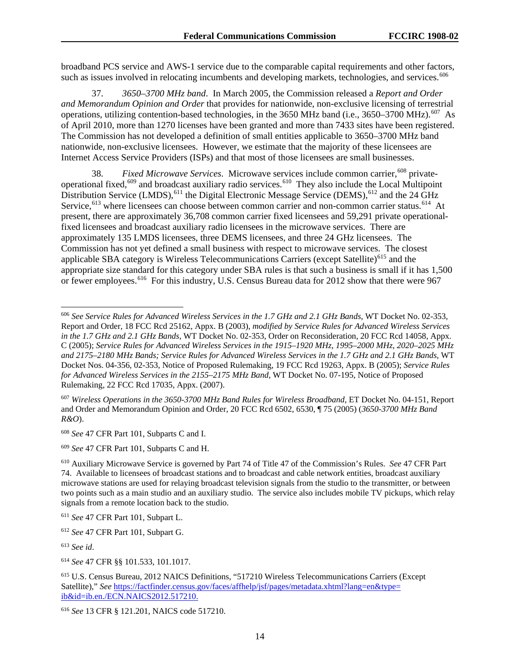broadband PCS service and AWS-1 service due to the comparable capital requirements and other factors, such as issues involved in relocating incumbents and developing markets, technologies, and services.<sup>[606](#page-91-0)</sup>

37. *3650–3700 MHz band*. In March 2005, the Commission released a *Report and Order and Memorandum Opinion and Order* that provides for nationwide, non-exclusive licensing of terrestrial operations, utilizing contention-based technologies, in the 3650 MHz band (i.e., 3650–3700 MHz).<sup>[607](#page-91-1)</sup> As of April 2010, more than 1270 licenses have been granted and more than 7433 sites have been registered. The Commission has not developed a definition of small entities applicable to 3650–3700 MHz band nationwide, non-exclusive licensees. However, we estimate that the majority of these licensees are Internet Access Service Providers (ISPs) and that most of those licensees are small businesses.

38. *Fixed Microwave Services*. Microwave services include common carrier,<sup>[608](#page-91-2)</sup> privateoperational fixed,[609](#page-91-3) and broadcast auxiliary radio services.[610](#page-91-4) They also include the Local Multipoint Distribution Service (LMDS), <sup>[611](#page-91-5)</sup> the Digital Electronic Message Service (DEMS), <sup>[612](#page-91-6)</sup> and the 24 GHz Service,<sup>[613](#page-91-7)</sup> where licensees can choose between common carrier and non-common carrier status.<sup>[614](#page-91-8)</sup> At present, there are approximately 36,708 common carrier fixed licensees and 59,291 private operationalfixed licensees and broadcast auxiliary radio licensees in the microwave services. There are approximately 135 LMDS licensees, three DEMS licensees, and three 24 GHz licensees. The Commission has not yet defined a small business with respect to microwave services. The closest applicable SBA category is Wireless Telecommunications Carriers (except Satellite)<sup>[615](#page-91-9)</sup> and the appropriate size standard for this category under SBA rules is that such a business is small if it has 1,500 or fewer employees.<sup>616</sup> For this industry, U.S. Census Bureau data for 2012 show that there were 967

<span id="page-91-1"></span><sup>607</sup> *Wireless Operations in the 3650-3700 MHz Band Rules for Wireless Broadband*, ET Docket No. 04-151, Report and Order and Memorandum Opinion and Order, 20 FCC Rcd 6502, 6530, ¶ 75 (2005) (*3650-3700 MHz Band R&O*).

<span id="page-91-2"></span><sup>608</sup> *See* 47 CFR Part 101, Subparts C and I.

<span id="page-91-3"></span><sup>609</sup> *See* 47 CFR Part 101, Subparts C and H.

<span id="page-91-7"></span><sup>613</sup> *See id*.

<span id="page-91-0"></span> <sup>606</sup> *See Service Rules for Advanced Wireless Services in the 1.7 GHz and 2.1 GHz Bands*, WT Docket No. 02-353, Report and Order, 18 FCC Rcd 25162, Appx. B (2003), *modified by Service Rules for Advanced Wireless Services in the 1.7 GHz and 2.1 GHz Bands*, WT Docket No. 02-353, Order on Reconsideration, 20 FCC Rcd 14058, Appx. C (2005); *Service Rules for Advanced Wireless Services in the 1915–1920 MHz*, *1995–2000 MHz*, *2020–2025 MHz and 2175–2180 MHz Bands; Service Rules for Advanced Wireless Services in the 1.7 GHz and 2.1 GHz Bands*, WT Docket Nos. 04-356, 02-353, Notice of Proposed Rulemaking, 19 FCC Rcd 19263, Appx. B (2005); *Service Rules for Advanced Wireless Services in the 2155–2175 MHz Band*, WT Docket No. 07-195, Notice of Proposed Rulemaking, 22 FCC Rcd 17035, Appx. (2007).

<span id="page-91-4"></span><sup>610</sup> Auxiliary Microwave Service is governed by Part 74 of Title 47 of the Commission's Rules. *See* 47 CFR Part 74. Available to licensees of broadcast stations and to broadcast and cable network entities, broadcast auxiliary microwave stations are used for relaying broadcast television signals from the studio to the transmitter, or between two points such as a main studio and an auxiliary studio. The service also includes mobile TV pickups, which relay signals from a remote location back to the studio.

<span id="page-91-5"></span><sup>611</sup> *See* 47 CFR Part 101, Subpart L.

<span id="page-91-6"></span><sup>612</sup> *See* 47 CFR Part 101, Subpart G.

<span id="page-91-8"></span><sup>614</sup> *See* 47 CFR §§ 101.533, 101.1017.

<span id="page-91-9"></span><sup>615</sup> U.S. Census Bureau, 2012 NAICS Definitions, "517210 Wireless Telecommunications Carriers (Except Satellite)," *See* [https://factfinder.census.gov/faces/affhelp/jsf/pages/metadata.xhtml?lang=en&type=](https://factfinder.census.gov/faces/affhelp/jsf/pages/metadata.xhtml?lang=en&type=ib&id=ib.en./ECN.NAICS2012.517210) [ib&id=ib.en./ECN.NAICS2012.517210.](https://factfinder.census.gov/faces/affhelp/jsf/pages/metadata.xhtml?lang=en&type=ib&id=ib.en./ECN.NAICS2012.517210)

<span id="page-91-10"></span><sup>616</sup> *See* 13 CFR § 121.201, NAICS code 517210.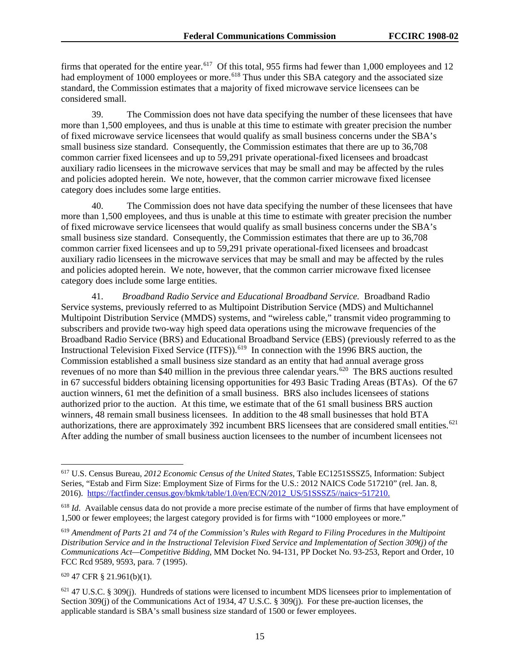firms that operated for the entire year.<sup>[617](#page-92-0)</sup> Of this total, 955 firms had fewer than 1,000 employees and 12 had employment of 1000 employees or more.<sup>[618](#page-92-1)</sup> Thus under this SBA category and the associated size standard, the Commission estimates that a majority of fixed microwave service licensees can be considered small.

39. The Commission does not have data specifying the number of these licensees that have more than 1,500 employees, and thus is unable at this time to estimate with greater precision the number of fixed microwave service licensees that would qualify as small business concerns under the SBA's small business size standard. Consequently, the Commission estimates that there are up to 36,708 common carrier fixed licensees and up to 59,291 private operational-fixed licensees and broadcast auxiliary radio licensees in the microwave services that may be small and may be affected by the rules and policies adopted herein. We note, however, that the common carrier microwave fixed licensee category does includes some large entities.

40. The Commission does not have data specifying the number of these licensees that have more than 1,500 employees, and thus is unable at this time to estimate with greater precision the number of fixed microwave service licensees that would qualify as small business concerns under the SBA's small business size standard. Consequently, the Commission estimates that there are up to 36,708 common carrier fixed licensees and up to 59,291 private operational-fixed licensees and broadcast auxiliary radio licensees in the microwave services that may be small and may be affected by the rules and policies adopted herein. We note, however, that the common carrier microwave fixed licensee category does include some large entities.

41. *Broadband Radio Service and Educational Broadband Service.* Broadband Radio Service systems, previously referred to as Multipoint Distribution Service (MDS) and Multichannel Multipoint Distribution Service (MMDS) systems, and "wireless cable," transmit video programming to subscribers and provide two-way high speed data operations using the microwave frequencies of the Broadband Radio Service (BRS) and Educational Broadband Service (EBS) (previously referred to as the Instructional Television Fixed Service (ITFS)).<sup>619</sup> In connection with the 1996 BRS auction, the Commission established a small business size standard as an entity that had annual average gross revenues of no more than \$40 million in the previous three calendar years.<sup>[620](#page-92-3)</sup> The BRS auctions resulted in 67 successful bidders obtaining licensing opportunities for 493 Basic Trading Areas (BTAs). Of the 67 auction winners, 61 met the definition of a small business. BRS also includes licensees of stations authorized prior to the auction. At this time, we estimate that of the 61 small business BRS auction winners, 48 remain small business licensees. In addition to the 48 small businesses that hold BTA authorizations, there are approximately 392 incumbent BRS licensees that are considered small entities.<sup>[621](#page-92-4)</sup> After adding the number of small business auction licensees to the number of incumbent licensees not

<span id="page-92-0"></span> <sup>617</sup> U.S. Census Bureau, *<sup>2012</sup> Economic Census of the United States*, Table EC1251SSSZ5, Information: Subject Series, "Estab and Firm Size: Employment Size of Firms for the U.S.: 2012 NAICS Code 517210" (rel. Jan. 8, 2016). [https://factfinder.census.gov/bkmk/table/1.0/en/ECN/2012\\_US/51SSSZ5//naics~517210.](https://factfinder.census.gov/bkmk/table/1.0/en/ECN/2012_US/51SSSZ5/naics%7E517210)

<span id="page-92-1"></span><sup>618</sup> *Id*. Available census data do not provide a more precise estimate of the number of firms that have employment of 1,500 or fewer employees; the largest category provided is for firms with "1000 employees or more."

<span id="page-92-2"></span><sup>619</sup> *Amendment of Parts 21 and 74 of the Commission's Rules with Regard to Filing Procedures in the Multipoint Distribution Service and in the Instructional Television Fixed Service and Implementation of Section 309(j) of the Communications Act—Competitive Bidding*, MM Docket No. 94-131, PP Docket No. 93-253, Report and Order, 10 FCC Rcd 9589, 9593, para. 7 (1995).

<span id="page-92-3"></span><sup>620</sup> 47 CFR § 21.961(b)(1).

<span id="page-92-4"></span> $621$  47 U.S.C. § 309(j). Hundreds of stations were licensed to incumbent MDS licensees prior to implementation of Section 309(j) of the Communications Act of 1934, 47 U.S.C. § 309(j). For these pre-auction licenses, the applicable standard is SBA's small business size standard of 1500 or fewer employees.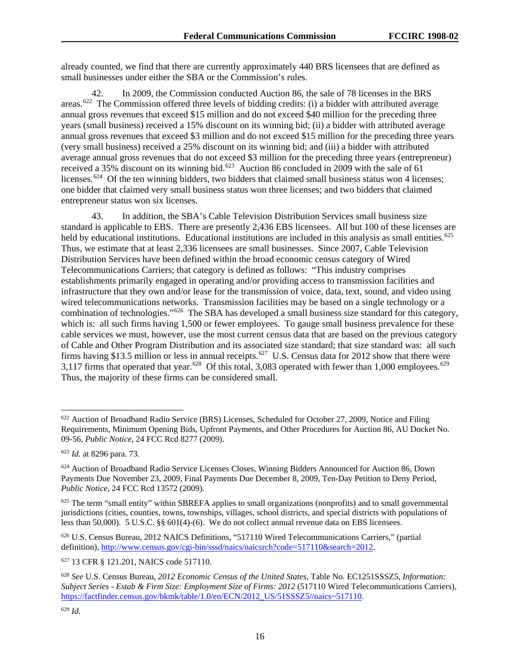already counted, we find that there are currently approximately 440 BRS licensees that are defined as small businesses under either the SBA or the Commission's rules.

42. In 2009, the Commission conducted Auction 86, the sale of 78 licenses in the BRS areas.<sup>[622](#page-93-0)</sup> The Commission offered three levels of bidding credits: (i) a bidder with attributed average annual gross revenues that exceed \$15 million and do not exceed \$40 million for the preceding three years (small business) received a 15% discount on its winning bid; (ii) a bidder with attributed average annual gross revenues that exceed \$3 million and do not exceed \$15 million for the preceding three years (very small business) received a 25% discount on its winning bid; and (iii) a bidder with attributed average annual gross revenues that do not exceed \$3 million for the preceding three years (entrepreneur) received a 35% discount on its winning bid.<sup>[623](#page-93-1)</sup> Auction 86 concluded in 2009 with the sale of 61 licenses.<sup>624</sup> Of the ten winning bidders, two bidders that claimed small business status won 4 licenses; one bidder that claimed very small business status won three licenses; and two bidders that claimed entrepreneur status won six licenses.

43. In addition, the SBA's Cable Television Distribution Services small business size standard is applicable to EBS. There are presently 2,436 EBS licensees. All but 100 of these licenses are held by educational institutions. Educational institutions are included in this analysis as small entities.<sup>[625](#page-93-3)</sup> Thus, we estimate that at least 2,336 licensees are small businesses. Since 2007, Cable Television Distribution Services have been defined within the broad economic census category of Wired Telecommunications Carriers; that category is defined as follows: "This industry comprises establishments primarily engaged in operating and/or providing access to transmission facilities and infrastructure that they own and/or lease for the transmission of voice, data, text, sound, and video using wired telecommunications networks. Transmission facilities may be based on a single technology or a combination of technologies."[626](#page-93-4) The SBA has developed a small business size standard for this category, which is: all such firms having 1,500 or fewer employees. To gauge small business prevalence for these cable services we must, however, use the most current census data that are based on the previous category of Cable and Other Program Distribution and its associated size standard; that size standard was: all such firms having \$13.5 million or less in annual receipts.<sup>[627](#page-93-5)</sup> U.S. Census data for 2012 show that there were 3,117 firms that operated that year.<sup>[628](#page-93-6)</sup> Of this total, 3,083 operated with fewer than 1,000 employees.<sup>[629](#page-93-7)</sup> Thus, the majority of these firms can be considered small.

<span id="page-93-5"></span><sup>627</sup> 13 CFR § 121.201, NAICS code 517110.

<span id="page-93-0"></span> <sup>622</sup> Auction of Broadband Radio Service (BRS) Licenses, Scheduled for October 27, 2009, Notice and Filing Requirements, Minimum Opening Bids, Upfront Payments, and Other Procedures for Auction 86, AU Docket No. 09-56, *Public Notice*, 24 FCC Rcd 8277 (2009).

<span id="page-93-1"></span><sup>623</sup> *Id.* at 8296 para. 73.

<span id="page-93-2"></span><sup>624</sup> Auction of Broadband Radio Service Licenses Closes, Winning Bidders Announced for Auction 86, Down Payments Due November 23, 2009, Final Payments Due December 8, 2009, Ten-Day Petition to Deny Period, *Public Notice*, 24 FCC Rcd 13572 (2009).

<span id="page-93-3"></span> $625$  The term "small entity" within SBREFA applies to small organizations (nonprofits) and to small governmental jurisdictions (cities, counties, towns, townships, villages, school districts, and special districts with populations of less than 50,000). 5 U.S.C. §§ 601(4)-(6). We do not collect annual revenue data on EBS licensees.

<span id="page-93-4"></span><sup>626</sup> U.S. Census Bureau, 2012 NAICS Definitions, "517110 Wired Telecommunications Carriers," (partial definition), http://www.census.gov/cgi-bin/sssd/naics/naicsrch?code=517110&search=2012.

<span id="page-93-7"></span><span id="page-93-6"></span><sup>628</sup> *See* U.S. Census Bureau, *2012 Economic Census of the United States,* Table No. EC1251SSSZ5, *Information: Subject Series - Estab & Firm Size: Employment Size of Firms: 2012* (517110 Wired Telecommunications Carriers), [https://factfinder.census.gov/bkmk/table/1.0/en/ECN/2012\\_US/51SSSZ5//naics~517110.](https://factfinder.census.gov/faces/tableservices/jsf/pages/productview.xhtml?src=bkmk)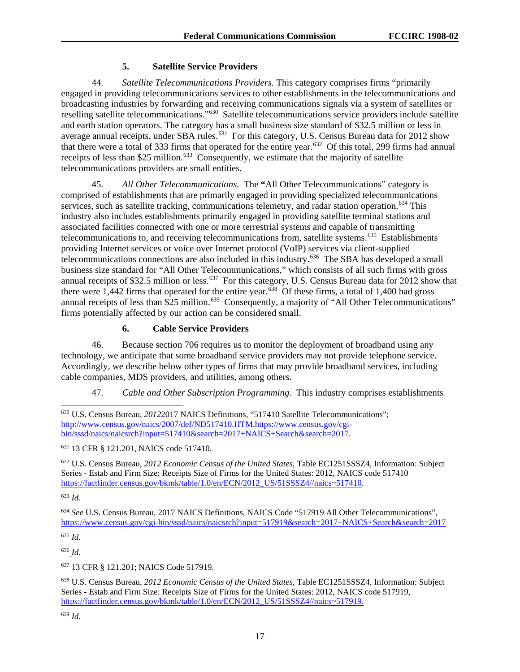# **5. Satellite Service Providers**

44. *Satellite Telecommunications Providers.* This category comprises firms "primarily engaged in providing telecommunications services to other establishments in the telecommunications and broadcasting industries by forwarding and receiving communications signals via a system of satellites or reselling satellite telecommunications."[630](#page-94-0) Satellite telecommunications service providers include satellite and earth station operators. The category has a small business size standard of \$32.5 million or less in average annual receipts, under SBA rules.<sup>631</sup> For this category, U.S. Census Bureau data for 2012 show that there were a total of 333 firms that operated for the entire year.<sup>[632](#page-94-2)</sup> Of this total, 299 firms had annual receipts of less than \$25 million.<sup>633</sup> Consequently, we estimate that the majority of satellite telecommunications providers are small entities.

45. *All Other Telecommunications.* The **"**All Other Telecommunications" category is comprised of establishments that are primarily engaged in providing specialized telecommunications services, such as satellite tracking, communications telemetry, and radar station operation.<sup>[634](#page-94-4)</sup> This industry also includes establishments primarily engaged in providing satellite terminal stations and associated facilities connected with one or more terrestrial systems and capable of transmitting telecommunications to, and receiving telecommunications from, satellite systems.<sup>635</sup> Establishments providing Internet services or voice over Internet protocol (VoIP) services via client-supplied telecommunications connections are also included in this industry.[636](#page-94-6) The SBA has developed a small business size standard for "All Other Telecommunications," which consists of all such firms with gross annual receipts of \$32.5 million or less.<sup>[637](#page-94-7)</sup> For this category, U.S. Census Bureau data for 2012 show that there were 1,442 firms that operated for the entire year.[638](#page-94-8) Of these firms, a total of 1,400 had gross annual receipts of less than  $\hat{25}$  million.<sup>639</sup> Consequently, a majority of "All Other Telecommunications" firms potentially affected by our action can be considered small.

# **6. Cable Service Providers**

46. Because section 706 requires us to monitor the deployment of broadband using any technology, we anticipate that some broadband service providers may not provide telephone service. Accordingly, we describe below other types of firms that may provide broadband services, including cable companies, MDS providers, and utilities, among others.

47. *Cable and Other Subscription Programming.* This industry comprises establishments

<span id="page-94-1"></span><sup>631</sup> 13 CFR § 121.201, NAICS code 517410.

<span id="page-94-2"></span><sup>632</sup> U.S. Census Bureau, *2012 Economic Census of the United States*, Table EC1251SSSZ4, Information: Subject Series - Estab and Firm Size: Receipts Size of Firms for the United States: 2012, NAICS code 517410 [https://factfinder.census.gov/bkmk/table/1.0/en/ECN/2012\\_US/51SSSZ4//naics~517410.](https://factfinder.census.gov/bkmk/table/1.0/en/ECN/2012_US/51SSSZ4/naics%7E517410)

<span id="page-94-3"></span><sup>633</sup> *Id*.

<span id="page-94-4"></span><sup>634</sup> *See* U.S. Census Bureau, 2017 NAICS Definitions, NAICS Code "517919 All Other Telecommunications", <https://www.census.gov/cgi-bin/sssd/naics/naicsrch?input=517919&search=2017+NAICS+Search&search=2017>

<span id="page-94-5"></span><sup>635</sup> *Id*.

<span id="page-94-6"></span><sup>636</sup> *Id*.

<span id="page-94-7"></span><sup>637</sup> 13 CFR § 121.201; NAICS Code 517919.

<span id="page-94-8"></span><sup>638</sup> U.S. Census Bureau, *2012 Economic Census of the United States*, Table EC1251SSSZ4, Information: Subject Series - Estab and Firm Size: Receipts Size of Firms for the United States: 2012, NAICS code 517919, [https://factfinder.census.gov/bkmk/table/1.0/en/ECN/2012\\_US/51SSSZ4//naics~517919.](https://factfinder.census.gov/bkmk/table/1.0/en/ECN/2012_US/51SSSZ4/naics%7E517919)

<span id="page-94-9"></span><sup>639</sup> *Id.*

<span id="page-94-0"></span> <sup>630</sup> U.S. Census Bureau, *2012*2017 NAICS Definitions, "517410 Satellite Telecommunications"; <http://www.census.gov/naics/2007/def/ND517410.HTM>[.https://www.census.gov/cgi](https://www.census.gov/cgi-bin/sssd/naics/naicsrch?input=517410&search=2017+NAICS+Search&search=2017)[bin/sssd/naics/naicsrch?input=517410&search=2017+NAICS+Search&search=2017.](https://www.census.gov/cgi-bin/sssd/naics/naicsrch?input=517410&search=2017+NAICS+Search&search=2017)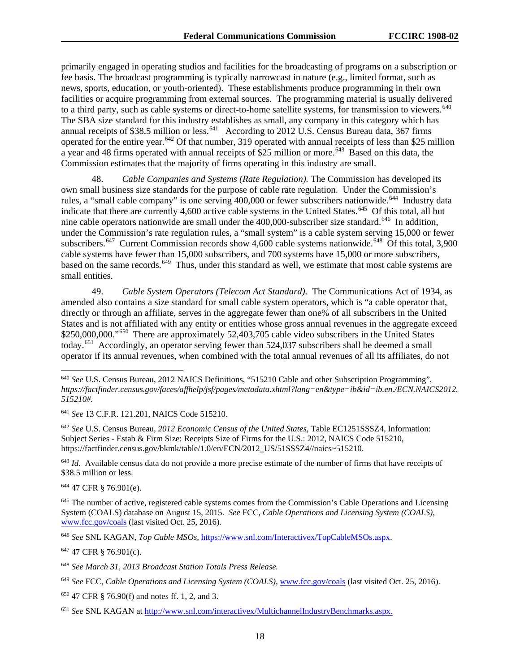primarily engaged in operating studios and facilities for the broadcasting of programs on a subscription or fee basis. The broadcast programming is typically narrowcast in nature (e.g., limited format, such as news, sports, education, or youth-oriented). These establishments produce programming in their own facilities or acquire programming from external sources. The programming material is usually delivered to a third party, such as cable systems or direct-to-home satellite systems, for transmission to viewers.<sup>640</sup> The SBA size standard for this industry establishes as small, any company in this category which has annual receipts of \$38.5 million or less.<sup>[641](#page-95-1)</sup> According to 2012 U.S. Census Bureau data, 367 firms operated for the entire year.<sup>[642](#page-95-2)</sup> Of that number, 319 operated with annual receipts of less than \$25 million a year and 48 firms operated with annual receipts of \$25 million or more.<sup>643</sup> Based on this data, the Commission estimates that the majority of firms operating in this industry are small.

48. *Cable Companies and Systems (Rate Regulation).* The Commission has developed its own small business size standards for the purpose of cable rate regulation. Under the Commission's rules, a "small cable company" is one serving 400,000 or fewer subscribers nationwide.<sup>644</sup> Industry data indicate that there are currently 4,600 active cable systems in the United States.<sup>645</sup> Of this total, all but nine cable operators nationwide are small under the 400,000-subscriber size standard.<sup>[646](#page-95-6)</sup> In addition, under the Commission's rate regulation rules, a "small system" is a cable system serving 15,000 or fewer subscribers.<sup>[647](#page-95-7)</sup> Current Commission records show 4,600 cable systems nationwide.<sup>648</sup> Of this total, 3,900 cable systems have fewer than 15,000 subscribers, and 700 systems have 15,000 or more subscribers, based on the same records.<sup>[649](#page-95-9)</sup> Thus, under this standard as well, we estimate that most cable systems are small entities.

49. *Cable System Operators (Telecom Act Standard).* The Communications Act of 1934, as amended also contains a size standard for small cable system operators, which is "a cable operator that, directly or through an affiliate, serves in the aggregate fewer than one% of all subscribers in the United States and is not affiliated with any entity or entities whose gross annual revenues in the aggregate exceed \$250,000,000."<sup>[650](#page-95-10)</sup> There are approximately 52,403,705 cable video subscribers in the United States today.[651](#page-95-11) Accordingly, an operator serving fewer than 524,037 subscribers shall be deemed a small operator if its annual revenues, when combined with the total annual revenues of all its affiliates, do not

<span id="page-95-1"></span><sup>641</sup> *See* 13 C.F.R. 121.201, NAICS Code 515210.

<span id="page-95-2"></span><sup>642</sup> *See* U.S. Census Bureau, *2012 Economic Census of the United States*, Table EC1251SSSZ4, Information: Subject Series - Estab & Firm Size: Receipts Size of Firms for the U.S.: 2012, NAICS Code 515210, https://factfinder.census.gov/bkmk/table/1.0/en/ECN/2012\_US/51SSSZ4//naics~515210.

<span id="page-95-3"></span><sup>643</sup> *Id*. Available census data do not provide a more precise estimate of the number of firms that have receipts of \$38.5 million or less.

<span id="page-95-4"></span><sup>644</sup> 47 CFR § 76.901(e).

<span id="page-95-5"></span><sup>645</sup> The number of active, registered cable systems comes from the Commission's Cable Operations and Licensing System (COALS) database on August 15, 2015. *See* FCC, *Cable Operations and Licensing System (COALS)*, [www.fcc.gov/coals](https://fccoffice-my.sharepoint.com/personal/michael_ray_fcc_gov/Documents/www.fcc.gov/coals) (last visited Oct. 25, 2016).

<span id="page-95-6"></span><sup>646</sup> *See* SNL KAGAN, *Top Cable MSOs,* [https://www.snl.com/Interactivex/TopCableMSOs.aspx.](https://platform.spgi.spglobal.com/web/client?auth=inherit&bmctx=1305DE25F219961752D2443C2563A499&contextType=external&username=string&enablePersistentLogin=true&OverrideRetryLimit=0&SwitchGetToPostLimit=50000&contextValue=%2Foam&password=secure_string&challenge_url=https%3A%2F%2Fplatform.spgi.spglobal.com%2Fweb%2Fclient%3Fauth%3Dinherit&request_id=-7827818824734432167&authn_try_count=0&locale=en_US&resource_url=https%253A%252F%252Fwww.snl.com%252FInteractiveX%252Fdefault.aspx%253FReturnURL%253D%25252fInteractivex%25252fTopCableMSOs.aspx%2526)

<span id="page-95-7"></span><sup>647</sup> 47 CFR § 76.901(c).

<span id="page-95-0"></span> <sup>640</sup> *See* U.S. Census Bureau, 2012 NAICS Definitions, "515210 Cable and other Subscription Programming", *https://factfinder.census.gov/faces/affhelp/jsf/pages/metadata.xhtml?lang=en&type=ib&id=ib.en./ECN.NAICS2012. 515210#.*

<span id="page-95-8"></span><sup>648</sup> *See March 31, 2013 Broadcast Station Totals Press Release.*

<span id="page-95-9"></span><sup>649</sup> *See* FCC, *Cable Operations and Licensing System (COALS)*, [www.fcc.gov/coals](https://fccoffice-my.sharepoint.com/personal/michael_ray_fcc_gov/Documents/www.fcc.gov/coals) (last visited Oct. 25, 2016).

<span id="page-95-10"></span><sup>650</sup> 47 CFR § 76.90(f) and notes ff. 1, 2, and 3.

<span id="page-95-11"></span><sup>651</sup> *See* SNL KAGAN at [http://www.snl.com/interactivex/MultichannelIndustryBenchmarks.aspx.](http://www.snl.com/interactivex/MultichannelIndustryBenchmarks.aspx)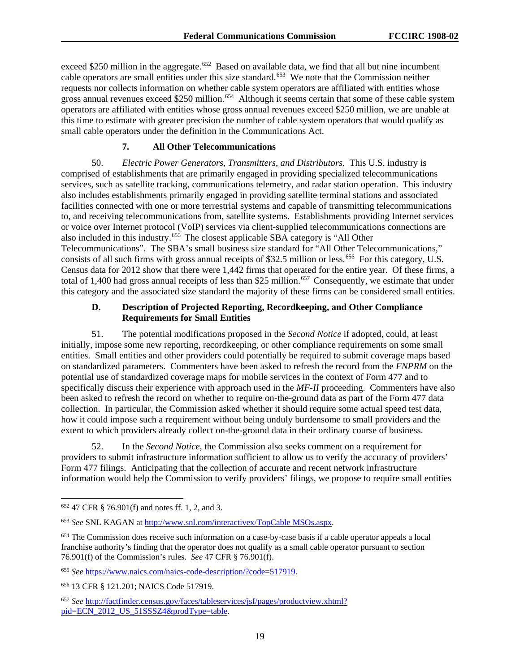exceed \$250 million in the aggregate.<sup>652</sup> Based on available data, we find that all but nine incumbent cable operators are small entities under this size standard.<sup>[653](#page-96-1)</sup> We note that the Commission neither requests nor collects information on whether cable system operators are affiliated with entities whose gross annual revenues exceed \$250 million.<sup>654</sup> Although it seems certain that some of these cable system operators are affiliated with entities whose gross annual revenues exceed \$250 million, we are unable at this time to estimate with greater precision the number of cable system operators that would qualify as small cable operators under the definition in the Communications Act.

#### **7. All Other Telecommunications**

50. *Electric Power Generators*, *Transmitters*, *and Distributors.* This U.S. industry is comprised of establishments that are primarily engaged in providing specialized telecommunications services, such as satellite tracking, communications telemetry, and radar station operation. This industry also includes establishments primarily engaged in providing satellite terminal stations and associated facilities connected with one or more terrestrial systems and capable of transmitting telecommunications to, and receiving telecommunications from, satellite systems. Establishments providing Internet services or voice over Internet protocol (VoIP) services via client-supplied telecommunications connections are also included in this industry.<sup>[655](#page-96-3)</sup> The closest applicable SBA category is "All Other Telecommunications". The SBA's small business size standard for "All Other Telecommunications," consists of all such firms with gross annual receipts of \$32.5 million or less.<sup>656</sup> For this category, U.S. Census data for 2012 show that there were 1,442 firms that operated for the entire year. Of these firms, a total of 1,400 had gross annual receipts of less than \$25 million.<sup>[657](#page-96-5)</sup> Consequently, we estimate that under this category and the associated size standard the majority of these firms can be considered small entities.

### **D. Description of Projected Reporting, Recordkeeping, and Other Compliance Requirements for Small Entities**

51. The potential modifications proposed in the *Second Notice* if adopted, could, at least initially, impose some new reporting, recordkeeping, or other compliance requirements on some small entities. Small entities and other providers could potentially be required to submit coverage maps based on standardized parameters. Commenters have been asked to refresh the record from the *FNPRM* on the potential use of standardized coverage maps for mobile services in the context of Form 477 and to specifically discuss their experience with approach used in the *MF-II* proceeding. Commenters have also been asked to refresh the record on whether to require on-the-ground data as part of the Form 477 data collection. In particular, the Commission asked whether it should require some actual speed test data, how it could impose such a requirement without being unduly burdensome to small providers and the extent to which providers already collect on-the-ground data in their ordinary course of business.

52. In the *Second Notice*, the Commission also seeks comment on a requirement for providers to submit infrastructure information sufficient to allow us to verify the accuracy of providers' Form 477 filings. Anticipating that the collection of accurate and recent network infrastructure information would help the Commission to verify providers' filings, we propose to require small entities

<span id="page-96-0"></span> <sup>652</sup> 47 CFR § 76.901(f) and notes ff. 1, 2, and 3.

<span id="page-96-1"></span><sup>653</sup> *See* SNL KAGAN at [http://www.snl.com/interactivex/TopCable MSOs.aspx.](http://www.snl.com/interactivex/TopCable%20MSOs.aspx)

<span id="page-96-2"></span><sup>654</sup> The Commission does receive such information on a case-by-case basis if a cable operator appeals a local franchise authority's finding that the operator does not qualify as a small cable operator pursuant to section 76.901(f) of the Commission's rules. *See* 47 CFR § 76.901(f).

<span id="page-96-3"></span><sup>655</sup> *See* [https://www.naics.com/naics-code-description/?code=517919.](https://www.naics.com/naics-code-description/?code=517919)

<span id="page-96-4"></span><sup>656</sup> 13 CFR § 121.201; NAICS Code 517919.

<span id="page-96-5"></span><sup>657</sup> *See* [http://factfinder.census.gov/faces/tableservices/jsf/pages/productview.xhtml?](https://factfinder.census.gov/faces/tableservices/jsf/pages/productview.xhtml?%20pid=ECN_2012_US_51SSSZ4&prodType=table)  [pid=ECN\\_2012\\_US\\_51SSSZ4&prodType=table.](https://factfinder.census.gov/faces/tableservices/jsf/pages/productview.xhtml?%20pid=ECN_2012_US_51SSSZ4&prodType=table)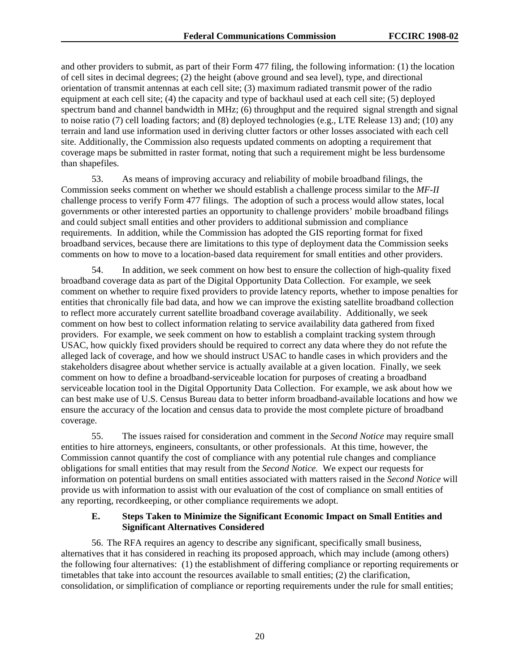and other providers to submit, as part of their Form 477 filing, the following information: (1) the location of cell sites in decimal degrees; (2) the height (above ground and sea level), type, and directional orientation of transmit antennas at each cell site; (3) maximum radiated transmit power of the radio equipment at each cell site; (4) the capacity and type of backhaul used at each cell site; (5) deployed spectrum band and channel bandwidth in MHz; (6) throughput and the required signal strength and signal to noise ratio (7) cell loading factors; and (8) deployed technologies (e.g., LTE Release 13) and; (10) any terrain and land use information used in deriving clutter factors or other losses associated with each cell site. Additionally, the Commission also requests updated comments on adopting a requirement that coverage maps be submitted in raster format, noting that such a requirement might be less burdensome than shapefiles.

53. As means of improving accuracy and reliability of mobile broadband filings, the Commission seeks comment on whether we should establish a challenge process similar to the *MF-II* challenge process to verify Form 477 filings. The adoption of such a process would allow states, local governments or other interested parties an opportunity to challenge providers' mobile broadband filings and could subject small entities and other providers to additional submission and compliance requirements. In addition, while the Commission has adopted the GIS reporting format for fixed broadband services, because there are limitations to this type of deployment data the Commission seeks comments on how to move to a location-based data requirement for small entities and other providers.

54. In addition, we seek comment on how best to ensure the collection of high-quality fixed broadband coverage data as part of the Digital Opportunity Data Collection. For example, we seek comment on whether to require fixed providers to provide latency reports, whether to impose penalties for entities that chronically file bad data, and how we can improve the existing satellite broadband collection to reflect more accurately current satellite broadband coverage availability. Additionally, we seek comment on how best to collect information relating to service availability data gathered from fixed providers. For example, we seek comment on how to establish a complaint tracking system through USAC, how quickly fixed providers should be required to correct any data where they do not refute the alleged lack of coverage, and how we should instruct USAC to handle cases in which providers and the stakeholders disagree about whether service is actually available at a given location. Finally, we seek comment on how to define a broadband-serviceable location for purposes of creating a broadband serviceable location tool in the Digital Opportunity Data Collection. For example, we ask about how we can best make use of U.S. Census Bureau data to better inform broadband-available locations and how we ensure the accuracy of the location and census data to provide the most complete picture of broadband coverage.

55. The issues raised for consideration and comment in the *Second Notice* may require small entities to hire attorneys, engineers, consultants, or other professionals. At this time, however, the Commission cannot quantify the cost of compliance with any potential rule changes and compliance obligations for small entities that may result from the *Second Notice.* We expect our requests for information on potential burdens on small entities associated with matters raised in the *Second Notice* will provide us with information to assist with our evaluation of the cost of compliance on small entities of any reporting, recordkeeping, or other compliance requirements we adopt.

#### **E. Steps Taken to Minimize the Significant Economic Impact on Small Entities and Significant Alternatives Considered**

56. The RFA requires an agency to describe any significant, specifically small business, alternatives that it has considered in reaching its proposed approach, which may include (among others) the following four alternatives: (1) the establishment of differing compliance or reporting requirements or timetables that take into account the resources available to small entities; (2) the clarification, consolidation, or simplification of compliance or reporting requirements under the rule for small entities;